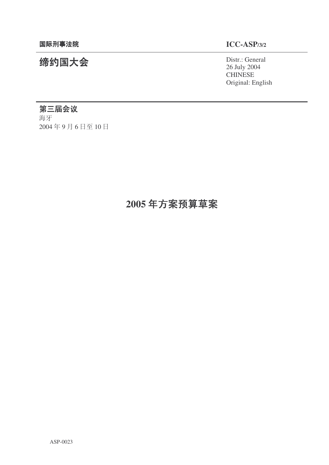# 缔约国大会 Distr∴: General

26 July 2004 **CHINESE** Original: English

# 第三届会议

海牙 2004年9月6日至10日

# 2005年方案预算草案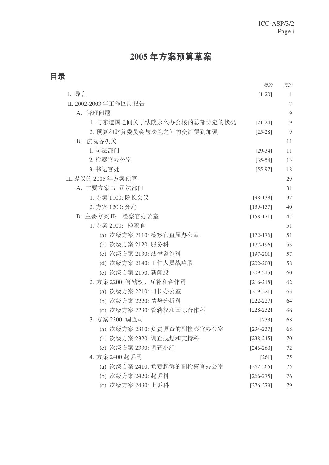# 2005年方案预算草案

目录

|                             | 段次            | 页次     |
|-----------------------------|---------------|--------|
| I. 导言                       | $[1-20]$      | 1      |
| Ⅱ.2002-2003年工作回顾报告          |               | 7      |
| A. 管理问题                     |               | 9      |
| 1. 与东道国之间关于法院永久办公楼的总部协定的状况  | $[21-24]$     | 9      |
| 2. 预算和财务委员会与法院之间的交流得到加强     | $[25-28]$     | 9      |
| B. 法院各机关                    |               | 11     |
| 1. 司法部门                     | $[29-34]$     | 11     |
| 2. 检察官办公室                   | $[35-54]$     | 13     |
| 3. 书记官处                     | $[55-97]$     | 18     |
| III.提议的 2005年方案预算           |               | 29     |
| A. 主要方案 I: 司法部门             |               | 31     |
| 1. 方案 1100: 院长会议            | $[98-138]$    | 32     |
| 2. 方案 1200: 分庭              | $[139-157]$   | 40     |
| B. 主要方案 II: 检察官办公室          | $[158-171]$   | 47     |
| 1. 方案 2100: 检察官             |               | 51     |
| (a) 次级方案 2110: 检察官直属办公室     | $[172-176]$   | 51     |
| (b) 次级方案 2120: 服务科          | $[177-196]$   | 53     |
| (c) 次级方案 2130: 法律咨询科        | $[197 - 201]$ | 57     |
| (d) 次级方案 2140: 工作人员战略股      | $[202 - 208]$ | 58     |
| (e) 次级方案 2150: 新闻股          | $[209-215]$   | 60     |
| 2. 方案 2200: 管辖权、互补和合作司      | $[216-218]$   | 62     |
| (a) 次级方案 2210: 司长办公室        | $[219-221]$   | 63     |
| (b) 次级方案 2220: 情势分析科        | $[222 - 227]$ | 64     |
| (c) 次级方案 2230: 管辖权和国际合作科    | $[228-232]$   | 66     |
| 3. 方案 2300: 调查司             | $[233]$       | 68     |
| (a) 次级方案 2310: 负责调查的副检察官办公室 | $[234 - 237]$ | 68     |
| (b) 次级方案 2320: 调查规划和支持科     | $[238 - 245]$ | 70     |
| (c) 次级方案 2330: 调查小组         | $[246 - 260]$ | $72\,$ |
| 4. 方案 2400:起诉司              | $[261]$       | 75     |
| (a) 次级方案 2410: 负责起诉的副检察官办公室 | $[262 - 265]$ | 75     |
| (b) 次级方案 2420: 起诉科          | $[266 - 275]$ | 76     |
| (c) 次级方案 2430: 上诉科          | $[276 - 279]$ | 79     |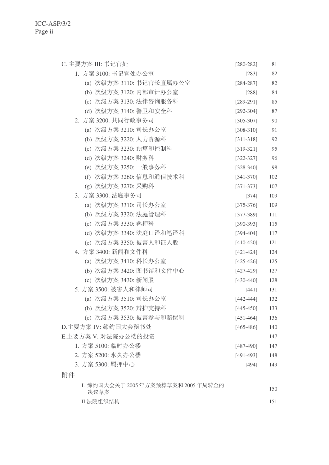| C. 主要方案 III: 书记官处                       | $[280 - 282]$ | 81  |
|-----------------------------------------|---------------|-----|
| 1. 方案 3100: 书记官处办公室                     | $[283]$       | 82  |
| (a) 次级方案 3110: 书记官长直属办公室                | $[284 - 287]$ | 82  |
| (b) 次级方案 3120: 内部审计办公室                  | $[288]$       | 84  |
| (c) 次级方案 3130: 法律咨询服务科                  | $[289-291]$   | 85  |
| (d) 次级方案 3140: 警卫和安全科                   | $[292 - 304]$ | 87  |
| 2. 方案 3200: 共同行政事务司                     | $[305 - 307]$ | 90  |
| (a) 次级方案 3210: 司长办公室                    | $[308 - 310]$ | 91  |
| (b) 次级方案 3220: 人力资源科                    | $[311 - 318]$ | 92  |
| (c) 次级方案 3230: 预算和控制科                   | $[319-321]$   | 95  |
| (d) 次级方案 3240: 财务科                      | $[322 - 327]$ | 96  |
| (e) 次级方案 3250: 一般事务科                    | $[328 - 340]$ | 98  |
| 次级方案 3260: 信息和通信技术科<br>(f)              | $[341 - 370]$ | 102 |
| (g) 次级方案 3270: 采购科                      | $[371 - 373]$ | 107 |
| 3. 方案 3300: 法庭事务司                       | $[374]$       | 109 |
| (a) 次级方案 3310: 司长办公室                    | $[375-376]$   | 109 |
| (b) 次级方案 3320: 法庭管理科                    | $[377 - 389]$ | 111 |
| (c) 次级方案 3330: 羁押科                      | $[390-393]$   | 115 |
| (d) 次级方案 3340: 法庭口译和笔译科                 | $[394 - 404]$ | 117 |
| (e) 次级方案 3350: 被害人和证人股                  | $[410-420]$   | 121 |
| 4. 方案 3400: 新闻和文件科                      | $[421 - 424]$ | 124 |
| (a) 次级方案 3410: 科长办公室                    | $[425 - 426]$ | 125 |
| (b) 次级方案 3420: 图书馆和文件中心                 | $[427 - 429]$ | 127 |
| (c) 次级方案 3430: 新闻股                      | $[430 - 440]$ | 128 |
| 5. 方案 3500: 被害人和律师司                     | $[441]$       | 131 |
| (a) 次级方案 3510: 司长办公室                    | $[442 - 444]$ | 132 |
| (b) 次级方案 3520: 辩护支持科                    | $[445 - 450]$ | 133 |
| (c) 次级方案 3530: 被害参与和赔偿科                 | $[451 - 464]$ | 136 |
| D.主要方案 IV: 缔约国大会秘书处                     | $[465 - 486]$ | 140 |
| E.主要方案 V: 对法院办公楼的投资                     |               | 147 |
| 1. 方案 5100: 临时办公楼                       | $[487 - 490]$ | 147 |
| 2. 方案 5200: 永久办公楼                       | $[491 - 493]$ | 148 |
| 3. 方案 5300: 羁押中心                        | [494]         | 149 |
| 附件                                      |               |     |
| I. 缔约国大会关于2005年方案预算草案和2005年周转金的<br>决议草案 |               | 150 |
| II.法院组织结构                               |               | 151 |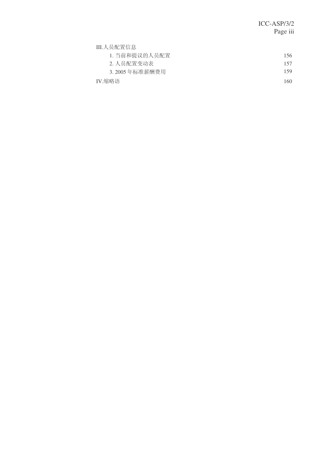| 156 |
|-----|
| 157 |
| 159 |
| 160 |
|     |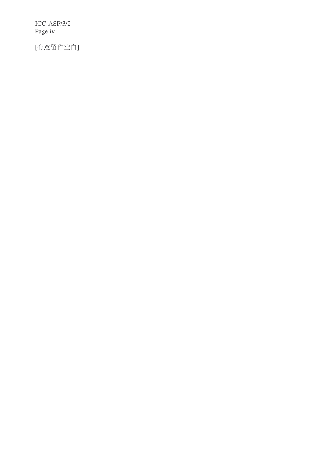[有意留作空白]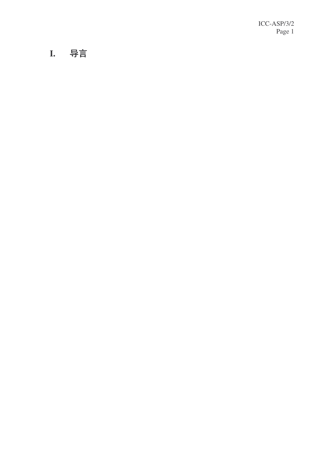# I. 导言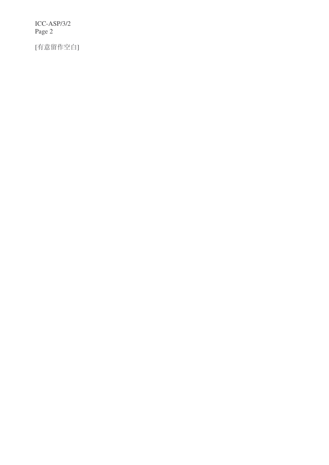[有意留作空白]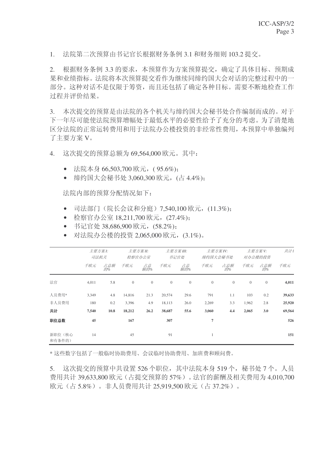$1.$  法院第二次预算由书记官长根据财务条例 3.1 和财务细则 103.2 提交。

2. 根据财务条例 3.3 的要求, 本预算作为方案预算提交, 确定了具体目标、预期成 果和业绩指标。法院将本次预算提交看作为继续同缔约国大会对话的完整过程中的一 部分。这种对话不是仅限于筹资,而且还包括了确定各种目标。需要不断地检查工作 过程并评价结果。

3. 本次提交的预算是由法院的各个机关与缔约国大会秘书处合作编制而成的。对于 下一年尽可能使法院预算增幅处于最低水平的必要性给予了充分的考虑。为了清楚地 区分法院的正常运转费用和用于法院办公楼投资的非经常性费用, 本预算中单独编列 了主要方案 V。

4. 这次提交的预算总额为 69.564,000 欧元。其中:

- 法院本身 66.503.700 欧元, (95.6%):
- 缔约国大会秘书处 3,060,300 欧元, (占 4.4%);

法院内部的预算分配情况如下:

- 司法部门(院长会议和分庭) 7.540.100 欧元, (11.3%):
- 检察官办公室 18,211,700 欧元, (27.4%);
- 书记官处 38,686,900 欧元, (58.2%);
- 对法院办公楼的投资 2,065,000 欧元, (3,1%)。

|                  | 主要方案I:<br>司法机关 |            |          | 主要方案III:<br>主要方案II:<br>书记官处<br>检察官办公室 |              | 主要方案IV:<br>缔约国大会秘书处 |                | 主要方案 V:<br>对办公楼的投资 |              | 共计1          |        |
|------------------|----------------|------------|----------|---------------------------------------|--------------|---------------------|----------------|--------------------|--------------|--------------|--------|
|                  | 千欧元            | 占总额<br>ĤT% | 千欧元      | 占总<br>额的%                             | 千欧元          | 占总<br>额的%           | 千欧元            | 占总额<br>ĤT%         | 千欧元          | 占总额<br>ff/%  | 千欧元    |
| 法官               | 4,011          | 5.8        | $\theta$ | $\mathbf{0}$                          | $\mathbf{0}$ | $\overline{0}$      | $\overline{0}$ | $\mathbf{0}$       | $\mathbf{0}$ | $\mathbf{0}$ | 4,011  |
| 人员费用*            | 3,349          | 4.8        | 14,816   | 21.3                                  | 20,574       | 29.6                | 791            | 1.1                | 103          | 0.2          | 39,633 |
| 非人员费用            | 180            | 0.2        | 3,396    | 4.9                                   | 18,113       | 26.0                | 2,269          | 3.3                | 1,962        | 2.8          | 25,920 |
| 共计               | 7,540          | 10.8       | 18,212   | 26.2                                  | 38,687       | 55.6                | 3,060          | 4.4                | 2,065        | 3.0          | 69,564 |
| 职位总数             | 45             |            | 167      |                                       | 307          |                     | $\overline{7}$ |                    |              |              | 526    |
| 新职位(核心<br>和有条件的) | 14             |            | 45       |                                       | 91           |                     |                |                    |              |              | 151    |

\* 这些数字包括了一般临时协助费用、会议临时协助费用、加班费和顾问费。

5. 这次提交的预算中共设置 526 个职位, 其中法院本身 519 个, 秘书处 7 个。人员 费用共计 39,633,800 欧元 (占提交预算的 57%)。法官的薪酬及相关费用为 4,010,700 欧元 (占 5.8%)。非人员费用共计 25.919.500 欧元 (占 37.2%)。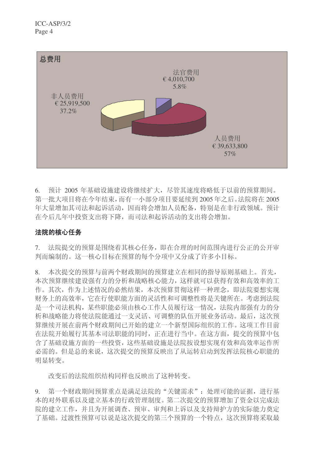

6. 预计 2005 年基础设施建设将继续扩大, 尽管其速度将略低于以前的预算期间。 第一批大项目将在今年结束,而有一小部分项目要延续到 2005年之后。法院将在 2005 年大量增加其司法和起诉活动, 因而将会增加人员配备, 特别是在非行政领域。预计 在今后几年中投资支出将下降,而司法和起诉活动的支出将会增加。

#### 法院的核心任务

7. 法院提交的预算是围绕着其核心任务,即在合理的时间范围内进行公正的公开审 判而编制的。这一核心目标在预算的每个分项中又分成了许多小目标。

8. 本次提交的预算与前两个财政期间的预算建立在相同的指导原则基础上。首先, 本次预算继续建设强有力的分析和战略核心能力,这样就可以获得有效和高效率的工 作。其次,作为上述情况的必然结果,本次预算贯彻这样一种理念,即法院要想实现 财务上的高效率, 它在行使职能方面的灵活性和可调整性将是关键所在。考虑到法院 是一个司法机构, 某些职能必须由核心工作人员履行这一情况, 法院内部强有力的分 析和战略能力将使法院能通过一支灵活、可调整的队伍开展业务活动。最后,这次预 算继续开展在前两个财政期间已开始的建立一个新型国际组织的工作。这项工作目前 在法院开始履行其基本司法职能的同时,正在进行当中。在这方面,提交的预算中包 含了基础设施方面的一些投资, 这些基础设施是法院按设想实现有效和高效率运作所 必需的。但是总的来说,这次提交的预算反映出了从运转启动到发挥法院核心职能的 明显转变。

改变后的法院组织结构同样也反映出了这种转变。

9. 第一个财政期间预算重点是满足法院的"关键需求": 处理可能的证据, 进行基 本的对外联系以及建立基本的行政管理制度。第二次提交的预算增加了资金以完成法 院的律立工作,并且为开展调查、预审、审判和上诉以及支持辩护方的实际能力奠定 了基础。过渡性预算可以说是这次提交的第三个预算的一个特点,这次预算将采取最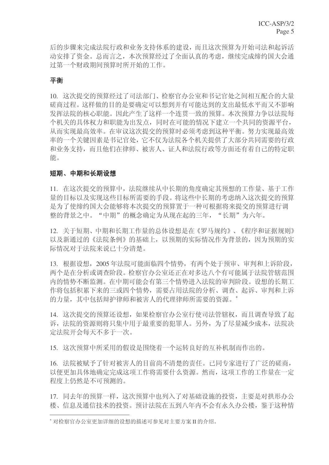后的步骤来完成法院行政和业务支持体系的建设,而且这次预算为开始司法和起诉活 动安排了资金。总而言之,本次预算经过了全面认真的考虑,继续完成缔约国大会通 讨第一个财政期间预算时所开始的工作。

#### 平衡

10. 这次提交的预算经过了司法部门、检察官办公室和书记官处之间相互配合的大量 磋商过程。这样做的目的是要确定可以想到并有可能达到的支出最低水平而又不影响 发挥法院的核心职能。因此产生了这样一个连贯一致的预算。本次预算力争以法院每 个机关的具体权力和职能为出发点,同时在可能的情况下建立一个共同的资源平台, 从而实现最高效率。在审议这次提交的预算时必须考虑到这种平衡。努力实现最高效 率的一个关键因素是书记官处,它不仅为法院各个机关提供了大部分共同需要的行政 和业务支持,而且他们在律师、被害人、证人和法院行政等方面还有着自己的特定职 能。

#### 短期、中期和长期设想

11. 在这次提交的预算中, 法院继续从中长期的角度确定其预想的工作量、基于工作 量的目标以及实现这些目标所需要的手段。将这些中长期的考虑纳入这次提交的预算 是为了使缔约国大会能够将本次提交的预算置于一种可根据将来提交的预算进行调 整的背景之中。"中期"的概念确定为从现在起的三年, "长期"为六年。

12. 关于短期、中期和长期工作量的总体设想是在《罗马规约》、《程序和证据规则》 以及新通过的《法院条例》的基础上,以预期的实际情况作为背景的,因为预期的实 际情况对于法院来说已十分清楚。

13. 根据设想, 2005年法院可能面临四个情势, 有两个处于预审、审判和上诉阶段, 两个是在分析或调查阶段。检察官办公室还正在对多达八个有可能属于法院管辖范围 内的情势不断监测。在中期可能会有第三个情势进入法院的审判阶段。设想的长期工 作将包括积累下来的三或四个情势, 需要占用法院的分析、调查、起诉、审判和上诉 的力量, 其中包括辩护律师和被害人的代理律师所需要的资源。\*

14. 这次提交的预算还设想,如果检察官办公室行使司法管辖权,而且调查导致了起 诉, 法院的资源则将只集中用于最重要的犯罪人。另外, 为了尽量减少成本, 法院决 定法院开会每天不多于一次。

15. 这次预算中所采用的假设是围绕着一个运转良好的互补机制而作出的。

16. 法院被赋予了针对被害人的目前尚不清楚的责任。已同专家进行了广泛的磋商, 以便更加具体地确定完成这项工作将需要什么资源。然而,这项工作的工作量在一定 程度上仍然是不可预测的。

17. 同夫年的预算一样, 这次预算中也列入了对基础设施的投资, 主要是对拱形办公 楼、信息及通信技术的投资。预计法院在五到八年内不会有永久办公楼, 鉴于这种情

<sup>\*</sup> 对检察官办公室更加详细的设想的描述可参见对主要方案II 的介绍。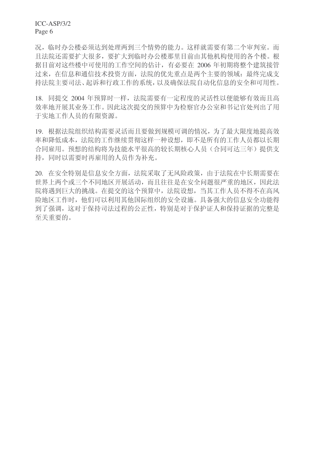况,临时办公楼必须达到处理两到三个情势的能力。这样就需要有第二个审判室。而 且法院还需要扩大很多, 要扩大到临时办公楼那里目前由其他机构使用的各个楼。根 据目前对这些楼中可使用的工作空间的估计, 有必要在 2006 年初期将整个建筑接管 过来, 在信息和通信技术投资方面, 法院的优先重点是两个主要的领域: 最终完成支 持法院主要司法、起诉和行政工作的系统,以及确保法院自动化信息的安全和可用性。

18. 同提交 2004 年预算时一样, 法院需要有一定程度的灵活性以便能够有效而且高 效率地开展其业务工作。因此这次提交的预算中为检察官办公室和书记官处列出了用 于实地工作人员的有限资源。

19. 根据法院组织结构需要灵活而且要做到规模可调的情况, 为了最大限度地提高效 率和降低成本, 法院的工作继续贯彻这样一种设想, 即不是所有的工作人员都以长期 合同雇用。预想的结构将为技能水平很高的较长期核心人员(合同可达三年)提供支 持,同时以需要时再雇用的人员作为补充。

20. 在安全特别是信息安全方面, 法院采取了无风险政策, 由于法院在中长期需要在 世界上两个或三个不同地区开展活动,而且往往是在安全问题很严重的地区,因此法 院将遇到巨大的挑战。在提交的这个预算中, 法院设想, 当其工作人员不得不在高风 险地区工作时,他们可以利用其他国际组织的安全设施。具备强大的信息安全功能得 到了强调, 这对于保持司法过程的公正性, 特别是对于保护证人和保持证据的完整是 至关重要的。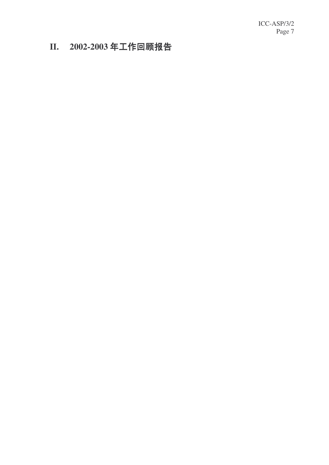II. 2002-2003年工作回顾报告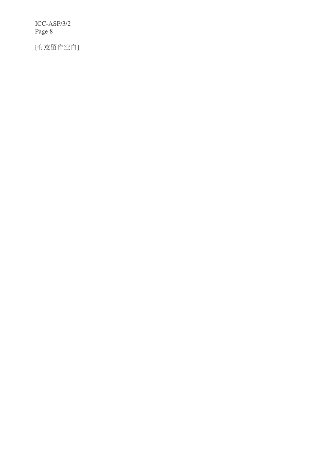[有意留作空白]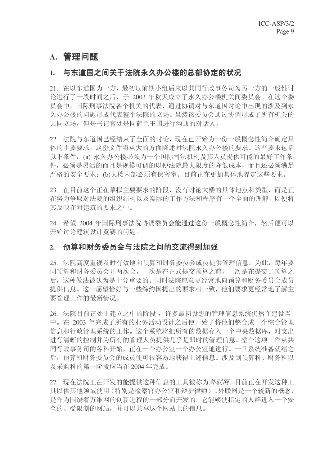## A. 管理问题

### 1. 与东道国之间关于法院永久办公楼的总部协定的状况

21. 在以东道国为一方, 最初以前期小组后来以共同行政事务司为另一方的一般性讨 论进行了一段时间之后, 于 2003 年秋天成立了永久办公楼机关间委员会。在这个委 员会中,国际刑事法院各个机关的代表,通过协调对与东道国讨论中出现的涉及到永 久办公楼的问题形成代表整个法院的立场。虽然该委员会通过协调形成了所有机关的 共同立场, 但是书记官处是同荷兰王国进行沟通的对话人。

22. 法院与东道国已经结束了全面的讨论,现在已开始为一份一般概念性简介确定具 体的主要要求,这份文件将从大的方面陈述对法院永久办公楼的要求。这些要求包括 以下条件: (a) 永久办公楼必须为一个国际司法机构及其人员提供可能的最好工作条 件, 必须是灵活的而且是规模可调的以便法院最大限度的降低成本, 而且还必须满足 严格的安全要求: (b)大楼内部必须有保密室。目前正在更加具体地界定这些要求。

23. 在目前这个正在草拟主要要求的阶段,没有讨论大楼的具体地点和类型,而是正 在努力争取对法院的组织结构以及实际的工作方法和程序有一个全面的理解,以便将 其反映在对建筑的要求之中。

24. 希望 2004 年国际刑事法院协调委员会能通过这份一般概念性简介, 然后便可以 开始讨论建筑设计竞赛的问题。

#### 2. 预算和财务委员会与法院之间的交流得到加强

25. 法院高度重视及时有效地向预算和财务委员会成员提供管理信息。为此,每年要 同预算和财务委员会开两次会, 一次是在正式提交预算之前, 一次是在提交了预算之 后,这种做法被认为是十分重要的。同时法院愿意更经常地向预算和财务委员会成员 提供信息。这一愿望恰好与一些缔约国提出的要求相一致,他们要求更经常地了解主 要管理工作的最新情况。

26. 法院目前正处于建立之中的阶段, 许多最初设想的管理信息系统仍然在建设当 中。在 2003 年完成了所有的业务活动设计之后便开始了将他们整合成一个综合管理 信息和行政管理系统的工作。这个系统将把所有的数据存入一个中央数据库,对支出 进行清晰的控制并为所有的管理人员提供几乎是即时的管理信息。整个这项工作从共 同行政事务司的各科开始,正在一个办公室一个办公室地进行。一旦系统准备就绪之 后, 预算和财务委员会的成员便可很容易地获得上述信息。涉及到预算科、财务科以 及采购科的第一阶段应当在 2004 年完成。

27. 现在法院正在开发的能提供这种信息的工具被称为*外联网*。目前正在开发这种工 具以供其他领域使用(特别是检察官办公室和辩护律师)。外联网是一个较新的概念, 是作为围绕着万维网的创新进程的一部分而开发的。它能够使指定的人群进入一个安 全的、受限制的网站,并可以共享这个网站上的信息。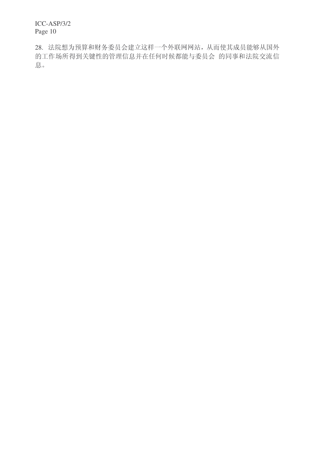28. 法院想为预算和财务委员会建立这样一个外联网网站, 从而使其成员能够从国外 的工作场所得到关键性的管理信息并在任何时候都能与委员会 的同事和法院交流信 息。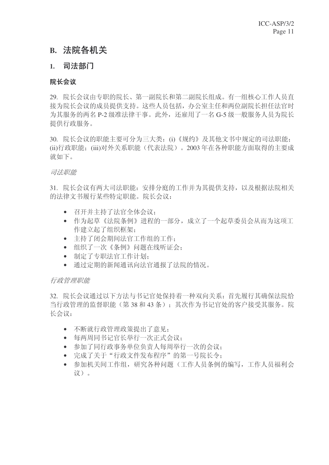### **B. 法院各机关**

### 1. 司法部门

#### 院长会议

29. 院长会议由专职的院长、第一副院长和第二副院长组成。有一组核心工作人员直 接为院长会议的成员提供支持。这些人员包括,办公室主任和两位副院长担任法官时 为其服务的两名 P-2 级准法律干事。此外, 还雇用了一名 G-5 级一般服务人员为院长 提供行政服务。

30. 院长会议的职能主要可分为三大类: (i)《规约》及其他文书中规定的司法职能; (ii)行政职能; (iii)对外关系职能(代表法院)。2003年在各种职能方面取得的主要成 就如下。

#### 司法职能

31. 院长会议有两大司法职能: 安排分庭的工作并为其提供支持, 以及根据法院相关 的法律文书履行某些特定职能。院长会议:

- 召开并主持了法官全体会议:
- 作为起草《法院条例》讲程的一部分, 成立了一个起草委员会从而为这项工 作建立起了组织框架:
- 主持了闭会期间法官工作组的工作:
- 组织了一次《条例》问题在线听证会:
- 制定了专职法官工作计划:
- 通过定期的新闻通讯向法官通报了法院的情况。

#### 行政管理职能

32. 院长会议通过以下方法与书记官处保持着一种双向关系: 首先履行基确保法院恰 当行政管理的监督职能(第38和43条);其次作为书记官处的客户接受其服务。院 长会议:

- 不断就行政管理政策提出了意见:
- 每两周同书记官长举行一次正式会议:
- 参加了同行政事务单位负责人每周举行一次的会议:
- 完成了关于"行政文件发布程序"的第一号院长令:
- 参加机关间工作组,研究各种问题(工作人员条例的编写,工作人员福利会 议)。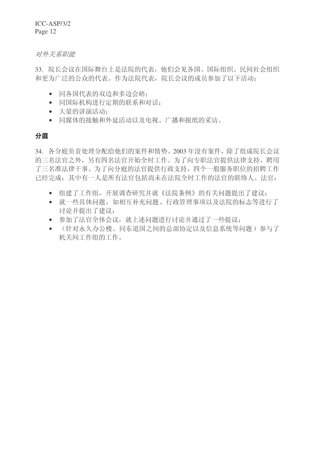对外关系职能

33. 院长会议在国际舞台上是法院的代表,他们会见各国、国际组织、民间社会组织 和更为广泛的公众的代表。作为法院代表,院长会议的成员参加了以下活动:

- 同各国代表的双边和多边会晤:
- 同国际机构进行定期的联系和对话;
- 大量的讲演活动:
- 同媒体的接触和外延活动以及电视、广播和报纸的采访。

#### 分庭

34. 各分庭负责处理分配给他们的案件和情势。2003年没有案件,除了组成院长会议 的三名法官之外,另有四名法官开始全时工作。为了向专职法官提供法律支持,聘用 了三名准法律干事。为了向分庭的法官提供行政支持, 四个一般服务职位的招聘工作 已经完成;其中有一人是所有法官包括尚未在法院全时工作的法官的联络人。法官:

- 组建了工作组, 开展调查研究并就《法院条例》的有关问题提出了建议:
- 就一些具体问题, 如相互补充问题、行政管理事项以及法院的标志等进行了 讨论并提出了建议:
- 参加了法官全体会议, 就上述问题进行讨论并通过了一些提议:
- (针对永久办公楼、同东道国之间的总部协定以及信息系统等问题)参与了 机关间工作组的工作。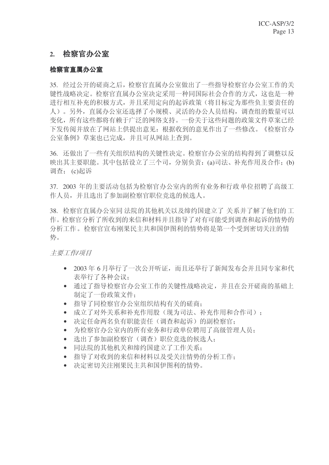### 2. 检察官办公室

#### 检察官直属办公室

35. 经过公开的磋商之后, 检察官直属办公室做出了一些指导检察官办公室工作的关 键性战略决定。检察官直属办公室决定采用一种同国际社会合作的方式,这也是一种 进行相互补充的积极方式,并且采用定向的起诉政策(将目标定为那些负主要责任的 人)。另外, 直属办公室还选择了小规模、灵活的办公人员结构, 调查组的数量可以 变化,所有这些都将有赖于广泛的网络支持。一份关于这些问题的政策文件草案已经 下发传阅并放在了网站上供提出意见: 根据收到的意见作出了一些修改。《检察官办 公室条例》草案也已完成,并且可从网站上杳到。

36. 还做出了一些有关组织结构的关键性决定。检察官办公室的结构得到了调整以反 映出其主要职能。其中包括设立了三个司,分别负责: (a)司法、补充作用及合作; (b) 调查: (c)起诉

37. 2003 年的主要活动包括为检察官办公室内的所有业务和行政单位招聘了高级工 作人员, 并且选出了参加副检察官职位竟选的候选人。

38. 检察官直属办公室同 法院的其他机关以及缔约国建立了 关系并了解了他们的工 作。检察官分析了所收到的来信和材料并且指导了对有可能受到调查和起诉的情势的 分析工作。检察官宣布刚果民主共和国伊图利的情势将是第一个受到密切关注的情 势。

**主要工作/项目** 

- 2003年6月举行了一次公开听证,而且还举行了新闻发布会并且同专家和代 表举行了各种会议:
- 通过了指导检察官办公室工作的关键性战略决定,并且在公开磋商的基础上 制定了一份政策文件:
- 指导了同检察官办公室组织结构有关的磋商:
- 成立了对外关系和补充作用股(现为司法、补充作用和合作司):
- 决定任命两名负有职能责任(调杳和起诉)的副检察官:
- 为检察官办公室内的所有业务和行政单位聘用了高级管理人员:
- 洗出了参加副检察官(调查)职位竞选的候选人:
- 同法院的其他机关和缔约国建立了工作关系:
- 指导了对收到的来信和材料以及受关注情势的分析工作:
- 决定密切关注刚果民主共和国伊图利的情势。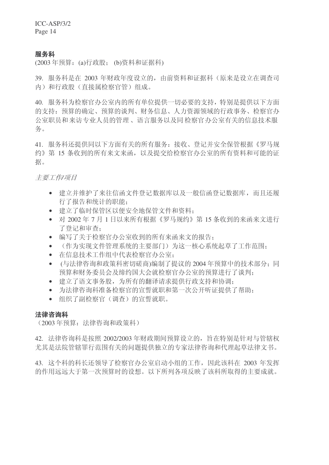#### 服务科

(2003年预算: (a)行政股; (b)资料和证据科)

39. 服务科是在 2003 年财政年度设立的, 由前资料和证据科(原来是设立在调查司 内)和行政股(直接属检察官管)组成。

40. 服务科为检察官办公室内的所有单位提供一切必要的支持,特别是提供以下方面 的支持: 预算的确定、预算的谈判、财务信息、人力资源领域的行政事务、检察官办 公室职员和来访专业人员的管理、语言服务以及同检察官办公室有关的信息技术服 条。

41. 服务科还提供同以下方面有关的所有服务: 接收、登记并安全保管根据《罗马规 约》第15 条收到的所有来文来函,以及提交给检察官办公室的所有资料和可能的证 据。

**主要工作/项目** 

- 建立并维护了来往信函文件登记数据库以及一般信函登记数据库,而且还履 行了报告和统计的职能:
- 建立了临时保管区以便安全地保管文件和资料:
- 对 2002年7月1日以来所有根据《罗马规约》第15条收到的来函来文进行 了登记和宙杳.
- 编写了关于检察官办公室收到的所有来函来文的报告:
- (作为实现文件管理系统的主要部门)为这一核心系统起草了工作范围:
- 在信息技术工作组中代表检察官办公室;
- (与法律咨询和政策科密切磋商)编制了提议的 2004 年预算中的技术部分;同 预算和财务委员会及缔约国大会就检察官办公室的预算讲行了谈判:
- 建立了语文事务股, 为所有的翻译请求提供行政支持和协调:
- 为法律咨询科准备检察官的宣誓就职和第一次公开听证提供了帮助:
- 组织了副检察官(调查)的宣誓就职。

#### 法律咨询科

(2003年预算: 法律咨询和政策科)

42. 法律咨询科是按照 2002/2003 年财政期间预算设立的, 旨在特别是针对与管辖权 尤其是法院管辖罪行范围有关的问题提供独立的专家法律咨询和代理起草法律文书。

43. 这个科的科长还领导了检察官办公室启动小组的工作,因此该科在 2003 年发挥 的作用远远大于第一次预算时的设想。以下所列各项反映了该科所取得的主要成就。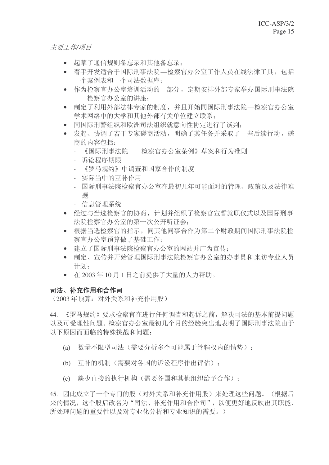**主要工作/项目** 

- 起草了通信规则备忘录和其他备忘录;
- 着手开发适合于国际刑事法院—检察官办公室工作人员在线法律工具, 包括 一个案例表和一个司法数据库:
- 作为检察官办公室培训活动的一部分, 定期安排外部专家举办国际刑事法院 ——检察官办公室的讲座;
- 制定了利用外部法律专家的制度, 并且开始同国际刑事法院—检察官办公室 学术网络中的大学和其他外部有关单位建立联系;
- 同国际刑警组织和欧洲司法组织就意向性协定进行了谈判:
- 发起、协调了若干专家磋商活动, 明确了其任务并采取了一些后续行动, 磋 商的内容包括:
	- 《国际刑事法院——检察官办公室条例》草案和行为准则
	- 诉讼程序期限
	- 《罗马规约》中调查和国家合作的制度
	- 实际当中的互补作用
	- 国际刑事法院检察官办公室在最初几年可能面对的管理、政策以及法律难 乬
	- 信息管理系统
- 经过与当选检察官的协商, 计划并组织了检察官宣誓就职仪式以及国际刑事 法院检察官办公室的第一次公开听证会:
- 根据当选检察官的指示,同其他同事合作为第二个财政期间国际刑事法院检 察官办公室预算做了基础工作:
- 建立了国际刑事法院检察官办公室的网站并广为宣传:
- 制定、宣传并开始管理国际刑事法院检察官办公室的办事员和来访专业人员 计划:
- 在 2003年10月1日之前提供了大量的人力帮助。

#### 司法、补充作用和合作司

(2003年预算: 对外关系和补充作用股)

44. 《罗马规约》要求检察官在进行任何调杳和起诉之前, 解决司法的基本前提问题 以及可受理性问题。检察官办公室最初几个月的经验突出地表明了国际刑事法院由于 以下原因而面临的特殊挑战和问题:

- (a) 数量不限型司法(需要分析多个可能属于管辖权内的情势):
- (b) 互补的机制(需要对各国的诉讼程序作出评估);
- (c) 缺少直接的执行机构(需要各国和其他组织给予合作);

45. 因此成立了一个专门的股(对外关系和补充作用股)来处理这些问题。(根据后 来的情况,这个股后改名为"司法、补充作用和合作司",以便更好地反映出其职能、 所处理问题的重要性以及对专业化分析和专业知识的需要。)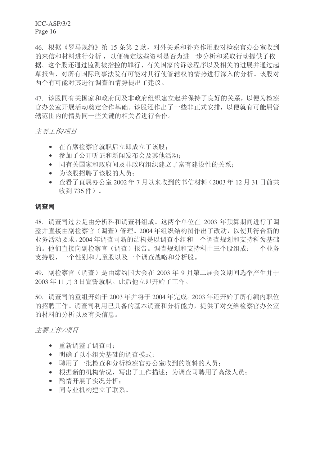46. 根据《罗马规约》第15 条第 2 款, 对外关系和补充作用股对检察官办公室收到 的来信和材料进行分析, 以便确定这些资料是否为进一步分析和采取行动提供了依 据。这个股还通过监视被指控的罪行、有关国家的诉讼程序以及相关的进展并通过起 草报告, 对所有国际刑事法院有可能对其行使管辖权的情势进行深入的分析。该股对 两个有可能对其进行调查的情势提出了建议。

47. 该股同有关国家和政府间及非政府组织建立起并保持了良好的关系,以便为检察 官办公室开展活动奠定合作基础。该股还作出了一些非正式安排,以便就有可能属管 辖范围内的情势同一些关键的相关者进行合作。

**主要工作/项目** 

- 在首席检察官就职后立即成立了该股;
- 参加了公开听证和新闻发布会及其他活动:
- 同有关国家和政府间及非政府组织建立了富有建设性的关系:
- 为该股招聘了该股的人员:
- 查看了直属办公室 2002 年 7 月以来收到的书信材料 (2003 年 12 月 31 日前共 收到 736 件)。

#### 调查司

48. 调杳司过夫是由分析科和调杳科组成。这两个单位在 2003 年预算期间进行了调 整并直接由副检察官(调杳)管理。2004 年组织结构图作出了改动, 以使其符合新的 业务活动要求。2004年调查司新的结构是以调查小组和一个调查规划和支持科为基础 的。他们直接向副检察官(调查)报告。调查规划和支持科由三个股组成: 一个业务 支持股, 一个性别和儿童股以及一个调查战略和分析股。

49. 副检察官(调杳)是由缔约国大会在 2003 年 9 月第二届会议期间选举产生并干 2003年11月3日宣誓就职。此后他立即开始了工作。

50. 调查司的重组开始于 2003 年并将于 2004 年完成。2003 年还开始了所有编内职位 的招聘工作。调查司利用已具备的基本调查和分析能力, 提供了对交给检察官办公室 的材料的分析以及有关信息。

主要工作/项目

- 重新调整了调杳司:
- 明确了以小组为基础的调杳模式:
- 聘用了一批检查和分析检察官办公室收到的资料的人员;
- 根据新的机构情况,写出了工作描述;为调查司聘用了高级人员;
- 酌情开展了实况分析:
- 同专业机构建立了联系。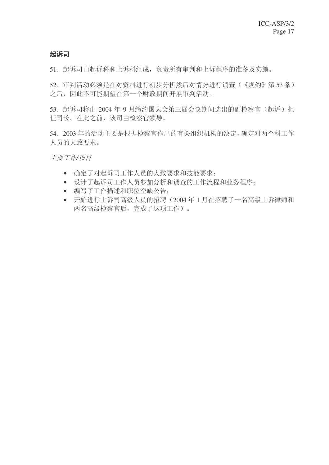#### 起诉司

51. 起诉司由起诉科和上诉科组成, 负责所有审判和上诉程序的准备及实施。

52. 审判活动必须是在对资料进行初步分析然后对情势进行调查(《规约》第53条) 之后,因此不可能期望在第一个财政期间开展审判活动。

53. 起诉司将由 2004年9月缔约国大会第三届会议期间选出的副检察官(起诉)担 任司长。在此之前,该司由检察官领导。

54. 2003年的活动主要是根据检察官作出的有关组织机构的决定,确定对两个科工作 人员的大致要求。

**主要工作/项目** 

- 确定了对起诉司工作人员的大致要求和技能要求:
- 设计了起诉司工作人员参加分析和调查的工作流程和业务程序;
- 编写了工作描述和职位空缺公告:
- 开始进行上诉司高级人员的招聘(2004年1月在招聘了一名高级上诉律师和 两名高级检察官后, 完成了这项工作)。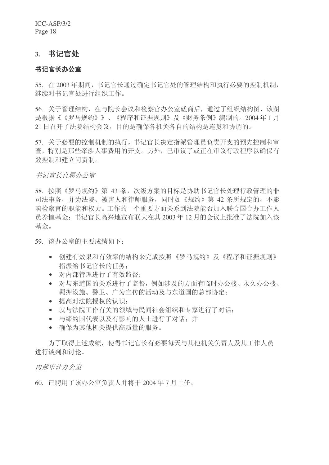### 3. 书记官处

#### 书记官长办公室

55. 在2003年期间,书记官长通过确定书记官处的管理结构和执行必要的控制机制, 继续对书记官处进行组织工作。

56. 关于管理结构, 在与院长会议和检察官办公室磋商后, 通过了组织结构图, 该图 是根据《《罗马规约》》、《程序和证据规则》及《财务条例》编制的。2004年1月 21 日召开了法院结构会议,目的是确保各机关各自的结构是连贯和协调的。

57. 关于必要的控制机制的执行, 书记官长决定指派管理员负责开支的预先控制和审 查, 特别是那些牵涉人事费用的开支。另外, 己审议了或正在审议行政程序以确保有 效控制和建立问责制。

#### 书记官长直属办公室

58. 按照《罗马规约》第 43 条, 次级方案的目标是协助书记官长处理行政管理的非 司法事务,并为法院、被害人和律师服务,同时如《规约》第42条所规定的,不影 响检察官的职能和权力。工作的一个重要方面关系到法院能否加入联合国合办工作人 员养恤基金: 书记官长高兴地宣布联大在其 2003 年 12 月的会议上批准了法院加入该 基金。

59. 该办公室的主要成绩如下:

- 创建有效果和有效率的结构来完成按照《罗马规约》及《程序和证据规则》 指派给书记官长的仟务:
- 对内部管理进行了有效监督;
- 对与东道国的关系进行了监督,例如涉及的方面有临时办公楼、永久办公楼、 羁押设施、警卫、广为宣传的活动及与东道国的总部协定;
- 提高对法院授权的认识:
- 就与法院工作有关的领域与民间社会组织和专家进行了对话;
- 与缔约国代表以及有影响的人士讲行了对话: 并
- 确保为其他机关提供高质量的服务。

为了取得上述成绩, 使得书记官长有必要每天与其他机关负责人及其工作人员 进行谈判和讨论。

#### 内部审计办公室

60. 已聘用了该办公室负责人并将于 2004 年 7 月上任。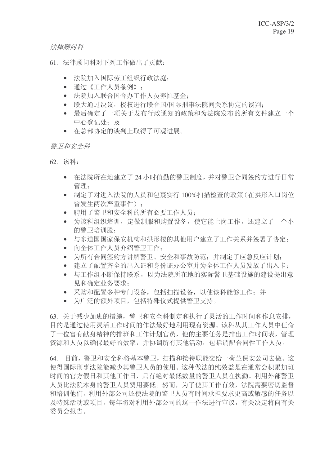法律顾问科

- 61. 法律顾问科对下列工作做出了贡献:
	- 法院加入国际劳工组织行政法庭:
	- 通过《工作人员条例》;
	- 法院加入联合国合办工作人员养恤基金:
	- 联大通过决议, 授权进行联合国/国际刑事法院间关系协定的谈判;
	- 最后确定了一项关于发布行政通知的政策和为法院发布的所有文件建立一个 中心登记处: 及
	- 在总部协定的谈判上取得了可观讲展。

#### 警卫和安全科

62. 该科:

- 在法院所在地建立了24 小时值勤的警卫制度, 并对警卫合同签约方进行日常 管理:
- 制定了对进入法院的人员和包裹实行 100%扫描检查的政策(在拱形入口岗位 曾发生两次严重事件):
- 聘用了警卫和安全科的所有必要工作人员;
- 为该科组织培训, 定做制服和购置设备, 使它能上岗工作, 还建立了一个小 的警卫培训股:
- 与东道国国家保安机构和拱形楼的其他用户建立了工作关系并签署了协定:
- 向全体工作人员介绍警卫工作:
- 为所有合同签约方讲解警卫、安全和事故防范; 并制定了应急反应计划;
- 建立了配置齐全的出入证和身份证办公室并为全体工作人员发放了出入卡:
- 与工作组不断保持联系, 以为法院所在地的实际警卫基础设施的建设提出意 见和确定业务要求:
- 采购和配置多种专门设备, 包括扫描设备, 以使该科能够工作: 并
- 为广泛的额外项目, 包括特殊仪式提供警卫支持。

63. 关于减少加班的措施, 警卫和安全科制定和执行了灵活的工作时间和作息安排, 目的是通讨使用灵活工作时间的作法最好地利用现有资源。该科从其工作人员中任命 了一位富有献身精神的排班和工作计划官员,他的主要任务是排出工作时间表,管理 资源和人员以确保最好的效率,并协调所有其他活动,包括调配合同性工作人员。

64. 目前, 警卫和安全科将基本警卫, 扫描和接待职能交给一荷兰保安公司去做。这 使得国际刑事法院能减少其警卫人员的使用。这种做法的纯效益是在通常会积累加班 时间的官方假日和其他工作日,只有绝对最低数量的警卫人员在执勤。利用外部警卫 人员比法院本身的警卫人员费用要低。然而,为了使其工作有效,法院需要密切监督 和培训他们。利用外部公司还使法院的警卫人员有时间承担要求更高或敏感的任务以 及特殊活动或项目。每年将对利用外部公司的这一作法讲行审议,有关决定将向有关 委员会报告。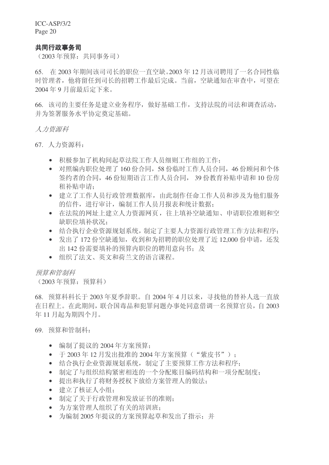#### 共同行政事务司

(2003年预算: 共同事务司)

65. 在 2003年期间该司司长的职位一直空缺。2003年12月该司聘用了一名合同性临 时管理者,他将留任到司长的招聘工作最后完成。当前, 空缺通知在审查中, 可望在 2004年9月前最后定下来。

66. 该司的主要任务是建立业务程序, 做好基础工作, 支持法院的司法和调查活动, 并为签署服务水平协定尊定基础。

人力资源科

67. 人力资源科:

- 积极参加了机构间起草法院工作人员细则工作组的工作:
- 对照编内职位处理了160 份合同, 58 份临时工作人员合同, 46 份顾问和个体 签约者的合同, 46 份短期语言工作人员合同, 39 份教育补贴申请和 10 份房 和补贴申请:
- 建立了工作人员行政管理数据库, 由此制作任命工作人员和涉及为他们服务 的信件, 讲行审计, 编制工作人员月报表和统计数据:
- 在法院的网址上建立人力资源网页, 往上填补空缺通知、申请职位准则和空 缺职位填补状况:
- 结合执行企业资源规划系统,制定了主要人力资源行政管理工作方法和程序:
- 发出了172 份空缺通知, 收到和为招聘的职位处理了近12,000 份申请, 还发 出142 份需要填补的预算内职位的聘用意向书;及
- 组织了法文、英文和荷兰文的语言课程。

预算和管制科

(2003年预算: 预算科)

68. 预算科科长于 2003 年夏季辞职。自 2004 年 4 月以来, 寻找他的替补人选一直放 在日程上。在此期间, 联合国毒品和犯罪问题办事处同意借调一名预算官员, 自 2003 年11 月起为期四个月。

69. 预算和管制科:

- 编制了提议的 2004 年方案预算:
- 干2003年12月发出批准的2004年方案预算("紫皮书"):
- 结合执行企业资源规划系统,制定了主要预算工作方法和程序;
- 制定了与组织结构紧密相连的一个分配账目编码结构和一项分配制度;
- 提出和执行了将财务授权下放给方案管理人的做法;
- 建立了核证人小组:
- 制定了关于行政管理和发放证书的准则:
- 为方案管理人组织了有关的培训班;
- 为编制 2005 年提议的方案预算起草和发出了指示: 并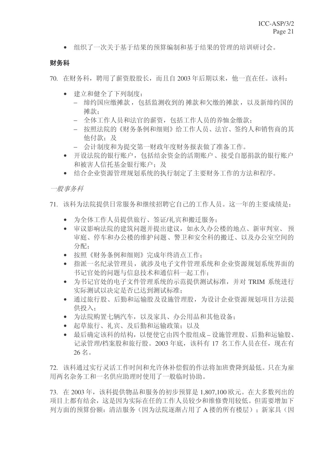• 组织了一次关于基于结果的预算编制和基于结果的管理的培训研讨会。

#### 财务科

70. 在财务科, 聘用了薪资股股长, 而且自 2003 年后期以来, 他一直在任。该科:

- 建立和健全了下列制度:
	- 缔约国应缴摊款, 包括监测收到的摊款和欠缴的摊款, 以及新缔约国的 摊款:
	- − 全体工作人员和法官的薪资, 包括工作人员的养恤金缴款;
	- − 按照法院的《财务条例和细则》给工作人员、法官、签约人和销售商的其 他付款: 及
	- − 会计制度和为提交第一财政年度财务报表做了准备工作。
- 开设法院的银行账户, 包括结余资金的活期账户、接受自愿捐款的银行账户 和被害人信托基金银行账户: 及
- 结合企业资源管理规划系统的执行制定了主要财务工作的方法和程序。

一般事务科

- 71. 该科为法院提供日常服务和继续招聘它自己的工作人员。这一年的主要成绩是:
	- 为全体工作人员提供旅行、签证/礼宾和搬迁服务:
	- 审议影响法院的建筑问题并提出建议,如永久办公楼的地点、新审判室、预 审庭、停车和办公楼的维护问题、警卫和安全科的搬迁、以及办公室空间的 分配:
	- 按照《财务条例和细则》完成年终清点工作:
	- 指派一名纪录管理员, 就涉及电子文件管理系统和企业资源规划系统界面的 书记官处的问题与信息技术和通信科一起工作:
	- 为书记官处的电子文件管理系统的示范提供测试标准, 并对 TRIM 系统讲行 实际测试以决定是否已达到测试标准;
	- 通过旅行股、后勤和运输股及设施管理股, 为设计企业资源规划项目方法提 供投入:
	- 为法院购置七辆汽车, 以及家具、办公用品和其他设备;
	- 起草旅行、礼宾、及后勤和运输政策: 以及
	- 最后确定该科的结构,以便使它由四个股组成-设施管理股、后勤和运输股、 记录管理/档案股和旅行股。2003 年底, 该科有 17 名工作人员在任, 现在有  $26Z<sub>o</sub>$

72. 该科通讨实行灵活工作时间和允许休补偿假的作法将加班费降到最低。只在为雇 用两名杂务工和一名供应助理时使用了一般临时协助。

73. 在 2003年, 该科提供物品和服务的初步预算是 1,807,100 欧元。在大多数列出的 项目上都有结余, 这是因为实际在任的工作人员较少和维修费用较低。但需要增加下 列方面的预算份额:清洁服务(因为法院逐渐占用了A 搂的所有楼层);新家具(因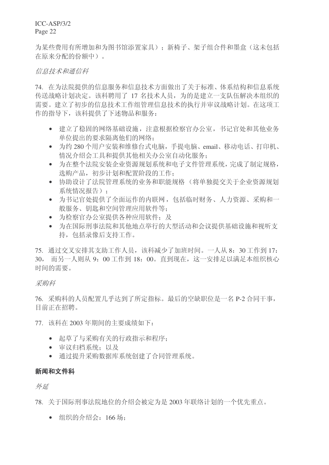为某些费用有所增加和为图书馆添置家具): 新椅子、架子组合件和墨盒(这未包括 在原来分配的份额中)。

#### 信息技术和通信科

74. 在为法院提供的信息服务和信息技术方面做出了关于标准、体系结构和信息系统 传送战略计划决定。该科聘用了 17 名技术人员, 为的是建立一支队伍解决本组织的 需要。建立了初步的信息技术红管理信息技术的执行并审议战略计划。在这项工 作的指导下,该科提供了下述物品和服务:

- 建立了稳固的网络基础设施, 注意根据检察官办公室, 书记官处和其他业务 单位提出的要求隔离他们的网络:
- 为约 280 个用户安装和维修台式电脑, 手提电脑、email、移动电话、打印机、 情况介绍会工具和提供其他相关办公室自动化服务:
- 为在整个法院安装企业资源规划系统和电子文件管理系统,完成了制定规格, 洗购产品, 初步计划和配置阶段的工作:
- 协助设计了法院管理系统的业务和职能规格(将单独提交关于企业资源规划 系统情况报告):
- 为书记官处提供了全面运作的内联网, 包括临时财务、人力资源、采购和一 般服务、钥匙和空间管理应用软件等:
- 为检察官办公室提供各种应用软件: 及
- 为在国际刑事法院和其他地点举行的大型活动和会议提供基础设施和视听支 持, 包括录像后支持工作。

75. 通过交叉安排其支助工作人员,该科减少了加班时间。一人从 8: 30 工作到 17: 30, 而另一人则从 9: 00 工作到 18: 00。直到现在, 这一安排足以满足本组织核心 时间的需要。

#### 采购科

76. 采购科的人员配置几乎达到了所定指标。最后的空缺职位是一名 P-2 合同干事, 目前正在招聘。

77. 该科在 2003 年期间的主要成绩如下:

- 起草了与采购有关的行政指示和程序:
- 审议归档系统: 以及
- 通过提升采购数据库系统创建了合同管理系统。

#### 新闻和文件科

外延

78. 关于国际刑事法院地位的介绍会被定为是 2003 年联络计划的一个优先重点。

• 组织的介绍会: 166 场;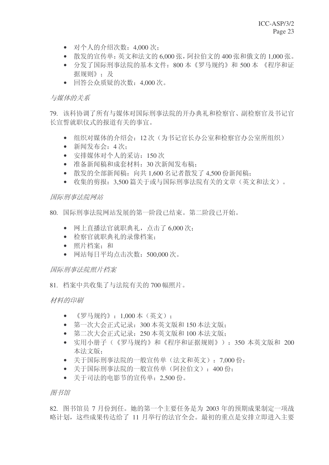- 对个人的介绍次数: 4.000 次:
- 散发的宣传单: 英文和法文的 6,000 张, 阿拉伯文的 400 张和俄文的 1,000 张。
- 分发了国际刑事法院的基本文件: 800 本《罗马规约》和 500 本 《程序和证 据规则》: 及
- 回答公众质疑的次数: 4.000 次。

#### 与媒体的关系

79. 该科协调了所有与媒体对国际刑事法院的开办典礼和检察官、副检察官及书记官 长宣誓就职仪式的报道有关的事官。

- 组织对媒体的介绍会: 12 次 (为书记官长办公室和检察官办公室所组织)
- $\bullet$  新闻发布会: 4次:
- 安排媒体对个人的采访: 150次
- 准备新闻稿和成套材料: 30 次新闻发布稿:
- 散发的全部新闻稿: 向共 1,600 名记者散发了 4.500 份新闻稿:
- 收集的剪报: 3,500 篇关于或与国际刑事法院有关的文章 (英文和法文)。

#### 国际刑事法院网站

80. 国际刑事法院网站发展的第一阶段已结束。第二阶段已开始。

- 网上直播法官就职典礼,点击了6,000次;
- 检察官就职典礼的录像档案:
- 照片档案: 和
- 网站每日平均点击次数: 500,000 次。

#### 国际刑事法院照片档案

81. 档案中共收集了与法院有关的 700 幅照片。

材料的印刷

- 《罗马规约》: 1.000 本 (英文):
- 第一次大会正式记录: 300 本英文版和 150 本法文版:
- 第二次大会正式记录:  $250$ 本英文版和 100 本法文版:
- 实用小册子(《罗马规约》和《程序和证据规则》): 350 本英文版和 200 本法文版:
- 关于国际刑事法院的一般宣传单(法文和英文): 7,000 份;
- 关于国际刑事法院的一般宣传单(阿拉伯文): 400 份;
- 关于司法的电影节的宣传单: 2.500 份。

#### 图书馆

 $82.$  图书馆员 7 月份到任。她的第一个主要任务是为 2003 年的预期成果制定一项战 略计划, 这些成果传达给了 11 月举行的法官全会。最初的重点是安排立即进入主要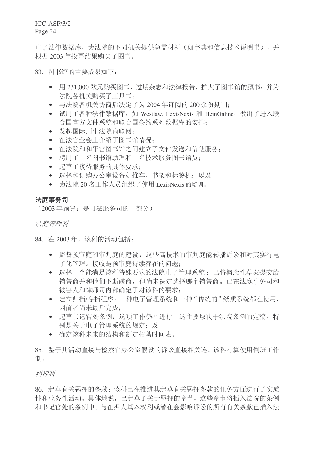电子法律数据库,为法院的不同机关提供急需材料(如字典和信息技术说明书),并 根据 2003 年投票结果购买了图书。

83. 图书馆的主要成果如下:

- 用 231,000 欧元购买图书, 过期杂志和法律报告, 扩大了图书馆的藏书: 并为 法院各机关购买了工具书:
- 与法院各机关协商后决定了为 2004 年订阅的 200 余份期刊;
- 试用了各种法律数据库, 如 Westlaw, LexisNexis 和 HeinOnline, 做出了进入联 合国官方文件系统和联合国条约系列数据库的安排:
- 发起国际刑事法院内联网:
- 在法官全会上介绍了图书馆情况:
- 在法院和和平宫图书馆之间建立了文件发送和信使服务:
- 聘用了一名图书馆助理和一名技术服务图书馆员:
- 起草了接待服务的具体要求:
- 选择和订购办公室设备如推车、书架和标签机: 以及
- 为法院 20 名工作人员组织了使用 LexisNexis 的培训。

### 法庭事务司

(2003年预算: 是司法服务司的一部分)

法庭管理科

84. 在 2003年, 该科的活动包括:

- 监督预审庭和审判庭的建设: 这些高技术的审判庭能转播诉讼和对其实行电 子化管理。接收是预审庭持续存在的问题;
- 洗择一个能满足该科特殊要求的法院电子管理系统: 已将概念性草案提交给 销售商并和他们不断磋商, 但尚未决定选择哪个销售商。已在法庭事务司和 被害人和律师司内部确定了对该科的要求:
- 建立归档/存档程序: 一种电子管理系统和一种"传统的"纸质系统都在使用, 因前者尚未最后完成:
- 起草书记官处条例: 这项工作仍在进行, 这主要取决于法院条例的定稿, 特 别是关于电子管理系统的规定: 及
- 确定该科未来的结构和制定招聘时间表。

85. 鉴于其活动直接与检察官办公室假设的诉讼直接相关连,该科打算使用倒班工作 制。

羁押科

86. 起草有关羁押的条款: 该科已在推进其起草有关羁押条款的任务方面进行了实质 性和业务性活动。具体地说, 已起草了关于羁押的童节, 这些童节将插入法院的条例 和书记官处的条例中。与在押人基本权利或潜在会影响诉讼的所有有关条款已插入法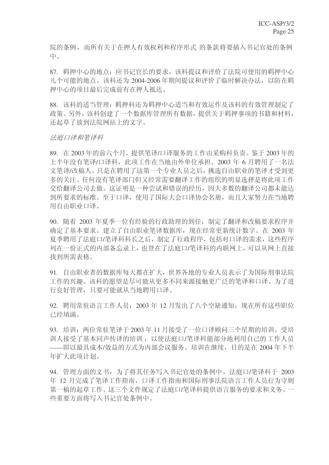院的条例, 而所有关于在押人有效权利和程序形式 的条款将要插入书记官处的条例 中。

87. 羁押中心的地点: 应书记官长的要求, 该科提议和评价了法院可使用的羁押中心 几个可能的地点。该科还为 2004-2006 年期间提议和评价了临时解决办法, 以防在羁 押中心的项目最后完成前有在押人抵达。

88. 该科的适当管理: 羁押科还为羁押中心适当和有效运作及该科的有效管理制定了 政策。另外,该科创建了一个数据库管理所有数据,提供关于羁押事项的书籍和材料, 还起草了放到法院网站上的文字。

#### 法庭口译和笔译科

89. 在2003年的前六个月,提供笔译/口译服务的工作由采购科负责。鉴于2003年的 上半年没有笔译/口译科, 此项工作在当地由外单位承担。2003 年 6 月聘用了一名法 文笔译/改稿人。只是在聘用了这第一个专业人员之后, 挑选自由职业的笔译才受到更 多的关注。任何没有笔译部门但又经常需要翻译工作的组织的明显选择是将此项工作 交给翻译公司去做。这证明是一种尝试和错误的经历,因大多数的翻译公司都未能达 到所要求的标准。至于口译, 使用了国际大会口译协会名册, 而且大家努力在当地聘 用自由职业口译。

90. 随着 2003 年夏季一位有经验的行政助理的到任, 制定了翻译和改稿要求程序并 确定了基本要求。建立了自由职业笔译数据库,现在经常更新统计数字。在 2003 年 夏季聘用了法庭口/笔译科科长之后,制定了行政程序,包括对口译的需求,这些程序 列在一份正式的内部备忘录上, 也登在了法庭口/笔译科的内联网上, 可以从网上直接 找到所需表格。

91. 自由职业者的数据库每天都在扩大, 世界各地的专业人员表示了为国际刑事法院 工作的兴趣。该科的愿望是尽可能从更多不同来源接触更广泛的笔译和口译。为了进 行良好管理, 只要可能就从当地聘用口译。

92. 聘用常驻语言工作人员: 2003 年 12 月发出了八个空缺通知, 现在所有这些职位 已经填满。

93. 培训:两位常驻笔译于 2003 年 11 月接受了一位口译顾问三个星期的培训。受培 训人接受了基本同声传译的培训, 以使法庭口/笔译科能部分地利用自己的工作人员 ——即以最具成本/效益的方式为内部会议服务。培训在继续,目的是在 2004年下半 年扩大此项计划。

94. 管理方面的文书: 为了将其任务写入书记官处的条例中, 法庭口/笔译科干 2003 年 12 月完成了笔译工作指南,口译工作指南和国际刑事法院语言工作人员行为守则 第一稿的起草工作。这三个文件规定了法庭口/笔译科提供语言服务的要求和义务。一 些重要方面将写入书记官处条例中。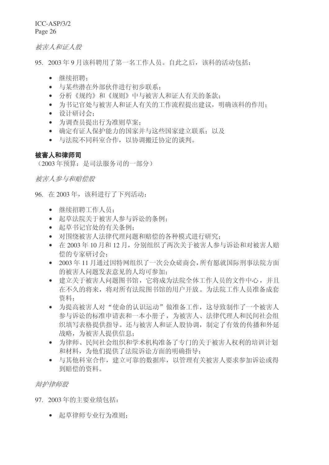被害人和证人股

95. 2003年9月该科聘用了第一名工作人员。自此之后,该科的活动包括:

- 继续招聘:
- 与某些潜在外部伙伴进行初步联系;
- 分析《规约》和《规则》中与被害人和证人有关的条款:
- 为书记官处与被害人和证人有关的工作流程提出建议, 明确该科的作用;
- 设计研讨会:
- 为调杳员提出行为准则草案:
- 确定有证人保护能力的国家并与这些国家建立联系: 以及
- 与法院不同科室合作,以协调搬迁协定的谈判。

#### 被害人和律师司

(2003年预算: 是司法服务司的一部分)

被害人参与和赔偿股

96. 在 2003年, 该科讲行了下列活动:

- 继续招聘工作人员:
- 起草法院关于被害人参与诉讼的条例:
- 起草书记官处的有关条例:
- 对围绕被害人法律代理问题和赔偿的各种模式进行研究:
- 在2003年10月和12月,分别组织了两次关于被害人参与诉讼和对被害人赔 偿的专家研讨会:
- 2003年11月通过因特网组织了一次公众磋商会,所有愿就国际刑事法院方面 的被害人问题发表意见的人均可参加:
- 建立关于被害人问题图书馆, 它将成为法院全体工作人员的文件中心, 并且 在不久的将来,将对所有法院图书馆的用户开放。为法院工作人员准备成套 资料:
- 为提高被害人对"使命的认识运动"做准备工作,这导致制作了一个被害人 参与诉讼的标准申请表和一本小册子,为被害人、法律代理人和民间社会组 织填写表格提供指导。还与被害人和证人股协调,制定了有效的传播和外延 战略, 为被害人提供信息:
- 为律师、民间社会组织和学术机构准备了专门的关于被害人权利的培训计划 和材料,为他们提供了法院诉讼方面的明确指导:
- 与其他科室合作, 建立可靠的数据库, 以管理有关被害人要求参加诉讼或得 到赔偿的资料。

辩护律师股

97. 2003年的主要业绩包括:

• 起草律师专业行为准则: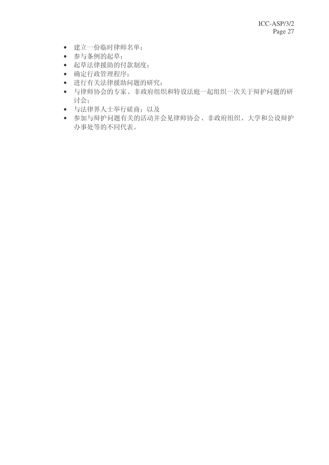- 建立一份临时律师名单:
- 参与条例的起草;
- 起草法律援助的付款制度:
- 确定行政管理程序;
- 进行有关法律援助问题的研究;
- 与律师协会的专家、非政府组织和特设法庭一起组织一次关于辩护问题的研 讨会:
- 与法律界人士举行磋商; 以及
- 参加与辩护问题有关的活动并会见律师协会、非政府组织、大学和公设辩护 办事处等的不同代表。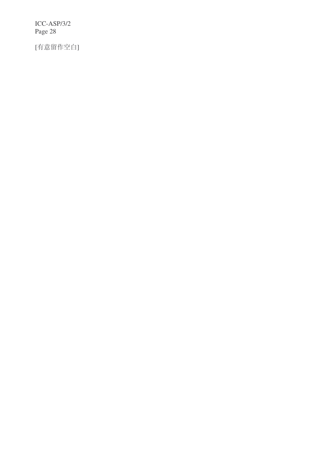[有意留作空白]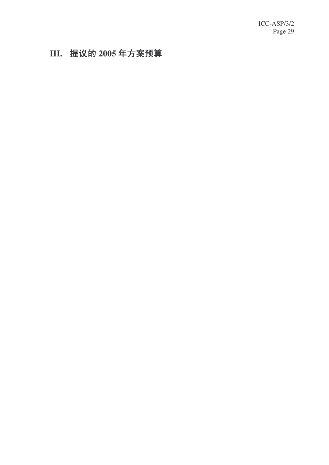# III. 提议的 2005年方案预算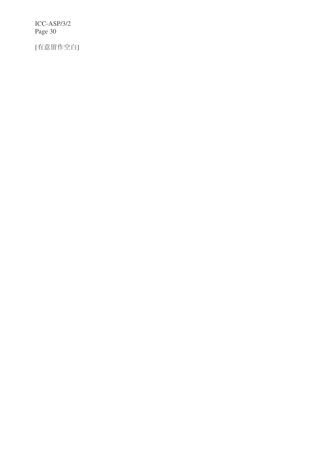[有意留作空白]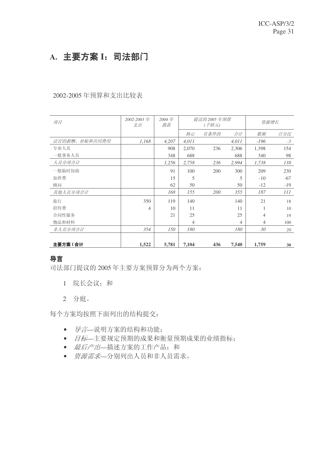# A. 主要方案 I: 司法部门

### 2002-2005 年预算和支出比较表

| 项目                | 2002-2003 年<br>支出 | 2004 $#$<br>拨款 | 提议的 2005 年预算<br>(千欧元) |      |       | 资源增长   |       |
|-------------------|-------------------|----------------|-----------------------|------|-------|--------|-------|
|                   |                   |                | 核心                    | 有条件的 | 合计    | 数额     | 百分比   |
| 法官的薪酬、<br>补贴和共同费用 | 1,168             | 4,207          | 4,011                 |      | 4,011 | $-196$ | $-5$  |
| 专业人员              |                   | 908            | 2,070                 | 236  | 2,306 | 1,398  | 154   |
| 一般事务人员            |                   | 348            | 688                   |      | 688   | 340    | 98    |
| 人员分项合计            |                   | 1,256          | 2,758                 | 236  | 2,994 | 1,738  | 138   |
| 一般临时协助            |                   | 91             | 100                   | 200  | 300   | 209    | 230   |
| 加班费               |                   | 15             | 5                     |      | 5     | $-10$  | $-67$ |
| 顾问                |                   | 62             | 50                    |      | 50    | $-12$  | $-19$ |
| 其他人员分项合计          |                   | 168            | 155                   | 200  | 355   | 187    | 111   |
| 旅行                | 350               | 119            | 140                   |      | 140   | 21     | 18    |
| 招待费               | 4                 | 10             | 11                    |      | 11    | 1      | 10    |
| 合同性服务             |                   | 21             | 25                    |      | 25    | 4      | 19    |
| 物品和材料             |                   |                | 4                     |      | 4     | 4      | 100   |
| 非人员分项合计           | 354               | 150            | 180                   |      | 180   | 30     | 20    |
|                   |                   |                |                       |      |       |        |       |
| 主要方案 I 合计         | 1,522             | 5,781          | 7,104                 | 436  | 7,540 | 1,759  | 30    |

## 导言

司法部门提议的 2005 年主要方案预算分为两个方案:

1 院长会议;和

2 分庭。

每个方案均按照下面列出的结构提交:

- 导言—说明方案的结构和功能;
- 目标—主要规定预期的成果和衡量预期成果的业绩指标;
- 最后产出—描述方案的工作产品: 和
- 资源需求—分别列出人员和非人员需求。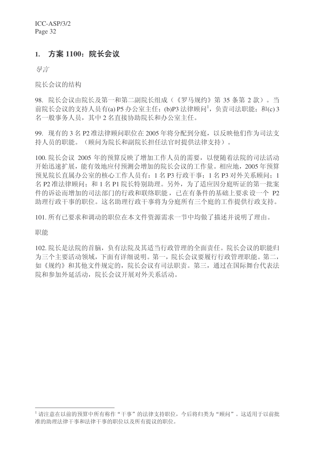# 1. 方案 1100: 院长会议

ᇐ㿔

院长会议的结构

98. 院长会议由院长及第一和第二副院长组成(《罗马规约》第35条第2款)。当 前院长会议的支持人员有(a) P5 办公室主任: (b)P3 法律顾问<sup>1</sup>, 负责司法职能: 和(c) 3 名一般事务人员, 其中2名直接协助院长和办公室主任。

99. 现有的 3 名 P2 准法律顾问职位在 2005 年将分配到分庭, 以反映他们作为司法支 持人员的职能。(顾问为院长和副院长担任法官时提供法律支持)。

100. 院长会议 2005 年的预算反映了增加工作人员的需要, 以便随着法院的司法活动 开始迅速扩展, 能有效地应付预测会增加的院长会议的工作量。相应地, 2005年预算 预见院长直属办公室的核心工作人员有: 1 名 P3 行政干事: 1 名 P3 对外关系顾问: 1 名 P2 准法律顾问: 和 1 名 P1 院长特别助理。另外, 为了适应因分庭听证的第一批案 件的诉讼而增加的司法部门的行政和联络职能, 已在有条件的基础上要求设一个 P2 助理行政干事将为分庭所有三个庭的工作提供行政支持。

101. 所有已要求和调动的职位在本文件资源需求一节中均做了描述并说明了理由。

职能

102. 院长是法院的首脑, 负有法院及其适当行政管理的全面责任。院长会议的职能归 为三个主要活动领域,下面有详细说明。第一,院长会议要履行行政管理职能。第二, 如《规约》和其他文件规定的,院长会议有司法职责。第三,通过在国际舞台代表法 院和参加外延活动, 院长会议开展对外关系活动。

<sup>1</sup> 请注意在以前的预算中所有称作"干事"的法律支持职位,今后将归类为"顾问"。这适用于以前批 准的助理法律干事和法律干事的职位以及所有提议的职位。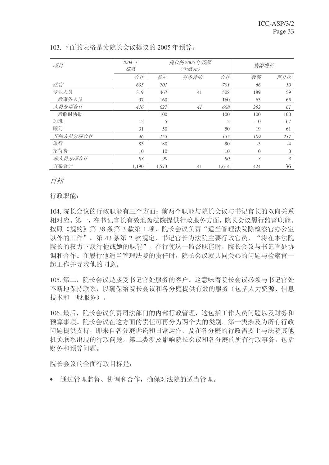| 项目       | 2004 $#$<br>拨款 | 提议的 2005 年预算<br>(千欧元) |      |       |                | 资源增长     |
|----------|----------------|-----------------------|------|-------|----------------|----------|
|          | 合计             | 核心                    | 有条件的 | 合计    | 数额             | 百分比      |
| 法官       | 635            | 701                   |      | 701   | 66             | 10       |
| 专业人员     | 319            | 467                   | 41   | 508   | 189            | 59       |
| 一般事务人员   | 97             | 160                   |      | 160   | 63             | 65       |
| 人员分项合计   | 416            | 627                   | 41   | 668   | 252            | 61       |
| 一般临时协助   |                | 100                   |      | 100   | 100            | 100      |
| 加班       | 15             | 5                     |      | 5     | $-10$          | $-67$    |
| 顾问       | 31             | 50                    |      | 50    | 19             | 61       |
| 其他人员分项合计 | 46             | 155                   |      | 155   | 109            | 237      |
| 旅行       | 83             | 80                    |      | 80    | $-3$           | $-4$     |
| 招待费      | 10             | 10                    |      | 10    | $\overline{0}$ | $\Omega$ |
| 非人员分项合计  | 93             | 90                    |      | 90    | $-3$           | $-3$     |
| 方案合计     | 1,190          | 1,573                 | 41   | 1,614 | 424            | 36       |

103. 下面的表格是为院长会议提议的 2005 年预算。

### 目标

行政职能:

104. 院长会议的行政职能有三个方面: 前两个职能与院长会议与书记官长的双向关系 相对应。第一, 在书记官长有效地为法院提供行政服务方面, 院长会议履行监督职能。 按照《规约》第38条第3款第1项,院长会议负责"适当管理法院除检察官办公室 以外的工作"。第43条第2款规定,书记官长为法院主要行政官员,"将在本法院 院长的权力下履行他或她的职能"。在行使这一监督职能时,院长会议与书记官处协 调和合作。在履行他适当管理法院的责任时,院长会议就共同关心的问题与检察官一 起工作并寻求他的同意。

105. 第二, 院长会议是接受书记官处服务的客户。这意味着院长会议必须与书记官处 不断地保持联系,以确保给院长会议和各分庭提供有效的服务(包括人力资源、信息 技术和一般服务)。

106. 最后, 院长会议负责司法部门的内部行政管理, 这包括工作人员问题以及财务和 预算事项。院长会议在这方面的责任可再分为两个大的类别。第一类涉及为所有行政 问题提供支持, 即来自各分庭诉讼和日常运作、及在各分庭的行政需要上与法院其他 机关联系出现的行政问题。第二类涉及影响院长会议和各分庭的所有行政事务,包括 财务和预算问题。

院长会议的全面行政目标是:

• 通过管理监督、协调和合作,确保对法院的适当管理。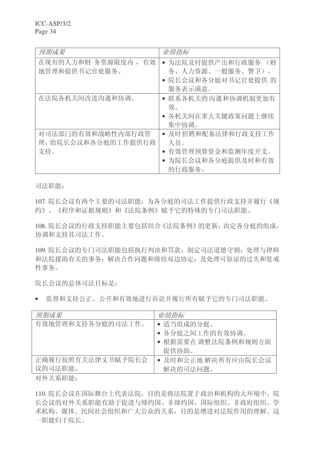| 预期成果                                            | 业绩指标                                                                            |
|-------------------------------------------------|---------------------------------------------------------------------------------|
| 有效<br>在现有的人力和财 务资源限度内<br>地管理和提供书记官处服务。          | • 为法院及时提供产出和行政服务<br>(财<br>务、人力资源、一般服务、警卫)。<br>• 院长会议和各分庭对书记官处提供 的<br>服务表示满意。    |
| 在法院各机关间改进沟通和协调。                                 | • 联系各机关的沟通和协调机制更加有<br>效。<br>● 各机关间在重大关键政策问题上继续<br>集中协调。                         |
| 对司法部门的有效和战略性内部行政管<br>理: 给院长会议和各分庭的工作提供行政<br>支持。 | ● 及时招聘和配备法律和行政支持工作<br>人员。<br>• 有效管理预算资金和监测年度开支。<br>● 为院长会议和各分庭提供及时和有效<br>的行政服务。 |

司法职能:

107. 院长会议有两个主要的司法职能: 为各分庭的司法工作提供行政支持并履行《规 约》、《程序和证据规则》和《法院条例》赋予它的特殊的专门司法职能。

108. 院长会议的行政支持职能主要包括结合《法院条例》的更新, 决定各分庭的组成, 协调和支持其司法工作。

109. 院长会议的专门司法职能包括执行判决和罚款; 制定司法道德守则; 处理与律师 和法院援助有关的事务;解决合作问题和缔结双边协定;及处理可原谅的过失和惩戒 性事务。

院长会议的总体司法目标是:

• 监督和支持公正、公开和有效地进行诉讼并履行所有赋予它的专门司法职能。

| 预期成果              | 业绩指标                |
|-------------------|---------------------|
| 有效地管理和支持各分庭的司法工作。 | • 适当组成的分庭。          |
|                   | • 各分庭之间工作的有效协调。     |
|                   | 根据需要在 调整法院条例和规则方面   |
|                   | 提供协助。               |
| 正确履行按照有关法律文书赋予院长会 | • 及时和公正地 解决所有应由院长会议 |
| 议的司法职能。           | 解决的司法问题。            |

对外关系职能:

110. 院长会议在国际舞台上代表法院, 目的是将法院置于政治和机构的大环境中。院 长会议的对外关系职能有助于促进与缔约国、非缔约国、国际组织、非政府组织、学 术机构、媒体、民间社会组织和广大公众的关系,目的是增进对法院作用的理解。这 一职能归于院长。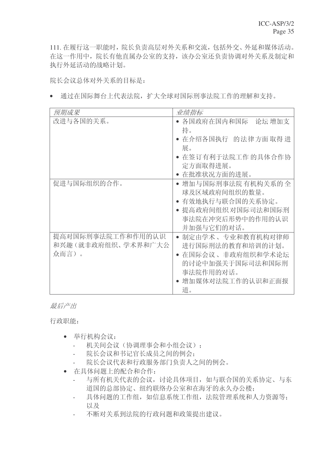111. 在履行这一职能时, 院长负责高层对外关系和交流, 包括外交、外延和媒体活动。 在这一作用中,院长有他直属办公室的支持,该办公室还负责协调对外关系及制定和 执行外延活动的战略计划。

院长会议总体对外关系的目标是:

• 通过在国际舞台上代表法院, 扩大全球对国际刑事法院工作的理解和支持。

| 预期成果                                              | 业绩指标                                                                                                                   |
|---------------------------------------------------|------------------------------------------------------------------------------------------------------------------------|
| 改进与各国的关系。                                         | • 各国政府在国内和国际<br>论坛 增加支<br>持。                                                                                           |
|                                                   | • 在介绍各国执行<br>的法律方面取得进<br>展。                                                                                            |
|                                                   | • 在签订有利于法院工作 的具体合作协<br>定方面取得进展。                                                                                        |
|                                                   | • 在批准状况方面的进展。                                                                                                          |
| 促进与国际组织的合作。                                       | 增加与国际刑事法院 有机构关系的 全<br>球及区域政府间组织的数量。<br>• 有效地执行与联合国的关系协定。<br>提高政府间组织对国际司法和国际刑<br>事法院在冲突后形势中的作用的认识<br>并加强与它们的对话。         |
| 提高对国际刑事法院工作和作用的认识<br>和兴趣 (就非政府组织、学术界和广大公<br>众而言)。 | 制定由学术、专业和教育机构对律师<br>进行国际刑法的教育和培训的计划。<br>• 在国际会议 、非政府组织和学术论坛<br>的讨论中加强关于国际司法和国际刑<br>事法院作用的对话。<br>增加媒体对法院工作的认识和正面报<br>道。 |

最后产出

行政职能:

- 举行机构会议:
	- 机关间会议(协调理事会和小组会议):
	- 院长会议和书记官长成员之间的例会:
	- 院长会议代表和行政服务部门负责人之间的例会。
- 在具体问题上的配合和合作:
	- 与所有机关代表的会议, 讨论具体项目, 如与联合国的关系协定、与东 道国的总部协定、纽约联络办公室和在海牙的永久办公楼;
	- 具体问题的工作组, 如信息系统工作组, 法院管理系统和人力资源等: ҹঞ
	- 不断对关系到法院的行政问题和政策提出建议。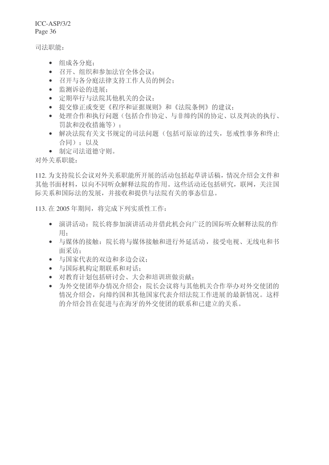司法职能:

- 组成各分庭;
- 召开、组织和参加法官全体会议:
- 召开与各分庭法律支持工作人员的例会:
- 监测诉讼的进展:
- 定期举行与法院其他机关的会议;
- 提交修正或变更《程序和证据规则》和《法院条例》的建议:
- 处理合作和执行问题(包括合作协定、与非缔约国的协定、以及判决的执行、 罚款和没收措施等):
- 解决法院有关文书规定的司法问题(包括可原谅的过失, 惩戒性事务和终止 合同): 以及
- 制定司法道德守则。

对外关系职能:

112. 为支持院长会议对外关系职能所开展的活动包括起草讲话稿, 情况介绍会文件和 其他书面材料, 以向不同听众解释法院的作用。这些活动还包括研究, 联网, 关注国 际关系和国际法的发展,并接收和提供与法院有关的事态信息。

113. 在 2005 年期间, 将完成下列实质性工作:

- 演讲活动: 院长将参加演讲活动并借此机会向广泛的国际听众解释法院的作 用:
- 与媒体的接触: 院长将与媒体接触和进行外延活动, 接受电视、无线电和书 面采访:
- 与国家代表的双边和多边会议:
- 与国际机构定期联系和对话:
- 对教育计划包括研讨会、大会和培训班做贡献:
- 为外交使团举办情况介绍会: 院长会议将与其他机关合作举办对外交使团的 情况介绍会, 向缔约国和其他国家代表介绍法院工作进展的最新情况。这样 的介绍会旨在促进与在海牙的外交使团的联系和已建立的关系。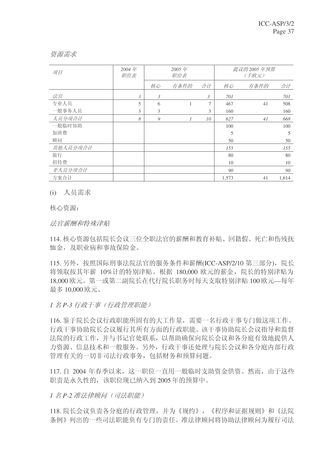|  | 资源需求 |
|--|------|
|  |      |

| 项目       | 2004年<br>职位表 | 2005年<br>职位表 |      |    |       | 提议的 2005 年预算<br>(千欧元) |       |
|----------|--------------|--------------|------|----|-------|-----------------------|-------|
|          |              | 核心           | 有条件的 | 合计 | 核心    | 有条件的                  | 合计    |
| 法官       | 3            | 3            |      | 3  | 701   |                       | 701   |
| 专业人员     | 5            | 6            |      | 7  | 467   | 41                    | 508   |
| 一般事务人员   | 3            | 3            |      | 3  | 160   |                       | 160   |
| 人员分项合计   | 8            | 9            |      | 10 | 627   | 41                    | 668   |
| 一般临时协助   |              |              |      |    | 100   |                       | 100   |
| 加班费      |              |              |      |    | 5     |                       | 5     |
| 顾问       |              |              |      |    | 50    |                       | 50    |
| 其他人员分项合计 |              |              |      |    | 155   |                       | 155   |
| 旅行       |              |              |      |    | 80    |                       | 80    |
| 招待费      |              |              |      |    | 10    |                       | 10    |
| 非人员分项合计  |              |              |      |    | 90    |                       | 90    |
| 方案合计     |              |              |      |    | 1,573 | 41                    | 1,614 |

(i) 人员需求

核心资源:

法官薪酬和特殊津贴

114. 核心资源包括院长会议三位全职法官的薪酬和教育补贴、回籍假、死亡和伤残抚 恤金, 及职业病和事故保险金。

115. 另外, 按照国际刑事法院法官的服务条件和薪酬(ICC-ASP/2/10 第三部分), 院长 将领取按其年薪 10%计的特别津贴。根据 180,000 欧元的薪金, 院长的特别津贴为 18,000 欧元。第一或第二副院长在代行院长职务时每天支取特别津贴 100 欧元—每年 最多 10,000 欧元。

1 名 P-3 行政干事 (行政管理职能)

116. 鉴于院长会议行政职能所固有的大工作量, 需要一名行政干事专门做这项工作。 行政干事协助院长会议履行其所有方面的行政职能。该干事协助院长会议指导和监督 法院的行政工作,并与书记官处联系,以帮助确保向院长会议和各分庭有效地提供人 力资源、信息技术和一般服务。另外,行政干事还处理与院长会议和各分庭内部行政 管理有关的一切非司法行政事务, 包括财务和预算问题。

117. 自 2004 年春季以来, 这一职位一直用一般临时支助资金供资。然而, 由于这些 职责是永久性的,该职位现已纳入到2005年的预算中。

1名 P-2 准法律顾问(司法职能)

118. 院长会议负责各分庭的行政管理, 并为《规约》, 《程序和证据规则》和《法院 条例》列出的一些司法职能负有专门的责任。准法律顾问将协助法律顾问为履行司法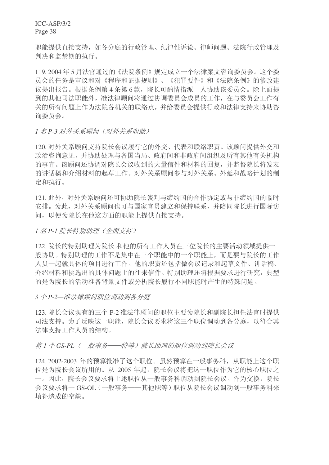职能提供直接支持, 如各分庭的行政管理、纪律性诉讼、律师问题、法院行政管理及 判决和监禁期的执行。

119. 2004年5月法官通过的《法院条例》规定成立一个法律案文咨询委员会。这个委 员会的任务是审议和对《程序和证据规则》、《犯罪要件》和《法院条例》的修改建 议提出报告。根据条例第4条第6款,院长可酌情指派一人协助该委员会。除上面提 到的其他司法职能外,准法律顾问将通过协调委员会成员的工作,在与委员会工作有 关的所有问题上作为法院各机关的联络点,并给委员会提供行政和法律支持来协助咨 询委员会。

### 1 名 P-3 对外关系颐的

120. 对外关系顾问支持院长会议履行它的外交、代表和联络职责。该顾问提供外交和 政治咨询意见,并协助处理与各国当局、政府间和非政府间组织及所有其他有关机构 的事宜。该顾问还协调对院长会议收到的大量信件和材料的回复,并监督院长将发表 的讲话稿和介绍材料的起草工作。对外关系顾问参与对外关系、外延和战略计划的制 定和执行。

121. 此外, 对外关系顾问还可协助院长谈判与缔约国的合作协定或与非缔约国的临时 安排。为此, 对外关系顾问也可与国家官员建立和保持联系, 并陪同院长进行国际访 问, 以便为院长在他这方面的职能上提供直接支持。

### 1 名 P-1 院长特别助理(全面支持)

122. 院长的特别助理为院长 和他的所有工作人员在三位院长的主要活动领域提供一 般协助。特别助理的工作不是集中在三个职能中的一个职能上,而是要与院长的工作 人员一起就具体的项目进行工作。他的职责还包括做会议记录和起草文件、讲话稿、 介绍材料和挑选出的具体问题上的往来信件。特别助理还将根据要求进行研究,典型 的是为院长的活动准备背景文件或分析院长履行不同职能时产生的特殊问题。

## 3 个 P-2—准法律顾问职位调动到各分庭

123. 院长会议现有的三个 P-2 准法律顾问的职位主要为院长和副院长担任法官时提供 司法支持。为了反映这一职能,院长会议要求将这三个职位调动到各分庭,以符合其 法律支持工作人员的结构。

## 将1个GS-PL (一般事务——特等) 院长助理的职位调动到院长会议

124. 2002-2003 年的预算批准了这个职位。虽然预算在一般事务科, 从职能上这个职 位是为院长会议所用的。从 2005 年起, 院长会议将把这一职位作为它的核心职位之 一。因此,院长会议要求将上述职位从一般事务科调动到院长会议。作为交换,院长 会议要求将一GS-OL(一般事务——其他职等)职位从院长会议调动到一般事务科来 填补造成的空缺。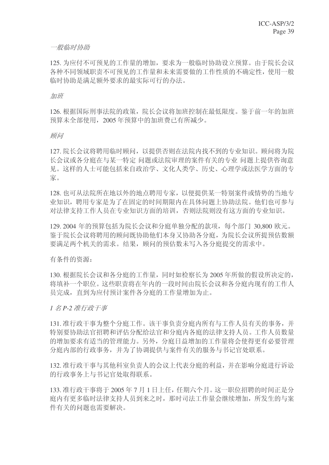### 一般临时协助

125. 为应付不可预见的工作量的增加, 要求为一般临时协助设立预算。由于院长会议 各种不同领域职责不可预见的工作量和未来需要做的工作性质的不确定性, 使用一般 临时协助是满足额外要求的最实际可行的办法。

#### 加班

126. 根据国际刑事法院的政策, 院长会议将加班控制在最低限度。鉴于前一年的加班 预算未全部使用, 2005 年预算中的加班费已有所减少。

#### 顾问

127. 院长会议将聘用临时顾问, 以提供否则在法院内找不到的专业知识。顾问将为院 长会议或各分庭在与某一特定 问题或法院审理的案件有关的专业 问题上提供咨询意 见。这样的人士可能包括来自政治学、文化人类学、历史、心理学或法医学方面的专 家。

128. 也可从法院所在地以外的地点聘用专家, 以便提供某一特别案件或情势的当地专 业知识, 聘用专家是为了在固定的时间期限内在具体问题上协助法院。他们也可参与 对法律支持工作人员在专业知识方面的培训,否则法院则没有这方面的专业知识。

129. 2004 年的预算包括为院长会议和分庭单独分配的款项, 每个部门 30,800 欧元。 鉴于院长会议将聘用的顾问既协助他们本身又协助各分庭,为院长会议所提预估数额 要满足两个机关的需求。结果, 顾问的预估数未写入各分庭提交的需求中。

有条件的资源:

130. 根据院长会议和各分庭的工作量,同时如检察长为2005年所做的假设所决定的, 将填补一个职位。这些职责将在年内的一段时间由院长会议和各分庭内现有的工作人 员完成, 直到为应付预计案件各分庭的工作量增加为止。

1名P-2 准行政干事

131. 准行政干事为整个分庭工作。该干事负责分庭内所有与工作人员有关的事务, 并 特别要协助法官招聘和评估分配给法官和分庭内各庭的法律支持人员。工作人员数量 的增加要求有适当的管理能力。另外,分庭日益增加的工作量将会使得更有必要管理 分庭内部的行政事务, 并为了协调提供与案件有关的服务与书记官处联系。

132. 准行政干事与其他科室负责人的会议上代表分庭的利益, 并在影响分庭进行诉讼 的行政事务上与书记官处取得联系。

133. 准行政干事将于 2005 年 7 月 1 日上任, 任期六个月。这一职位招聘的时间正是分 庭内有更多临时法律支持人员到来之时, 那时司法工作量会继续增加, 所发生的与案 件有关的问题也需要解决。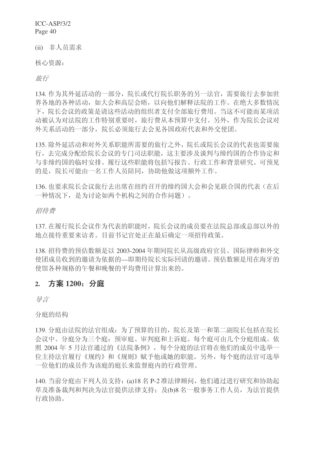(ii) 非人员需求

核心资源:

旅行

134. 作为其外延活动的一部分, 院长或代行院长职务的另一法官, 需要旅行去参加世 界各地的各种活动,如大会和高层会晤,以向他们解释法院的工作。在绝大多数情况 下,院长会议的政策是请这些活动的组织者支付全部旅行费用。当这不可能而某项活 动被认为对法院的工作特别重要时, 旅行费从本预算中支付。另外, 作为院长会议对 外关系活动的一部分,院长必须旅行去会见各国政府代表和外交使团。

135. 除外延活动和对外关系职能所需要的旅行之外, 院长或院长会议的代表也需要旅 行,去完成分配给院长会议的专门司法职能,这主要涉及谈判与缔约国的合作协定和 与非缔约国的临时安排。履行这些职能将包括写报告、行政工作和背景研究。可预见 的是,院长可能由一名工作人员陪同,协助他做这项额外工作。

136. 也要求院长会议旅行去出席在纽约召开的缔约国大会和会见联合国的代表(在后 一种情况下, 是为讨论如两个机构之间的合作问题)。

招待费

137. 在履行院长会议作为代表的职能时, 院长会议的成员要在法院总部或总部以外的 地点接待重要来访者。目前书记官处正在最后确定一项招待政策。

138. 招待费的预估数额是以 2003-2004 年期间院长从高级政府官员、国际律师和外交 使团成员收到的邀请为依据的—即期待院长实际回请的邀请。预估数额是用在海牙的 使馆各种规格的午餐和晚餐的平均费用计算出来的。

# 2. 方案 1200: 分庭

ᇐ㿔

分庭的结构

139. 分庭由法院的法官组成: 为了预算的目的, 院长及第一和第二副院长包括在院长 会议中。分庭分为三个庭: 预审庭、审判庭和上诉庭。每个庭可由几个分庭组成。依 照 2004年 5 月法官通过的《法院条例》, 每个分庭的法官将在他们的成员中选举一 位主持法官履行《规约》和《规则》赋予他或她的职能。另外,每个庭的法官可选举 一位他们的成员作为该庭的庭长来监督庭内的行政管理。

140. 当前分庭由下列人员支持: (a)18 名 P-2 准法律顾问, 他们通过进行研究和协助起 草及准备裁判和判决为法官提供法律支持: 及(b)8 名一般事务工作人员, 为法官提供 行政协助。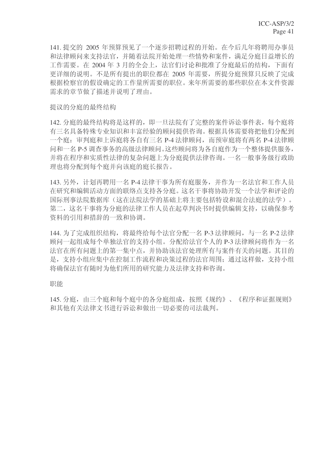141. 提交的 2005 年预算预见了一个逐步招聘过程的开始。在今后几年将聘用办事员 和法律顾问来支持法官,并随着法院开始处理一些情势和案件,满足分庭日益增长的 工作需要。在 2004年3月的全会上, 法官们讨论和批准了分庭最后的结构, 下面有 更详细的说明。不是所有提出的职位都在 2005 年需要, 所提分庭预算只反映了完成 根据检察官的假设确定的工作量所需要的职位。来年所需要的那些职位在本文件资源 需求的章节做了描述并说明了理由。

### 提议的分庭的最终结构

142. 分庭的最终结构将是这样的,即一旦法院有了完整的案件诉讼事件表,每个庭将 有三名具备特殊专业知识和丰富经验的顾问提供咨询。根据具体需要将把他们分配到 一个庭: 审判庭和上诉庭将各自有三名 P-4 法律顾问, 而预审庭将有两名 P-4 法律顾 问和一名 P-5 调查事务的高级法律顾问。这些顾问将为各自庭作为一个整体提供服务, 并将在程序和实质性法律的复杂问题上为分庭提供法律咨询。一名一般事务级行政助 理也将分配到每个庭并向该庭的庭长报告。

143. 另外, 计划再聘用一名 P-4 法律干事为所有庭服务, 并作为一名法官和工作人员 在研究和编辑活动方面的联络点支持各分庭。这名于事将协助开发一个法学和评论的 国际刑事法院数据库(这在法院法学的基础上将主要包括特设和混合法庭的法学)。 第二, 这名干事将为分庭的法律工作人员在起草判决书时提供编辑支持, 以确保参考 资料的引用和措辞的一致和协调。

144. 为了完成组织结构, 将最终给每个法官分配一名 P-3 法律顾问, 与一名 P-2 法律 顾问一起组成每个单独法官的支持小组。分配给法官个人的 P-3 法律顾问将作为一名 法官在所有问题上的第一集中点,并协助该法官处理所有与案件有关的问题。其目的 是, 支持小组应集中在控制工作流程和决策过程的法官周围: 通过这样做, 支持小组 将确保法官有随时为他们所用的研究能力及法律支持和咨询。

### 职能

145. 分庭, 由三个庭和每个庭中的各分庭组成, 按照《规约》、《程序和证据规则》 和其他有关法律文书讲行诉讼和做出一切必要的司法裁判。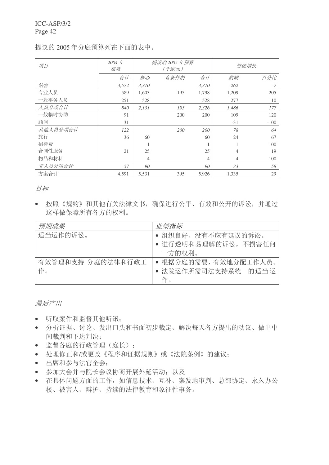提议的 2005年分庭预算列在下面的表中。

| 项目       | 2004年<br>拨款 | 提议的 2005 年预算<br>(千欧元) |      |       | 资源增长           |        |
|----------|-------------|-----------------------|------|-------|----------------|--------|
|          | 合计          | 核心                    | 有条件的 | 合计    | 数额             | 百分比    |
| 法官       | 3,572       | 3,310                 |      | 3,310 | $-262$         | $-7$   |
| 专业人员     | 589         | 1,603                 | 195  | 1,798 | 1,209          | 205    |
| 一般事务人员   | 251         | 528                   |      | 528   | 277            | 110    |
| 人员分项合计   | 840         | 2,131                 | 195  | 2,326 | 1,486          | 177    |
| 一般临时协助   | 91          |                       | 200  | 200   | 109            | 120    |
| 顾问       | 31          |                       |      |       | $-31$          | $-100$ |
| 其他人员分项合计 | 122         |                       | 200  | 200   | 78             | 64     |
| 旅行       | 36          | 60                    |      | 60    | 24             | 67     |
| 招待费      |             |                       |      |       |                | 100    |
| 合同性服务    | 21          | 25                    |      | 25    | $\overline{4}$ | 19     |
| 物品和材料    |             | $\overline{4}$        |      | 4     | $\overline{4}$ | 100    |
| 非人员分项合计  | 57          | 90                    |      | 90    | 33             | 58     |
| 方案合计     | 4,591       | 5,531                 | 395  | 5,926 | 1,335          | 29     |

目标

• 按照《规约》和其他有关法律文书,确保进行公平、有效和公开的诉讼,并通过 这样做保障所有各方的权利。

| 预期成果                    | 业绩指标                                                 |
|-------------------------|------------------------------------------------------|
| 适当运作的诉讼。                | • 组织良好、没有不应有延误的诉讼。<br>• 进行透明和易理解的诉讼, 不损害任何<br>一方的权利。 |
| 有效管理和支持 分庭的法律和行政工<br>作。 | • 根据分庭的需要, 有效地分配工作人员。<br>• 法院运作所需司法支持系统 的适当运<br>作。   |

最后产出

- 听取案件和监督其他听讯:
- 分析证据、讨论、发出口头和书面初步裁定、解决每天各方提出的动议、做出中 间裁判和下达判决:
- 监督各庭的行政管理(庭长);
- 处理修正和/或更改《程序和证据规则》或《法院条例》的建议:
- 出席和参与法官全会:
- 参加大会并与院长会议协商开展外延活动;以及
- 在具体问题方面的工作, 如信息技术、互补、案发地审判、总部协定、永久办公 楼、被害人、辩护、持续的法律教育和象征性事务。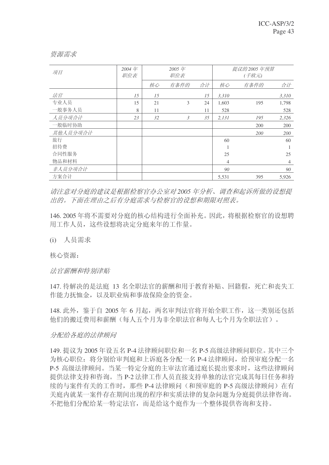| 资源需求 |  |  |
|------|--|--|
|      |  |  |

| 项目       | 2004 $#$<br>职位表 | 2005年<br>职位表 |      |    |       | 提议的 2005 年预算<br>(千欧元) |                |
|----------|-----------------|--------------|------|----|-------|-----------------------|----------------|
|          |                 | 核心           | 有条件的 | 合计 | 核心    | 有条件的                  | 合计             |
| 法官       | 15              | 15           |      | 15 | 3,310 |                       | 3,310          |
| 专业人员     | 15              | 21           | 3    | 24 | 1,603 | 195                   | 1,798          |
| 一般事务人员   | 8               | 11           |      | 11 | 528   |                       | 528            |
| 人员分项合计   | 23              | 32           | 3    | 35 | 2,131 | 195                   | 2,326          |
| 一般临时协助   |                 |              |      |    |       | 200                   | 200            |
| 其他人员分项合计 |                 |              |      |    |       | 200                   | 200            |
| 旅行       |                 |              |      |    | 60    |                       | 60             |
| 招待费      |                 |              |      |    | 1     |                       |                |
| 合同性服务    |                 |              |      |    | 25    |                       | 25             |
| 物品和材料    |                 |              |      |    | 4     |                       | $\overline{4}$ |
| 非人员分项合计  |                 |              |      |    | 90    |                       | 90             |
| 方案合计     |                 |              |      |    | 5,531 | 395                   | 5,926          |

请注意对分庭的建议是根据检察官办公室对2005 年分析、调查和起诉所做的设想提 出的。下面在理由之后有分庭需求与检察官的设想和期限对照表。

146. 2005 年将不需要对分庭的核心结构进行全面补充。因此, 将根据检察官的设想聘 用工作人员, 这些设想将决定分庭来年的工作量。

(i) 人员需求

核心资源:

法官薪酬和特别津贴

147. 待解决的是法庭 13 名全职法官的薪酬和用于教育补贴、回籍假, 死亡和丧失工 作能力抚恤金, 以及职业病和事故保险金的资金。

148. 此外, 鉴于自 2005 年 6 月起, 两名审判法官将开始全职工作, 这一类别还包括 他们的搬迁费用和薪酬(每人五个月为非全职法官和每人七个月为全职法官)。

### 分配给各庭的法律顾问

149. 提议为 2005 年设五名 P-4 法律顾问职位和一名 P-5 高级法律顾问职位。其中三个 为核心职位: 将分别给审判庭和上诉庭各分配一名 P-4 法律顾问, 给预审庭分配一名 P-5 高级法律顾问。当某一特定分庭的主审法官通过庭长提出要求时,这些法律顾问 提供法律支持和咨询。当P-2 法律工作人员直接支持单独的法官完成其每日任务和持 续的与案件有关的工作时, 那些 P-4 法律顾问(和预审庭的 P-5 高级法律顾问) 在有 关庭内就某一案件存在期间出现的程序和实质法律的复杂问题为分庭提供法律咨询。 不把他们分配给某一特定法官,而是给这个庭作为一个整体提供咨询和支持。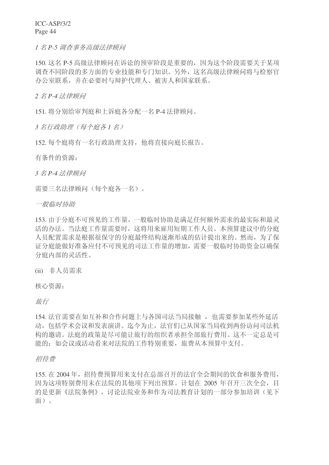1 名 P-5 调查事务高级法律顾问

150. 这名 P-5 高级法律顾问在诉讼的预审阶段是重要的, 因为这个阶段需要关于某项 调查不同阶段的多方面的专业技能和专门知识。另外,这名高级法律顾问将与检察官 办公室联系,并在必要时与辩护代理人、被害人和国家联系。

**2** 名 P-4 法律顾问

151. 将分别给审判庭和上诉庭各分配一名 P-4 法律顾问。

3 名行政助理(每个庭各1名)

152. 每个庭将有一名行政助理支持, 他将直接向庭长报告。

有条件的资源:

*3* ৡ *P-4* ⊩ᕟ乒䯂

需要三名法律顾问(每个庭各一名)。

一般临时协助

153. 由于分庭不可预见的工作量, 一般临时协助是满足任何额外需求的最实际和最灵 活的办法。当法庭工作量需要时, 这将用来雇用短期工作人员。本预算建议中的分庭 人员配置需求是根据很保守的分庭最终结构逐渐形成的估计提出来的。然而,为了保 证分庭能做好准备应付不可预见的司法工作量的增加,需要一般临时协助资金以确保 分庭内部的灵活性。

(ii) 非人员需求

核心资源:

旅行

154. 法官需要在如互补和合作问题上与各国司法当局接触, 也需要参加某些外延活 动, 包括学术会议和发表演讲。迄今为止, 法官们已从国家当局收到两份访问司法机 构的激请。法庭的政策是尽可能让旅行的组织者承担全部旅行费用。这不一定总是可 能的;如会议或活动看来对法院的工作特别重要,旅费从本预算中支付。

招待费

155. 在 2004年, 招待费预算用来支付在总部召开的法官全会期间的饮食和服务费用, 因为这项特别费用未在法院的其他项下列出预算。计划在 2005 年召开三次全会, 目 的是更新《法院条例》,讨论法院业务和作为司法教育计划的一部分参加培训(见下 而)。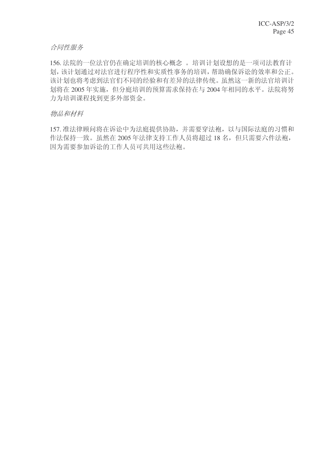## 合同性服务

156. 法院的一位法官仍在确定培训的核心概念。培训计划设想的是一项司法教育计 划,该计划通过对法官进行程序性和实质性事务的培训,帮助确保诉讼的效率和公正。 该计划也将考虑到法官们不同的经验和有差异的法律传统。虽然这一新的法官培训计 划将在 2005 年实施, 但分庭培训的预算需求保持在与 2004 年相同的水平。法院将努 力为培训课程找到更多外部资金。

### 物品和材料

157. 准法律顾问将在诉讼中为法庭提供协助, 并需要穿法袍, 以与国际法庭的习惯和 作法保持一致。虽然在2005年法律支持工作人员将超过18名,但只需要六件法袍, 因为需要参加诉讼的工作人员可共用这些法袍。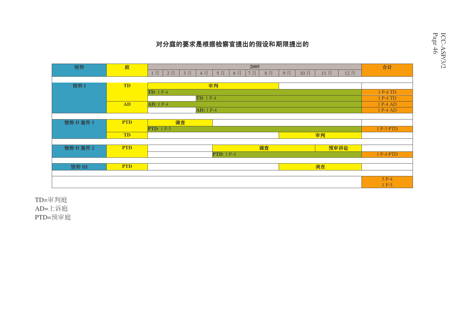# 对分庭的要求是根据检察官提出的假设和期限提出的

| 情势         | 庭          | 2005                                                                    | 合计        |
|------------|------------|-------------------------------------------------------------------------|-----------|
|            |            | 12月<br>1月<br>3月<br>5月<br>10月<br>11月<br>2月<br>4月<br>6月<br>7月<br>8月<br>9月 |           |
|            |            |                                                                         |           |
| 情势 I       | <b>TD</b>  | 审判                                                                      |           |
|            |            | $TD: 1 P-4$                                                             | 1 P-4 TD  |
|            |            | <b>TD</b> : 1 P-4                                                       | 1 P-4 TD  |
|            | <b>AD</b>  | $AD: 1 P-4$                                                             | 1 P-4 AD  |
|            |            | <b>AD</b> : 1 P-4                                                       | 1 P-4 AD  |
|            |            |                                                                         |           |
| 情势 II 案件 1 | <b>PTD</b> | 调查                                                                      |           |
|            |            | $PTD: 1 P-5$                                                            | 1 P-5 PTD |
|            | <b>TD</b>  | 审判                                                                      |           |
|            |            |                                                                         |           |
| 情势 II 案件 2 | <b>PTD</b> | 预审诉讼<br>调查                                                              |           |
|            |            | <b>PTD</b> : 1 P-4                                                      | 1 P-4 PTD |
|            |            |                                                                         |           |
| 情势 III     | <b>PTD</b> | 调查                                                                      |           |
|            |            |                                                                         |           |
|            |            |                                                                         | $5P-4$    |
|            |            |                                                                         | $1 P-5$   |

TD=审判庭 AD=上诉庭 PTD=预审庭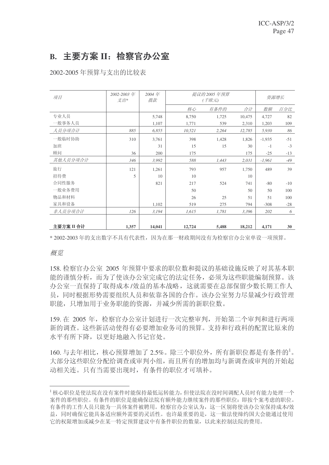# B. 主要方案 II: 检察官办公室

2002-2005 年预算与支出的比较表

| 项目         | 2002-2003 年<br>支出* | 2004 $#$<br>拨款 | 提议的 2005 年预算 | 资源增长  |        |          |       |
|------------|--------------------|----------------|--------------|-------|--------|----------|-------|
|            |                    |                | 核心           | 有条件的  | 合计     | 数额       | 百分比   |
| 专业人员       |                    | 5,748          | 8,750        | 1,725 | 10,475 | 4,727    | 82    |
| 一般事务人员     |                    | 1,107          | 1,771        | 539   | 2,310  | 1,203    | 109   |
| 人员分项合计     | 885                | 6,855          | 10,521       | 2,264 | 12,785 | 5,930    | 86    |
| 一般临时协助     | 310                | 3,761          | 398          | 1,428 | 1,826  | $-1,935$ | $-51$ |
| 加班         |                    | 31             | 15           | 15    | 30     | $-1$     | $-3$  |
| 顾问         | 36                 | 200            | 175          |       | 175    | $-25$    | $-13$ |
| 其他人员分项合计   | 346                | 3,992          | 588          | 1,443 | 2,031  | $-1,961$ | -49   |
| 旅行         | 121                | 1,261          | 793          | 957   | 1,750  | 489      | 39    |
| 招待费        | 5                  | 10             | 10           |       | 10     |          |       |
| 合同性服务      |                    | 821            | 217          | 524   | 741    | $-80$    | $-10$ |
| 一般业务费用     |                    |                | 50           |       | 50     | 50       | 100   |
| 物品和材料      |                    |                | 26           | 25    | 51     | 51       | 100   |
| 家具和设备      |                    | 1,102          | 519          | 275   | 794    | $-308$   | $-28$ |
| 非人员分项合计    | 126                | 3,194          | 1,615        | 1,781 | 3,396  | 202      | 6     |
|            |                    |                |              |       |        |          |       |
| 主要方案 II 合计 | 1,357              | 14,041         | 12,724       | 5,488 | 18,212 | 4,171    | 30    |

\* 2002-2003 年的支出数字不具有代表性,因为在那一财政期间没有为检察官办公室单设一项预算。

概监

158. 检察官办公室 2005 年预算中要求的职位数和提议的基础设施反映了对其基本职 能的谨慎分析,而为了使该办公室完成它的法定任务,必须为这些职能编制预算。该 办公室一直保持了取得成本/效益的基本战略,这就需要在总部保留少数长期工作人 员,同时根据形势需要组织人员和依靠各国的合作。该办公室努力尽量减少行政管理 职能,只增加用于业务职能的资源,并减少所需的新职位数。

159. 在 2005 年, 检察官办公室计划进行一次完整审判, 开始第二个审判和进行两项 新的调查。这些新活动使得有必要增加业务司的预算。支持和行政科的配置比原来的 水平有所下降, 以更好地融入书记官处。

160. 与去年相比, 核心预算增加了 2.5%。除三个职位外, 所有新职位都是有条件的<sup>1</sup>。 大部分这些职位分配给调查或审判小组,而且所有的增加均与新调查或审判的开始起 动相关连。只有当需要出现时,有条件的职位才可填补。

<sup>1</sup>核心职位是使法院在没有案件时能保持最低运转能力,但使法院在没时间调配人员时有能力处理一个 案件的那些职位。有条件的职位是能确保法院有额外能力继续案件的那些职位:即按个案考虑的职位。 有条件的工作人员只能为一具体案件被聘用。 检察官办公室认为,这一区别将使该办公室保持成本/效 益,同时确保它能具备适应额外需要的灵活性。也许最重要的是,这一做法使缔约国大会能通过使用 它的权限增加或减少在某一特定预算建议中有条件职位的数量, 以此来控制法院的费用。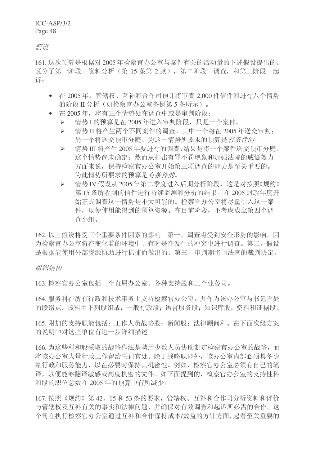假设

161. 这次预算是根据对 2005 年检察官办公室与案件有关的活动量的下述假设提出的。 区分了第一阶段—资料分析(第15条第2款), 第二阶段—调查, 和第三阶段—起 诉:

- 在 2005年, 管辖权、互补和合作司预计将审查 2,000 件信件和讲行八个情势 的阶段 II 分析(如检察官办公室条例第5条所示)。
- 在2005年, 将有三个情势处在调查中或是审判阶段:
	- > 情势Ⅰ 的预算是在 2005 年讲入审判阶段, 只是一个案件。
	- > 情势 II 将产生两个不同案件的调查。其中一个将在 2005 年送交审判: 另一个将送交预审分庭。为这一情势所要求的预算是有条件的。
	- > 情势 III 将产生 2005 年要进行的调查,结果是将一个案件送交预审分庭。 这个情势尚未确定; 然而从打击有罪不罚现象和加强法院的威慑效力 方面来说, 保持检察官办公室开始第三项调查的能力是至关重要的。 为此情势所要求的预算是有条件的。
	- > 情势 IV 假设从 2005 年第二季度进入后期分析阶段, 这是对按照《规约》 第15条所收到的信件进行持续监测和分析的结果。在2005 财政年度开 始正式调查汶一情势是不大可能的。检察官办公室将尽量引入这一案 件, 以便使用能得到的预算资源。在目前阶段, 不考虑成立第四个调 杳小组。

162. 以上假设将受三个重要条件因素的影响。第一, 调查将受到安全形势的影响, 因 为检察官办公室将在变化着的环境中、有时是在发生的冲突中进行调查。第二,假设 是根据能使用外部资源协助进行抓捕而做出的。第三, 审判期将由法官的裁判决定。

组织结构

163. 检察官办公室包括一个直属办公室、各种支持股和三个业务司。

164. 服务科在所有行政和技术事务上支持检察官办公室, 并作为该办公室与书记官处 的联络点。该科由下列股组成: 一般行政股; 语言服务股; 知识库股; 资料和证据股。

165. 附加的支持职能包括: 工作人员战略股; 新闻股; 法律顾问科。在下面次级方案 的说明中对这些单位有讲一步详细描述。

166. 为这些科和股采取的战略作法是聘用少数人员协助制定检察官办公室的战略, 而 将该办公室大量行政工作留给书记官处。除了战略职能外,该办公室内部必须具备少 量行政和服务能力, 以在必要时保持其机密性。例如, 检察官办公室必须有自己的笔 译,以便能够翻译敏感或高度机密的文件。如下面提到的,检察官办公室的支持性科 和股的职位总数在 2005 年的预算中有所减少。

167. 按照《规约》第42、15 和53 条的要求,管辖权、互补和合作司分析资料和评价 与管辖权及互补有关的事实和法律问题,并确保对有效调查和起诉所必需的合作。这 个司在执行检察官办公室通过互补和合作保持成本/效益的方针方面,起着至关重要的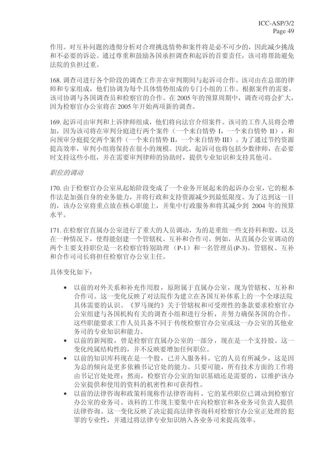作用。对互补问题的透彻分析对合理挑选情势和案件将是必不可少的,因此减少挑战 和不必要的诉讼。通过尊重和鼓励各国承担调查和起诉的首要责任,该司将帮助避免 法院的负担讨重。

168. 调查司进行各个阶段的调查工作并在审判期间与起诉司合作。该司由在总部的律 师和专家组成,他们协调为每个具体情势组成的专门小组的工作。根据案件的需要, 该司协调与各国调查员和检察官的合作。在2005年的预算周期中,调查司将会扩大, 因为检察官办公室将在 2005 年开始两项新的调查。

169. 起诉司由审判和上诉律师组成,他们将向法官介绍案件。该司的工作人员将会增 加, 因为该司将在审判分庭讲行两个案件(一个来自情势 I, 一个来自情势 II), 和 向预审分庭提交两个案件(一个来自情势 II, 一个来自情势 III)。为了通过节约资源 提高效率,审判小组将保持在很小的规模。因此,起诉司也将包括少数律师,在必要 时支持这些小组,并在需要审判律师的协助时,提供专业知识和支持其他司。

#### 职位的调动

170. 由于检察官办公室从起始阶段变成了一个业务开展起来的起诉办公室, 它的根本 作法是加强自身的业务能力,并将行政和支持资源减少到最低限度。为了达到这一目 的, 该办公室将重点放在核心职能上, 并集中行政服务和将其减少到 2004 年的预算 水平。

171. 在检察官直属办公室进行了重大的人员调动, 为的是重组一些支持科和股, 以及 在一种情况下, 使得能创建一个管辖权、互补和合作司。例如, 从直属办公室调动的 两个主要支持职位是一名检察官特别助理 (P-1) 和一名管理员(P-3)。管辖权、互补 和合作司司长将担任检察官办公室主任。

具体变化如下:

- 以前的对外关系和补充作用股, 原附属于直属办公室, 现为管辖权、互补和 合作司。这一变化反映了对法院作为建立在各国互补体系上的一个全球法院 具体需要的认识。《罗马规约》关于管辖权和可受理性的条款要求检察官办 公室组建与各国机构有关的调查小组和讲行分析,并努力确保各国的合作。 这些职能要求工作人员具备不同于传统检察官办公室或这一办公室的其他业 务司的专业知识和能力。
- 以前的新闻股, 曾是检察官直属办公室的一部分, 现在是一个支持股。这一 变化纯属结构性的,并不反映要增加任何职位。
- 以前的知识库科现在是一个股, 已并入服务科。它的人员有所减少, 这是因 为总的倾向是更多依赖书记官处的能力。只要可能,所有技术方面的工作将 由书记官处处理: 然而, 检察官办公室的知识基础还是需要的, 以维护该办 公室提供和使用的资料的机密性和可获得性。
- 以前的法律咨询和政策科现称作法律咨询科, 它的某些职位已调动到检察官 办公室的业务司。该科的工作现主要集中在向检察官和各业务司负责人提供 法律咨询。这一变化反映了决定提高法律咨询科对检察官办公室正处理的犯 罪的专业性,并通过将法律专业知识纳入各业务司来提高效率。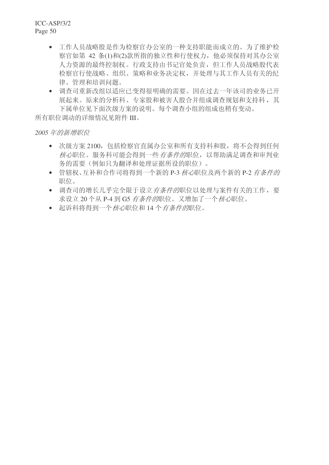- 工作人员战略股是作为检察官办公室的一种支持职能而成立的。为了维护检 察官如第 42 条(1)和(2)款所指的独立性和行使权力, 他必须保持对其办公室 人力资源的最终控制权。行政支持由书记官处负责,但工作人员战略股代表 检察官行使战略、组织、策略和业务决定权,并处理与其工作人员有关的纪 律、管理和培训问题。
- 调杳司重新改组以适应已变得很明确的需要。因在过去一年该司的业务已开 展起来。原来的分析科、专家股和被害人股合并组成调查规划和支持科,其 下属单位见下面次级方案的说明。每个调查小组的组成也稍有变动。

所有职位调动的详细情况见附件 III。

2005年的新增职位

- 次级方案 2100, 包括检察官直属办公室和所有支持科和股, 将不会得到任何 核心职位。服务科可能会得到一些有条件的职位,以帮助满足调查和审判业 务的需要(例如只为翻译和处理证据所设的职位)。
- 管辖权、互补和合作司将得到一个新的 P-3 核心职位及两个新的 P-2 有条件的 职位。
- 调查司的增长几乎完全限于设立*有条件的*职位以处理与案件有关的工作,要 求设立 20 个从 P-4 到 G5 有条件的职位。又增加了一个核心职位。
- 起诉科将得到一个核心职位和 14 个有条件的职位。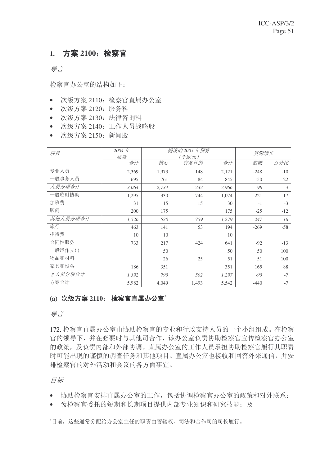# 1. 方案 2100: 检察官

导言

检察官办公室的结构如下:

- 次级方案 2110: 检察官直属办公室
- 次级方案 2120: 服务科
- 次级方案 2130: 法律咨询科
- 次级方案 2140: 工作人员战略股
- 次级方案 2150: 新闻股

| 项目       | 2004年<br>拨款 | 提议的 2005 年预算<br>(千欧元) |       |       | 资源增长   |       |
|----------|-------------|-----------------------|-------|-------|--------|-------|
|          | 合计          | 核心                    | 有条件的  | 合计    | 数额     | 百分比   |
| 专业人员     | 2,369       | 1,973                 | 148   | 2,121 | $-248$ | $-10$ |
| 一般事务人员   | 695         | 761                   | 84    | 845   | 150    | 22    |
| 人员分项合计   | 3,064       | 2,734                 | 232   | 2,966 | $-98$  | $-3$  |
| 一般临时协助   | 1,295       | 330                   | 744   | 1,074 | $-221$ | $-17$ |
| 加班费      | 31          | 15                    | 15    | 30    | $-1$   | $-3$  |
| 顾问       | 200         | 175                   |       | 175   | $-25$  | $-12$ |
| 其他人员分项合计 | 1,526       | 520                   | 759   | 1,279 | $-247$ | $-16$ |
| 旅行       | 463         | 141                   | 53    | 194   | $-269$ | $-58$ |
| 招待费      | 10          | 10                    |       | 10    |        |       |
| 合同性服务    | 733         | 217                   | 424   | 641   | $-92$  | $-13$ |
| 一般运作支出   |             | 50                    |       | 50    | 50     | 100   |
| 物品和材料    |             | 26                    | 25    | 51    | 51     | 100   |
| 家具和设备    | 186         | 351                   |       | 351   | 165    | 88    |
| 非人员分项合计  | 1,392       | 795                   | 502   | 1,297 | $-95$  | $-7$  |
| 方案合计     | 5,982       | 4,049                 | 1,493 | 5,542 | $-440$ | $-7$  |

## (a) 次级方案 2110: 检察官直属办公室<sup>\*</sup>

异言

172. 检察官直属办公室由协助检察官的专业和行政支持人员的一个小组组成。在检察 官的领导下,并在必要时与其他司合作,该办公室负责协助检察官宣传检察官办公室 的政策, 及负责内部和外部协调。直属办公室的工作人员承担协助检察官履行其职责 时可能出现的谨慎的调查任务和其他项目。直属办公室也接收和回答外来通信,并安 排检察官的对外活动和会议的各方面事宜。

目标

- 协助检察官安排直属办公室的工作,包括协调检察官办公室的政策和对外联系;
- 为检察官委托的短期和长期项目提供内部专业知识和研究技能;及

<sup>\*</sup>目前,这些通常分配给办公室主任的职责由管辖权、司法和合作司的司长履行。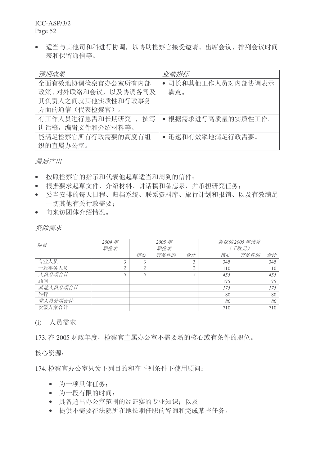• 适当与其他司和科进行协调, 以协助检察官接受邀请、出席会议、排列会议时间 表和保留通信等。

| 预期成果                  | 业绩指标               |
|-----------------------|--------------------|
| 全面有效地协调检察官办公室所有内部     | • 司长和其他工作人员对内部协调表示 |
| 政策、对外联络和会议, 以及协调各司及   | 满意。                |
| 其负责人之间就其他实质性和行政事务     |                    |
| 方面的通信 (代表检察官)。        |                    |
| 有工作人员讲行急需和长期研究。<br>撰写 | • 根据需求进行高质量的实质性工作。 |
| 讲话稿, 编辑文件和介绍材料等。      |                    |
| 能满足检察官所有行政需要的高度有组     | • 迅速和有效率地满足行政需要。   |
| 织的直属办公室。              |                    |

最后产出

- 按照检察官的指示和代表他起草适当和周到的信件;
- 根据要求起草文件、介绍材料、讲话稿和备忘录,并承担研究任务;
- 妥当安排的每天日程、归档系统、联系资料库、旅行计划和报销、以及有效满足 一切其他有关行政需要:
- 向来访团体介绍情况。

■ 资源需求

| 项目       | 2004年<br>职位表 |    | 2005年<br>职位表 |    |     | 提议的 2005 年预算<br>(千欧元) |     |
|----------|--------------|----|--------------|----|-----|-----------------------|-----|
|          |              | 核心 | 有条件的         | 合计 | 核心  | 有条件的                  | 合计  |
| 专业人员     |              |    |              | 3  | 345 |                       | 345 |
| 一般事务人员   |              |    |              |    | 110 |                       | 110 |
| 人员分项合计   |              | 5  |              |    | 455 |                       | 455 |
| 顾问       |              |    |              |    | 175 |                       | 175 |
| 其他人员分项合计 |              |    |              |    | 175 |                       | 175 |
| 旅行       |              |    |              |    | 80  |                       | 80  |
| 非人员分项合计  |              |    |              |    | 80  |                       | 80  |
| 次级方案合计   |              |    |              |    | 710 |                       | 710 |

(i) 人员需求

173. 在 2005 财政年度, 检察官直属办公室不需要新的核心或有条件的职位。

核心资源:

174. 检察官办公室只为下列目的和在下列条件下使用顾问:

- 为一项具体任务:
- 为一段有限的时间:
- 具备超出办公室范围的经证实的专业知识: 以及
- 提供不需要在法院所在地长期任职的咨询和完成某些任务。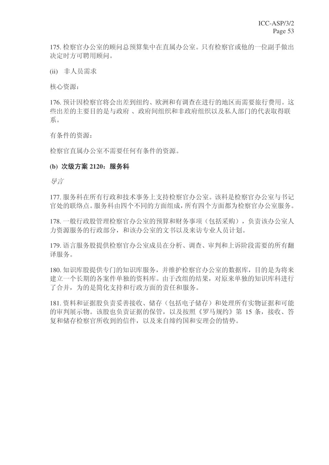175. 检察官办公室的顾问总预算集中在直属办公室。只有检察官或他的一位副手做出 决定时方可聘用顾问。

(ii) 非人员需求

核心资源:

176. 预计因检察官将会出差到纽约、欧洲和有调查在进行的地区而需要旅行费用。这 些出差的主要目的是与政府、政府间组织和非政府组织以及私人部门的代表取得联 系。

有条件的资源:

检察官直属办公室不需要任何有条件的资源。

### (b) 次级方案 2120: 服务科

异言

177. 服务科在所有行政和技术事务上支持检察官办公室。该科是检察官办公室与书记 官处的联络点。服务科由四个不同的方面组成,所有四个方面都为检察官办公室服务。

178. 一般行政股管理检察官办公室的预算和财务事项(包括采购), 负责该办公室人 力资源服务的行政部分, 和该办公室的文书以及来访专业人员计划。

179. 语言服务股提供检察官办公室成员在分析、调查、审判和上诉阶段需要的所有翻 译服务。

180. 知识库股提供专门的知识库服务, 并维护检察官办公室的数据库, 目的是为将来 建立一个长期的各案件单独的资料库。由于改组的结果, 对原来单独的知识库科讲行 了合并,为的是简化支持和行政方面的责任和服务。

181. 资料和证据股负责妥善接收、储存(包括电子储存)和处理所有实物证据和可能 的审判展示物。该股也负责证据的保管,以及按照《罗马规约》第15条,接收、答 复和储存检察官所收到的信件, 以及来自缔约国和安理会的情势。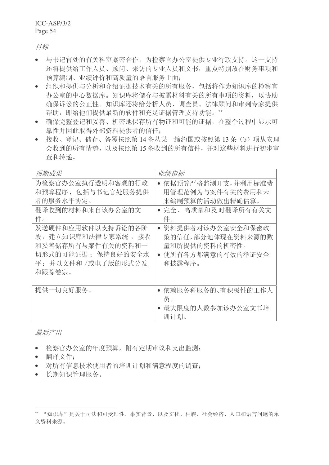月标

- 与书记官处的有关科室紧密合作,为检察官办公室提供专业行政支持。这一支持 还将提供给工作人员、顾问、来访的专业人员和文书, 重点特别放在财务事项和 预算编制、业绩评价和高质量的语言服务上面:
- 组织和提供与分析和介绍证据技术有关的所有服务, 包括将作为知识库的检察官 办公室的中心数据库。知识库将储存与披露材料有关的所有事项的资料,以协助 确保诉讼的公正性。知识库还将给分析人员、调查员、法律顾问和审判专家提供 帮助, 即给他们提供最新的软件和充足证据管理支持功能。\*\*
- 确保完整登记和妥善、机密地保存所有物证和可能的证据, 在整个过程中显示可 靠性并因此取得外部资料提供者的信任:
- 接收、登记、储存、答覆按照第14条从某一缔约国或按照第13条(b)项从安理 会收到的所有情势, 以及按照第15条收到的所有信件, 并对这些材料讲行初步审 杳和转递。

| 预期成果                                                                                                                 | 业绩指标                                                                                    |
|----------------------------------------------------------------------------------------------------------------------|-----------------------------------------------------------------------------------------|
| 为检察官办公室执行透明和客观的行政<br>和预算程序, 包括与书记官处服务提供<br>者的服务水平协定。<br>翻译收到的材料和来自该办公室的文<br>件。                                       | • 依据预算严格监测开支,并利用标准费<br>用管理范例为与案件有关的费用和未<br>来编制预算的活动做出精确估算。<br>● 完全、高质量和及 时翻译所有有关文<br>件。 |
| 发送硬件和应用软件以支持诉讼的各阶<br>段, 建立知识库和法律专家系统, 接收<br>和妥善储存所有与案件有关的资料和一<br>切形式的可能证据: 保持良好的安全水<br>平: 并以文件和 /或电子版的形式分发<br>和跟踪卷宗。 | 资料提供者对该办公室安全和保密政<br>策的信任,部分地体现在资料来源的数<br>量和所提供的资料的机密性。<br>使所有各方都满意的有效的举证安全<br>和披露程序。    |
| 提供一切良好服务。                                                                                                            | 依赖服务科服务的、有积极性的工作人<br>员。<br>最大限度的人数参加该办公室文书培<br>训计划。                                     |

最后产出

- 检察官办公室的年度预算, 附有定期审议和支出监测:
- 翻译文件:
- 对所有信息技术使用者的培训计划和满意程度的调查:
- 长期知识管理服务。

<sup>\*\* &</sup>quot;知识库"是关于司法和可受理性、事实背景、以及文化、种族、社会经济、人口和语言问题的永 久资料来源。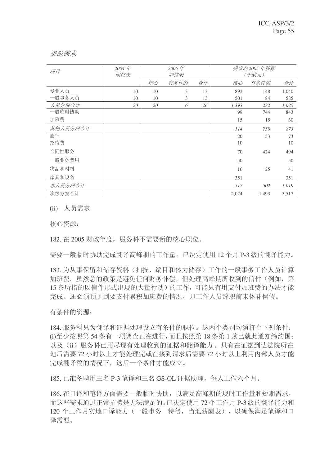| 项目       | 2004年<br>职位表 | 2005年<br>职位表 |      |    |       | 提议的 2005 年预算<br>(千欧元) |       |
|----------|--------------|--------------|------|----|-------|-----------------------|-------|
|          |              | 核心           | 有条件的 | 合计 | 核心    | 有条件的                  | 合计    |
| 专业人员     | 10           | 10           | 3    | 13 | 892   | 148                   | 1,040 |
| 一般事务人员   | 10           | 10           | 3    | 13 | 501   | 84                    | 585   |
| 人员分项合计   | 20           | 20           | 6    | 26 | 1,393 | 232                   | 1,625 |
| 一般临时协助   |              |              |      |    | 99    | 744                   | 843   |
| 加班费      |              |              |      |    | 15    | 15                    | 30    |
| 其他人员分项合计 |              |              |      |    | 114   | 759                   | 873   |
| 旅行       |              |              |      |    | 20    | 53                    | 73    |
| 招待费      |              |              |      |    | 10    |                       | 10    |
| 合同性服务    |              |              |      |    | 70    | 424                   | 494   |
| 一般业务费用   |              |              |      |    | 50    |                       | 50    |
| 物品和材料    |              |              |      |    | 16    | 25                    | 41    |
| 家具和设备    |              |              |      |    | 351   |                       | 351   |
| 非人员分项合计  |              |              |      |    | 517   | 502                   | 1,019 |
| 次级方案合计   |              |              |      |    | 2,024 | 1,493                 | 3,517 |

### 资源需求

(ii) 人员需求

核心资源:

182. 在2005 财政年度, 服务科不需要新的核心职位。

需要一般临时协助完成翻译高峰期的工作量。已决定使用12个月P-3 级的翻译能力。

183. 为从事保留和储存资料(扫描、编目和体力储存)工作的一般事务工作人员计算 加班费。虽然总的政策是避免任何财务补偿,但处理高峰期所收到的信件(例如,第 15 条所指的以信件形式出现的大量行动)的工作,可能只有用支付加班费的办法才能 完成。还必须预见到要支付累积加班费的情况, 即工作人员辞职前未休补偿假。

有条件的资源:

184. 服务科只为翻译和证据处理设立有条件的职位。这两个类别均须符合下列条件: (i)至少按照第54条有一项调杳正在进行,而且按照第18条第1款已就此通知缔约国: 以及(ii)服务科已用尽现有处理收到的证据和翻译能力。只有在证据到达法院所在 地后需要72 小时以上才能处理完或在接到请求后需要72 小时以上利用内部人员才能 完成翻译稿的情况下,这后一个条件才能成立。

185. 已准备聘用三名 P-3 笔译和三名 GS-OL 证据助理, 每人工作六个月。

186. 在口译和笔译方面需要一般临时协助, 以满足高峰期的现时工作量和短期需求, 而这些需求通过正常招聘是无法满足的。已决定使用72个工作月P-3 级的翻译能力和 120 个工作月实地口译能力(一般事务—特等, 当地薪酬表), 以确保满足笔译和口 译需要。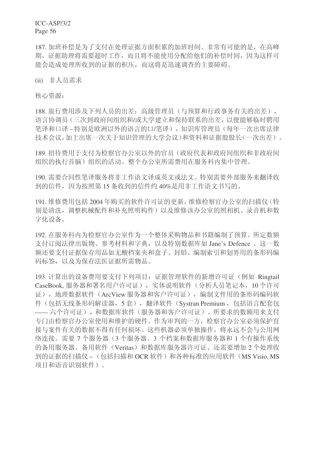187. 加班补偿是为了支付在处理证据方面积累的加班时间。非常有可能的是, 在高峰 期,证据助理将需要超时工作,而且将不能使用分配给他们的补偿时间,因为这样可 能会造成处理所收到的证据的积压,而这将是迅速调查的主要障碍。

(ii) 非人员需求

核心资源:

188. 旅行费用涉及下列人员的出差: 高级管理员(与预算和行政事务有关的出差), 语言协调员(三次到政府间组织和/或大学建立和保持联系的出差,以便能够临时聘用 笔译和口译-特别是欧洲以外的语言的口/笔译),知识库管理员(每年一次出席法律 技术会议,加上出席一次关于知识管理的大学会议)和资料和证据股股长(一次出差)。

189. 招待费用于支付为检察官办公室以外的官员(政府代表和政府间组织和非政府间 组织的社动。整个办公室所需费用在服务科内集中管理。

190. 需要合同性笔译服务将非工作语文译成英文或法文。特别需要外部服务来翻译收 到的信件,因为按照第15条收到的信件约 40%是用非工作语文书写的。

191. 维修费用包括 2004 年购买的软件许可证的更新, 维修检察官办公室的扫描仪(特 别是清洗,调整机械配件和补充照明构件)以及维修该办公室的照相机、录音机和数 字化设备。

192. 在服务科内为检察官办公室作为一个整体采购物品和书籍编制了预算。所定数额 支付订阅法律出版物、参考材料和字典, 以及特别数据库如 Jane's Defence 。这一数 额还要支付证据保存用品如无酸档案夹和盒子、封铅、编制索引和划界用的条形码编 码标签,以及为保存法医证据所需物品。

193. 计算出的设备费用要支付下列项目: 证据管理软件的新增许可证(例如 Ringtail CaseBook, 服务器和署名用户许可证), 实体说明软件(分析人员笔记本, 10个许可 证), 地理数据软件(ArcView 服务器和客户许可证), 编制文件用的条形码编码软 件(包括无线条形码解读器, 5 套), 翻译软件 (Systran Premium, 包括语言配套包 —— 六个许可证),和数据库软件(服务器和客户许可证)。所要求的数额用来支付 专门由检察官办公室使用和维护的硬件。作为审判的一方, 检察官办公室必须保护直 接与案件有关的数据不得有任何损坏。这些机器必须单独操作, 将永远不会与公用网 络连接。需要7个服务器(3个服务器、3个档案和数据库服务器和1个有操作系统 的备用服务器、备用软件(Veritas)和数据库服务器许可证、还需要增加2个处理收 到的证据的扫描仪 – (包括扫描和 OCR 软件)和各种标准的应用软件 (MS Visio, MS 项目和语音识别软件)。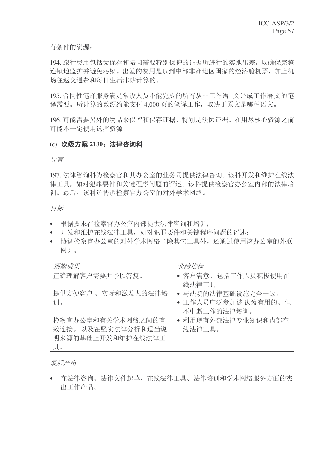有条件的资源:

194. 旅行费用包括为保存和陪同需要特别保护的证据所进行的实地出差, 以确保完整 连锁地监护并避免污染。出差的费用是以到中部非洲地区国家的经济舱机票,加上机 场往返交通费和每日生活津贴计算的。

195. 合同性笔译服务满足常设人员不能完成的所有从非工作语 文译成工作语文的笔 译需要。所计算的数额约能支付 4,000 页的笔译工作, 取决于原文是哪种语文。

196. 可能需要另外的物品来保留和保存证据, 特别是法医证据。在用尽核心资源之前 可能不一定使用这些资源。

### (c) 次级方案 2130; 法律咨询科

鼻言

197. 法律咨询科为检察官和其办公室的业务司提供法律咨询。该科开发和维护在线法 律工具, 如对犯罪要件和关键程序问题的评述。该科提供检察官办公室内部的法律培 训。最后,该科还协调检察官办公室的对外学术网络。

### 目标

- 根据要求在检察官办公室内部提供法律咨询和培训;
- 开发和维护在线法律工具, 如对犯罪要件和关键程序问题的评述:
- 协调检察官办公室的对外学术网络(除其它工具外,还通过使用该办公室的外联 网)。

| 预期成果               | 业绩指标                |
|--------------------|---------------------|
| 正确理解客户需要并予以答复。     | • 客户满意, 包括工作人员积极使用在 |
|                    | 线法律工具               |
| 提供方便客户 、实际和激发人的法律培 | • 与法院的法律基础设施完全一致。   |
| 训。                 | • 工作人员广泛参加被 认为有用的、但 |
|                    | 不中断工作的法律培训。         |
| 检察官办公室和有关学术网络之间的有  | • 利用现有外部法律专业知识和内部在  |
| 效连接, 以及在坚实法律分析和适当说 | 线法律工具。              |
| 明来源的基础上开发和维护在线法律工  |                     |
| 具。                 |                     |

最后产出

• 在法律咨询、法律文件起草、在线法律工具、法律培训和学术网络服务方面的杰 出工作产品。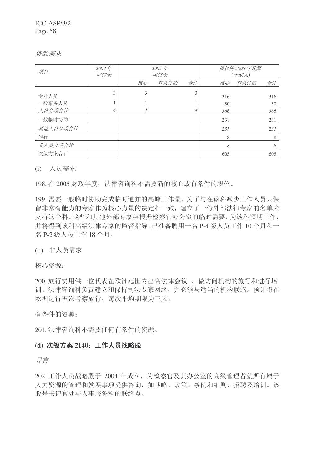资源需求

| 项目       | 2004年<br>职位表   | 2005 $#$<br>职位表 |      | 提议的 2005 年预算<br>(千欧元) |     |      |     |
|----------|----------------|-----------------|------|-----------------------|-----|------|-----|
|          |                | 核心              | 有条件的 | 合计                    | 核心  | 有条件的 | 合计  |
| 专业人员     | 3              | 3               |      | 3                     | 316 |      | 316 |
| 一般事务人员   | -1             |                 |      |                       | 50  |      | 50  |
| 人员分项合计   | $\overline{4}$ | $\overline{4}$  |      | 4                     | 366 |      | 366 |
| 一般临时协助   |                |                 |      |                       | 231 |      | 231 |
| 其他人员分项合计 |                |                 |      |                       | 231 |      | 231 |
| 旅行       |                |                 |      |                       | 8   |      | 8   |
| 非人员分项合计  |                |                 |      |                       | 8   |      | 8   |
| 次级方案合计   |                |                 |      |                       | 605 |      | 605 |

### (i) 人员需求

198. 在2005 财政年度, 法律咨询科不需要新的核心或有条件的职位。

199. 需要一般临时协助完成临时通知的高峰工作量。为了与在该科减少工作人员只保 留非常有能力的专家作为核心力量的决定相一致,建立了一份外部法律专家的名单来 支持这个科。这些和其他外部专家将根据检察官办公室的临时需要,为该科短期工作, 并将得到该科高级法律专家的监督指导。已准备聘用一名 P-4 级人员工作 10 个月和一 名 P-2 级人员工作 18 个月。

(ii) 非人员需求

核心资源:

200. 旅行费用供一位代表在欧洲范围内出席法律会议、做访问机构的旅行和进行培 训。法律咨询科负责建立和保持司法专家网络,并必须与适当的机构联络。预计将在 欧洲进行五次考察旅行, 每次平均期限为三天。

有条件的资源:

201. 法律咨询科不需要任何有条件的资源。

### (d) 次级方案 2140: 工作人员战略股

号言

202. 工作人员战略股于 2004 年成立, 为检察官及其办公室的高级管理者就所有属于 人力资源的管理和发展事项提供咨询, 如战略、政策、条例和细则、招聘及培训。该 股是书记官处与人事服务科的联络点。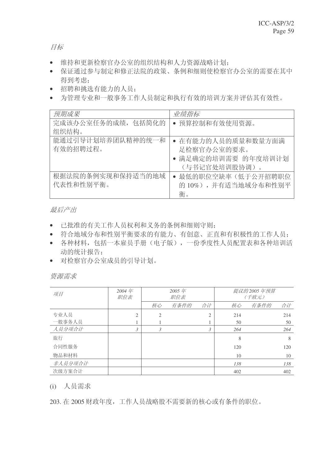目标

- 维持和更新检察官办公室的组织结构和人力资源战略计划;
- 保证通过参与制定和修正法院的政策、条例和细则使检察官办公室的需要在其中 得到考虑:
- 招聘和挑选有能力的人员;
- 为管理专业和一般事务工作人员制定和执行有效的培训方案并评估其有效性。

| 预期成果                           | 业绩指标                                                                     |
|--------------------------------|--------------------------------------------------------------------------|
| 完成该办公室任务的成绩, 包括简化的<br>组织结构。    | • 预算控制和有效使用资源。                                                           |
| 能通过引导计划培养团队精神的统一和<br>有效的招聘过程。  | • 在有能力的人员的质量和数量方面满<br>足检察官办公室的要求。<br>• 满足确定的培训需要 的年度培训计划<br>(与书记官处培训股协调) |
| 根据法院的条例实现和保持适当的地域<br>代表性和性别平衡。 | • 最低的职位空缺率(低于公开招聘职位<br>的10%),并有适当地域分布和性别平<br>衡。                          |

最后产出

- 已批准的有关工作人员权利和义务的条例和细则守则;
- 符合地域分布和性别平衡要求的有能力、有创意、正直和有积极性的工作人员;
- 各种材料, 包括一本雇员手册(电子版), 一份季度性人员配置表和各种培训活 动的统计报告:
- 对检察官办公室成员的引导计划。

资源需求

| 项目      | 2004 $#$<br>职位表 |    | 2005 $#$<br>职位表 |            |     | 提议的 2005 年预算<br>(千欧元) |     |
|---------|-----------------|----|-----------------|------------|-----|-----------------------|-----|
|         |                 | 核心 | 有条件的            | 合计         | 核心  | 有条件的                  | 合计  |
| 专业人员    | 2               | 2  |                 | $\bigcirc$ | 214 |                       | 214 |
| 一般事务人员  |                 |    |                 |            | 50  |                       | 50  |
| 人员分项合计  | $\mathfrak{Z}$  | 3  |                 | 3          | 264 |                       | 264 |
| 旅行      |                 |    |                 |            | 8   |                       | 8   |
| 合同性服务   |                 |    |                 |            | 120 |                       | 120 |
| 物品和材料   |                 |    |                 |            | 10  |                       | 10  |
| 非人员分项合计 |                 |    |                 |            | 138 |                       | 138 |
| 次级方案合计  |                 |    |                 |            | 402 |                       | 402 |

(i) 人员需求

203. 在2005 财政年度,工作人员战略股不需要新的核心或有条件的职位。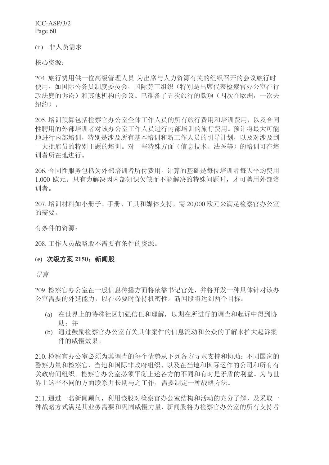(ii) 非人员需求

核心资源:

204. 旅行费用供一位高级管理人员 为出席与人力资源有关的组织召开的会议旅行时 使用, 如国际公务员制度委员会, 国际劳工组织(特别是出席代表检察官办公室在行 政法庭的诉讼)和其他机构的会议。已准备了五次旅行的款项(四次在欧洲,一次去 纽约)。

205. 培训预算包括检察官办公室全体工作人员的所有旅行费用和培训费用, 以及合同 性聘用的外部培训者对该办公室工作人员进行内部培训的旅行费用。预计将最大可能 地讲行内部培训,特别是涉及所有基本培训和新工作人员的引导计划,以及对涉及到 一大批雇员的特别主题的培训。对一些特殊方面(信息技术、法医等)的培训可在培 训者所在地讲行。

206. 合同性服务包括为外部培训者所付费用。计算的基础是每位培训者每天平均费用 1,000 欧元。只有为解决因内部知识欠缺而不能解决的特殊问题时,才可聘用外部培 训者。

207. 培训材料如小册子、手册、工具和媒体支持, 需 20,000 欧元来满足检察官办公室 的需要。

有条件的资源:

208. 工作人员战略股不需要有条件的资源。

### (e) 次级方案 2150: 新闻股

导言

209. 检察官办公室在一般信息传播方面将依靠书记官处, 并将开发一种具体针对该办 公室需要的外延能力,以在必要时保持机密性。新闻股将达到两个目标:

- (a) 在世界上的特殊社区加强信任和理解, 以期在所进行的调查和起诉中得到协 助:并
- (b) 通过鼓励检察官办公室有关具体案件的信息流动和公众的了解来扩大起诉案 件的威慑效果。

210. 检察官办公室必须为其调查的每个情势从下列各方寻求支持和协助: 不同国家的 警察力量和检察官、当地和国际非政府组织、以及在当地和国际运作的公司和所有有 关政府间组织。检察官办公室必须平衡上述各方的不同和有时是矛盾的利益。为与世 界上这些不同的方面联系并长期与之工作,需要制定一种战略方法。

211. 通过一名新闻顾问, 利用该股对检察官办公室结构和活动的充分了解, 及采取一 种战略方式满足其业务需要和巩固威慑力量, 新闻股将为检察官办公室的所有支持者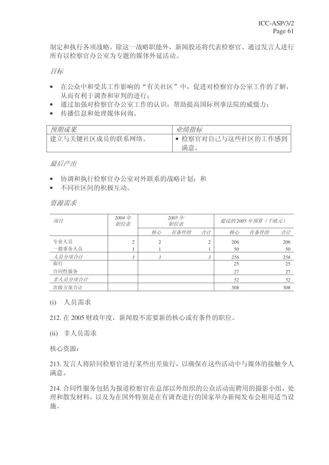制定和执行各项战略。除这一战略职能外, 新闻股还将代表检察官、通过发言人进行 所有以检察官办公室为专题的媒体外延活动。

目标

- 在公众中和受其工作影响的"有关社区"中,促进对检察官办公室工作的了解, 从而有利于调查和审判的进行:
- 通过加强对检察官办公室工作的认识,帮助提高国际刑事法院的威慑力;
- 传播信息和处理媒体问询。

| 预期成果            | 业绩指标                      |
|-----------------|---------------------------|
| 建立与关键社区成员的联系网络。 | • 检察官对自己与这些社区的工作感到<br>满意。 |

最后产出

- 协调和执行检察官办公室对外联系的战略计划; 和
- 不同社区间的积极互动。

资源需求

| 项目      | 2004年<br>职位表 | 2005年<br>职位表 |      | 提议的2005年预算(千欧元) |     |      |     |
|---------|--------------|--------------|------|-----------------|-----|------|-----|
|         |              | 核心           | 有条件的 | 合计              | 核心  | 有条件的 | 合计  |
| 专业人员    | ◠            |              |      | ◠               | 206 |      | 206 |
| 一般事务人员  |              |              |      |                 | 50  |      | 50  |
| 人员分项合计  | 3            | 3            |      | 3               | 256 |      | 256 |
| 旅行      |              |              |      |                 | 25  |      | 25  |
| 合同性服务   |              |              |      |                 | 27  |      | 27  |
| 非人员分项合计 |              |              |      |                 | 52  |      | 52  |
| 次级方案合计  |              |              |      |                 | 308 |      | 308 |

(i) 人 局 需 求

212. 在2005 财政年度, 新闻股不需要新的核心或有条件的职位。

(ii) 非人员需求

核心资源:

213. 发言人将陪同检察官进行某些出差旅行, 以确保在这些活动中与媒体的接触令人 满意。

214. 合同性服务包括为报道检察官在总部以外组织的公众活动而聘用的摄影小组, 处 理和散发材料,以及为在国外特别是在有调查进行的国家举办新闻发布会租用适当设 施。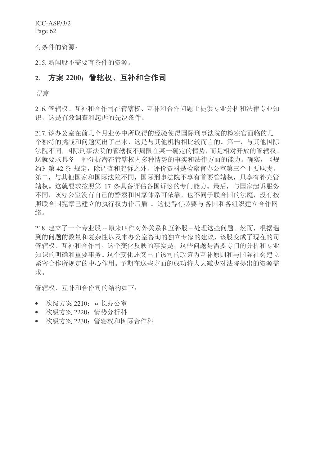有条件的资源:

215. 新闻股不需要有条件的资源。

# 2. 方案 2200: 管辖权、互补和合作司

号言

216. 管辖权、互补和合作问题上提供专业分析和法律专业知 识,这是有效调查和起诉的先决条件。

217. 该办公室在前几个月业务中所取得的经验使得国际刑事法院的检察官面临的几 个独特的挑战和问题突出了出来,这是与其他机构相比较而言的。第一,与其他国际 法院不同,国际刑事法院的管辖权不局限在某一确定的情势,而是相对开放的管辖权。 这就要求具备一种分析潜在管辖权内多种情势的事实和法律方面的能力。确实,《规 约》第42条规定,除调查和起诉之外,评价资料是检察官办公室第三个主要职责。 第二, 与其他国家和国际法院不同, 国际刑事法院不享有首要管辖权, 只享有补充管 辖权。这就要求按照第17 条具备评估各国诉讼的专门能力。最后, 与国家起诉服务 不同,该办公室没有自己的警察和国家体系可依靠,也不同于联合国的法庭,没有按 照联合国宪章已建立的执行权力作后盾。这使得有必要与各国和各组织建立合作网 终。

218. 建立了一个专业股 -- 原来叫作对外关系和互补股 – 处理这些问题。然而,根据遇 到的问题的数量和复杂性以及本办公室咨询的独立专家的建议,该股变成了现在的司 管辖权、互补和合作司。这个变化反映的事实是,这些问题是需要专门的分析和专业 知识的明确和重要事务。这个变化还突出了该司的政策为互补原则和与国际社会建立 紧密合作所规定的中心作用。予期在这些方面的成功将大大减少对法院提出的资源需 **求。** 

管辖权、互补和合作司的结构如下:

- 次级方案 2210: 司长办公室
- 次级方案 2220: 情势分析科
- 次级方案 2230: 管辖权和国际合作科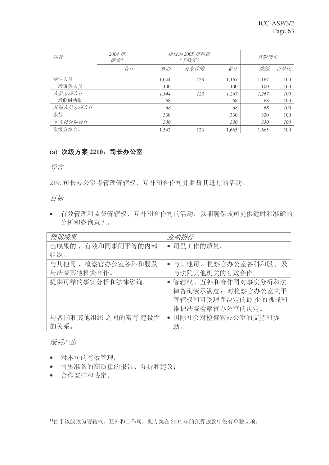| 项目       | 2004年<br>拨款 | 提议的2005年预算<br>(千欧元) |      |       | 资源增长  |     |
|----------|-------------|---------------------|------|-------|-------|-----|
|          | 合计          | 核心                  | 有条件的 | 总计    | 数额    | 百分比 |
| 专业人员     |             | 1.044               | 123  | 1.167 | 1.167 | 100 |
| 一般事务人员   |             | 100                 |      | 100   | 100   | 100 |
| 人员分项合计   |             | 1.144               | 123  | 1.267 | 1.267 | 100 |
| 一般临时协助   |             | 68                  |      | 68    | 68    | 100 |
| 其他人员分项合计 |             | 68                  |      | 68    | 68    | 100 |
| 旅行       |             | 330                 |      | 330   | 330   | 100 |
| 非人员分项合计  |             | 330                 |      | 330   | 330   | 100 |
| 次级方案合计   |             | 1.542               | 123  | 1.665 | 1.665 | 100 |

# (a) 次级方案 2210: 司长办公室

ᇐ㿔

219. 司长办公室将管理管辖权、互补和合作司并监督其进行的活动。

目标

• 有效管理和监督管辖权、互补和合作司的活动,以期确保该司提供适时和准确的 分析和咨询意见。

| 预期成果               | 业绩指标                 |
|--------------------|----------------------|
| 出成果的、有效和同事间平等的内部   | • 司里工作的质量。           |
| 组织。                |                      |
| 与其他司、检察官办公室各科和股及   | • 与其他司、检察官办公室各科和股, 及 |
| 与法院其他机关合作。         | 与法院其他机关的有效合作。        |
| 提供可靠的事实分析和法律咨询。    | • 管辖权、互补和合作司对事实分析和法  |
|                    | 律咨询表示满意; 对检察官办公室关于   |
|                    | 管辖权和可受理性决定的最 少的挑战和   |
|                    | 维护法院检察官办公室的决定。       |
| 与各国和其他组织 之间的富有 建设性 | 国际社会对检察官办公室的支持和协     |
| 的关系。               | 助。                   |

最后产出

- 对本司的有效管理:
- 司里准备的高质量的报告、分析和建议:
- 合作安排和协定。

<sup>§§</sup>由于该股改为管辖权、互补和合作司, 此方案在 2004 年的预算拨款中没有单独立项。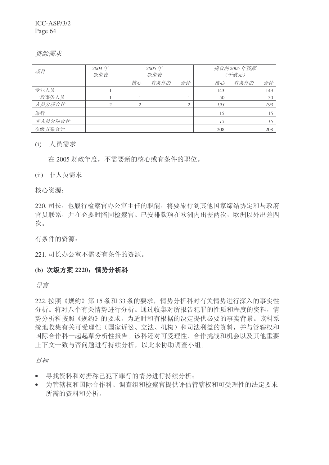**资源需求** 

| 项目      | 2004年<br>职位表  | 2005年<br>职位表 |      |    | 提议的2005年预算<br>(千欧元) |      |     |
|---------|---------------|--------------|------|----|---------------------|------|-----|
|         |               | 核心           | 有条件的 | 合计 | 核心                  | 有条件的 | 合计  |
| 专业人员    |               |              |      |    | 143                 |      | 143 |
| 一般事务人员  |               |              |      |    | 50                  |      | 50  |
| 人员分项合计  | $\mathcal{L}$ |              |      | っ  | 193                 |      | 193 |
| 旅行      |               |              |      |    | 15                  |      | 15  |
| 非人员分项合计 |               |              |      |    | 15                  |      | 15  |
| 次级方案合计  |               |              |      |    | 208                 |      | 208 |

(i) 人员需求

在 2005 财政年度, 不需要新的核心或有条件的职位。

(ii) 非人员需求

核心资源:

220. 司长, 也履行检察官办公室主任的职能, 将要旅行到其他国家缔结协定和与政府 官员联系,并在必要时陪同检察官。已安排款项在欧洲内出差两次,欧洲以外出差四 次。

有条件的资源:

221. 司长办公室不需要有条件的资源。

## (b) 次级方案 2220: 情势分析科

导言

222. 按照《规约》第15 条和 33 条的要求, 情势分析科对有关情势进行深入的事实性 分析。将对八个有关情势进行分析。通过收集对所报告犯罪的性质和程度的资料,情 势分析科按照《规约》的要求,为适时和有根据的决定提供必要的事实背景。该科系 统地收集有关可受理性(国家诉讼、立法、机构)和司法利益的资料,并与管辖权和 国际合作科一起草分析性报告。该科还对可受理性、合作挑战和机会以及其他重要 上下文一致与否问题进行持续分析,以此来协助调查小组。

目标

- 寻找资料和对据称已犯下罪行的情势进行持续分析;
- 为管辖权和国际合作科、调查组和检察官提供评估管辖权和可受理性的法定要求 所需的资料和分析。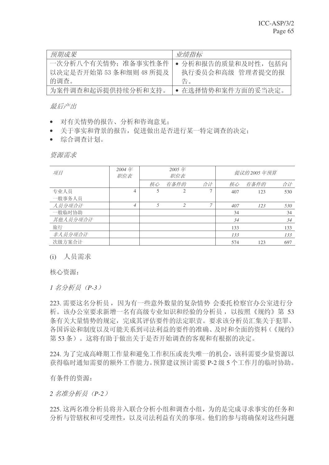| 预期成果                                               | 业绩指标                                          |
|----------------------------------------------------|-----------------------------------------------|
| 一次分析八个有关情势: 准备事实性条件<br>以决定是否开始第53条和细则48所提及<br>的调查。 | • 分析和报告的质量和及时性, 包括向<br>执行委员会和高级 管理者提交的报<br>告。 |
| 为案件调查和起诉提供持续分析和支持。                                 | • 在选择情势和案件方面的妥当决定。                            |

最后产出

- 对有关情势的报告、分析和咨询意见:
- 关于事实和背景的报告, 促进做出是否进行某一特定调查的决定;
- 综合调查计划。

伤源需求

| 项目       | 2004 $#$<br>职位表 |    | 2005年<br>职位表   |    | 提议的 2005 年预算 |      |     |
|----------|-----------------|----|----------------|----|--------------|------|-----|
|          |                 | 核心 | 有条件的           | 合计 | 核心           | 有条件的 | 合计  |
| 专业人员     | 4               | 5  |                |    | 407          | 123  | 530 |
| 一般事务人员   |                 |    |                |    |              |      |     |
| 人员分项合计   | $\overline{4}$  | 5  | $\mathfrak{D}$ | ⇁  | 407          | 123  | 530 |
| 一般临时协助   |                 |    |                |    | 34           |      | 34  |
| 其他人员分项合计 |                 |    |                |    | 34           |      | 34  |
| 旅行       |                 |    |                |    | 133          |      | 133 |
| 非人员分项合计  |                 |    |                |    | 133          |      | 133 |
| 次级方案合计   |                 |    |                |    | 574          | 123  | 697 |

(i) 人员需求

核心资源:

1名分析员 (P-3)

223. 需要这名分析员, 因为有一些意外数量的复杂情势 会委托检察官办公室进行分 析。该办公室要求新增一名有高级专业知识和经验的分析员, 以按照《规约》第 53 条有关大量情势的规定, 完成其评估要件的法定职责。要求该分析员汇集关于犯罪、 各国诉讼和制度以及可能关系到司法利益的要件的准确、及时和全面的资料(《规约》 第53条)。这将有助于做出关于是否开始调查的客观和有根据的决定。

224. 为了完成高峰期工作量和避免工作积压或丧失唯一的机会, 该科需要少量资源以 获得临时通知需要的额外工作能力。预算建议预计需要 P-2 级 5 个工作月的临时协助。

有条件的资源:

2 名准分析员 (P-2)

225. 这两名准分析员将并入联合分析小组和调查小组, 为的是完成寻求事实的任务和 分析与管辖权和可受理性,以及司法利益有关的事项。他们的参与将确保对这些问题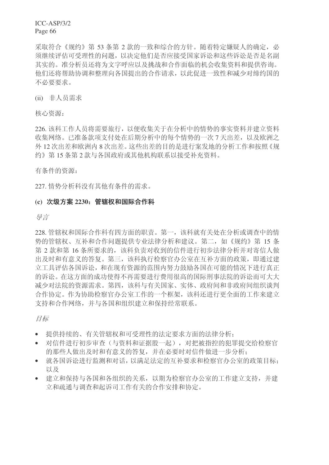采取符合《规约》第53 条第 2 款的一致和综合的方针。随着特定嫌疑人的确定, 必 须继续评估可受理性的问题,以决定他们是否应接受国家诉讼和这些诉讼是否是名副 其实的。准分析员还将为文字呼应以及挑战和合作面临的机会收集资料和提供咨询。 他们还将帮助协调和整理向各国提出的合作请求,以此促进一致性和减少对缔约国的 不必要要求。

(ii) 非人员需求

核心资源:

226. 该科工作人员将需要旅行, 以便收集关于在分析中的情势的事实资料并建立资料 收集网络。已准备款项支付处在后期分析中的每个情势的一次7天出差,以及欧洲之 外12 次出差和欧洲内 8 次出差。这些出差的目的是进行案发地的分析工作和按照《规 约》第15条第2款与各国政府或其他机构联系以接受补充资料。

有条件的资源:

227. 情势分析科没有其他有条件的需求。

### (c) 次级方案 2230: 管辖权和国际合作科

ᇐ㿔

228. 管辖权和国际合作科有四方面的职责。第一, 该科就有关处在分析或调查中的情 势的管辖权、互补和合作问题提供专业法律分析和建议。第二, 如《规约》第 15 条 第 2 款和第 16 条所要求的, 该科负责对收到的信件进行初步法律分析并对寄信人做 出及时和有意义的答复。第三,该科执行检察官办公室在互补方面的政策,即通过建 立工具评估各国诉讼,和在现有资源的范围内努力鼓励各国在可能的情况下进行真正 的诉讼。在这方面的成功使得不再需要进行费用很高的国际刑事法院的诉讼而可大大 减少对法院的资源需求。第四,该科与有关国家、实体、政府间和非政府间组织谈判 合作协定。作为协助检察官办公室工作的一个框架,该科还进行更全面的工作来建立 支持和合作网络,并与各国和组织建立和保持经常联系。

目标

- 提供持续的、有关管辖权和可受理性的法定要求方面的法律分析;
- 对信件进行初步审查(与资料和证据股一起), 对把被指控的犯罪提交给检察官 的那些人做出及时和有意义的答复,并在必要时对信件做进一步分析:
- 就各国诉讼进行监测和对话,以满足法定的互补要求和检察官办公室的政策目标: ҹঞ
- 建立和保持与各国和各组织的关系, 以期为检察官办公室的工作建立支持, 并建 立和疏通与调杳和起诉司工作有关的合作安排和协定。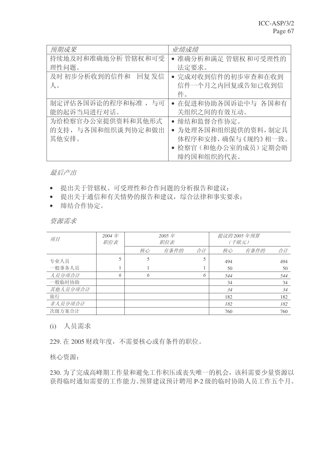| 预期成果                   | 业绩成绩                           |  |  |  |  |
|------------------------|--------------------------------|--|--|--|--|
| 持续地及时和准确地分析 管辖权和可受     | 准确分析和满足 管辖权 和可受理性的             |  |  |  |  |
| 理性问题。                  | 法定要求。                          |  |  |  |  |
| 回复 发信<br>及时 初步分析收到的信件和 | • 完成对收到信件的初步审查和在收到             |  |  |  |  |
| 人。                     | 信件一个月之内回复或告知已收到信               |  |  |  |  |
|                        | 件。                             |  |  |  |  |
| 制定评估各国诉讼的程序和标准, 与可     | • 在促进和协助各国诉讼中与 各国和有            |  |  |  |  |
| 能的起诉当局进行对话。            | 关组织之间的有效互动。                    |  |  |  |  |
| 为给检察官办公室提供资料和其他形式      | 缔结和监督合作协定。                     |  |  |  |  |
| 的支持, 与各国和组织谈判协定和做出     | 为处理各国和组织提供的资料,制定具<br>$\bullet$ |  |  |  |  |
| 其他安排。                  | 体程序和安排, 确保与《规约》相一致。            |  |  |  |  |
|                        | • 检察官(和他办公室的成员) 定期会晤           |  |  |  |  |
|                        | 缔约国和组织的代表。                     |  |  |  |  |

• 提出关于管辖权、可受理性和合作问题的分析报告和建议;

• 提出关于通信和有关情势的报告和建议,综合法律和事实要求;

• 缔结合作协定。

资源需求

| 项目       | 2004年<br>职位表 | 2005年<br>职位表 |      | 提议的2005年预算<br>(千欧元) |     |      |     |
|----------|--------------|--------------|------|---------------------|-----|------|-----|
|          |              | 核心           | 有条件的 | 合计                  | 核心  | 有条件的 | 合计  |
| 专业人员     | 5            | 5            |      | 5                   | 494 |      | 494 |
| 一般事务人员   |              |              |      | 1                   | 50  |      | 50  |
| 人员分项合计   | 6            | 6            |      | 6                   | 544 |      | 544 |
| 一般临时协助   |              |              |      |                     | 34  |      | 34  |
| 其他人员分项合计 |              |              |      |                     | 34  |      | 34  |
| 旅行       |              |              |      |                     | 182 |      | 182 |
| 非人员分项合计  |              |              |      |                     | 182 |      | 182 |
| 次级方案合计   |              |              |      |                     | 760 |      | 760 |

(i) 人员需求

229. 在2005 财政年度,不需要核心或有条件的职位。

核心资源:

230. 为了完成高峰期工作量和避免工作积压或丧失唯一的机会, 该科需要少量资源以 获得临时通知需要的工作能力。预算建议预计聘用 P-2 级的临时协助人员工作五个月。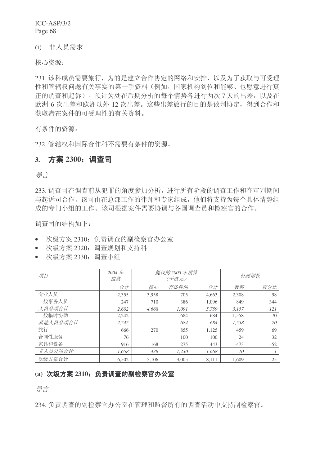(i) 非人员需求

核心资源:

231. 该科成员需要旅行, 为的是建立合作协定的网络和安排, 以及为了获取与可受理 性和管辖权问题有关事实的第一手资料(例如,国家机构到位和能够、也愿意进行真 正的调查和起诉)。预计为处在后期分析的每个情势各进行两次7天的出差,以及在 欧洲 6 次出差和欧洲以外 12 次出差。这些出差旅行的目的是谈判协定, 得到合作和 获取潜在案件的可受理性的有关资料。

有条件的资源:

232. 管辖权和国际合作科不需要有条件的资源。

# 3. 方案 2300: 调查司

异言

233. 调杳司在调杳前从犯罪的角度参加分析, 讲行所有阶段的调杳工作和在审判期间 与起诉司合作。该司由在总部工作的律师和专家组成,他们将支持为每个具体情势组 成的专门小组的工作。该司根据案件需要协调与各国调查员和检察官的合作。

调查司的结构如下:

- 次级方案 2310: 负责调查的副检察官办公室
- 次级方案 2320: 调查规划和支持科
- 次级方案 2330: 调查小组

| 项目       | 2004 $#$<br>拨款 | 提议的 2005 年预算<br>(千欧元) |       |       |          | 资源增长  |
|----------|----------------|-----------------------|-------|-------|----------|-------|
|          | 合计             | 核心                    | 有条件的  | 合计    | 数额       | 百分比   |
| 专业人员     | 2.355          | 3.958                 | 705   | 4.663 | 2,308    | 98    |
| 一般事务人员   | 247            | 710                   | 386   | 1,096 | 849      | 344   |
| 人员分项合计   | 2.602          | 4.668                 | 1.091 | 5.759 | 3,157    | 121   |
| 一般临时协助   | 2,242          |                       | 684   | 684   | $-1,558$ | $-70$ |
| 其他人员分项合计 | 2.242          |                       | 684   | 684   | $-1.558$ | $-70$ |
| 旅行       | 666            | 270                   | 855   | 1,125 | 459      | 69    |
| 合同性服务    | 76             |                       | 100   | 100   | 24       | 32    |
| 家具和设备    | 916            | 168                   | 275   | 443   | $-473$   | $-52$ |
| 非人员分项合计  | 1.658          | 438                   | 1.230 | 1.668 | 10       |       |
| 次级方案合计   | 6,502          | 5.106                 | 3,005 | 8.111 | 1.609    | 25    |

# (a) 次级方案 2310; 负责调查的副检察官办公室

导言

234. 负责调杳的副检察官办公室在管理和监督所有的调杳活动中支持副检察官。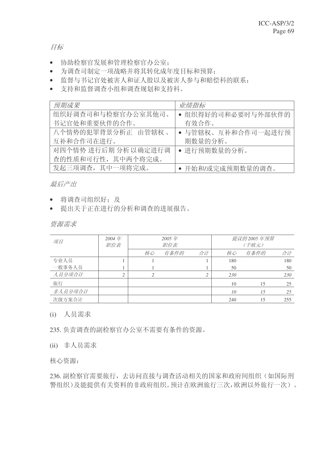目标

- 协助检察官发展和管理检察官办公室;
- 为调查司制定一项战略并将其转化成年度目标和预算;
- 监督与书记官处被害人和证人股以及被害人参与和赔偿科的联系:
- 支持和监督调查小组和调查规划和支持科。

| 预期成果                | 业绩指标               |
|---------------------|--------------------|
| 组织好调查司和与检察官办公室其他司、  | • 组织得好的司和必要时与外部伙伴的 |
| 书记官处和重要伙伴的合作。       | 有效合作。              |
| 八个情势的犯罪背景分析正 由管辖权、  | • 与管辖权、互补和合作司一起进行预 |
| 互补和合作司在进行。          | 期数量的分析。            |
| 对四个情势 进行后期 分析以确定进行调 | • 进行预期数量的分析。       |
| 杳的性质和可行性, 其中两个将完成。  |                    |
| 发起三项调查, 其中一项将完成。    | • 开始和/或完成预期数量的调查。  |

最后产出

- 将调查司组织好: 及
- 提出关于正在进行的分析和调查的进展报告。

资源需求

| 项目      | 2004年<br>职位表 | 2005年<br>职位表 |      |    |     | 提议的2005年预算<br>(千欧元) |     |
|---------|--------------|--------------|------|----|-----|---------------------|-----|
|         |              | 核心           | 有条件的 | 合计 | 核心  | 有条件的                | 合计  |
| 专业人员    |              |              |      |    | 180 |                     | 180 |
| 一般事务人员  |              |              |      |    | 50  |                     | 50  |
| 人员分项合计  | $\bigcirc$   |              |      | 2  | 230 |                     | 230 |
| 旅行      |              |              |      |    | 10  | 15                  | 25  |
| 非人员分项合计 |              |              |      |    | 10  | 15                  | 25  |
| 次级方案合计  |              |              |      |    | 240 | 15                  | 255 |

(i) 人员需求

235. 负责调查的副检察官办公室不需要有条件的资源。

(ii) 非人员需求

核心资源:

236. 副检察官需要旅行, 去访问直接与调查活动相关的国家和政府间组织(如国际刑 警组织)及能提供有关资料的非政府组织。预计在欧洲旅行三次,欧洲以外旅行一次)。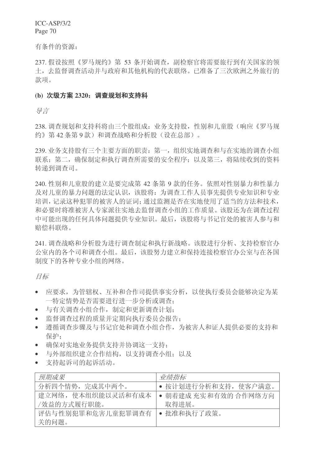有条件的资源:

237. 假设按照《罗马规约》第 53 条开始调查, 副检察官将需要旅行到有关国家的领 十,夫监督调杳活动并与政府和其他机构的代表联络。已准备了三次欧洲之外旅行的 款项。

#### (b) 次级方案 2320: 调查规划和支持科

号言

238. 调查规划和支持科将由三个股组成: 业务支持股, 性别和儿童股(响应《罗马规 约》第42条第9款)和调查战略和分析股(设在总部)。

239. 业务支持股有三个主要方面的职责: 第一, 组织实地调查和与在实地的调查小组 联系; 第二, 确保制定和执行调查所需要的安全程序; 以及第三, 将陆续收到的资料 转涕到调杳司。

240. 性别和儿童股的建立是要完成第42 条第9款的任务。依照对性别暴力和性暴力 及对儿童的暴力问题的法定认识,该股将:为调查工作人员事先提供专业知识和专业 培训,记录这种犯罪的被害人的证词;通过监测是否在实地使用了适当的方法和技术, 和必要时将准被害人专家派往实地去监督调查小组的工作质量。该股还为在调查过程 中可能出现的任何具体问题提供专业知识。最后,该股将与书记官处的被害人参与和 赔偿科联络。

241. 调杳战略和分析股为进行调杳制定和执行新战略。该股进行分析、支持检察官办 公室内的各个司和调查小组。最后,该股努力建立和保持连接检察官办公室与在各国 制度下的各种专业小组的网络。

目标

- 应要求, 为管辖权、互补和合作司提供事实分析, 以使执行委员会能够决定为某 一特定情势是否需要讲行讲一步分析或调查:
- 与有关调查小组合作, 制定和更新调查计划:
- 监督调查过程的质量并定期向执行委员会报告:
- 遵循调查步骤及与书记官处和调查小组合作,为被害人和证人提供必要的支持和 保护:
- 确保对实地业务提供支持并协调这一支持:
- 与外部组织建立合作结构, 以支持调查小组: 以及
- 支持起诉司的起诉活动。

| 预期成果               | 业绩指标                 |
|--------------------|----------------------|
| 分析四个情势,完成其中两个。     | • 按计划进行分析和支持, 使客户满意。 |
| 建立网络, 使本组织能以灵活和有成本 | • 朝着建成 充实和有效的 合作网络方向 |
| /效益的方式履行职能。        | 取得讲展。                |
| 评估与性别犯罪和危害儿童犯罪调查有  | •批准和执行了政策。           |
| 关的问题。              |                      |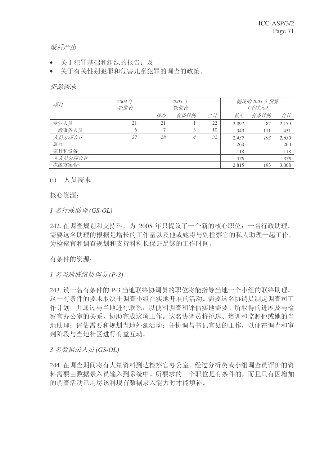• 关于犯罪基础和组织的报告; 及

• 关于有关性别犯罪和危害儿童犯罪的调查的政策。

済源需求

| 项目      | 2004年<br>职位表 | 2005年<br>职位表 |                |    |       | 提议的 2005 年预算<br>(千欧元) |       |
|---------|--------------|--------------|----------------|----|-------|-----------------------|-------|
|         |              | 核心           | 有条件的           | 合计 | 核心    | 有条件的                  | 合计    |
| 专业人员    | 21           | 21           |                | 22 | 2,097 | 82                    | 2,179 |
| 一般事务人员  | 6            |              | 3              | 10 | 340   | 111                   | 451   |
| 人员分项合计  | 27           | 28           | $\overline{4}$ | 32 | 2,437 | 193                   | 2,630 |
| 旅行      |              |              |                |    | 260   |                       | 260   |
| 家具和设备   |              |              |                |    | 118   |                       | 118   |
| 非人员分项合计 |              |              |                |    | 378   |                       | 378   |
| 次级方案合计  |              |              |                |    | 2.815 | 193                   | 3.008 |

(i) 人员需求

核心资源:

 $1$  名行政助理(GS-OL)

242. 在调查规划和支持科,为 2005 年只提议了一个新的核心职位:一名行政助理。 需要这名助理的根据是增长的工作量以及他或她将与副检察官的私人助理一起工作, 为检察官和调查规划和支持科科长保证足够的工作时间。

有条件的资源:

1 名当地联络协调员 (P-3)

243. 设一名有条件的 P-3 当地联络协调员的职位将能指导当地一个小组的联络助理。 这一有条件的要求取决于调查小组在实地开展的活动。需要这名协调员制定调查司工 作计划,并通过与当地进行联系,以便利调查和评估实地需要、所取得的进展及与检 察官办公室的关系, 协助完成这项工作。这名协调员将挑选、培训和监测他或她的当 地助理:评估需要和规划当地外延活动:并协调与书记官处的工作,以便在调杳和审 判阶段与当地社区进行有益互动。

*3* ৡ᭄ᔩܹਬ *(GS-OL)*

244. 在调查期间将有大量资料到达检察官办公室。经过分析员或小组调查员评价的资 料需要由数据录入员输入到系统中。所要求的三个职位是有条件的,而且只有因增加 的调查活动已用尽该科现有数据录入能力时才能填补。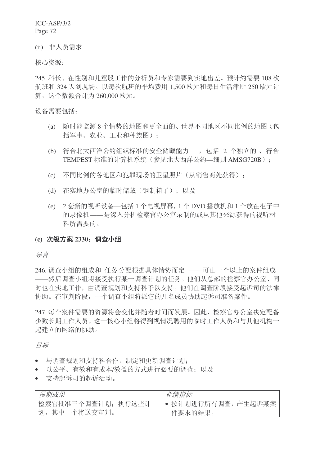(ii) 非人员需求

核心资源:

245. 科长、在性别和儿童股工作的分析员和专家需要到实地出差。预计约需要108次 航班和 324 天到现场。以每次航班的平均费用 1,500 欧元和每日生活津贴 250 欧元计 算, 这个数额合计为 260,000 欧元。

设备需要包括:

- (a) 随时能监测 8 个情势的地图和更全面的、世界不同地区不同比例的地图(包 括军事、农业、工业和种族图);
- (b) 符合北大西洋公约组织标准的安全储藏能力 , 包括 2 个独立的、符合 TEMPEST 标准的计算机系统(参见北大西洋公约—细则 AMSG720B):
- (c) 不同比例的各地区和犯罪现场的卫星照片(从销售商处获得):
- (d) 在实地办公室的临时储藏(钢制箱子): 以及
- (e) 2 套新的视听设备——包括 1 个电视屏幕, 1 个 DVD 播放机和 1 个放在柜子中 的录像机——是深入分析检察官办公室录制的或从其他来源获得的视听材 料所需要的。

#### (c) 次级方案 2330; 调查小组

导言

246. 调查小组的组成和 任务分配根据具体情势而定 ——可由一个以上的案件组成 ——然后调杳小组将接受执行某一调查计划的任务。他们从总部的检察官办公室、同 时也在实地工作, 由调查规划和支持科予以支持。他们在调查阶段接受起诉司的法律 协助。在审判阶段, 一个调查小组将派它的几名成员协助起诉司准备案件。

247. 每个案件需要的资源将会变化并随着时间而发展。因此, 检察官办公室决定配备 少数长期工作人员。这一核心小组将得到视情况聘用的临时工作人员和与其他机构一 起建立的网络的协助。

目标

- 与调杳规划和支持科合作, 制定和更新调查计划:
- 以公平、有效和有成本/效益的方式进行必要的调查: 以及
- 支持起诉司的起诉活动。

| 预期成果               | 业绩指标               |
|--------------------|--------------------|
| 检察官批准三个调查计划; 执行这些计 | • 按计划讲行所有调查,产生起诉某案 |
| 其中一个将送交审判。<br>划,   | 件要求的结果。            |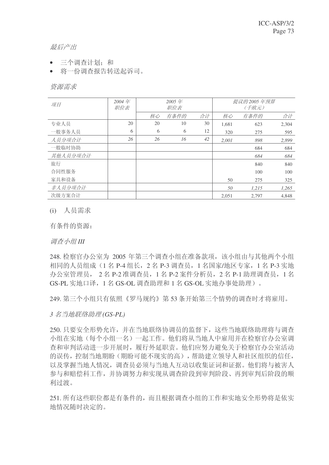- 三个调查计划; 和
- 将一份调杳报告转送起诉司。

済源需求

| 项目       | 2004年<br>职位表 | 2005 $#$<br>职位表 |      |    | 提议的 2005 年预算<br>(千欧元) |       |       |
|----------|--------------|-----------------|------|----|-----------------------|-------|-------|
|          |              | 核心              | 有条件的 | 合计 | 核心                    | 有条件的  | 合计    |
| 专业人员     | 20           | 20              | 10   | 30 | 1,681                 | 623   | 2,304 |
| 一般事务人员   | 6            | 6               | 6    | 12 | 320                   | 275   | 595   |
| 人员分项合计   | 26           | 26              | 16   | 42 | 2.001                 | 898   | 2,899 |
| 一般临时协助   |              |                 |      |    |                       | 684   | 684   |
| 其他人员分项合计 |              |                 |      |    |                       | 684   | 684   |
| 旅行       |              |                 |      |    |                       | 840   | 840   |
| 合同性服务    |              |                 |      |    |                       | 100   | 100   |
| 家具和设备    |              |                 |      |    | 50                    | 275   | 325   |
| 非人员分项合计  |              |                 |      |    | 50                    | 1,215 | 1,265 |
| 次级方案合计   |              |                 |      |    | 2,051                 | 2.797 | 4.848 |

(i) 人员需求

有条件的资源:

䇗ᶹᇣ㒘 *III*

248. 检察官办公室为 2005 年第三个调查小组在准备款项, 该小组由与其他两个小组 相同的人员组成(1名P-4组长, 2名P-3 调查员, 1名国家/地区专家, 1名P-3 实地 办公室管理员, 2名 P-2 准调查员, 1名 P-2 案件分析员, 2名 P-1 助理调查员, 1名  $GS$ -PL 实地口译, 1 名  $GS$ -OL 调查助理和 1 名  $GS$ -OL 实地办事处助理)。

249. 第三个小组只有依照《罗马规约》第53 条开始第三个情势的调查时才将雇用。

*3* ৡᔧഄ㘨㒰ࡽ*)* ⧛*GS-PL)*

250. 只要安全形势允许, 并在当地联络协调员的监督下, 这些当地联络助理将与调查 小组在实地(每个小组一名)一起工作。他们将从当地人中雇用并在检察官办公室调 杳和审判活动进一步开展时, 履行外延职责。他们应努力避免关于检察官办公室活动 的误传, 控制当地期盼(期盼可能不现实的高), 帮助建立领导人和社区组织的信任, 以及掌握当地人情况, 调查员必须与当地人互动以收集证词和证据。他们将与被害人 参与和赔偿科工作,并协调努力和实现从调查阶段到审判阶段、再到审判后阶段的顺 利过渡。

251. 所有这些职位都是有条件的, 而且根据调查小组的工作和实地安全形势将是依实 地情况随时决定的。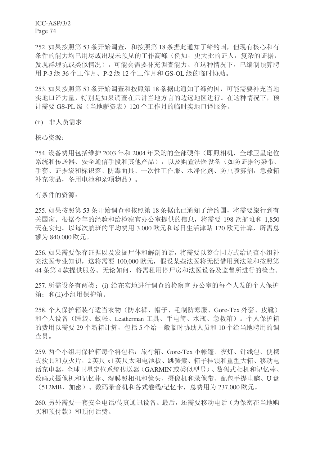252. 如果按照第53 条开始调杳, 和按照第18 条据此通知了缔约国, 但现有核心和有 条件的能力均已用尽或出现未预见的工作高峰(例如,更大批的证人,复杂的证据, 发现群埋坑或类似情况),可能会需要补充调杳能力。在这种情况下,已编制预算聘 用 P-3 级 36 个工作月、P-2 级 12 个工作月和 GS-OL 级的临时协助。

253. 如果按照第53 条开始调查和按照第18 条据此通知了缔约国,可能需要补充当地 实地口译力量,特别是如果调查在只讲当地方言的边远地区进行。在这种情况下,预 计需要 GS-PL 级 (当地薪资表) 120 个工作月的临时实地口译服务。

(ii) 非人员需求

核心资源:

254. 设备费用包括维护 2003 年和 2004 年采购的全部硬件(即照相机, 全球卫星定位 系统和传送器、安全通信手段和其他产品),以及购置法医设备(如防证据污染带、 手套、证据袋和标识签、防毒面具、一次性工作服、水净化剂、防虫喷雾剂, 急救箱 补充物品, 备用电池和杂项物品)。

有条件的资源:

255. 如果按照第53 条开始调杳和按照第18 条据此已通知了缔约国, 将需要旅行到有 关国家。根据今年的经验和给检察官办公室提供的信息, 将需要 198 次航班和 1.850 天在实地。以每次航班的平均费用 3,000 欧元和每日生活津贴 120 欧元计算, 所需总 额为 840,000 欧元。

256. 如果需要保存证据以及发掘尸体和解剖的话, 将需要以签合同方式给调查小组补 充法医专业知识, 这将需要 100,000 欧元, 假设某些法医将无偿借用到法院和按照第 44 条第 4 款提供服务。无论如何, 将需租用停尸房和法医设备及监督所进行的检查。

257. 所需设备有两类: (i) 给在实地进行调查的检察官办公室的每个人发的个人保护 箱: 和(ii)小组用保护箱。

258. 个人保护箱装有适当衣物(防水裤、帽子、毛制防寒服、Gore-Tex 外套、皮靴) 和个人设备(睡袋、蚊帐、Leatherman 工具、手电筒、水瓶、急救箱)。个人保护箱 的费用以需要29个新箱计算,包括5个给一般临时协助人员和10个给当地聘用的调 杳员。

259. 两个小组用保护箱每个将包括: 旅行箱、Gore-Tex 小帐篷、夜灯、针线包、便携 式炊具和点火片, 2 英尺 x1 英尺太阳电池板、跳簧索、箱子挂锁和重型大箱、移动电 话充电器, 全球卫星定位系统传送器(GARMIN 或类似型号)、数码式相机和记忆棒、 数码式摄像机和记忆棒、湿膜照相机和镜头、摄像机和录像带、配包手提电脑、U 盘 (512MB、加密)、数码录音机和各式卷缆/记忆卡, 总费用为 237,000 欧元。

260. 另外需要一套安全电话/传真通讯设备。最后, 还需要移动电话(为保密在当地购 买和预付款)和预付话费。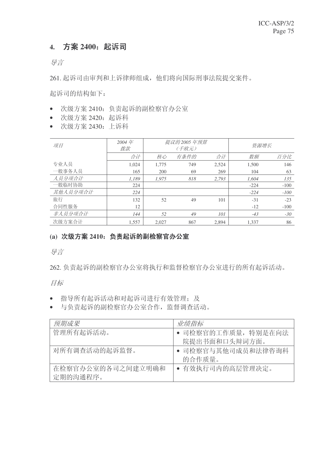# 4. 方案 2400: 起诉司

导言

261. 起诉司由审判和上诉律师组成, 他们将向国际刑事法院提交案件。

起诉司的结构如下:

- 次级方案 2410: 负责起诉的副检察官办公室
- 次级方案 2420: 起诉科
- 次级方案 2430: 上诉科

| 项目       | 2004 $#$<br>拨款 | 提议的 2005 年预算<br>(千欧元) |      |       |        | 资源增长   |
|----------|----------------|-----------------------|------|-------|--------|--------|
|          | 合计             | 核心                    | 有条件的 | 合计    | 数额     | 百分比    |
| 专业人员     | 1.024          | 1.775                 | 749  | 2,524 | 1,500  | 146    |
| 一般事务人员   | 165            | 200                   | 69   | 269   | 104    | 63     |
| 人员分项合计   | 1.189          | 1.975                 | 818  | 2,793 | 1,604  | 135    |
| 一般临时协助   | 224            |                       |      |       | $-224$ | $-100$ |
| 其他人员分项合计 | 224            |                       |      |       | $-224$ | $-100$ |
| 旅行       | 132            | 52                    | 49   | 101   | $-31$  | $-23$  |
| 合同性服务    | 12             |                       |      |       | $-12$  | $-100$ |
| 非人员分项合计  | 144            | 52                    | 49   | 101   | $-43$  | $-30$  |
| 次级方案合计   | 1.557          | 2.027                 | 867  | 2.894 | 1.337  | 86     |

# (a) 次级方案 2410: 负责起诉的副检察官办公室

景言

262. 负责起诉的副检察官办公室将执行和监督检察官办公室进行的所有起诉活动。

目标

- 指导所有起诉活动和对起诉司进行有效管理;及
- 与负责起诉的副检察官办公室合作, 监督调查活动。

| 预期成果                          | 业绩指标                                 |
|-------------------------------|--------------------------------------|
| 管理所有起诉活动。                     | • 司检察官的工作质量, 特别是在向法<br>院提出书面和口头辩词方面。 |
| 对所有调查活动的起诉监督。                 | • 司检察官与其他司成员和法律咨询科<br>的合作质量。         |
| 在检察官办公室的各司之间建立明确和<br>定期的沟通程序。 | • 有效执行司内的高层管理决定。                     |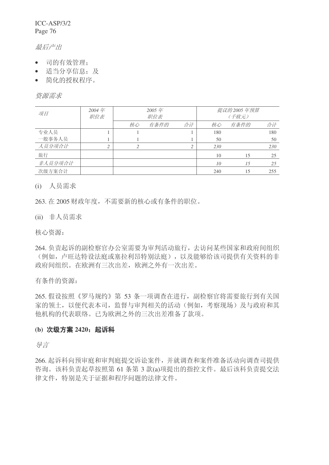# 最后产出

- 司的有效管理;
- 适当分享信息: 及
- 简化的授权程序。

# 资源需求

| 项目      | 2004年<br>职位表   | 2005年<br>职位表 |      |    | 提议的2005年预算<br>(千欧元) |      |     |
|---------|----------------|--------------|------|----|---------------------|------|-----|
|         |                | 核心           | 有条件的 | 合计 | 核心                  | 有条件的 | 合计  |
| 专业人员    |                |              |      |    | 180                 |      | 180 |
| 一般事务人员  |                |              |      |    | 50                  |      | 50  |
| 人员分项合计  | $\overline{c}$ |              |      | 2  | 230                 |      | 230 |
| 旅行      |                |              |      |    | 10                  | 15   | 25  |
| 非人员分项合计 |                |              |      |    | 10                  | 15   | 25  |
| 次级方案合计  |                |              |      |    | 240                 | 15   | 255 |

(i) 人员需求

263. 在2005 财政年度, 不需要新的核心或有条件的职位。

(ii) 非人员需求

核心资源:

264. 负责起诉的副检察官办公室需要为审判活动旅行, 去访问某些国家和政府间组织 (例如, 卢旺达特设法庭或塞拉利昂特别法庭), 以及能够给该司提供有关资料的非 政府间组织。在欧洲有三次出差, 欧洲之外有一次出差。

有条件的资源:

265. 假设按照《罗马规约》第53 条一项调查在进行, 副检察官将需要旅行到有关国 家的领土,以便代表本司,监督与审判相关的活动(例如,考察现场)及与政府和其 他机构的代表联络。已为欧洲之外的三次出差准备了款项。

# (b) 次级方案 2420: 起诉科

ᇐ㿔

266. 起诉科向预审庭和审判庭提交诉讼案件, 并就调查和案件准备活动向调查司提供 咨询。该科负责起草按照第 61 条第 3 款(a)项提出的指控文件。最后该科负责提交法 律文件, 特别是关于证据和程序问题的法律文件。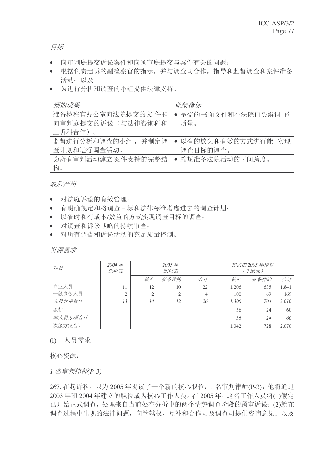目标

- 向审判庭提交诉讼案件和向预审庭提交与案件有关的问题;
- 根据负责起诉的副检察官的指示,并与调查司合作,指导和监督调查和案件准备 活动: 以及
- 为进行分析和调查的小组提供法律支持。

| 预期成果               | 业绩指标                   |
|--------------------|------------------------|
| 准备检察官办公室向法院提交的文 件和 | • 呈交的书面文件和在法院口头辩词<br>的 |
| 向审判庭提交的诉讼(与法律咨询科和  | 质量。                    |
| 上诉科合作)。            |                        |
| 监督进行分析和调查的小组, 并制定调 | • 以有的放矢和有效的方式进行能 实现    |
| 杳计划和进行调查活动。        | 调查目标的调查。               |
| 为所有审判活动建立 案件支持的完整结 | •缩短准备法院活动的时间跨度。        |
| 构。                 |                        |

最后产出

- 对法庭诉讼的有效管理:
- 有明确规定和将调查目标和法律标准考虑进去的调查计划;
- 以省时和有成本/效益的方式实现调查目标的调查;
- 对调查和诉讼战略的持续审查:
- 对所有调查和诉讼活动的充足质量控制。

资源需求

| 项目      | 2004年<br>职位表 | 2005 $#$<br>职位表 |      |    |       | 提议的 2005 年预算<br>(千欧元) |       |
|---------|--------------|-----------------|------|----|-------|-----------------------|-------|
|         |              | 核心              | 有条件的 | 合计 | 核心    | 有条件的                  | 合计    |
| 专业人员    | 11           | 12              | 10   | 22 | 1,206 | 635                   | 1,841 |
| 一般事务人员  | $\bigcap$    | $\mathcal{D}$   |      | 4  | 100   | 69                    | 169   |
| 人员分项合计  | 13           | 14              | 12   | 26 | 1.306 | 704                   | 2,010 |
| 旅行      |              |                 |      |    | 36    | 24                    | 60    |
| 非人员分项合计 |              |                 |      |    | 36    | 24                    | 60    |
| 次级方案合计  |              |                 |      |    | 1.342 | 728                   | 2.070 |

(i) 人员需求

核心资源:

 $1$  名审判律师(P-3)

267. 在起诉科, 只为 2005 年提议了一个新的核心职位: 1 名审判律师(P-3), 他将通过 2003年和2004年建立的职位成为核心工作人员。在2005年,这名工作人员将(1)假定 己开始正式调查, 处理来自当前处在分析中的两个情势调查阶段的预审诉讼: (2)就在 调查过程中出现的法律问题, 向管辖权、互补和合作司及调查司提供咨询意见; 以及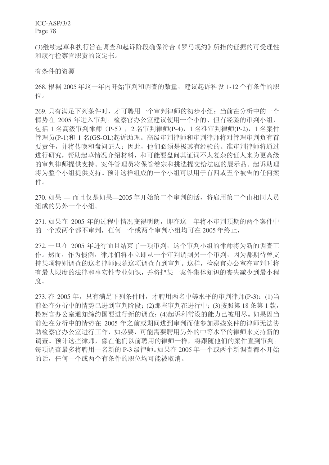(3) 继续起草和执行旨在调查和起诉阶段确保符合《罗马规约》所指的证据的可受理性 和履行检察官职责的议定书。

有条件的资源

268. 根据 2005 年这一年内开始审判和调查的数量, 建议起诉科设 1-12 个有条件的职 位。

269. 只有满足下列条件时, 才可聘用一个审判律师的初步小组: 当前在分析中的一个 情势在 2005 年进入审判。检察官办公室建议使用一个小的、但有经验的审判小组, 包括 1 名高级审判律师 (P-5), 2 名审判律师(P-4), 1 名准审判律师(P-2), 1 名案件 管理员(P-1)和 1 名(GS-OL)起诉助理。高级审判律师和审判律师将对管理审判负有首 要责任,并将传唤和盘问证人;因此,他们必须是极其有经验的。准审判律师将通过 进行研究,帮助起草情况介绍材料,和可能要盘问其证词不太复杂的证人来为更高级 的审判律师提供支持。案件管理员将保管卷宗和挑选提交给法庭的展示品。起诉助理 将为整个小组提供支持。预计这样组成的一个小组可以用于有四或五个被告的任何案 件。

 $270.$  如果 — 而且仅是如果—2005 年开始第二个审判的话,将雇用第二个中相同人员 组成的另外一个小组。

271. 如果在 2005 年的过程中情况变得明朗, 即在这一年将不审判预期的两个案件中 的一个或两个都不审判, 任何一个或两个审判小组均可在 2005 年终止,

272. 一旦在 2005 年进行而且结束了一项审判, 这个审判小组的律师将为新的调查工 作。然而,作为惯例,律师们将不立即从一个审判调到另一个审判,因为都期待曾支 持某项特别调查的这名律师跟随这项调查直到审判。这样,检察官办公室在审判时将 有最大限度的法律和事实性专业知识,并将把某一案件集体知识的丧失减少到最小程 度。

273. 在 2005 年, 只有满足下列条件时, 才聘用两名中等水平的审判律师(P-3): (1)当 前处在分析中的情势已进到审判阶段:(2)那些审判在进行中;(3)按照第18条第1款, 检察官办公室通知缔约国要进行新的调查: (4)起诉科常设的能力已被用尽。如果因当 前处在分析中的情势在 2005 年之前或期间进到审判而使参加那些案件的律师无法协 助检察官办公室进行工作, 如必要, 可能需要聘用另外的中等水平的律师来支持新的 调查。预计这些律师,像在他们以前聘用的律师一样,将跟随他们的案件直到审判。 每项调查最多将聘用一名新的 P-3 级律师。如果在 2005 年一个或两个新调查都不开始 的话, 任何一个或两个有条件的职位均可能被取消。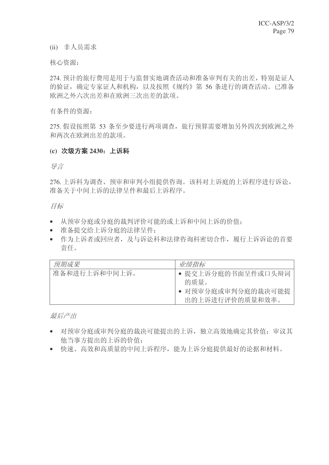(ii) 非人员需求

核心资源:

274. 预计的旅行费用是用于与监督实地调查活动和准备审判有关的出差, 特别是证人 的验证, 确定专家证人和机构, 以及按照《规约》第56 条进行的调查活动。已准备 欧洲之外六次出差和在欧洲三次出差的款项。

有条件的资源:

275. 假设按照第 53 条至少要进行两项调查, 旅行预算需要增加另外四次到欧洲之外 和两次在欧洲出差的款项。

#### (c) 次级方案 2430; 上诉科

ᇐ㿔

276. 上诉科为调查、预审和审判小组提供咨询。该科对上诉庭的上诉程序进行诉讼, 准备关于中间上诉的法律呈件和最后上诉程序。

月标

- 从预审分庭或分庭的裁判评价可能的或上诉和中间上诉的价值:
- 准备提交给上诉分庭的法律呈件:
- 作为上诉者或回应者, 及与诉讼科和法律咨询科密切合作, 履行上诉诉讼的首要 责任。

| 预期成果          | 业绩指标               |
|---------------|--------------------|
| 准备和进行上诉和中间上诉。 | • 提交上诉分庭的书面呈件或口头辩词 |
|               | 的质量。               |
|               | • 对预审分庭或审判分庭的裁决可能提 |
|               | 出的上诉进行评价的质量和效率。    |

最后产出

- 对预审分庭或审判分庭的裁决可能提出的上诉, 独立高效地确定其价值: 审议其 他当事方提出的上诉的价值:
- 快速、高效和高质量的中间上诉程序,能为上诉分庭提供最好的论据和材料。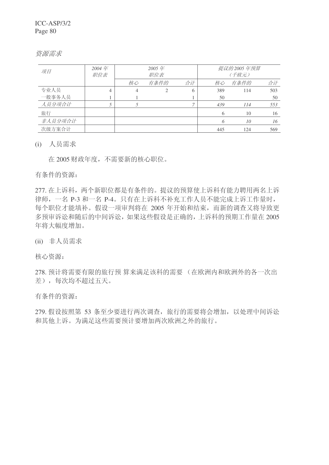资源需求

| 项目      | 2004年<br>职位表 | 2005年<br>职位表 |      |                | 提议的 2005 年预算<br>(千欧元) |      |     |
|---------|--------------|--------------|------|----------------|-----------------------|------|-----|
|         |              | 核心           | 有条件的 | 合计             | 核心                    | 有条件的 | 合计  |
| 专业人员    | 4            | 4            |      | 6              | 389                   | 114  | 503 |
| 一般事务人员  |              |              |      |                | 50                    |      | 50  |
| 人员分项合计  |              |              |      | $\overline{7}$ | 439                   | 114  | 553 |
| 旅行      |              |              |      |                | O                     | 10   | 16  |
| 非人员分项合计 |              |              |      |                |                       | 10   | 16  |
| 次级方案合计  |              |              |      |                | 445                   | 124  | 569 |

(i) 人员需求

在 2005 财政年度,不需要新的核心职位。

有条件的资源:

277. 在上诉科, 两个新职位都是有条件的。提议的预算使上诉科有能力聘用两名上诉 律师, 一名 P-3 和一名 P-4。只有在上诉科不补充工作人员不能完成上诉工作量时, 每个职位才能填补。假设一项审判将在 2005 年开始和结束, 而新的调查又将导致更 多预审诉讼和随后的中间诉讼,如果这些假设是正确的,上诉科的预期工作量在2005 年将大幅度增加。

(ii) 非人员需求

核心资源:

278. 预计将需要有限的旅行预 算来满足该科的需要 (在欧洲内和欧洲外的各一次出 差), 每次均不超过五天。

有条件的资源:

279. 假设按照第 53 条至少要进行两次调查, 旅行的需要将会增加, 以处理中间诉讼 和其他上诉。为满足这些需要预计要增加两次欧洲之外的旅行。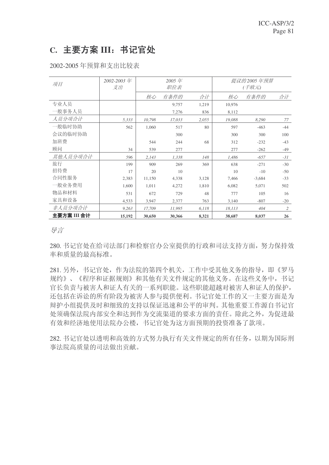# **C.** 主要方案 III: 书记官处

2002-2005 年预算和支出比较表

| 项目          | 2002-2003 年<br>支出 |        | 2005年<br>职位表 |       |        | 提议的 2005 年预算<br>(千欧元) |       |
|-------------|-------------------|--------|--------------|-------|--------|-----------------------|-------|
|             |                   | 核心     | 有条件的         | 合计    | 核心     | 有条件的                  | 合计    |
| 专业人员        |                   |        | 9,757        | 1,219 | 10,976 |                       |       |
| 一般事务人员      |                   |        | 7,276        | 836   | 8,112  |                       |       |
| 人员分项合计      | 5,333             | 10,798 | 17,033       | 2,055 | 19,088 | 8,290                 | 77    |
| 一般临时协助      | 562               | 1,060  | 517          | 80    | 597    | $-463$                | $-44$ |
| 会议的临时协助     |                   |        | 300          |       | 300    | 300                   | 100   |
| 加班费         |                   | 544    | 244          | 68    | 312    | $-232$                | $-43$ |
| 顾问          | 34                | 539    | 277          |       | 277    | $-262$                | $-49$ |
| 其他人员分项合计    | 596               | 2,143  | 1.338        | 148   | 1,486  | $-657$                | $-31$ |
| 旅行          | 199               | 909    | 269          | 369   | 638    | $-271$                | $-30$ |
| 招待费         | 17                | 20     | 10           |       | 10     | $-10$                 | $-50$ |
| 合同性服务       | 2,383             | 11,150 | 4,338        | 3,128 | 7,466  | $-3,684$              | $-33$ |
| 一般业务费用      | 1,600             | 1,011  | 4,272        | 1,810 | 6,082  | 5,071                 | 502   |
| 物品和材料       | 531               | 672    | 729          | 48    | 777    | 105                   | 16    |
| 家具和设备       | 4,533             | 3,947  | 2,377        | 763   | 3,140  | $-807$                | $-20$ |
| 非人员分项合计     | 9,263             | 17,709 | 11,995       | 6,118 | 18,113 | 404                   | 2     |
| 主要方案 III 合计 | 15,192            | 30,650 | 30,366       | 8,321 | 38,687 | 8,037                 | 26    |

导言

280. 书记官处在给司法部门和检察官办公室提供的行政和司法支持方面, 努力保持效 率和质量的最高标准。

281. 另外, 书记官处, 作为法院的第四个机关, 工作中受其他义务的指导, 即《罗马 规约》、《程序和证据规则》和其他有关文件规定的其他义务。在这些义务中,书记 官长负责与被害人和证人有关的一系列职能。这些职能超越对被害人和证人的保护, 还包括在诉讼的所有阶段为被害人参与提供便利。书记官处工作的又一主要方面是为 辩护小组提供及时和细致的支持以保证迅速和公平的审判。其他重要工作源自书记官 处须确保法院内部安全和达到作为交流渠道的要求方面的责任。除此之外,为促进最 有效和经济地使用法院办公楼,书记官处为这方面预期的投资准备了款项。

282. 书记官处以透明和高效的方式努力执行有关文件规定的所有任务, 以期为国际刑 事法院高质量的司法做出贡献。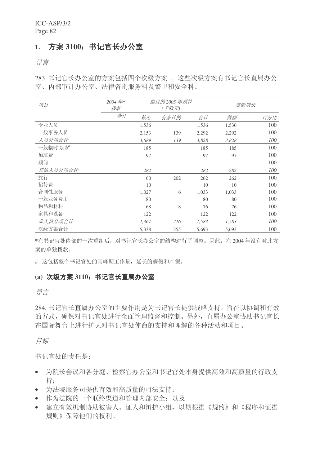# 1. 方案 3100: 书记官长办公室

导言

283. 书记官长办公室的方案包括四个次级方案 。这些次级方案有书记官长直属办公 室、内部审计办公室、法律咨询服务科及警卫和安全科。

| 项目       | 2004年*<br>拨款 | 提议的2005 年预算<br>(千欧元) |      |       | 资源增长  |     |
|----------|--------------|----------------------|------|-------|-------|-----|
|          | 合计           | 核心                   | 有条件的 | 合计    | 数额    | 百分比 |
| 专业人员     |              | 1,536                |      | 1,536 | 1,536 | 100 |
| 一般事务人员   |              | 2,153                | 139  | 2,292 | 2,292 | 100 |
| 人员分项合计   |              | 3,689                | 139  | 3,828 | 3,828 | 100 |
| 一般临时协助#  |              | 185                  |      | 185   | 185   | 100 |
| 加班费      |              | 97                   |      | 97    | 97    | 100 |
| 顾问       |              |                      |      |       |       | 100 |
| 其他人员分项合计 |              | 282                  |      | 282   | 282   | 100 |
| 旅行       |              | 60                   | 202  | 262   | 262   | 100 |
| 招待费      |              | 10                   |      | 10    | 10    | 100 |
| 合同性服务    |              | 1,027                | 6    | 1,033 | 1,033 | 100 |
| 一般业务费用   |              | 80                   |      | 80    | 80    | 100 |
| 物品和材料    |              | 68                   | 8    | 76    | 76    | 100 |
| 家具和设备    |              | 122                  |      | 122   | 122   | 100 |
| 非人员分项合计  |              | 1,367                | 216  | 1,583 | 1,583 | 100 |
| 次级方案合计   |              | 5,338                | 355  | 5,693 | 5,693 | 100 |

\*在书记官处内部的一次重组后, 对书记官长办公室的结构进行了调整。因此, 在 2004 年没有对此方 案的单独拨款。

# 这包括整个书记官处的高峰期工作量, 延长的病假和产假。

#### (a) 次级方案 3110: 书记官长直属办公室

导言

284. 书记官长直属办公室的主要作用是为书记官长提供战略支持。旨在以协调和有效 的方式, 确保对书记官处进行全面管理监督和控制。另外, 直属办公室协助书记官长 在国际舞台上进行扩大对书记官处使命的支持和理解的各种活动和项目。

目标

书记官处的责任是:

- 为院长会议和各分庭、检察官办公室和书记官处本身提供高效和高质量的行政支 持:
- 为法院服务司提供有效和高质量的司法支持;
- 作为法院的一个联络渠道和管理内部安全: 以及
- 建立有效机制协助被害人、证人和辩护小组, 以期根据《规约》和《程序和证据 规则》保障他们的权利。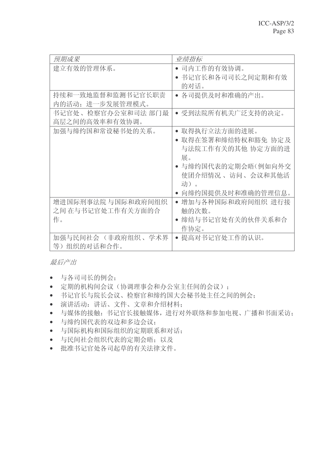| 预期成果                                          | 业绩指标                                                                                                                                                |
|-----------------------------------------------|-----------------------------------------------------------------------------------------------------------------------------------------------------|
| 建立有效的管理体系。                                    | • 司内工作的有效协调。                                                                                                                                        |
|                                               | 书记官长和各司司长之间定期和有效<br>的对话。                                                                                                                            |
| 持续和一致地监督和监测书记官长职责<br>进一步发展管理模式。<br>内的活动:      | • 各司提供及时和准确的产出。                                                                                                                                     |
| 书记官处 、检察官办公室和司法 部门最<br>高层之间的高效率和有效协调。         | • 受到法院所有机关广泛支持的决定。                                                                                                                                  |
| 加强与缔约国和常设秘书处的关系。                              | • 取得执行立法方面的进展。<br>取得在签署和缔结特权和豁免 协定及<br>$\bullet$<br>与法院工作有关的其他 协定方面的进<br>展。<br>• 与缔约国代表的定期会晤(例如向外交<br>使团介绍情况 、访问、会议和其他活<br>动)。<br>向缔约国提供及时和准确的管理信息。 |
| 增进国际刑事法院 与国际和政府间组织<br>之间 在与书记官处工作有关方面的合<br>作。 | ● 增加与各种国际和政府间组织 进行接<br>触的次数。<br>缔结与书记官处有关的伙伴关系和合<br>作协定。                                                                                            |
| 加强与民间社会 (非政府组织 、学术界<br>等)组织的对话和合作。            | 提高对书记官处工作的认识。                                                                                                                                       |

- 与各司司长的例会;
- 定期的机构间会议(协调理事会和办公室主任间的会议);
- 书记官长与院长会议、检察官和缔约国大会秘书处主任之间的例会:
- 演讲活动: 讲话、文件、文章和介绍材料;
- 与媒体的接触: 书记官长接触媒体, 进行对外联络和参加电视、广播和书面采访;
- 与缔约国代表的双边和多边会议;
- 与国际机构和国际组织的定期联系和对话;
- 与民间社会组织代表的定期会晤;以及
- 批准书记官处各司起草的有关法律文件。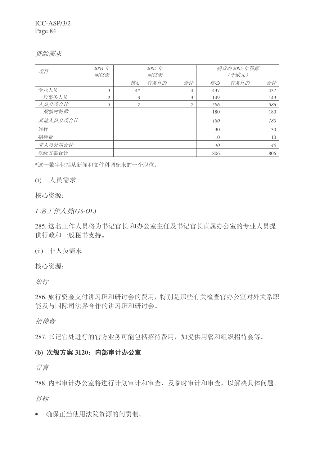资源需求

| 项目       | 2004 $#$<br>职位表 |      | 2005 $#$<br>职位表 |    |     | 提议的 2005 年预算<br>(千欧元) |     |
|----------|-----------------|------|-----------------|----|-----|-----------------------|-----|
|          |                 | 核心   | 有条件的            | 合计 | 核心  | 有条件的                  | 合计  |
| 专业人员     | 3               | $4*$ |                 | 4  | 437 |                       | 437 |
| 一般事务人员   | $\overline{2}$  | 3    |                 | 3  | 149 |                       | 149 |
| 人员分项合计   | 5               | 7    |                 | 7  | 586 |                       | 586 |
| 一般临时协助   |                 |      |                 |    | 180 |                       | 180 |
| 其他人员分项合计 |                 |      |                 |    | 180 |                       | 180 |
| 旅行       |                 |      |                 |    | 30  |                       | 30  |
| 招待费      |                 |      |                 |    | 10  |                       | 10  |
| 非人员分项合计  |                 |      |                 |    | 40  |                       | 40  |
| 次级方案合计   |                 |      |                 |    | 806 |                       | 806 |

\*这一数字包括从新闻和文件科调配来的一个职位。

(i) 人员需求

核心资源:

*1* ৡᎹҎਬ*(GS-OL)*

285. 这名工作人员将为书记官长 和办公室主任及书记官长直属办公室的专业人员提 供行政和一般秘书支持。

(ii) 非人员需求

核心资源:

旅行

286. 旅行资金支付讲习班和研讨会的费用, 特别是那些有关检查官办公室对外关系职 能及与国际司法界合作的讲习班和研讨会。

招待费

287. 书记官处进行的官方业务可能包括招待费用, 如提供用餐和组织招待会等。

# (b) 次级方案 3120: 内部审计办公室

ᇐ㿔

288. 内部审计办公室将进行计划审计和审查, 及临时审计和审查, 以解决具体问题。

目标

• 确保正当使用法院资源的问责制。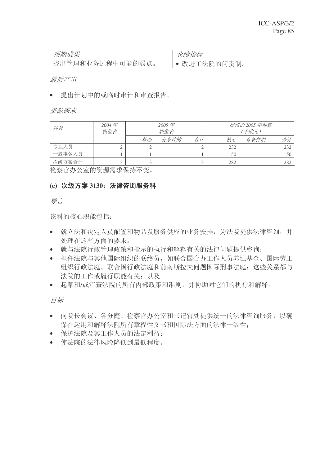| 预期成果             | <i>'绩指标</i><br>VV.                    |
|------------------|---------------------------------------|
| 找出管理和业务过程中可能的弱点。 | 法院的问责制。<br>$\sqrt{11}$<br>+⊥⊥<br>–∿ i |

• 提出计划中的或临时审计和审查报告。

资源需求

| 项目     | $2004 \n\in$<br>职位表 | 2005 $#$<br>职位表 |      |    |     | 提议的 2005 年预算<br>(千欧元) |     |
|--------|---------------------|-----------------|------|----|-----|-----------------------|-----|
|        |                     | 核心              | 有条件的 | 合计 | 核心  | 有条件的                  | 合计  |
| 专业人员   |                     |                 |      |    | 232 |                       | 232 |
| 一般事务人员 |                     |                 |      |    | 50  |                       | 50  |
| 次级方案合计 |                     |                 |      |    | 282 |                       | 282 |

检察官办公室的资源需求保持不变。

# (c) 次级方案 3130: 法律咨询服务科

号言

该科的核心职能包括:

- 就立法和决定人员配置和物品及服务供应的业务安排,为法院提供法律咨询,并 **处理在这些方面的要求:**
- 就与法院行政管理政策和指示的执行和解释有关的法律问题提供咨询;
- 担任法院与其他国际组织的联络员, 如联合国合办工作人员养恤基金、国际劳工 组织行政法庭 和前南斯拉夫问题国际刑事法庭: 这些关系都与 法院的工作或履行职能有关: 以及
- 起草和/或审查法院的所有内部政策和准则,并协助对它们的执行和解释。

目标

- 向院长会议、各分庭、检察官办公室和书记官处提供统一的法律咨询服务,以确 保在运用和解释法院所有章程性文书和国际法方面的法律一致性:
- 保护法院及其工作人员的法定利益:
- 使法院的法律风险降低到最低程度。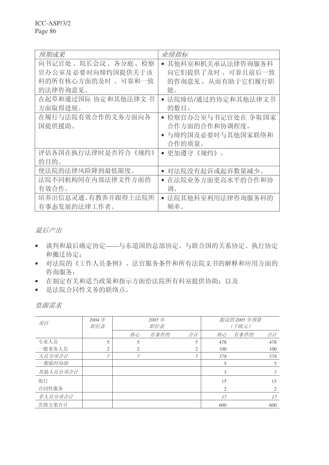| 预期成果                 | 业绩指标                |
|----------------------|---------------------|
| 向书记官处 、院长会议 、各分庭 、检察 | ● 其他科室和机关承认法律咨询服务科  |
| 官办公室及必要时向缔约国提供关于该    | 向它们提供了及时 、可靠且前后一致   |
| 科的所有核心方面的及时 、可靠和一致   | 的咨询意见, 从而有助于它们履行职   |
| 的法律咨询意见。             | 能。                  |
| 在起草和通过国际 协定和其他法律文 书  | 法院缔结/通过的协定和其他法律文书   |
| 方面取得进展。              | 的数目。                |
| 在履行与法院有效合作的义务方面向各    | • 检察官办公室与书记官处在 争取国家 |
| 国提供援助。               | 合作方面的合作和协调程度。       |
|                      | • 与缔约国及必要时与其他国家联络和  |
|                      | 合作的质量。              |
| 评估各国在执行法律时是否符合《规约》   | • 更加遵守《规约》。         |
| 的目的。                 |                     |
| 使法院的法律风险降到最低限度。      | 对法院没有起诉或起诉数量减少。     |
| 法院不同机构间在内部法律文件方面的    | 在法院业务方面更高水平的合作和协    |
| 有效合作。                | 调。                  |
| 培养出信息灵通、有教养并跟得上法院所   | 法院其他科室利用法律咨询服务科的    |
| 有事态发展的法律工作者。         | 频率。                 |

- 谈判和最后确定协定——与东道国的总部协定、与联合国的关系协定、执行协定 和搬迁协定;
- 对法院的《工作人员条例》、法官服务条件和所有法院文书的解释和应用方面的 咨询服务:
- 在制定有关和适当政策和指示方面给法院所有科室提供协助;以及
- 是法院合同性义务的联络点。

资源需求

| 项目       | $2004$ 年<br>职位表 |    | 2005 $#$<br>职位表 |                |     | 提议的 2005 年预算<br>(千欧元) |     |
|----------|-----------------|----|-----------------|----------------|-----|-----------------------|-----|
|          |                 | 核心 | 有条件的            | 合计             | 核心  | 有条件的                  | 合计  |
| 专业人员     | 5               |    |                 |                | 478 |                       | 478 |
| 一般事务人员   | $\overline{2}$  |    |                 | $\overline{c}$ | 100 |                       | 100 |
| 人员分项合计   | 7               |    |                 | 7              | 578 |                       | 578 |
| 一般临时协助   |                 |    |                 |                | 5   |                       | 5   |
| 其他人员分项合计 |                 |    |                 |                | 5   |                       | 5   |
| 旅行       |                 |    |                 |                | 15  |                       | 15  |
| 合同性服务    |                 |    |                 |                | 2   |                       | 2   |
| 非人员分项合计  |                 |    |                 |                | 17  |                       | 17  |
| 次级方案合计   |                 |    |                 |                | 600 |                       | 600 |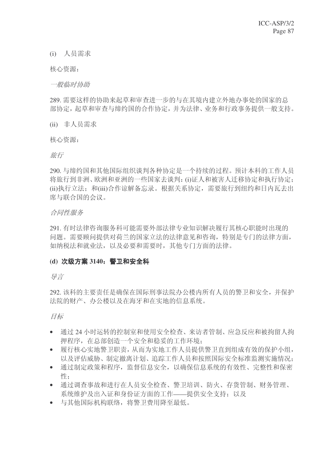(i) 人员需求

核心资源:

一般临时协助

289. 需要这样的协助来起草和审查讲一步的与在其境内建立外地办事处的国家的总 部协定, 起草和审查与缔约国的合作协定, 并为法律、业务和行政事务提供一般支持。

(ii) 非人员需求

核心资源:

旅行

290. 与缔约国和其他国际组织谈判各种协定是一个持续的过程。预计本科的工作人员 将旅行到非洲、欧洲和亚洲的一些国家夫谈判: (i)证人和被害人迁移协定和执行协定: (ii)执行立法; 和(iii)合作谅解备忘录。根据关系协定, 需要旅行到纽约和日内瓦去出 席与联合国的会议。

# 合同性服务

291. 有时法律咨询服务科可能需要外部法律专业知识解决履行其核心职能时出现的 问题。需要顾问提供对荷兰的国家立法的法律意见和咨询,特别是专门的法律方面, 如纳税法和就业法,以及必要和需要时,其他专门方面的法律。

# (d) 次级方案 3140: 警卫和安全科

ᇐ㿔

292. 该科的主要责任是确保在国际刑事法院办公楼内所有人员的警卫和安全, 并保护 法院的财产、办公楼以及在海牙和在实地的信息系统。

目标

- 通过24 小时运转的控制室和使用安全检查、来访者管制、应急反应和被拘留人拘 押程序, 在总部创造一个安全和稳妥的工作环境:
- 履行核心实地警卫职责,从而为实地工作人员提供警卫直到组成有效的保护小组, 以及评估威胁、制定撤离计划、追踪工作人员和按照国际安全标准监测实施情况;
- 通过制定政策和程序, 监督信息安全, 以确保信息系统的有效性、完整性和保密 性:
- 通过调杳事故和进行在人员安全检查、警卫培训、防火、存货管制、财务管理、 系统维护及出入证和身份证方面的工作——提供安全支持: 以及
- 与其他国际机构联络, 将警卫费用降至最低。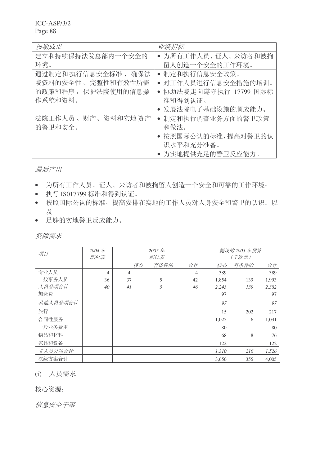| 预期成果                                                                      | 业绩指标                                                                                             |
|---------------------------------------------------------------------------|--------------------------------------------------------------------------------------------------|
| 建立和持续保持法院总部内一个安全的                                                         | • 为所有工作人员、证人、来访者和被拘                                                                              |
| 环境。                                                                       | 留人创造一个安全的工作环境。                                                                                   |
| 通过制定和执行信息安全标准, 确保法<br>院资料的安全性 、完整性和有效性所需<br>的政策和程序, 保护法院使用的信息操<br>作系统和资料。 | • 制定和执行信息安全政策。<br>• 对工作人员进行信息安全措施的培训。<br>• 协助法院走向遵守执行 17799 国际标<br>准和得到认证。<br>• 发展法院电子基础设施的顺应能力。 |
| 法院工作人员、财产、资料和实地资产<br>的警卫和安全。                                              | • 制定和执行调查业务方面的警卫政策<br>和做法。<br>• 按照国际公认的标准,提高对警卫的认<br>识水平和充分准备。<br>• 为实地提供充足的警卫反应能力。              |

最后产出

- 为所有工作人员、证人、来访者和被拘留人创造一个安全和可靠的工作环境;
- 执行 IS017799 标准和得到认证。
- 按照国际公认的标准, 提高安排在实地的工作人员对人身安全和警卫的认识; 以  $\mathcal{R}$
- 足够的实地警卫反应能力。

资源需求

| 项目       | 2004年<br>职位表   |                | 2005年<br>职位表 |    |       | 提议的 2005 年预算<br>(千欧元) |       |
|----------|----------------|----------------|--------------|----|-------|-----------------------|-------|
|          |                | 核心             | 有条件的         | 合计 | 核心    | 有条件的                  | 合计    |
| 专业人员     | $\overline{4}$ | $\overline{4}$ |              | 4  | 389   |                       | 389   |
| 一般事务人员   | 36             | 37             | 5            | 42 | 1,854 | 139                   | 1,993 |
| 人员分项合计   | 40             | 41             | 5            | 46 | 2,243 | 139                   | 2,382 |
| 加班费      |                |                |              |    | 97    |                       | 97    |
| 其他人员分项合计 |                |                |              |    | 97    |                       | 97    |
| 旅行       |                |                |              |    | 15    | 202                   | 217   |
| 合同性服务    |                |                |              |    | 1,025 | 6                     | 1,031 |
| 一般业务费用   |                |                |              |    | 80    |                       | 80    |
| 物品和材料    |                |                |              |    | 68    | 8                     | 76    |
| 家具和设备    |                |                |              |    | 122   |                       | 122   |
| 非人员分项合计  |                |                |              |    | 1,310 | 216                   | 1,526 |
| 次级方案合计   |                |                |              |    | 3,650 | 355                   | 4,005 |

# (i) 人员需求

核心资源:

信息安全干事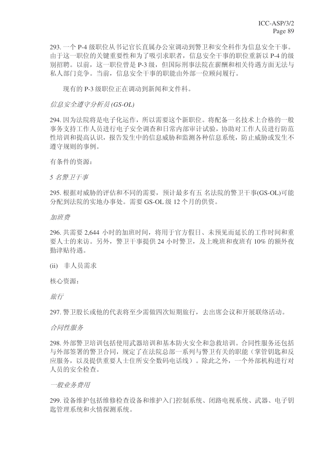293. 一个 P-4 级职位从书记官长直属办公室调动到警卫和安全科作为信息安全干事。 由于这一职位的关键重要性和为了吸引求职者, 信息安全干事的职位重新以 P-4 的级 别招聘。以前, 这一职位曾是 P-3 级, 但国际刑事法院在薪酬和相关待遇方面无法与 私人部门竞争。当前, 信息安全干事的职能由外部一位顾问履行。

现有的 P-3 级职位正在调动到新闻和文件科。

#### 信息安全遵守分析员(GS-OL)

294. 因为法院将是电子化运作, 所以需要这个新职位。将配备一名技术上合格的一般 事务支持工作人员进行电子安全调查和日常内部审计试验,协助对工作人员进行防范 性培训和提高认识, 报告发生中的信息威胁和监测各种信息系统, 防止威胁或发生不 遵守规则的事例。

有条件的资源:

5 名警卫干事

295. 根据对威胁的评估和不同的需要, 预计最多有五 名法院的警卫于事(GS-OL)可能 分配到法院的实地办事处。需要 GS-OL 级 12 个月的供资。

加班费

296. 共需要 2.644 小时的加班时间, 将用于官方假日、未预见而延长的工作时间和重 要人士的来访。另外,警卫干事提供24 小时警卫,及上晚班和夜班有10% 的额外夜 勤津贴待遇。

(ii) 非人员需求

核心资源:

旅行

297. 警卫股长或他的代表将至少需做四次短期旅行, 去出席会议和开展联络活动。

合同性服务

298. 外部警卫培训包括使用武器培训和基本防火安全和急救培训。合同性服务还包括 与外部签署的警卫合同,规定了在法院总部一系列与警卫有关的职能(掌管钥匙和反 应服务, 以及提供重要人士住所安全数码电话线)。除此之外, 一个外部机构讲行对 人员的安全检查。

一般业务费用

299. 设备维护包括维修检查设备和维护入门控制系统、闭路电视系统、武器、电子钥 匙管理系统和火情探测系统。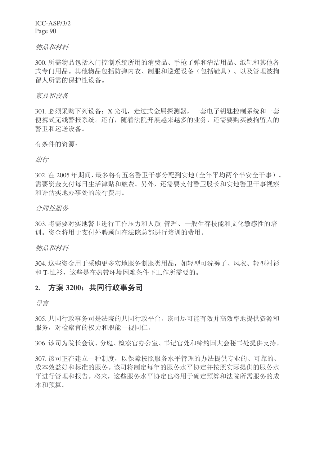#### 物品和材料

300. 所需物品包括入门控制系统所用的消费品、手枪子弹和清洁用品、纸靶和其他各 式专门用品。其他物品包括防弹内衣、制服和巡逻设备(包括鞋具)、以及管理被拘 留人所需的保护性设备。

#### 家具和设备

301. 必须采购下列设备: X 光机, 走过式金属探测器, 一套电子钥匙控制系统和一套 便携式无线警报系统。还有, 随着法院开展越来越多的业务, 还需要购买被拘留人的 警卫和运送设备。

有条件的资源:

#### 旅行

302. 在2005年期间, 最多将有五名警卫于事分配到实地(全年平均两个半安全干事)。 需要资金支付每日生活津贴和旅费。另外, 还需要支付警卫股长和实地警卫干事视察 和评估实地办事处的旅行费用。

#### 合同性服务

303. 将需要对实地警卫进行工作压力和人质管理、一般生存技能和文化敏感性的培 训。资金将用于支付外聘顾问在法院总部进行培训的费用。

#### 物品和材料

304. 这些资金用于采购更多实地服务制服类用品, 如轻型可洗裤子、风衣、轻型衬衫 和 T-恤衫, 这些是在热带环境困难条件下工作所需要的。

# 2. 方案 3200: 共同行政事务司

号言

305. 共同行政事务司是法院的共同行政平台。该司尽可能有效并高效率地提供资源和 服务, 对检察官的权力和职能一视同仁。

306. 该司为院长会议、分庭、检察官办公室、书记官处和缔约国大会秘书处提供支持。

307. 该司正在建立一种制度, 以保障按照服务水平管理的办法提供专业的、可靠的、 成本效益好和标准的服务。该司将制定每年的服务水平协定并按照实际提供的服务水 平讲行管理和报告。将来,这些服务水平协定也将用于确定预算和法院所需服务的成 本和预算。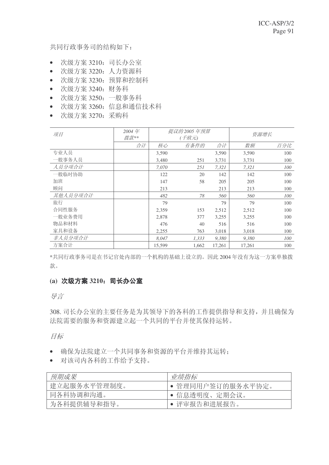共同行政事务司的结构如下:

- 次级方案 3210: 司长办公室
- 次级方案 3220: 人力资源科
- 次级方案 3230: 预算和控制科
- 次级方案 3240: 财务科
- 次级方案 3250: 一般事务科
- 次级方案 3260: 信息和通信技术科
- 次级方案 3270: 采购科

| 项目       | 2004 $#$<br>拨款** | 提议的 2005 年预算<br>(千欧元) |       |        | 资源增长   |     |
|----------|------------------|-----------------------|-------|--------|--------|-----|
|          | 合计               | 核心                    | 有条件的  | 合计     | 数额     | 百分比 |
| 专业人员     |                  | 3,590                 |       | 3,590  | 3,590  | 100 |
| 一般事务人员   |                  | 3,480                 | 251   | 3,731  | 3,731  | 100 |
| 人员分项合计   |                  | 7,070                 | 251   | 7,321  | 7,321  | 100 |
| 一般临时协助   |                  | 122                   | 20    | 142    | 142    | 100 |
| 加班       |                  | 147                   | 58    | 205    | 205    | 100 |
| 顾问       |                  | 213                   |       | 213    | 213    | 100 |
| 其他人员分项合计 |                  | 482                   | 78    | 560    | 560    | 100 |
| 旅行       |                  | 79                    |       | 79     | 79     | 100 |
| 合同性服务    |                  | 2,359                 | 153   | 2,512  | 2,512  | 100 |
| 一般业务费用   |                  | 2,878                 | 377   | 3,255  | 3,255  | 100 |
| 物品和材料    |                  | 476                   | 40    | 516    | 516    | 100 |
| 家具和设备    |                  | 2,255                 | 763   | 3,018  | 3,018  | 100 |
| 非人员分项合计  |                  | 8,047                 | 1,333 | 9,380  | 9,380  | 100 |
| 方案合计     |                  | 15,599                | 1,662 | 17,261 | 17,261 | 100 |

\*共同行政事务司是在书记官处内部的一个机构的基础上设立的。因此 2004 年没有为这一方案单独拨 款。

# (a) 次级方案 3210: 司长办公室

号言

308. 司长办公室的主要任务是为其领导下的各科的工作提供指导和支持, 并且确保为 法院需要的服务和资源建立起一个共同的平台并使其保持运转。

目标

- 确保为法院建立一个共同事务和资源的平台并维持其运转:
- 对该司内各科的工作给予支持。

| 预期成果         | 业绩指标              |
|--------------|-------------------|
| 建立起服务水平管理制度。 | • 管理同用户签订的服务水平协定。 |
| 同各科协调和沟通。    | • 信息透明度、定期会议。     |
| 为各科提供辅导和指导。  | • 评审报告和进展报告。      |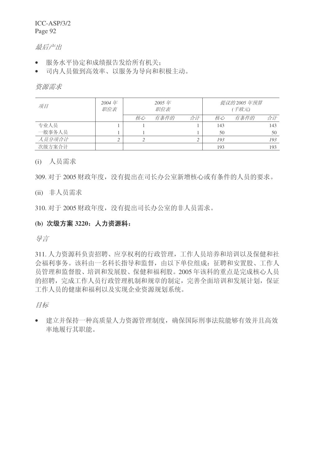# 最后产出

• 服务水平协定和成绩报告发给所有机关;

• 司内人员做到高效率、以服务为导向和积极主动。

资源需求

| 项目     | 2004 $#$<br>职位表 |    | 2005年<br>职位表 |    |     | 提议的 2005 年预算<br>(千欧元) |     |
|--------|-----------------|----|--------------|----|-----|-----------------------|-----|
|        |                 | 核心 | 有条件的         | 合计 | 核心  | 有条件的                  | 合计  |
| 专业人员   |                 |    |              |    | 143 |                       | 143 |
| 一般事务人员 |                 |    |              |    | 50  |                       | 50  |
| 人员分项合计 |                 |    |              |    | 193 |                       | 193 |
| 次级方案合计 |                 |    |              |    | 193 |                       | 193 |

(i) 人员需求

309. 对于2005 财政年度, 没有提出在司长办公室新增核心或有条件的人员的要求。

(ii) 非人员需求

310. 对于2005 财政年度, 没有提出司长办公室的非人员需求。

# (b) 次级方案 3220; 人力资源科:

ᇐ㿔

311. 人力资源科负责招聘、应享权利的行政管理, 工作人员培养和培训以及保健和社 会福利事务。该科由一名科长指导和监督,由以下单位组成:征聘和安置股、工作人 员管理和监督股、培训和发展股、保健和福利股。2005年该科的重点是完成核心人员 的招聘, 完成工作人员行政管理机制和规章的制定, 完善全面培训和发展计划, 保证 工作人员的健康和福利以及实现企业资源规划系统。

目标

• 建立并保持一种高质量人力资源管理制度, 确保国际刑事法院能够有效并且高效 率地履行其职能。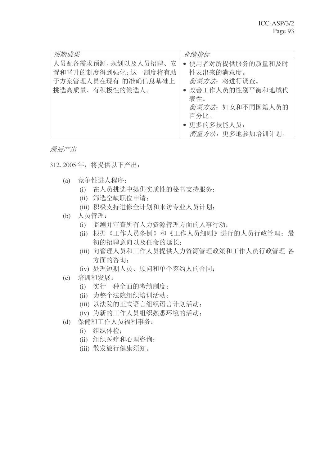| 预期成果                                   | 业绩指标                              |
|----------------------------------------|-----------------------------------|
| 人员配备需求预测、规划以及人员招聘、安                    | • 使用者对所提供服务的质量和及时                 |
| 置和晋升的制度得到强化;这一制度将有助                    | 性表出来的满意度。                         |
| 于方案管理人员在现有 的准确信息基础上<br>挑选高质量、有积极性的候选人。 | 衡量方法: 将进行调查。<br>• 改善工作人员的性别平衡和地域代 |
|                                        | 表性。                               |
|                                        | 衡量方法: 妇女和不同国籍人员的                  |
|                                        | 百分比。                              |
|                                        | • 更多的多技能人员:                       |
|                                        | 衡量方法: 更多地参加培训计划。                  |

- 312. 2005年, 将提供以下产出:
	- (a) 竞争性进人程序:
		- (i) 在人员挑选中提供实质性的秘书支持服务;
		- (ii) 筛选空缺职位申请:
		- (iii) 积极支持进修全计划和来访专业人员计划;
	- (b) 人员管理:
		- (i) 监测并审查所有人力资源管理方面的人事行动;
		- (ii) 根据《工作人员条例》和《工作人员细则》进行的人员行政管理: 最 初的招聘意向以及任命的延长:
		- (iii) 向管理人员和工作人员提供人力资源管理政策和工作人员行政管理 各 方面的咨询:
		- (iv) 处理短期人员、顾问和单个签约人的合同;
	- (c) 培训和发展:
		- (i) 实行一种全面的考绩制度;
		- (ii) 为整个法院组织培训活动;
		- (iii) 以法院的正式语言组织语言计划活动;
		- (iv) 为新的工作人员组织熟悉环境的活动:
	- (d) 保健和工作人员福利事务:
		- (i) 组织体检;
		- (ii) 组织医疗和心理咨询;
		- (iii) 散发旅行健康须知。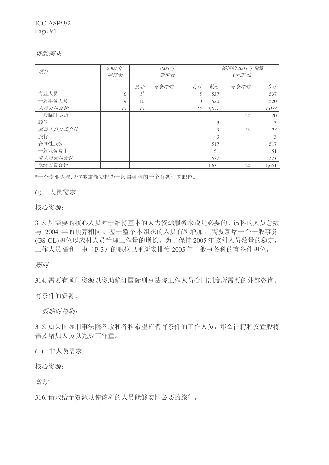资源需求

| 项目       | 2004 $#$<br>职位表 |       | 2005年<br>职位表 |    |       | 提议的 2005 年预算<br>(千欧元) |       |
|----------|-----------------|-------|--------------|----|-------|-----------------------|-------|
|          |                 |       |              |    |       |                       |       |
|          |                 | 核心    | 有条件的         | 合计 | 核心    | 有条件的                  | 合计    |
| 专业人员     | 6               | $5^*$ |              | 5  | 537   |                       | 537   |
| 一般事务人员   | 9               | 10    |              | 10 | 520   |                       | 520   |
| 人员分项合计   | 15              | 15    |              | 15 | 1,057 |                       | 1,057 |
| 一般临时协助   |                 |       |              |    |       | 20                    | 20    |
| 顾问       |                 |       |              |    | 3     |                       | 3     |
| 其他人员分项合计 |                 |       |              |    | 3     | 20                    | 23    |
| 旅行       |                 |       |              |    | 3     |                       | 3     |
| 合同性服务    |                 |       |              |    | 517   |                       | 517   |
| 一般业务费用   |                 |       |              |    | 51    |                       | 51    |
| 非人员分项合计  |                 |       |              |    | 571   |                       | 571   |
| 次级方案合计   |                 |       |              |    | 1,631 | 20                    | 1,651 |

\*一个专业人员职位被重新安排为一般事务科的一个有条件的职位。

(i) 人 员 需 求

核心资源:

313. 所需要的核心人员对于维持基本的人力资源服务来说是必要的。该科的人员总数 与 2004 年的预算相同。鉴于整个本组织的人员有所增加, 需要新增一个一般事务 (GS-OL)职位以应付人员管理工作量的增长。为了保持 2005 年该科人员数量的稳定, 工作人员福利干事(P-3)的职位已重新安排为 2005年一般事务科的有条件职位。

顾问

314. 需要有顾问资源以资助修订国际刑事法院工作人员合同制度所需要的外部咨询。

有条件的资源:

一般临时协助:

315. 如果国际刑事法院各股和各科希望招聘有条件的工作人员, 那么征聘和安置股将 需要增加人员以完成工作量。

(ii) 非人员需求

核心资源:

旅行

316. 请求给予资源以使该科的人员能够安排必要的旅行。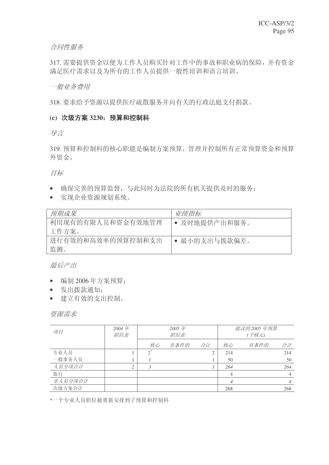合同性服务

317. 需要提供资金以便为工作人员购买针对工作中的事故和职业病的保险, 并有资金 满足医疗需求以及为所有的工作人员提供一般性培训和语言培训。

一般业务费用

318. 要求给予资源以提供医疗疏散服务并向有关的行政法庭支付捐款。

#### (c) 次级方案 3230: 预算和控制科

ᇐ㿔

319. 预算和控制科的核心职能是编制方案预算, 管理并控制所有正常预算资金和预算 外资金。

目标

- 确保完善的预算监督,与此同时为法院的所有机关提供及时的服务;
- 实现企业资源规划系统。

| 预期成果              | 业绩指标          |
|-------------------|---------------|
| 利用现有的有限人员和资金有效地管理 | • 及时地提供产出和服务。 |
| 工作方案。             |               |
| 进行有效的和高效率的预算控制和支出 | • 最小的支出与拨款偏差。 |
| 监测。               |               |

最后产出

- 编制 2006年方案预算:
- 发出拨款通知:
- 建立有效的支出控制。

资源需求

| 项目      | 2004年<br>职位表 |       | 2005年<br>职位表 |    |     | 提议的2005年预算<br>(千欧元) |     |
|---------|--------------|-------|--------------|----|-----|---------------------|-----|
|         |              | 核心    | 有条件的         | 合计 | 核心  | 有条件的                | 合计  |
| 专业人员    |              | $2^*$ |              | ◠  | 214 |                     | 214 |
| 一般事务人员  |              |       |              |    | 50  |                     | 50  |
| 人员分项合计  |              | 3     |              | 3  | 264 |                     | 264 |
| 旅行      |              |       |              |    |     |                     | 4   |
| 非人员分项合计 |              |       |              |    |     |                     |     |
| 次级方案合计  |              |       |              |    | 268 |                     | 268 |

\*一个专业人员职位被重新安排到了预算和控制科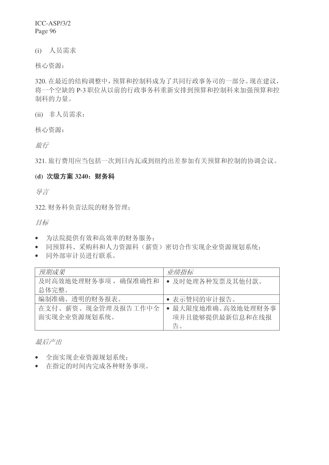(i) 人员需求

核心资源:

320. 在最近的结构调整中, 预算和控制科成为了共同行政事务司的一部分。现在建议, 将一个空缺的 P-3 职位从以前的行政事务科重新安排到预算和控制科来加强预算和控 制科的力量。

(ii) 非人员需求:

核心资源:

旅行

321. 旅行费用应当包括一次到日内瓦或到纽约出差参加有关预算和控制的协调会议。

# (d) 次级方案 3240: 财务科

ᇐ㿔

322. 财务科负责法院的财务管理;

目标

- 为法院提供有效和高效率的财务服务:
- 同预算科、采购科和人力资源科(薪资)密切合作实现企业资源规划系统;
- 同外部审计员进行联系。

| 预期成果                | 业绩指标                          |
|---------------------|-------------------------------|
| 及时高效地处理财务事项, 确保准确性和 | • 及时处理各种发票及其他付款。              |
| 总体完整。               |                               |
| 编制准确、透明的财务报表。       | 表示赞同的审计报告。                    |
| 在支付、薪资、现金管理及报告工作中全  | 最大限度地准确、高效地处理财务事<br>$\bullet$ |
| 面实现企业资源规划系统。        | 项并且能够提供最新信息和在线报               |
|                     | 告。                            |

最后产出

- 全面实现企业资源规划系统;
- 在指定的时间内完成各种财务事项。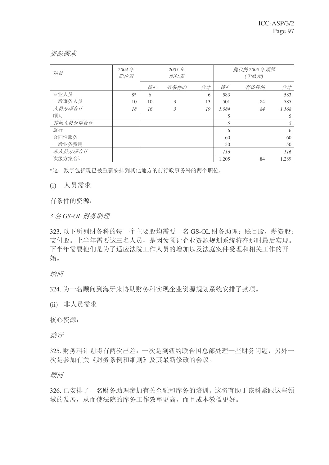# 资源需求

| 项目       | 2004 $#$<br>职位表 |    | 2005年<br>职位表 |    |       | 提议的 2005 年预算<br>(千欧元) |       |
|----------|-----------------|----|--------------|----|-------|-----------------------|-------|
|          |                 | 核心 | 有条件的         | 合计 | 核心    | 有条件的                  | 合计    |
| 专业人员     | $8*$            | 6  |              | 6  | 583   |                       | 583   |
| 一般事务人员   | 10              | 10 | 3            | 13 | 501   | 84                    | 585   |
| 人员分项合计   | 18              | 16 | 3            | 19 | 1.084 | 84                    | 1,168 |
| 顾问       |                 |    |              |    | 5     |                       | 5     |
| 其他人员分项合计 |                 |    |              |    | 5     |                       | 5     |
| 旅行       |                 |    |              |    | 6     |                       | 6     |
| 合同性服务    |                 |    |              |    | 60    |                       | 60    |
| 一般业务费用   |                 |    |              |    | 50    |                       | 50    |
| 非人员分项合计  |                 |    |              |    | 116   |                       | 116   |
| 次级方案合计   |                 |    |              |    | 1.205 | 84                    | 1,289 |

\*这一数字包括现已被重新安排到其他地方的前行政事务科的两个职位。

(i) 人员需求

有条件的资源:

3 名 GS-OL 财务助理

323. 以下所列财务科的每一个主要股均需要一名 GS-OL 财务助理: 账目股, 薪资股; 支付股。上半年需要这三名人员,是因为预计企业资源规划系统将在那时最后实现。 下半年需要他们是为了适应法院工作人员的增加以及法庭案件受理和相关工作的开 始。

顾问

324. 为一名顾问到海牙来协助财务科实现企业资源规划系统安排了款项。

(ii) 非人员需求

核心资源:

旅行

325. 财务科计划将有两次出差: 一次是到纽约联合国总部处理一些财务问题, 另外一 次是参加有关《财务条例和细则》及其最新修改的会议。

顾问

326. 已安排了一名财务助理参加有关金融和库务的培训。这将有助于该科紧跟这些领 域的发展, 从而使法院的库务工作效率更高, 而且成本效益更好。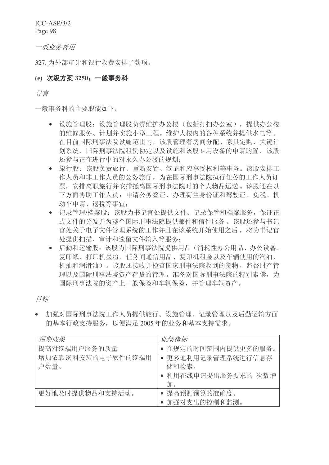一般业务费用

327. 为外部审计和银行收费安排了款项。

# (e) 次级方案 3250; 一般事务科

号言

一般事务科的主要职能如下:

- 设施管理股负责维护办公楼(包括打扫办公室), 提供办公楼 的维修服务、计划并实施小型工程。维护大楼内的各种系统并提供水电等。 在目前国际刑事法院设施范围内,该股管理着房间分配、家具定购、关键计 划系统、国际刑事法院和赁协定以及设施和该股专用设备的申请购置。该股 还参与正在进行中的对永久办公楼的规划;
- 旅行股: 该股负责旅行、重新安置、签证和应享受权利等事务。该股安排工 作人员和非工作人员的公务旅行,为在国际刑事法院执行任务的工作人员订 票, 安排离职旅行并安排抵离国际刑事法院时的个人物品运送。该股还在以 下方面协助工作人员: 申请公务签证、办理荷兰身份证和驾驶证、免税、机 动车申请、退税等事官:
- 记录管理/档案股: 该股为书记官处提供文件、记录保管和档案服务, 保证正 式文件的分发并为整个国际刑事法院提供邮件和信件服务。该股还参与书记 官处关于电子文件管理系统的工作并且在该系统开始使用之后, 将为书记官 处提供扫描、审计和遗留文件输入等服务:
- 后勤和运输股: 该股为国际刑事法院提供用品(消耗性办公用品、办公设备、 复印纸、打印机墨粉、任务间通信用品、复印机租金以及车辆使用的汽油、 机油和润滑油)。该股还接收并检查国家刑事法院收到的货物, 监督财产管 理以及国际刑事法院资产存货的管理,准备对国际刑事法院的特别索偿,为 国际刑事法院的资产上一般保险和车辆保险,并管理车辆资产。

目标

• 加强对国际刑事法院工作人员提供旅行、设施管理、记录管理以及后勤运输方面 的基本行政支持服务,以便满足2005年的业务和基本支持需求。

| 预期成果                      | 业绩指标                                                     |
|---------------------------|----------------------------------------------------------|
| 提高对终端用户服务的质量              | • 在规定的时间范围内提供更多的服务。                                      |
| 增加依靠该科安装的电子软件的终端用<br>户数量。 | • 更多地利用记录管理系统进行信息存<br>储和检索。<br>• 利用在线申请提出服务要求的 次数增<br>加。 |
| 更好地及时提供物品和支持活动。           | 提高预测预算的准确度。<br>加强对支出的控制和监测。                              |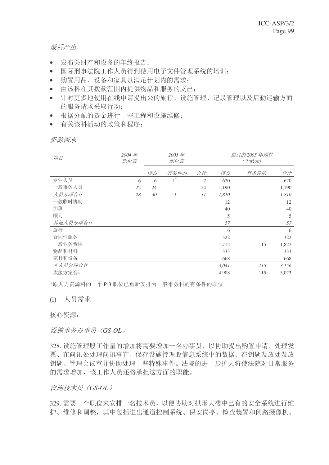- 发布关财产和设备的年终报告;
- 国际刑事法院工作人员得到使用电子文件管理系统的培训:
- 购置用品、设备和家具以满足计划内的需求:
- 由该科在其拨款范围内提供物品和服务的支出:
- 针对更多地使用在线申请提出来的旅行、设施管理、记录管理以及后勤运输方面 的服务请求采取行动:
- 根据分配的资金进行一些工程和设施维修;
- 有关该科活动的政策和程序:

资源需求

| 项目       | 2004年<br>职位表 | 2005年<br>职位表 |       | 提议的 2005 年预算<br>(千欧元) |       |      |       |
|----------|--------------|--------------|-------|-----------------------|-------|------|-------|
|          |              | 核心           | 有条件的  | 合计                    | 核心    | 有条件的 | 合计    |
| 专业人员     | 6            | 6            | $1^*$ | 7                     | 620   |      | 620   |
| 一般事务人员   | 22           | 24           |       | 24                    | 1,190 |      | 1,190 |
| 人员分项合计   | 28           | 30           | 1     | 31                    | 1,810 |      | 1,810 |
| 一般临时协助   |              |              |       |                       | 12    |      | 12    |
| 加班       |              |              |       |                       | 40    |      | 40    |
| 顾问       |              |              |       |                       | 5     |      | 5     |
| 其他人员分项合计 |              |              |       |                       | 57    |      | 57    |
| 旅行       |              |              |       |                       | 6     |      | 6     |
| 合同性服务    |              |              |       |                       | 322   |      | 322   |
| 一般业务费用   |              |              |       |                       | 1,712 | 115  | 1,827 |
| 物品和材料    |              |              |       |                       | 333   |      | 333   |
| 家具和设备    |              |              |       |                       | 668   |      | 668   |
| 非人员分项合计  |              |              |       |                       | 3,041 | 115  | 3,156 |
| 次级方案合计   |              |              |       |                       | 4,908 | 115  | 5,023 |

\*原人力资源科的一个 P-3 职位已重新安排为一般事务科的有条件的职位。

(i) 人员需求

核心资源:

设施事务办事员 (GS-OL)

328. 设施管理股工作量的增加将需要增加一名办事员, 以协助提出购置申请、处理发 票、在问讯处处理问讯事官、保存设施管理股信息系统中的数据、在钥匙发放处发放 钥匙、管理会议室并协助处理一些特殊事件。法院的进一步扩大将使法院对日常服务 的需求增加,该工作人员还将承担这方面的职能。

设施技术员 (GS-OL)

329. 需要一个职位来安排一名技术员, 以便协助对拱形大楼中已有的安全系统进行维 护、维修和调整, 其中包括讲出通道控制系统、保安岗亭、检杳装置和闭路摄像机。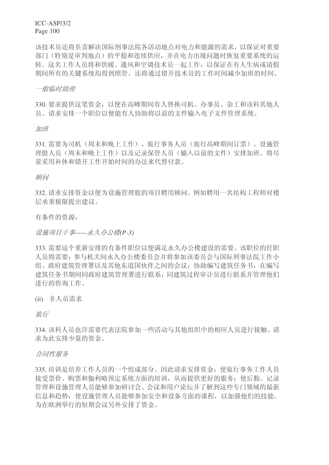该技术员还将负责解决国际刑事法院各活动地点对电力和能源的需求,以保证对重要 部门(特别是审判地点)的平稳和连续供应,并在电力出现问题时恢复重要系统的运 转。这名工作人员将和供暖、通风和空调技术员一起工作,以保证在有人生病或请假 期间所有的关键系统均得到照管。还将通过错开技术员的工作时间减少加班的时间。

一般临时助理

330. 要求提供这笔资金, 以便在高峰期间有人替换司机、办事员、杂工和该科其他人 员。请求安排一个职位以便能有人协助将以前的文件输入电子文件管理系统。

#### 加班

331. 需要为司机(周末和晚上工作)、旅行事务人员(旅行高峰期间订票)、设施管 理股人员(周末和晚上工作)以及记录保管人员(输入以前的文件)安排加班。将尽 量采用补休和错开工作开始时间的办法来代替付款。

#### 顾问

332. 请求安排资金以便为设施管理股的项目聘用顾问。例如聘用一名结构工程师对楼 层承重极限提出建议。

有条件的资源:

设施项目干事——永久办公楼(P-3)

333. 需要这个重新安排的有条件职位以便满足永久办公楼建设的需要。该职位的任职 人员将需要: 参与机关间永久办公楼委员会并将参加该委员会与国际刑事法院工作小 组、政府建筑管理署以及其他东道国伙伴之间的会议:协助编写建筑任务书,在编写 建筑任务书期间同政府建筑管理署进行联系;同建筑过程审计员进行联系并管理他们 进行的咨询工作。

(ii) 非人员需求

旅行

334. 该科人员也许需要代表法院参加一些活动与其他组织中的相应人员进行接触。请 求为此安排少量的资金。

合同性服务

335. 培训是培养工作人员的一个组成部分。因此请求安排资金: 使旅行事务工作人员 接受票价、购票和伽利略预定系统方面的培训, 从而提供更好的服务: 使后勤、记录 管理和设施管理人员能够参加研讨会、会议和用户论坛并了解到这些专门领域的最新 信息和趋势: 使设施管理人员能够参加安全和设备方面的课程, 以加强他们的技能。 为在欧洲举行的短期会议另外安排了资金。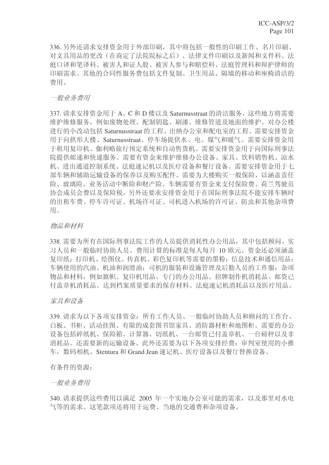336. 另外还请求安排资金用于外部印刷, 其中将包括一般性的印刷工作、名片印刷、 对文具用品的更改(在商定了法院院标之后)、法律文件印刷以及新闻和文件科、法 庭口译和笔译科、被害人和证人股、被害人参与和赔偿科、法庭管理科和辩护律师的 印刷需求。其他的合同性服务费包括文件复制、卫生用品、隔墙的移动和座椅清洁的 费用。

#### 一般业务费用

337. 请求安排资金用于 A、C 和 D 楼以及 Saturnusstraat 的清洁服务。这些地方将需要 维护维修服务, 例如废物处理、配制钥匙、刷漆、维修管道及地面的维护。对办公楼 进行的小改动包括 Saturnusstraat 的工程、出纳办公室和配电室的工程。需要安排资金 用于向拱形大楼、Saturnusstraat、停车场提供水、电、煤气和暖气。需要安排资金用 于租用复印机、伽利略旅行预定系统和自动售货机。需要安排资金用于向国际刑事法 院提供邮递和快递服务。需要有资金来维护维修办公设备、家具、饮料销售机、凉水 机、讲出通道控制系统、法庭速记机以及医疗设备和餐厅设备。需要安排资金用于七 部车辆和辅助运输设备的保养以及购买配件。需要为大楼购买一般保险,以涵盖责任 险、玻璃险、业务活动中断险和财产险。车辆需要有资金来支付保险费、荷兰驾驶员 协会成员会费以及保险税。另外还要求安排资金用于在国际刑事法院不能安排车辆时 的出租车费、停车许可证、机场许可证、司机进入机场的许可证、防虫和其他杂项费 用。

#### 物品和材料

338. 需要为所有在国际刑事法院工作的人员提供消耗性办公用品, 其中包括顾问、实 习人员和一般临时协助人员。费用计算的标准是每人每月 10 欧元。资金还必须涵盖 复印纸: 打印机、绘图仪、传真机、彩色复印机等需要的墨粉; 信息技术和通信用品; 车辆使用的汽油、机油和润滑油:司机的服装和设施管理及后勤人员的工作服:杂项 物品和材料, 例如旗帜、复印机用品、专门的办公用品、招牌制作机消耗品、邮资已 付盖章机消耗品、达到档案质量要求的保存材料、法庭速记机消耗品以及医疗用品。

#### 家具和设备

339. 请求为以下各项安排资金: 所有工作人员、一般临时协助人员和顾问的工作台、 白板、书柜、活动挂图、有限的成套图书馆家具、消防器材柜和地图柜。需要的办公 设备包括碎纸机、保险箱、计算器、切纸机、一台邮资已付盖章机、一台磅秤以及非 消耗品。还需要新的运输设备。此外还需要为以下各项安排经费:审判室使用的小推 车, 数码相机、Stentura 和 Grand Jean 速记机、医疗设备以及餐厅替换设备。

#### 有条件的资源:

#### 一般业务费用

340. 请求提供这些费用以满足 2005 年一个实地办公室可能的需求, 以及那里对水电 气等的需求。这笔款项还将用于运费、当地的交通费和杂项设备。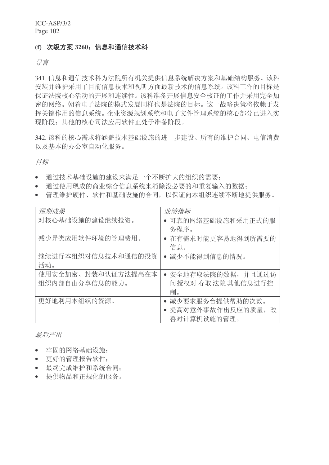# (f) 次级方案 3260: 信息和通信技术科

导言

341. 信息和通信技术科为法院所有机关提供信息系统解决方案和基础结构服务。该科 安装并维护采用了目前信息技术和视听方面最新技术的信息系统。该科工作的目标是 保证法院核心活动的开展和连续性。该科准备开展信息安全核证的工作并采用完全加 密的网络。朝着电子法院的模式发展同样也是法院的目标。这一战略决策将依赖于发 挥关键作用的信息系统。企业资源规划系统和电子文件管理系统的核心部分已进入实 现阶段; 其他的核心司法应用软件正处于准备阶段。

342. 该科的核心需求将涵盖技术基础设施的进一步建设、所有的维护合同、电信消费 以及基本的办公室自动化服务。

目标

- 通过技术基础设施的建设来满足一个不断扩大的组织的需要:
- 通过使用现成的商业综合信息系统来消除没必要的和重复输入的数据:
- 管理维护硬件、软件和基础设施的合同, 以保证向本组织连续不断地提供服务。

| 预期成果               | 业绩指标                |
|--------------------|---------------------|
| 对核心基础设施的建设继续投资。    | • 可靠的网络基础设施和采用正式的服  |
|                    | 务程序。                |
| 减少异类应用软件环境的管理费用。   | ● 在有需求时能更容易地得到所需要的  |
|                    | 信息。                 |
| 继续进行本组织对信息技术和通信的投资 | • 减少不能得到信息的情况。      |
| 活动。                |                     |
| 使用安全加密、封装和认证方法提高在本 | • 安全地存取法院的数据, 并且通过访 |
| 组织内部自由分享信息的能力。     | 问授权对 存取 法院 其他信息进行控  |
|                    | 制。                  |
| 更好地利用本组织的资源。       | • 减少要求服务台提供帮助的次数。   |
|                    | 提高对意外事故作出反应的质量, 改   |
|                    | 善对计算机设施的管理。         |

最后产出

- 牢固的网络基础设施:
- 更好的管理报告软件;
- 最终完成维护和系统合同:
- 提供物品和正规化的服务。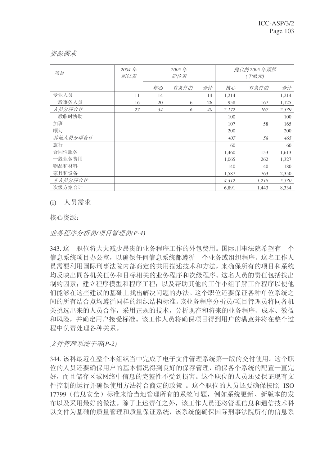| 项目       | 2004年<br>职位表 | 2005年<br>职位表 |      |    | 提议的 2005 年预算<br>(千欧元) |       |       |  |
|----------|--------------|--------------|------|----|-----------------------|-------|-------|--|
|          |              | 核心           | 有条件的 | 合计 | 核心                    | 有条件的  | 合计    |  |
| 专业人员     | 11           | 14           |      | 14 | 1,214                 |       | 1,214 |  |
| 一般事务人员   | 16           | 20           | 6    | 26 | 958                   | 167   | 1,125 |  |
| 人员分项合计   | 27           | 34           | 6    | 40 | 2,172                 | 167   | 2,339 |  |
| 一般临时协助   |              |              |      |    | 100                   |       | 100   |  |
| 加班       |              |              |      |    | 107                   | 58    | 165   |  |
| 顾问       |              |              |      |    | 200                   |       | 200   |  |
| 其他人员分项合计 |              |              |      |    | 407                   | 58    | 465   |  |
| 旅行       |              |              |      |    | 60                    |       | 60    |  |
| 合同性服务    |              |              |      |    | 1,460                 | 153   | 1,613 |  |
| 一般业务费用   |              |              |      |    | 1,065                 | 262   | 1,327 |  |
| 物品和材料    |              |              |      |    | 140                   | 40    | 180   |  |
| 家具和设备    |              |              |      |    | 1,587                 | 763   | 2,350 |  |
| 非人员分项合计  |              |              |      |    | 4,312                 | 1,218 | 5,530 |  |
| 次级方案合计   |              |              |      |    | 6,891                 | 1,443 | 8,334 |  |

#### 资源需求

(i) 人员需求

核心资源:

业务程序分析员/项目管理员(P-4)

343. 这一职位将大大减少昂贵的业务程序工作的外包费用。国际刑事法院希望有一个 信息系统项目办公室,以确保任何信息系统都遵循一个业务或组织程序。这名工作人 员需要利用国际刑事法院内部商定的共用描述技术和方法,来确保所有的项目和系统 均反映出同各机关任务和目标相关的业务程序和次级程序。这名人员的责任包括找出 制约因素;建立程序模型和程序工程;以及帮助其他的工作小组了解工作程序以使他 们能够在这些建议的基础上找出解决问题的办法。这个职位还要保证各种单位系统之 间的所有结合点均遵循同样的组织结构标准。该业务程序分析员/项目管理员将同各机 关挑选出来的人员合作,采用正规的技术,分析现在和将来的业务程序、成本、效益 和风险,并确定用户接受标准。该工作人员将确保项目得到用户的满意并将在整个过 程中负责处理各种关系。

文件管理系统干事(P-2)

344. 该科最近在整个本组织当中完成了电子文件管理系统第一版的交付使用。这个职 位的人员还要确保用户的基本情况得到良好的保存管理,确保各个系统的配置一直完 好,而且储存区域网络中信息的完整性不受到损害。这个职位的人员还要保证现有文 件控制的运行并确保使用方法符合商定的政策。这个职位的人员还要确保按照 ISO 17799 (信息安全) 标准来恰当地管理所有的系统问题, 例如系统更新、新版本的发 布以及采用最好的做法。除了上述责任之外,该工作人员还将管理信息和通信技术科 以文件为基础的质量管理和质量保证系统,该系统能确保国际刑事法院所有的信息系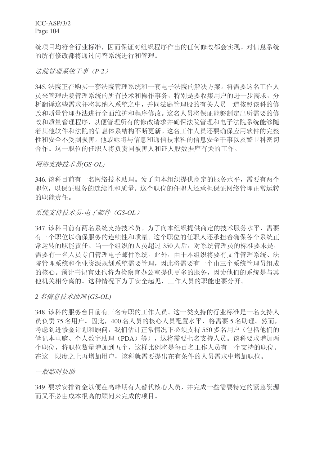统项目均符合行业标准,因而保证对组织程序作出的任何修改都会实现。对信息系统 的所有修改都将通过问答系统讲行和管理。

#### 法院管理系统干事(P-2)

345. 法院正在购买一套法院管理系统和一套电子法院的解决方案。将需要这名工作人 员来管理法院管理系统的所有技术和操作事务,特别是要收集用户的进一步需求,分 析翻译这些需求并将其纳入系统之中, 并同法庭管理股的有关人员一道按照该科的修 改和质量管理办法拼行全面维护和程序修改。这名人员将保证能够制定出所需要的修 改和质量管理程序,以便管理所有的修改请求并确保法院管理和电子法院系统能够随 着其他软件和法院的信息体系结构不断更新。这名工作人员还要确保应用软件的完整 性和安全不受到损害。他或她将与信息和通信技术科的信息安全干事以及警卫科密切 合作。这一职位的任职人将负责同被害人和证人股数据库有关的工作。

## 㔥㒰ᬃᣕᡔᴃਬ*(GS-OL)*

346. 该科目前有一名网络技术助理。为了向本组织提供商定的服务水平, 需要有两个 职位, 以保证服务的连续性和质量。这个职位的任职人还承担保证网络管理正常运转 的职能责任。

## 系统支持技术员-电子邮件 (GS-OL)

347. 该科目前有两名系统支持技术员。为了向本组织提供商定的技术服务水平, 需要 有三个职位以确保服务的连续性和质量。这个职位的任职人还承担着确保各个系统正 常运转的职能责任。当一个组织的人员超过350人后,对系统管理员的标准要求是, 需要有一名人员专门管理电子邮件系统。此外,由于本组织将要有文件管理系统、法 院管理系统和企业资源规划系统需要管理,因此将需要有一个由三个系统管理员组成 的核心。预计书记官处也将为检察官办公室提供更多的服务,因为他们的系统是与其 他机关相分离的。这种情况下为了安全起见,工作人员的职能也要分开。

## *2* ৡֵᙃᡔᴃࡽ*)* ⧛*GS-OL)*

348. 该科的服务台目前有三名专职的工作人员。这一类支持的行业标准是一名支持人 员负责 75 名用户。因此, 400 名人员的核心人员配置水平, 将需要 5 名助理。然而, 考虑到进修金计划和顾问,我们估计正常情况下必须支持 550 多名用户(包括他们的 笔记本电脑、个人数字助理(PDA)等), 这将需要七名支持人员。该科要求增加两 个职位,将职位数量增加到五个,这样比例将是每百名工作人员有一个支持的职位。 在这一限度之上再增加用户,该科就需要提出在有条件的人员需求中增加职位。

## 一般临时协助

349. 要求安排资金以便在高峰期有人替代核心人员, 并完成一些需要特定的紧急资源 而又不必由成本很高的顾问来完成的项目。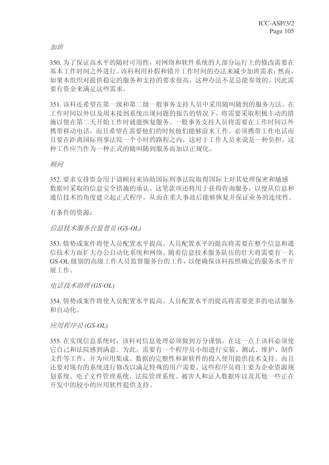加班

350. 为了保证高水平的随时可用性, 对网络和软件系统的大部分运行上的修改需要在 基本工作时间之外进行。该科利用补假和错开工作时间的办法来减少加班需求:然而, 如果本组织对提供稳定的服务和支持的要求很高, 这种办法不是总能奏效的。因此需 要有资金来满足这些需求。

351. 该科还希望在第一级和第二级一般事务支持人员中采用随叫随到的服务方法。在 工作时间以外以及周末接到系统出现问题的报告的情况下, 将需要采取积极主动的措 施以便在第二天开始工作时就能恢复服务。一般事务支持人员将需要在工作时间以外 携带移动电话,而且希望在需要他们的时候他们能够前来工作。必须携带工作电话而 且要在距离国际刑事法院一个小时的路程之内,这对于工作人员来说是一种负担。这 种工作应当作为一种正式的随叫随到服务而加以正规化。

#### 顾问

352. 要求安排资金用于请顾问来协助国际刑事法院取得国际上对其处理保密和敏感 数据时采取的信息安全措施的承认。这笔款项还将用于获得咨询服务,以便从信息和 通信技术的角度建立起正式程序,从而在重大事故后能够恢复并保证业务的连续性。

有条件的资源:

信息技术服务台监督员(GS-OL)

353. 情势或案件将使人员配置水平提高。人员配置水平的提高将需要在整个信息和通 信技术方面扩大办公自动化系统和网络。随着信息技术服务队伍的壮大将需要有一名 GS-OL 级别的高级工作人员监督服务台的工作, 以便确保该科按照确定的服务水平开 展工作。

⬉䆱ᡔᴃࡽ*)* ⧛*GS-OL)*

354. 情势或案件将使人员配置水平提高。人员配置水平的提高将需要更多的电话服务 和自动化。

应用程序员(GS-OL)

355. 在实现信息系统时, 该科对信息处理必须做到万分谨慎, 在这一点上该科必须使 它自己和法院感到满意。为此,需要有一个程序员小组进行安装、测试、维护、制作 文件等工作,并为应用集成、数据的完整性和新软件的投入使用提供技术支持。而且 还要对现有的系统进行修改以满足特殊的用户需要。这些程序员将主要为企业资源规 划系统、电子文件管理系统、法院管理系统、被害人和证人数据库以及其他一些正在 开发中的较小的应用软件提供支持。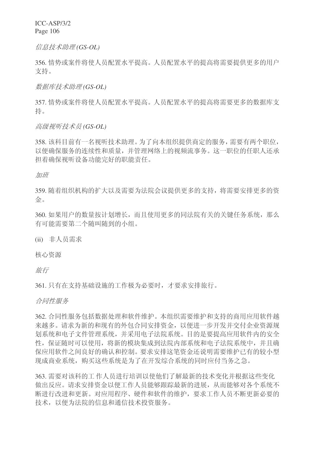ֵᙃᡔᴃࡽ*)* ⧛*GS-OL)*

356. 情势或案件将使人员配置水平提高。人员配置水平的提高将需要提供更多的用户 支持。

᭄ᑧᡔᴃࡽ*)* ⧛*GS-OL)*

357. 情势或案件将使人员配置水平提高。人员配置水平的提高将需要更多的数据库支 持。

高级视听技术员(GS-OL)

358. 该科目前有一名视听技术助理。为了向本组织提供商定的服务, 需要有两个职位, 以便确保服务的连续性和质量,并管理网络上的视频流事务。这一职位的任职人还承 担着确保视听设备功能完好的职能责任。

#### 加班

359. 随着组织机构的扩大以及需要为法院会议提供更多的支持, 将需要安排更多的资 金。

360. 如果用户的数量按计划增长,而且使用更多的同法院有关的关键任务系统, 那么 有可能需要第二个随叫随到的小组。

(ii) 韭人员需求

核心资源

旅行

361. 只有在支持基础设施的工作极为必要时,才要求安排旅行。

合同性服务

362. 合同性服务包括数据处理和软件维护。本组织需要维护和支持的商用应用软件越 来越多。请求为新的和现有的外包合同安排资金,以便讲一步开发并交付企业资源规 划系统和电子文件管理系统, 并采用电子法院系统。目的是要提高应用软件内的安全 性, 保证随时可以使用, 将新的模块集成到法院内部系统和电子法院系统中, 并且确 保应用软件之间良好的确认和控制。要求安排这笔资金还说明需要维护已有的较小型 现成商业系统, 购买这些系统是为了在开发综合系统的同时应付当务之急。

363. 需要对该科的工作人员进行培训以使他们了解最新的技术变化并根据这些变化 做出反应。请求安排资金以便工作人员能够跟踪最新的进展, 从而能够对各个系统不 断进行改进和更新。对应用程序、硬件和软件的维护,要求工作人员不断更新必要的 技术, 以便为法院的信息和通信技术投资服务。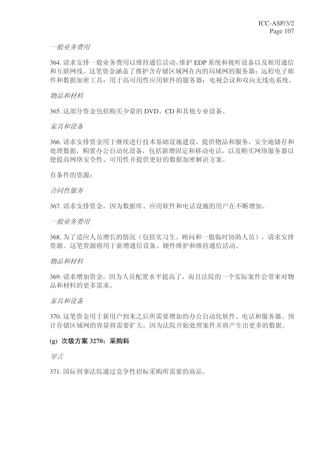一般业务费用

364. 请求安排一般业务费用以维持通信活动, 维护 EDP 系统和视听设备以及租用通信 和互联网线。这笔资金涵盖了维护含存储区域网在内的局域网的服务器: 远程电子邮 件和数据加密工具: 用于高可用性应用软件的服务器: 电视会议和双向无线电系统。

物品和材料

365. 这部分资金包括购买少量的 DVD、CD 和其他专业设备。

家具和设备

366. 请求安排资金用于继续进行技术基础设施建设, 提供物品和服务, 安全地储存和 处理数据, 购置办公自动化设备, 包括新增固定和移动电话, 以及购买网络服务器以 便提高网络安全性、可用性并提供更好的数据加密解决方案。

有条件的资源:

合同性服务

367. 请求安排资金, 因为数据库、应用软件和电话设施的用户在不断增加。

一般业务费用

368. 为了适应人员增长的情况(包括实习生、顾问和一般临时协助人员), 请求安排 资源。这笔资源将用于新增通信设备、硬件维护和维持通信活动。

#### 物品和材料

369. 请求增加资金, 因为人员配置水平提高了, 而且法院的一个实际案件会带来对物 品和材料的更多需求。

家具和设备

370. 这笔资金用于新用户到来之后所需要增加的办公自动化软件、电话和服务器。预 计存储区域网的容量将需要扩大,因为法院开始处理案件并将产生出更多的数据。

## (g) 次级方案 3270: 采购科

ᇐ㿔

371. 国际刑事法院通过竞争性招标采购所需要的商品。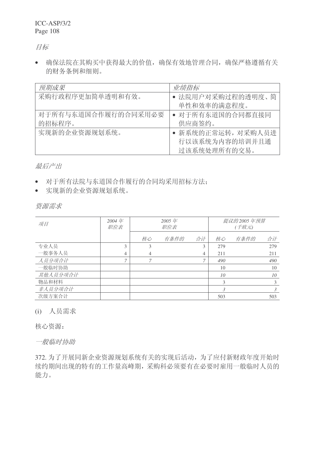目标

• 确保法院在其购买中获得最大的价值,确保有效地管理合同,确保严格遵循有关 的财务条例和细则。

| 预期成果                | 业绩指标               |
|---------------------|--------------------|
| 采购行政程序更加简单透明和有效。    | • 法院用户对采购过程的透明度、简  |
|                     | 单性和效率的满意程度。        |
| 对于所有与东道国合作履行的合同采用必要 | • 对于所有东道国的合同都直接同   |
| 的招标程序。              | 供应商签约。             |
| 实现新的企业资源规划系统。       | • 新系统的正常运转, 对采购人员进 |
|                     | 行以该系统为内容的培训并且通     |
|                     | 过该系统处理所有的交易。       |

最后产出

- 对于所有法院与东道国合作履行的合同均采用招标方法;
- 实现新的企业资源规划系统。

资源需求

| 项目       | 2004 年<br>职位表 | 2005年<br>职位表 |      |                | 提议的 2005 年预算<br>(千欧元) |      |     |
|----------|---------------|--------------|------|----------------|-----------------------|------|-----|
|          |               | 核心           | 有条件的 | 合计             | 核心                    | 有条件的 | 合计  |
| 专业人员     | 3             | 3            |      | 3              | 279                   |      | 279 |
| 一般事务人员   | 4             | 4            |      | $\overline{4}$ | 211                   |      | 211 |
| 人员分项合计   |               |              |      | 7              | 490                   |      | 490 |
| 一般临时协助   |               |              |      |                | 10                    |      | 10  |
| 其他人员分项合计 |               |              |      |                | 10 <sup>2</sup>       |      | 10  |
| 物品和材料    |               |              |      |                | 3                     |      | 3   |
| 非人员分项合计  |               |              |      |                | 3                     |      | 3   |
| 次级方案合计   |               |              |      |                | 503                   |      | 503 |

# (i) 人员需求

核心资源:

一般临时协助

372. 为了开展同新企业资源规划系统有关的实现后活动, 为了应付新财政年度开始时 续约期间出现的特有的工作量高峰期,采购科必须要有在必要时雇用一般临时人员的 能力。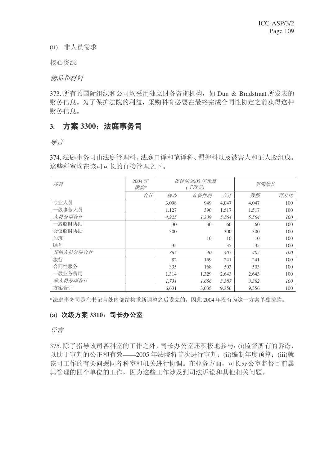(ii) 非人员需求

核心资源

物品和材料

373. 所有的国际组织和公司均采用独立财务咨询机构, 如 Dun & Bradstraat 所发表的 财务信息。为了保护法院的利益,采购科有必要在最终完成合同性协定之前获得这种 财务信息。

# 3. 方案 3300; 法庭事务司

导言

374. 法庭事务司由法庭管理科、法庭口译和笔译科、羁押科以及被害人和证人股组成。 这些科室均在该司司长的直接管理之下。

| 项目       | $2004$ 年<br>拨款* | 提议的 2005 年预算<br>(千欧元) |       |       | 资源增长  |     |
|----------|-----------------|-----------------------|-------|-------|-------|-----|
|          | 合计              | 核心                    | 有条件的  | 合计    | 数额    | 百分比 |
| 专业人员     |                 | 3,098                 | 949   | 4,047 | 4,047 | 100 |
| 一般事务人员   |                 | 1,127                 | 390   | 1,517 | 1,517 | 100 |
| 人员分项合计   |                 | 4,225                 | 1,339 | 5,564 | 5,564 | 100 |
| 一般临时协助   |                 | 30                    | 30    | 60    | 60    | 100 |
| 会议临时协助   |                 | 300                   |       | 300   | 300   | 100 |
| 加班       |                 |                       | 10    | 10    | 10    | 100 |
| 顾问       |                 | 35                    |       | 35    | 35    | 100 |
| 其他人员分项合计 |                 | 365                   | 40    | 405   | 405   | 100 |
| 旅行       |                 | 82                    | 159   | 241   | 241   | 100 |
| 合同性服务    |                 | 335                   | 168   | 503   | 503   | 100 |
| 一般业务费用   |                 | 1,314                 | 1,329 | 2,643 | 2,643 | 100 |
| 非人员分项合计  |                 | 1,731                 | 1,656 | 3,387 | 3,382 | 100 |
| 方案合计     |                 | 6.631                 | 3,035 | 9,356 | 9,356 | 100 |

\*法庭事务司是在书记官处内部结构重新调整之后设立的。因此 2004 年没有为这一方案单独拨款。

#### (a) 次级方案 3310: 司长办公室

号言

375. 除了指导该司各科室的工作之外, 司长办公室还积极地参与: (i)监督所有的诉讼, 以助于审判的公正和有效——2005年法院将首次讲行审判: (ii)编制年度预算: (iii)就 该司工作的有关问题同各科室和机关进行协调。在业务方面,司长办公室监督目前属 其管理的四个单位的工作,因为这些工作涉及到司法诉讼和其他相关问题。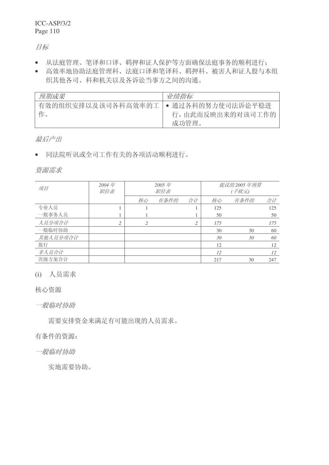# 目标

- 从法庭管理、笔译和口译、羁押和证人保护等方面确保法庭事务的顺利进行;
- 高效率地协助法庭管理科、法庭口译和笔译科、羁押科、被害人和证人股与本组 织其他各司、科和机关以及各诉讼当事方之间的沟通。

| 预期成果                | 业绩指标              |
|---------------------|-------------------|
| 有效的组织安排以及该司各科高效率的工丨 | • 通过各科的努力使司法诉讼平稳进 |
| 作。                  | 行,由此而反映出来的对该司工作的  |
|                     | 成功管理。             |

# 最后产出

• 同法院听讯或全司工作有关的各项活动顺利进行。

资源需求

| 项目       | 2004年<br>职位表 | 2005年<br>职位表   |      | 提议的2005年预算<br>(千欧元) |     |      |     |
|----------|--------------|----------------|------|---------------------|-----|------|-----|
|          |              | 核心             | 有条件的 | 合计                  | 核心  | 有条件的 | 合计  |
| 专业人员     |              |                |      |                     | 125 |      | 125 |
| 一般事务人员   |              |                |      |                     | 50  |      | 50  |
| 人员分项合计   | 2            | $\mathfrak{D}$ |      | ∍                   | 175 |      | 175 |
| 一般临时协助   |              |                |      |                     | 30  | 30   | 60  |
| 其他人员分项合计 |              |                |      |                     | 30  | 30   | 60  |
| 旅行       |              |                |      |                     | 12  |      | 12  |
| 非人员合计    |              |                |      |                     | 12  |      | 12  |
| 次级方案合计   |              |                |      |                     | 217 | 30   | 247 |

(i) 人员需求

核心资源

一般临时协助

需要安排资金来满足有可能出现的人员需求。

有条件的资源:

一般临时协助

实地需要协助。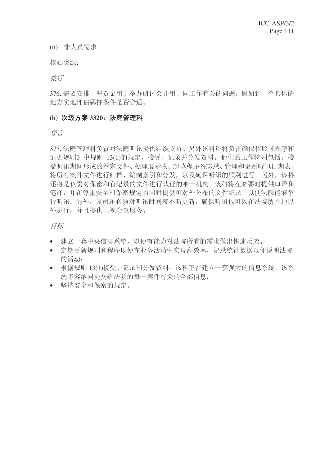(ii) 非人员需求

核心资源:

旅行

376. 需要安排一些资金用于举办研讨会并用于同工作有关的问题, 例如到一个具体的 地方实地评估羁押条件是否合适。

## (b) 次级方案 3320; 法庭管理科

ᇐ㿔

377. 法庭管理科负责对法庭听讯提供组织支持。另外该科还将负责确保依照《程序和 证据规则》中规则 13(1)的规定, 接受、记录并分发资料。他们的工作特别包括: 接 受听讯期间形成的卷宗文件、处理展示物、起草程序备忘录、管理和更新听讯日期表、 将所有案件文件讲行归档、编制索引和分发, 以及确保听讯的顺利讲行。另外, 该科 还将是负责对保密和有记录的文件进行认证的唯一机构。该科将在必要时提供口译和 笔译,并在尊重安全和保密规定的同时提供可对外公布的文件纪录,以便法院能够举 行听讯。另外,该司还必须对听讯时间表不断更新,确保听讯也可以在法院所在地以 外讲行,并且提供电视会议服务。

目标

- 建立一套中央信息系统,以便有能力对法院所有的需求做出快速反应。
- 定期更新规则和程序以便在业务活动中实现高效率,记录统计数据以便说明法院 的活动:
- 根据规则 13(1)接受、记录和分发资料。该科正在建立一套强大的信息系统,该系 统将容纳同提交给法院的每一案件有关的全部信息:
- 坚持安全和保密的规定。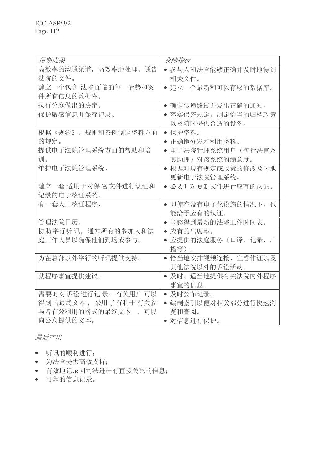| 预期成果                   | 业绩指标                         |
|------------------------|------------------------------|
| 高效率的沟通渠道,高效率地处理、通告     | • 参与人和法官能够正确并及时地得到           |
| 法院的文件。                 | 相关文件。                        |
| 建立一个包含 法院面临的每一情势和案     | • 建立一个最新和可以存取的数据库。           |
| 件所有信息的数据库。             |                              |
| 执行分庭做出的决定。             | 确定传递路线并发出正确的通知。<br>$\bullet$ |
| 保护敏感信息并保存记录。           | • 落实保密规定, 制定恰当的归档政策          |
|                        | 以及随时提供合适的设备。                 |
| 根据《规约》、规则和条例制定资料方面     | • 保护资料。                      |
| 的规定。                   | 正确地分发和利用资料。                  |
| 提供电子法院管理系统方面的帮助和培      | • 电子法院管理系统用户(包括法官及           |
| 训。                     | 其助理) 对该系统的满意度。               |
| 维护电子法院管理系统。            | • 根据对现有规定或政策的修改及时地           |
|                        | 更新电子法院管理系统。                  |
| 建立一套 适用于对保 密文件进行认证和    | • 必要时对复制文件进行应有的认证。           |
| 记录的电子核证系统。             |                              |
| 有一套人工核证程序,             | • 即使在没有电子化设施的情况下, 也          |
|                        | 能给予应有的认证。                    |
| 管理法院日历。                | 能够得到最新的法院工作时间表。              |
| 协助举行听讯,通知所有的参加人和法      | 应有的出席率。                      |
| 庭工作人员以确保他们到场或参与。       | 应提供的法庭服务(口译、记录、广             |
|                        | 播等)。                         |
| 为在总部以外举行的听讯提供支持。       | 恰当地安排视频连接、宣誓作证以及             |
|                        | 其他法院以外的诉讼活动。                 |
| 就程序事官提供建议。             | • 及时、适当地提供有关法院内外程序           |
|                        | 事官的信息。                       |
| 需要时对诉讼进行记录: 有关用户可以     | • 及时公布记录。                    |
| 得到的最终文本;采用了有利于有关参      | • 编制索引以便对相关部分进行快速浏           |
| 与者有效利用的格式的最终文本<br>: 可以 | 览和查阅。                        |
| 向公众提供的文本。              | • 对信息进行保护。                   |

最后产出

- 听讯的顺利进行;
- 为法官提供高效支持;
- 有效地记录同司法进程有直接关系的信息;
- 可靠的信息记录。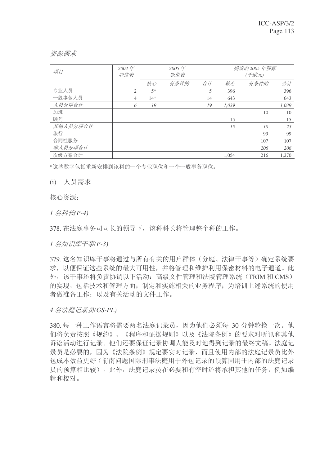#### 资源需求

| 项目       | $2004$ 年<br>职位表 |       | 2005 $#$<br>职位表 |    |       | 提议的2005年预算<br>(千欧元) |       |
|----------|-----------------|-------|-----------------|----|-------|---------------------|-------|
|          |                 | 核心    | 有条件的            | 合计 | 核心    | 有条件的                | 合计    |
| 专业人员     | 2               | $5*$  |                 | 5  | 396   |                     | 396   |
| 一般事务人员   | 4               | $14*$ |                 | 14 | 643   |                     | 643   |
| 人员分项合计   | 6               | 19    |                 | 19 | 1.039 |                     | 1,039 |
| 加班       |                 |       |                 |    |       | 10                  | 10    |
| 顾问       |                 |       |                 |    | 15    |                     | 15    |
| 其他人员分项合计 |                 |       |                 |    | 15    | 10                  | 25    |
| 旅行       |                 |       |                 |    |       | 99                  | 99    |
| 合同性服务    |                 |       |                 |    |       | 107                 | 107   |
| 非人员分项合计  |                 |       |                 |    |       | 206                 | 206   |
| 次级方案合计   |                 |       |                 |    | 1.054 | 216                 | 1.270 |

\*这些数字包括重新安排到该科的一个专业职位和一个一般事务职位。

(i) 人员需求

核心资源:

*1* ৡ⾥䭓*(P-4)*

378. 在法庭事务司司长的领导下, 该科科长将管理整个科的工作。

1名知识库干事(P-3)

379. 这名知识库干事将通过与所有有关的用户群体(分庭、法律干事等)确定系统要 求,以便保证这些系统的最大可用性,并将管理和维护利用保密材料的电子通道。此 外, 该干事还将负责协调以下活动: 高级文件管理和法院管理系统(TRIM 和 CMS) 的实现,包括技术和管理方面;制定和实施相关的业务程序;为培训上述系统的使用 者做准备工作: 以及有关活动的文件工作。

**4** 名法庭记录员(GS-PL)

380. 每一种工作语言将需要两名法庭记录员,因为他们必须每 30 分钟轮换一次。他 们将负责按照《规约》、《程序和证据规则》以及《法院条例》的要求对听讯和其他 诉讼活动进行记录。他们还要保证记录协调人能及时地得到记录的最终文稿。法庭记 录员是必要的,因为《法院条例》规定要实时记录,而且使用内部的法庭记录员比外 包成本效益更好(前南问题国际刑事法庭用于外包记录的预算同用于内部的法庭记录 员的预算相比较)。此外, 法庭记录员在必要和有空时还将承担其他的任务, 例如编 辑和校对。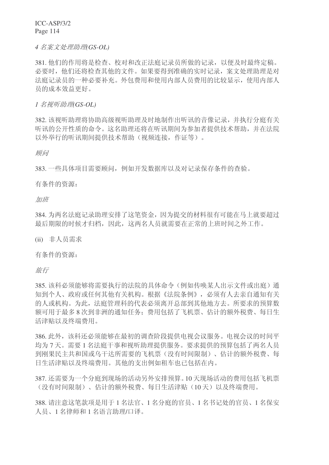#### *4* ৡḜ᭛໘⧚ࡽ*)*⧛*GS-OL)*

381. 他们的作用将是检查、校对和改正法庭记录员所做的记录, 以便及时最终定稿。 必要时,他们还将检查其他的文件。如果要得到准确的实时记录,案文处理助理是对 法庭记录员的一种必要补充。外包费用和使用内部人员费用的比较显示, 使用内部人 员的成本效益更好。

*1* ৡ㾚ࡽ*)*⧛*GS-OL)*

382. 该视听助理将协助高级视听助理及时地制作出听讯的音像记录, 并执行分庭有关 听讯的公开性质的命令。这名助理还将在听讯期间为参加者提供技术帮助,并在法院 以外举行的听讯期间提供技术帮助(视频连接,作证等)。

顾问

383. 一些具体项目需要顾问, 例如开发数据库以及对记录保存条件的查验。

有条件的资源:

加班

384. 为两名法庭记录助理安排了这笔资金, 因为提交的材料很有可能在马上就要超过 最后期限的时候才归档,因此,这两名人员就需要在正常的上班时间之外工作。

(ii) 非人员需求

有条件的资源:

旅行

385. 该科必须能够将需要执行的法院的具体命令(例如传唤某人出示文件或出庭)通 知到个人、政府或任何其他有关机构。根据《法院条例》, 必须有人去亲自通知有关 的人或机构。为此, 法庭管理科的代表必须离开总部到其他地方去。所要求的预算数 额可用于最多8次到非洲的通知任务;费用包括了飞机票、估计的额外税费、每日生 活津贴以及终端费用。

386. 此外, 该科还必须能够在最初的调查阶段提供电视会议服务。电视会议的时间平 均为7天。需要1名法庭干事和视听助理提供服务。要求提供的预算包括了两名人员 到刚果民主共和国或乌干达所需要的飞机票(没有时间限制)、估计的额外税费、每 日生活津贴以及终端费用。其他的支出例如租车也已包括在内。

387. 还需要为一个分庭到现场的活动另外安排预算。10 天现场活动的费用包括飞机票 (没有时间限制)、估计的额外税费、每日生活津贴(10天)以及终端费用。

388. 请注意这笔款项是用于1名法官、1名分庭的官员、1名书记处的官员、1名保安 人员、1名律师和1名语言助理/口译。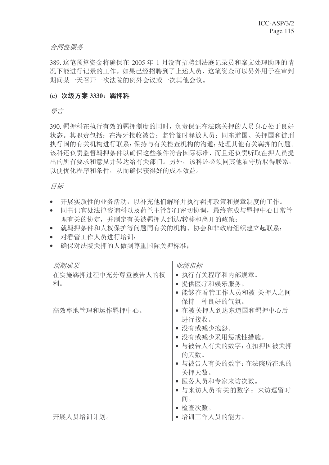## 合同性服务

389. 这笔预算资金将确保在 2005 年 1 月没有招聘到法庭记录员和案文处理助理的情 况下能讲行记录的工作。如果已经招聘到了上述人员,这笔资金可以另外用于在审判 期间某一天召开一次法院的例外会议或一次其他会议。

# (c) 次级方案 3330: 羁押科

#### 导言

390. 羁押科在执行有效的羁押制度的同时, 负责保证在法院关押的人员身心处于良好 状态。其职责包括: 在海牙接收被告; 监管临时释放人员; 同东道国、关押国和徒刑 执行国的有关机构讲行联系; 保持与有关检查机构的沟通; 处理其他有关羁押的问题。 该科还负责监督羁押条件以确保这些条件符合国际标准,而且还负责听取在押人员提 出的所有要求和意见并转达给有关部门。另外,该科还必须同其他看守所取得联系, 以便优化程序和条件, 从而确保获得好的成本效益。

## 月标

- 开展实质性的业务活动, 以补充他们解释并执行羁押政策和规章制度的工作。
- 同书记官处法律咨询科以及荷兰主管部门密切协调, 最终完成与羁押中心日常管 理有关的协定,并制定有关被羁押人到达/转移和离开的政策:
- 就羁押条件和人权保护等问题同有关的机构、协会和非政府组织建立起联系:
- 对看管工作人员进行培训:
- 确保对法院关押的人做到尊重国际关押标准:

| 预期成果              | 业绩指标                 |
|-------------------|----------------------|
| 在实施羁押过程中充分尊重被告人的权 | • 执行有关程序和内部规章。       |
| 利。                | 提供医疗和娱乐服务。           |
|                   | 能够在看管工作人员和被 关押人之间    |
|                   | 保持一种良好的气氛。           |
| 高效率地管理和运作羁押中心。    | ● 在被关押人到达东道国和羁押中心后   |
|                   | 进行接收。                |
|                   | • 没有或减少抱怨。           |
|                   | • 没有或减少采用惩戒性措施。      |
|                   | • 与被告人有关的数字: 在扣押国被关押 |
|                   | 的天数。                 |
|                   | • 与被告人有关的数字: 在法院所在地的 |
|                   | 关押天数。                |
|                   | • 医务人员和专家来访次数。       |
|                   | • 与来访人员有关的数字: 来访逗留时  |
|                   | 间。                   |
|                   | 检查次数。                |
| 开展人员培训计划。         | • 培训工作人员的能力。         |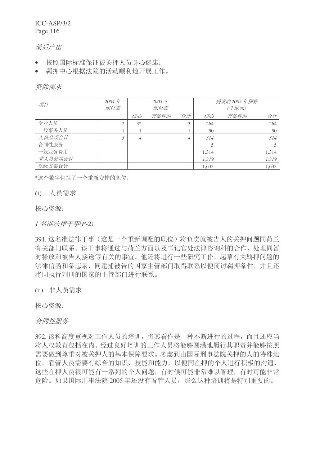# 最后产出

- 按照国际标准保证被关押人员身心健康;
- 羁押中心根据法院的活动顺利地开展工作。

#### 资源需求

| 项目      | 2004 $#$<br>职位表 | 2005年<br>职位表   |      |    | 提议的 2005 年预算<br>(千欧元) |      |       |  |
|---------|-----------------|----------------|------|----|-----------------------|------|-------|--|
|         |                 | 核心             | 有条件的 | 合计 | 核心                    | 有条件的 | 合计    |  |
| 专业人员    | $\bigcap$       | $3*$           |      | 3  | 264                   |      | 264   |  |
| 一般事务人员  |                 |                |      |    | 50                    |      | 50    |  |
| 人员分项合计  | 3               | $\overline{4}$ |      | 4  | 314                   |      | 314   |  |
| 合同性服务   |                 |                |      |    |                       |      |       |  |
| 一般业务费用  |                 |                |      |    | 1,314                 |      | 1,314 |  |
| 非人员分项合计 |                 |                |      |    | 1.319                 |      | 1,319 |  |
| 次级方案合计  |                 |                |      |    | 1,633                 |      | 1,633 |  |

\*这个数字包括了一个重新安排的职位。

(i) 人员需求

核心资源:

1名准法律干事(P-2)

391. 这名准法律干事(这是一个重新调配的职位) 将负责就被告人的关押问题同荷兰 有关部门联系。该干事将通过与荷兰方面以及书记官处法律咨询科的合作,处理同暂 时释放和被告人接送等有关的事宜。他还将进行一些研究工作,起草有关羁押问题的 法律信函和备忘录,同逮捕被告的国家主管部门取得联系以便商讨羁押条件,并且还 将同执行判刑的国家的主管部门进行联系。

(ii) 非人员需求

核心资源:

合同性服务

392. 该科高度重视对工作人员的培训, 将其看作是一种不断进行的过程, 而且还应当 将人权教育包括在内。经过良好培训的工作人员将能够圆满地履行其职责并能够按照 需要做到尊重对被关押人的基本保障要求。考虑到由国际刑事法院关押的人的特殊地 位,看管人员需要有综合的知识、技能和能力,以便同在押的个人进行积极的沟通, 这些在押人员很可能有一系列的个人问题,有时候可能非常难以管理,有时可能非常 危险。如果国际刑事法院 2005 年还没有看管人员, 那么这种培训将是特别重要的。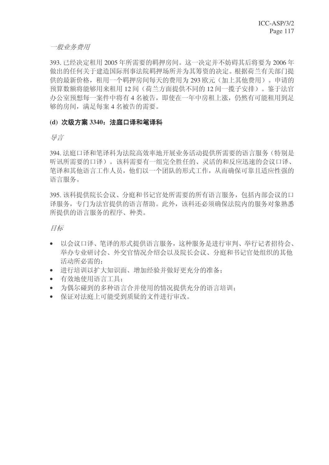一般业务费用

393. 已经决定租用 2005 年所需要的羁押房间。这一决定并不妨碍其后将要为 2006 年 做出的任何关于建造国际刑事法院羁押场所并为其筹资的决定。根据荷兰有关部门提 供的最新价格, 和用一个羁押房间每天的费用为 293 欧元(加上其他费用)。申请的 预算数额将能够用来租用12 间(荷兰方面提供不同的12 间一揽子安排)。鉴于法官 办公室预想每一案件中将有4名被告,即使在一年中房和上涨,仍然有可能和用到足 够的房间,满足每案 4 名被告的需要。

## (d) 次级方案 3340; 法庭口译和笔译科

异言

394. 法庭口译和笔译科为法院高效率地开展业务活动提供所需要的语言服务(特别是 听讯所需要的口译)。该科需要有一组完全胜任的、灵活的和反应迅速的会议口译、 笔译和其他语言工作人员,他们以一个团队的形式工作,从而确保可靠且适应性强的 语言服务。

395. 该科提供院长会议、分庭和书记官处所需要的所有语言服务, 包括内部会议的口 译服务,专门为法官提供的语言帮助。此外,该科还必须确保法院内的服务对象熟悉 所提供的语言服务的程序、种类。

目标

- 以会议口译、笔译的形式提供语言服务,这种服务是讲行审判、举行记者招待会、 举办专业研讨会、外交官情况介绍会以及院长会议、分庭和书记官处组织的基他 活动所必需的:
- 讲行培训以扩大知识面、增加经验并做好更充分的准备:
- 有效地使用语言工具:
- 为偶尔碰到的多种语言合并使用的情况提供充分的语言培训:
- 保证对法庭上可能受到质疑的文件进行审改。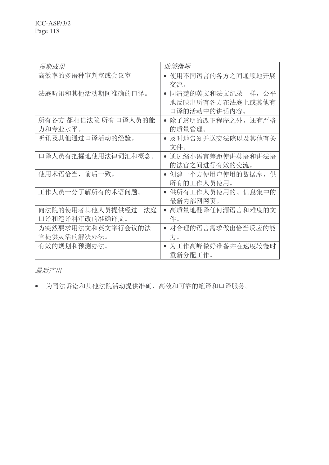| 预期成果                  | 业绩指标                           |
|-----------------------|--------------------------------|
| 高效率的多语种审判室或会议室        | 使用不同语言的各方之间通顺地开展               |
|                       | 交流。                            |
| 法庭听讯和其他活动期间准确的口译。     | 同清楚的英文和法文纪录一样, 公平<br>$\bullet$ |
|                       | 地反映出所有各方在法庭上或其他有               |
|                       | 口译的活动中的讲话内容。                   |
| 所有各方 都相信法院 所有 口译人员的能  | 除了透明的改正程序之外, 还有严格<br>$\bullet$ |
| 力和专业水平。               | 的质量管理。                         |
| 听讯及其他通过口译活动的经验。       | 及时地告知并送交法院以及其他有关               |
|                       | 文件。                            |
| 口译人员有把握地使用法律词汇和概念。    | • 通过缩小语言差距使讲英语和讲法语             |
|                       | 的法官之间进行有效的交流。                  |
| 使用术语恰当, 前后一致。         | 创建一个方便用户使用的数据库, 供              |
|                       | 所有的工作人员使用。                     |
| 工作人员十分了解所有的术语问题。      | 供所有工作人员使用的、信息集中的               |
|                       | 最新内部网网页。                       |
| 向法院的使用者其他人员提供经过<br>法庭 | 高质量地翻译任何源语言和难度的文               |
| 口译和笔译科审改的准确译文。        | 件。                             |
| 为突然要求用法文和英文举行会议的法     | • 对合理的语言需求做出恰当反应的能             |
| 官提供灵活的解决办法。           | 力。                             |
| 有效的规划和预测办法。           | 为工作高峰做好准备并在速度较慢时               |
|                       | 重新分配工作。                        |

最后产出

• 为司法诉讼和其他法院活动提供准确、高效和可靠的笔译和口译服务。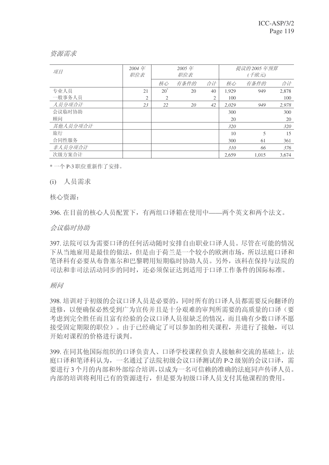#### 资源需求

|          | 2004 $#$ | 2005 $#$ |      |    | 提议的 2005 年预算 |       |       |  |
|----------|----------|----------|------|----|--------------|-------|-------|--|
| 项目       | 职位表      |          | 职位表  |    |              | (千欧元) |       |  |
|          |          |          |      |    |              |       |       |  |
|          |          | 核心       | 有条件的 | 合计 | 核心           | 有条件的  | 合计    |  |
| 专业人员     | 21       | $20^*$   | 20   | 40 | 1.929        | 949   | 2,878 |  |
| 一般事务人员   | 2        | 2        |      | 2  | 100          |       | 100   |  |
| 人员分项合计   | 23       | 22       | 20   | 42 | 2.029        | 949   | 2,978 |  |
| 会议临时协助   |          |          |      |    | 300          |       | 300   |  |
| 顾问       |          |          |      |    | 20           |       | 20    |  |
| 其他人员分项合计 |          |          |      |    | 320          |       | 320   |  |
| 旅行       |          |          |      |    | 10           | 5     | 15    |  |
| 合同性服务    |          |          |      |    | 300          | 61    | 361   |  |
| 非人员分项合计  |          |          |      |    | 310          | 66    | 376   |  |
| 次级方案合计   |          |          |      |    | 2,659        | 1.015 | 3.674 |  |

\* 一个 P-3 职位重新作了安排。

(i) 人员需求

核心资源:

396. 在目前的核心人员配置下, 有两组口译箱在使用中——两个英文和两个法文。

#### 会议临时协助

397. 法院可以为需要口译的任何活动随时安排自由职业口译人员。尽管在可能的情况 下从当地雇用是最佳的做法, 但是由于荷兰是一个较小的欧洲市场, 所以法庭口译和 笔译科有必要从布鲁塞尔和巴黎聘用短期临时协助人员。另外,该科在保持与法院的 司法和非司法活动同步的同时,还必须保证达到适用于口译工作条件的国际标准。

顾问

398. 培训对于初级的会议口译人员是必要的, 同时所有的口译人员都需要反向翻译的 进修,以便确保必然受到广为宣传并且是十分艰难的审判所需要的高质量的口译(要 考虑到完全胜任而且富有经验的会议口译人员很缺乏的情况,而且确有少数口译不愿 接受固定期限的职位)。由于已经确定了可以参加的相关课程,并进行了接触,可以 开始对课程的价格进行谈判。

399. 在同其他国际组织的口译负责人、口译学校课程负责人接触和交流的基础上, 法 庭口译和笔译科认为, 一名通过了法院初级会议口译测试的 P-2 级别的会议口译, 需 要进行3个月的内部和外部综合培训,以成为一名可信赖的准确的法庭同声传译人员。 内部的培训将利用已有的资源进行, 但是要为初级口译人员支付其他课程的费用。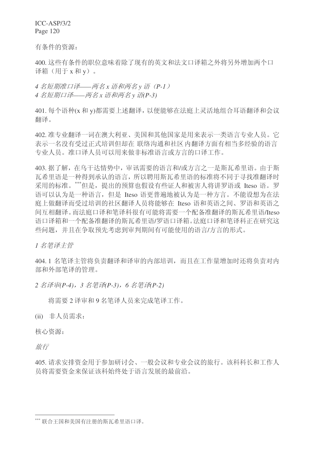有条件的资源:

400. 这些有条件的职位意味着除了现有的英文和法文口译箱之外将另外增加两个口 译箱(用于x和v)。

 $4$  名短期准口译——两名 x 语和两名 v 语 (P-1)  $4$  名短期口译——两名 x 语和两名 v 语(P-3)

401. 每个语种(x 和 y)都需要上述翻译, 以便能够在法庭上灵活地组合耳语翻译和会议 翻译。

402. 准专业翻译一词在澳大利亚、美国和其他国家是用来表示一类语言专业人员。它 表示一名没有受过正式培训但却在 联络沟通和社区 内翻译方面有相当多经验的语言 专业人员。准口译人员可以用来做非标准语言或方言的口译工作。

403. 据了解, 在乌干达情势中, 审讯需要的语言和/或方言之一是斯瓦希里语。由于斯 瓦希里语是一种得到承认的语言,所以聘用斯瓦希里语的标准将不同于寻找准翻译时 采用的标准。\*\*\*但是, 提出的预算也假设有些证人和被害人将讲罗语或 Iteso 语。罗 语可以认为是一种语言, 但是 Iteso 语更普遍地被认为是一种方言。不能设想为在法 庭上做翻译而受过培训的社区翻译人员将能够在 Iteso 语和英语之间、罗语和英语之 间互相翻译。而法庭口译和笔译科很有可能将需要一个配备准翻译的斯瓦希里语/Iteso 语口译箱和一个配备准翻译的斯瓦希里语/罗语口译箱。法庭口译和笔译科正在研究这 些问题,并且在争取预先考虑到审判期间有可能使用的语言/方言的形式。

1名笔译主管

404.1 名笔译主管将负责翻译和译审的内部培训,而且在工作量增加时还将负责对内 部和外部译的的管理。

 $2$  名译审(P-4),  $3$  名笔译(P-3),  $6$  名笔译(P-2)

将需要2译审和9名笔译人员来完成笔译工作。

(ii) 非人员需求:

核心资源:

旅行

405. 请求安排资金用于参加研讨会、一般会议和专业会议的旅行。该科科长和工作人 员将需要资金来保证该科始终处于语言发展的最前沿。

<sup>\*\*\*</sup> 联合王国和美国有注册的斯瓦希里语口译。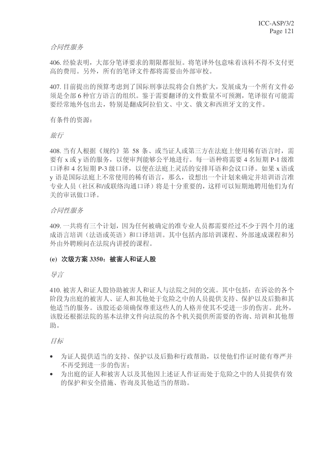合同性服务

406. 经验表明, 大部分笔译要求的期限都很短。将笔译外包意味着该科不得不支付更 高的费用。另外,所有的笔译文件都将需要由外部审校。

407. 目前提出的预算考虑到了国际刑事法院将会自然扩大, 发展成为一个所有文件必 须是全部6种官方语言的组织。鉴于需要翻译的文件数量不可预测, 笔译很有可能需 要经常地外包出去,特别是翻成阿拉伯文、中文、俄文和西班牙文的文件。

有条件的资源:

旅行

408. 当有人根据《规约》第 58 条、或当证人或第三方在法庭上使用稀有语言时, 需 要有 x 或 y 语的服务, 以便审判能够公平地进行。每一语种将需要 4 名短期 P-1 级准 口译和 4 名短期 P-3 级口译, 以便在法庭上灵活的安排耳语和会议口译。如果 x 语或 v 语是国际法庭上不常使用的稀有语言, 那么, 设想出一个计划来确定并培训语言准 专业人员(社区和/或联络沟通口译)将是十分重要的,这样可以短期地聘用他们为有 关的审讯做口译。

合同性服务

409. 一共将有三个计划, 因为任何被确定的准专业人员都需要经过不少于四个月的速 成语言培训(法语或英语)和口译培训。其中包括内部培训课程、外部速成课程和另 外由外聘顾问在法院内讲授的课程。

# (e) 次级方案 3350; 被害人和证人股

异言

410. 被害人和证人股协助被害人和证人与法院之间的交流。其中包括: 在诉讼的各个 阶段为出庭的被害人、证人和其他处于危险之中的人员提供支持、保护以及后勤和其 他适当的服务。该股还必须确保尊重这些人的人格并使其不受进一步的伤害。此外, 该股还根据法院的基本法律文件向法院的各个机关提供所需要的咨询、培训和其他帮 助。

目标

- 为证人提供适当的支持、保护以及后勤和行政帮助,以使他们作证时能有尊严并 不再受到讲一步的伤害:
- 为出庭的证人和被害人以及其他因上述证人作证而处于危险之中的人员提供有效 的保护和安全措施、咨询及其他适当的帮助。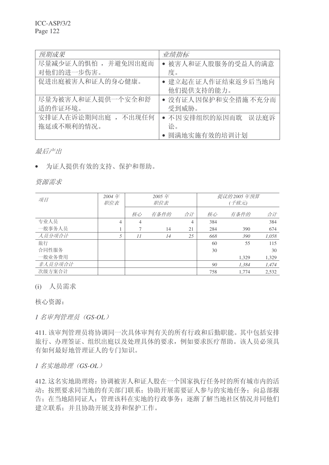| 预期成果                  | 业绩指标                  |
|-----------------------|-----------------------|
| 尽量减少证人的惧怕,<br>并避免因出庭而 | • 被害人和证人股服务的受益人的满意    |
| 对他们的进一步伤害。            | 度。                    |
| 促进出庭被害人和证人的身心健康。      | • 建立起在证人作证结束返乡后当地向    |
|                       | 他们提供支持的能力。            |
| 尽量为被害人和证人提供一个安全和舒     | • 没有证人因保护和安全措施 不充分而   |
| 适的作证环境。               | 受到威胁。                 |
| 安排证人在诉讼期间出庭,<br>不出现任何 | • 不因安排组织的原因而耽<br>误法庭诉 |
| 拖延或不顺利的情况。            | 讼。                    |
|                       | 圆满地实施有效的培训计划          |

最后产出

• 为证人提供有效的支持、保护和帮助。

资源需求

| 项目      | 2004 $#$<br>职位表 | 2005 年<br>职位表 |      |    | 提议的 2005 年预算<br>(千欧元) |       |       |
|---------|-----------------|---------------|------|----|-----------------------|-------|-------|
|         |                 | 核心            | 有条件的 | 合计 | 核心                    | 有条件的  | 合计    |
| 专业人员    | 4               | 4             |      | 4  | 384                   |       | 384   |
| 一般事务人员  |                 |               | 14   | 21 | 284                   | 390   | 674   |
| 人员分项合计  | 5               | 11            | 14   | 25 | 668                   | 390   | 1,058 |
| 旅行      |                 |               |      |    | 60                    | 55    | 115   |
| 合同性服务   |                 |               |      |    | 30                    |       | 30    |
| 一般业务费用  |                 |               |      |    |                       | 1.329 | 1,329 |
| 非人员分项合计 |                 |               |      |    | 90                    | 1.384 | 1,474 |
| 次级方案合计  |                 |               |      |    | 758                   | 1.774 | 2.532 |

(i) 人员需求

核心资源:

1名审判管理员 (GS-OL)

411. 该审判管理员将协调同一次具体审判有关的所有行政和后勤职能。其中包括安排 旅行、办理签证、组织出庭以及处理具体的要求,例如要求医疗帮助。该人员必须具 有如何最好地管理证人的专门知识。

 $1$  名实地助理 (GS-OL)

412. 这名实地助理将: 协调被害人和证人股在一个国家执行任务时的所有城市内的活 动; 按照要求同当地的有关部门联系; 协助开展需要证人参与的实地任务; 向总部报 告; 在当地陪同证人; 管理该科在实地的行政事务; 逐渐了解当地社区情况并同他们 建立联系; 并且协助开展支持和保护工作。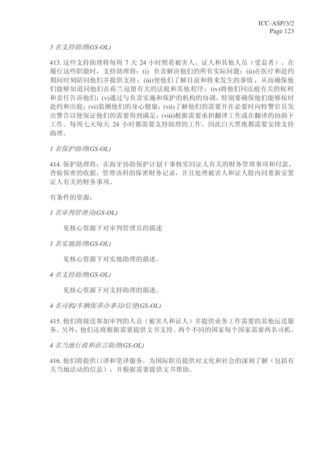*3* ৡᬃᣕࡽ*)*⧛*GS-OL)*

413. 这些支持助理将每周 7 天 24 小时照看被害人、证人和其他人员(受益者)。在 履行这些职能时, 支持助理将: (i) 负责解决他们的所有实际问题: (ii)在医疗和赴约 期间时刻陪同他们并提供支持: (iii)使他们了解目前和将来发生的事情, 从而确保他 们能够知道同他们在荷兰逗留有关的法庭和其他程序: (iv)将他们同法庭有关的权利 和责任告诉他们: (v)通过与负责实施和保护的机构的协调, 特别要确保他们能够按时 卦约和出庭: (vi)监测他们的身心健康: (vii)了解他们的需要并在必要时向特警官员发 出警告以便保证他们的需要得到满足; (viii)根据需要承担翻译工作或在翻译的协助下 工作。每周七天每天 24 小时都需要支持助理的工作。因此白天黑夜都需要安排支持 肋理。

 $1$  名保护助理(GS-OL)

414. 保护助理将: 在海牙协助保护计划干事核实同证人有关的财务管理事项和付款, 杳验保密的收据, 管理该科的保密财务记录, 并且处理被害人和证人股内同重新安置 证人有关的财务事项。

有条件的资源:

1名审判管理员(GS-OL)

见核心资源下对审判管理员的描述

1 名实地助理(GS-OL)

见核心资源下对实地助理的描述。

*4* ৡᬃᣕࡽ*)*⧛*GS-OL)*

见核心资源下对支持助理的描述。

4 名司机/车辆保养办事员/信使(GS-OL)

415. 他们将接送参加审判的人员(被害人和证人)并提供业务工作需要的其他运送服 务。另外,他们还将根据需要提供文书支持。两个不同的国家每个国家需要两名司机。

4 名当地行政和语言助理(GS-OL)

416. 他们将提供口译和笔译服务, 为国际职员提供对文化和社会的深刻了解(包括有 关当地活动的信息), 并根据需要提供文书帮助。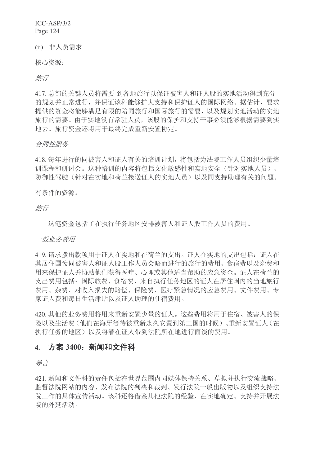(ii) 非人员需求

核心资源:

旅行

417. 总部的关键人员将需要到各地旅行以保证被害人和证人股的实地活动得到充分 的规划并正常进行,并保证该科能够扩大支持和保护证人的国际网络。据估计,要求 提供的资金将能够满足有限的陪同旅行和国际旅行的需要,以及规划实地活动的实地 旅行的需要。由于实地没有常驻人员,该股的保护和支持干事必须能够根据需要到实 地去。旅行资金还将用于最终完成重新安置协定。

# 合同性服务

418. 每年进行的同被害人和证人有关的培训计划, 将包括为法院工作人员组织少量培 训课程和研讨会。这种培训的内容将包括文化敏感性和实地安全(针对实地人员)、 防御性驾驶(针对在实地和荷兰接送证人的实地人员)以及同支持助理有关的问题。

有条件的资源:

旅行

这笔资金包括了在执行任务地区安排被害人和证人股工作人员的费用。

一般业务费用

419. 请求拨出款项用于证人在实地和在荷兰的支出。证人在实地的支出包括: 证人在 其居住国为同被害人和证人股工作人员会晤而进行的旅行的费用、食宿费以及杂费和 用来保护证人并协助他们获得医疗、心理或其他适当帮助的应急资金。证人在荷兰的 支出费用包括: 国际旅费、食宿费、来自执行任务地区的证人在居住国内的当地旅行 费用、杂费、对收入损失的赔偿、保险费、医疗紧急情况的应急费用、文件费用、专 家证人费和每日生活津贴以及证人助理的住宿费用。

420. 其他的业务费用将用来重新安置少量的证人。这些费用将用于住宿、被害人的保 险以及生活费(他们在海牙等待被重新永久安置到第三国的时候)、重新安置证人(在 执行任务的地区)以及将潜在证人带到法院所在地进行面谈的费用。

# 4. 方案 3400: 新闻和文件科

ᇐ㿔

421. 新闻和文件科的责任包括在世界范围内同媒体保持关系、草拟并执行交流战略、 监督法院网站的内容、发布法院的判决和裁判、发行法院一般出版物以及组织支持法 院工作的具体宣传活动。该科还将借鉴其他法院的经验, 在实地确定、支持并开展法 院的外延活动。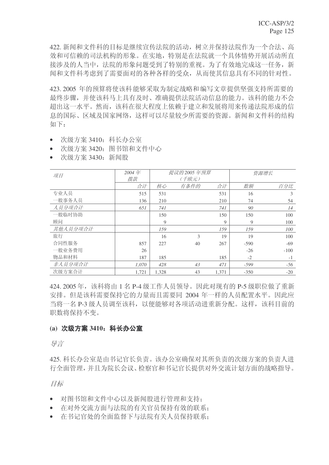422. 新闻和文件科的目标是继续宣传法院的活动, 树立并保持法院作为一个合法、高 效和可信赖的司法机构的形象。在实地,特别是在法院就一个具体情势开展活动所直 接涉及的人当中, 法院的形象问题受到了特别的重视。为了有效地完成这一任务, 新 闻和文件科考虑到了需要面对的各种各样的受众, 从而使其信息具有不同的针对性。

423. 2005 年的预算将使该科能够采取为制定战略和编写文章提供坚强支持所需要的 最终步骤,并使该科马上具有及时、准确提供法院活动信息的能力。该科的能力不会 招出这一水平。然而,该科在很大程度上依赖于建立和发展将用来传递法院形成的信 息的国际、区域及国家网络,这样可以尽量较少所需要的资源。新闻和文件科的结构 如下:

- 次级方案 3410: 科长办公室
- 次级方案 3420: 图书馆和文件中心
- 次级方案 3430: 新闻股

| 项目       | 2004 $#$ | 提议的 2005 年预算 |       |       | 资源增长   |        |  |
|----------|----------|--------------|-------|-------|--------|--------|--|
|          | 拨款       |              | (千欧元) |       |        |        |  |
|          | 合计       | 核心           | 有条件的  | 合计    | 数额     | 百分比    |  |
| 专业人员     | 515      | 531          |       | 531   | 16     | 3      |  |
| 一般事务人员   | 136      | 210          |       | 210   | 74     | 54     |  |
| 人员分项合计   | 651      | 741          |       | 741   | 90     | 14     |  |
| 一般临时协助   |          | 150          |       | 150   | 150    | 100    |  |
| 顾问       |          | 9            |       | 9     | 9      | 100    |  |
| 其他人员分项合计 |          | 159          |       | 159   | 159    | 100    |  |
| 旅行       |          | 16           | 3     | 19    | 19     | 100    |  |
| 合同性服务    | 857      | 227          | 40    | 267   | $-590$ | $-69$  |  |
| 一般业务费用   | 26       |              |       |       | $-26$  | $-100$ |  |
| 物品和材料    | 187      | 185          |       | 185   | $-2$   | $-1$   |  |
| 非人员分项合计  | 1.070    | 428          | 43    | 471   | $-599$ | $-56$  |  |
| 次级方案合计   | 1,721    | 1,328        | 43    | 1,371 | $-350$ | $-20$  |  |

424. 2005 年, 该科将由 1 名 P-4 级工作人员领导。因此对现有的 P-5 级职位做了重新 安排。但是该科需要保持它的力量而且需要同 2004 年一样的人员配置水平。因此应 当将一名 P-3 级人员调至该科, 以便能够对各项活动进重新分配。这样, 该科目前的 职数将保持不变。

#### (a) 次级方案 3410; 科长办公室

异言

425. 科长办公室是由书记官长负责。该办公室确保对其所负责的次级方案的负责人讲 行全面管理,并且为院长会议、检察官和书记官长提供对外交流计划方面的战略指导。

目标

- 对图书馆和文件中心以及新闻股进行管理和支持:
- 在对外交流方面与法院的有关官员保持有效的联系:
- 在书记官处的全面监督下与法院有关人员保持联系: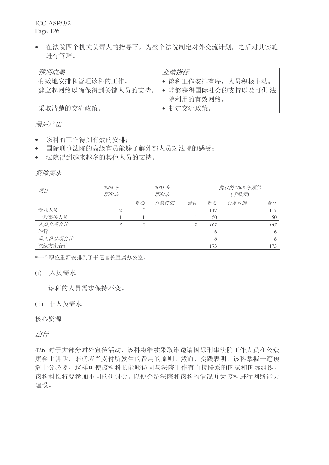• 在法院四个机关负责人的指导下,为整个法院制定对外交流计划,之后对其实施 进行管理。

| 预期成果               | 业绩指标                             |
|--------------------|----------------------------------|
| 有效地安排和管理该科的工作。     | • 该科工作安排有序, 人员积极主动。              |
| 建立起网络以确保得到关键人员的支持。 | • 能够获得国际社会的支持以及可供 法<br>院利用的有效网络。 |
| 采取清楚的交流政策。         | • 制定交流政策。                        |

# 最后产出

- 该科的工作得到有效的安排;
- 国际刑事法院的高级官员能够了解外部人员对法院的感受:
- 法院得到越来越多的其他人员的支持。

■ 资源需求

| 项目      | 2004 $#$<br>职位表 | 2005年<br>职位表 |      |    | 提议的2005年预算<br>(千欧元) |      |     |
|---------|-----------------|--------------|------|----|---------------------|------|-----|
|         |                 | 核心           | 有条件的 | 合计 | 核心                  | 有条件的 | 合计  |
| 专业人员    | ↑               |              |      |    | 117                 |      | 117 |
| 一般事务人员  |                 |              |      |    | 50                  |      | 50  |
| 人员分项合计  | 3               | ∍            |      | ◠  | 167                 |      | 167 |
| 旅行      |                 |              |      |    |                     |      | 6   |
| 非人员分项合计 |                 |              |      |    |                     |      | 6   |
| 次级方案合计  |                 |              |      |    | 173                 |      | 173 |

\*一个职位重新安排到了书记官长直属办公室。

(i) 人员需求

该科的人员需求保持不变。

(ii) 非人员需求

核心资源

旅行

426. 对于大部分对外宣传活动, 该科将继续采取谁邀请国际刑事法院工作人员在公众 集会上讲话,谁就应当支付所发生的费用的原则。然而,实践表明,该科掌握一笔预 算十分必要,这样可使该科科长能够访问与法院工作有直接联系的国家和国际组织。 该科科长将要参加不同的研讨会,以便介绍法院和该科的情况并为该科进行网络能力 建设。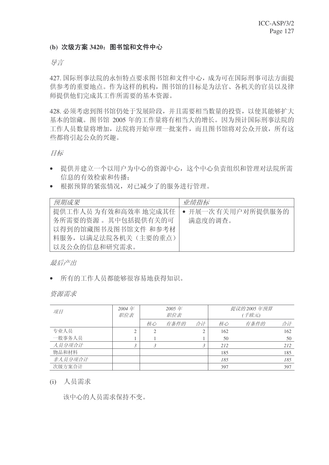# (b) 次级方案 3420: 图书馆和文件中心

#### 导言

427. 国际刑事法院的永恒特点要求图书馆和文件中心, 成为可在国际刑事司法方面提 供参考的重要地点。作为这样的机构, 图书馆的目标是为法官、各机关的官员以及律 师提供他们完成其工作所需要的基本资源。

428. 必须考虑到图书馆仍处于发展阶段,并且需要相当数量的投资,以使其能够扩大 基本的馆藏。图书馆 2005 年的工作量将有相当大的增长。因为预计国际刑事法院的 工作人员数量将增加, 法院将开始审理一批案件, 而且图书馆将对公众开放, 所有这 些都将引起公众的兴趣。

目标

- 提供并建立一个以用户为中心的资源中心,这个中心负责组织和管理对法院所需 信息的有效检索和传播;
- 根据预算的紧张情况, 对已减少了的服务讲行管理。

| 预期成果                 | 业绩指标              |
|----------------------|-------------------|
| 提供工作人员 为有效和高效率 地完成其任 | • 开展一次有关用户对所提供服务的 |
| 务所需要的资源 。其中包括提供有关的可  | 满意度的调查。           |
| 以得到的馆藏图书及图书馆文件 和参考材  |                   |
| 料服务, 以满足法院各机关(主要的重点) |                   |
| 以及公众的信息和研究需求。        |                   |

最后产出

• 所有的工作人员都能够很容易地获得知识。

资源需求

| 项目      | 2004 $#$<br>职位表 | 2005年<br>职位表                  |      |    | 提议的2005年预算<br>(千欧元) |      |     |  |
|---------|-----------------|-------------------------------|------|----|---------------------|------|-----|--|
|         |                 | 核心                            | 有条件的 | 合计 | 核心                  | 有条件的 | 合计  |  |
| 专业人员    | $\mathfrak{D}$  | $\mathfrak{D}_{\mathfrak{p}}$ |      | ◠  | 162                 |      | 162 |  |
| 一般事务人员  |                 |                               |      |    | 50                  |      | 50  |  |
| 人员分项合计  | 3               | 3                             |      |    | 212                 |      | 212 |  |
| 物品和材料   |                 |                               |      |    | 185                 |      | 185 |  |
| 非人员分项合计 |                 |                               |      |    | 185                 |      | 185 |  |
| 次级方案合计  |                 |                               |      |    | 397                 |      | 397 |  |

## (i) 人员需求

该中心的人员需求保持不变。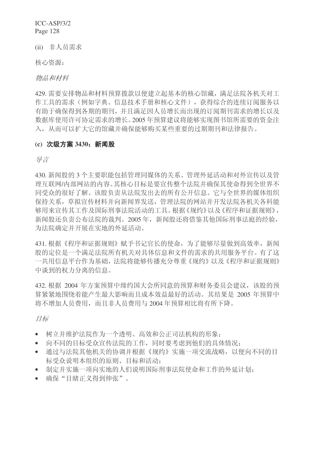(ii) 非人员需求

核心资源:

物品和材料

429. 需要安排物品和材料预算拨款以便建立起基本的核心馆藏, 满足法院各机关对工 作工具的需求(例如字典、信息技术手册和核心文件), 获得综合的连续订阅服务以 有助于确保得到各期的期刊,并且满足因人员增长而出现的订阅期刊需求的增长以及 数据库使用许可协定需求的增长。2005年预算建议将能够实现图书馆所需要的资金注 入, 从而可以扩大它的馆藏并确保能够购买某些重要的过期期刊和法律报告。

# (c) 次级方案 3430; 新闻股

ᇐ㿔

430. 新闻股的3 个主要职能包括管理同媒体的关系、管理外延活动和对外宣传以及管 理互联网/内部网站的内容。其核心目标是要宣传整个法院并确保其使命得到全世界不 同受众的很好了解。该股负责从法院发出去的所有公开信息。它与全世界的媒体组织 保持关系, 草拟宣传材料并向新闻界发送, 管理法院的网站并开发法院各机关各科能 够用来宣传其工作及国际刑事法院活动的工具。根据《规约》以及《程序和证据规则》, 新闻股还负责公布法院的裁判。2005年,新闻股还将借鉴其他国际刑事法庭的经验, 为法院确定并开展在实地的外延活动。

431. 根据《程序和证据规则》赋予书记官长的使命, 为了能够尽量做到高效率, 新闻 股的定位是一个满足法院所有机关对具体信息和文件的需求的共用服务平台。有了这 一共用信息平台作为基础, 法院将能够传播充分尊重《规约》以及《程序和证据规则》 中谈到的权力分离的信息。

432. 根据 2004 年方案预算中缔约国大会所同意的预算和财务委员会建议, 该股的预 算紧紧地围绕着能产生最大影响而且成本效益最好的活动。其结果是 2005 年预算中 将不增加人员费用,而且非人员费用与2004年预算相比将有所下降。

目标

- 树立并维护法院作为一个透明、高效和公正司法机构的形象:
- 向不同的目标受众宣传法院的工作,同时要考虑到他们的具体情况:
- 通过与法院其他机关的协调并根据《规约》实施一项交流战略,以便向不同的目 标受众说明本组织的原则、目标和活动:
- 制定并实施一项向实地的人们说明国际刑事法院使命和工作的外延计划:
- 商保"目睹正义得到伸张"。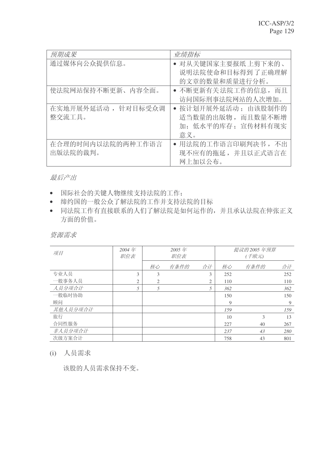| 预期成果               | 业绩指标                |
|--------------------|---------------------|
| 通过媒体向公众提供信息。       | • 对从关键国家主要报纸 上剪下来的、 |
|                    | 说明法院使命和目标得到了正确理解    |
|                    | 的文章的数量和质量进行分析。      |
| 使法院网站保持不断更新、内容全面。  | • 不断更新有关法院工作的信息, 而且 |
|                    | 访问国际刑事法院网站的人次增加。    |
| 在实地开展外延活动, 针对目标受众调 | • 按计划开展外延活动: 由该股制作的 |
| 整交流工具。             | 适当数量的出版物,而且数量不断增    |
|                    | 加: 低水平的库存: 宣传材料有现实  |
|                    | 意义。                 |
| 在合理的时间内以法院的两种工作语言  | • 用法院的工作语言印刷判决书, 不出 |
| 出版法院的裁判。           | 现不应有的拖延,并且以正式语言在    |
|                    | 网上加以公布。             |

最后产出

- 国际社会的关键人物继续支持法院的工作;
- 缔约国的一般公众了解法院的工作并支持法院的目标
- 同法院工作有直接联系的人们了解法院是如何运作的,并且承认法院在伸张正义 方面的价值。

资源需求

| 项目       | 2004 $#$<br>职位表 |    | 2005 $#$<br>职位表 |    |     | 提议的 2005 年预算<br>(千欧元) |     |
|----------|-----------------|----|-----------------|----|-----|-----------------------|-----|
|          |                 | 核心 | 有条件的            | 合计 | 核心  | 有条件的                  | 合计  |
| 专业人员     | 3               | 3  |                 | 3  | 252 |                       | 252 |
| 一般事务人员   | 2               | 2  |                 | 2  | 110 |                       | 110 |
| 人员分项合计   | 5               | 5  |                 |    | 362 |                       | 362 |
| 一般临时协助   |                 |    |                 |    | 150 |                       | 150 |
| 顾问       |                 |    |                 |    | 9   |                       | 9   |
| 其他人员分项合计 |                 |    |                 |    | 159 |                       | 159 |
| 旅行       |                 |    |                 |    | 10  | 3                     | 13  |
| 合同性服务    |                 |    |                 |    | 227 | 40                    | 267 |
| 非人员分项合计  |                 |    |                 |    | 237 | 43                    | 280 |
| 次级方案合计   |                 |    |                 |    | 758 | 43                    | 801 |

(i) 人员需求

该股的人员需求保持不变。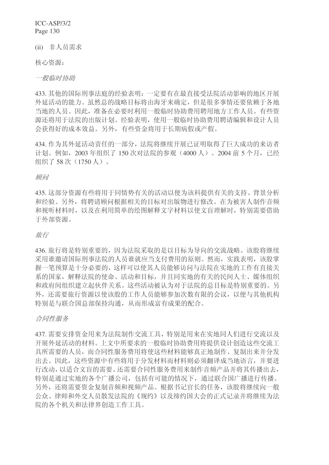## (ii) 非人员需求

核心资源:

#### 一般临时协助

433. 其他的国际刑事法庭的经验表明: 一定要有在最直接受法院活动影响的地区开展 外延活动的能力。虽然总的战略目标将由海牙来确定,但是很多事情还要依赖于各地 当地的人员。因此, 准备在必要时利用一般临时协助费用聘用地方工作人员。有些资 源还将用于法院的出版计划。 经验表明, 使用一般临时协助费用聘请编辑和设计人员 会获得好的成本效益。另外,有些资金将用于长期病假或产假。

434. 作为其外延活动责任的一部分, 法院将继续开展已证明取得了巨大成功的来访者 计划。例如, 2003 年组织了 150 次对法院的参观 (4000 人) 。2004 前 5 个月, 已经 组织了58次(1750人)。

#### 顾问

435. 这部分资源有些将用于同情势有关的活动以便为该科提供有关的支持、背景分析 和经验。另外, 将聘请顾问根据相关的目标对出版物进行修改。在为被害人制作音频 和视听材料时,以及在利用简单的绘图解释文字材料以使文盲理解时,特别需要借助 于外部资源。

#### 旅行

436. 旅行将是特别重要的, 因为法院采取的是以目标为导向的交流战略。该股将继续 采用谁邀请国际刑事法院的人员谁就应当支付费用的原则。然而, 实践表明, 该股掌 握一笔预算是十分必要的, 这样可以使其人员能够访问与法院在实地的工作有直接关 系的国家,解释法院的使命、活动和目标,并且同实地的有关的民间人士、媒体组织 和政府间组织建立起伙伴关系。这些活动被认为对于法院的总目标是特别重要的。另 外,还需要旅行资源以使该股的工作人员能够参加次数有限的会议,以便与其他机构 特别是与联合国总部保持沟通, 从而形成富有成果的配合。

#### 合同性服务

437. 需要安排资金用来为法院制作交流工具, 特别是用来在实地同人们进行交流以及 开展外延活动的材料。上文中所要求的一般临时协助费用将提供设计创造这些交流工 具所需要的人员,而合同性服务费用将使这些材料能够真正地制作、复制出来并分发 出夫。因此, 这些资源中有些将用于分发材料而材料则必须翻译成当地语言, 并要讲 行改动, 以适合文盲的需要。还需要合同性服务费用来制作音频产品并将其传播出去, 特别是通过实地的各个广播公司,包括有可能的情况下,通过联合国广播进行传播。 另外, 还将需要资金复制音频和视频产品。根据书记官长的任务, 该股将继续向一般 公众、律师和外交人员散发法院的《规约》以及缔约国大会的正式记录并将继续为法 院的各个机关和法律界创造工作工具。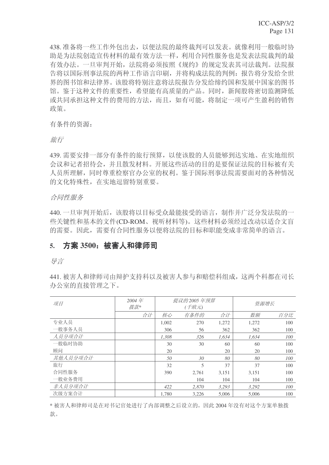438. 准备将一些工作外包出去, 以便法院的最终裁判可以发表。就像利用一般临时协 助是为法院创造宣传材料的最有效方法一样, 利用合同性服务也是发表法院裁判的最 有效办法。一旦审判开始, 法院将必须按照《规约》的规定发表其司法裁判。法院报 告将以国际刑事法院的两种工作语言印刷,并将构成法院的判例:报告将分发给全世 界的图书馆和法律界。该股将特别注意将法院报告分发给缔约国和发展中国家的图书 馆。鉴于这种文件的重要性,希望能有高质量的产品。同时,新闻股将密切监测降低 或共同承担这种文件的费用的方法,而且,如有可能,将制定一项可产生盈利的销售 政策。

有条件的资源:

旅行

439. 需要安排一部分有条件的旅行预算, 以使该股的人员能够到达实地、在实地组织 会议和记者招待会,并且散发材料。开展这些活动的目的是要保证法院的目标被有关 人员所理解,同时尊重检察官办公室的权利。鉴于国际刑事法院需要面对的各种情况 的文化特殊性, 在实地逗留特别重要。

合同性服务

440. 一旦审判开始后, 该股将以目标受众最能接受的语言, 制作并广泛分发法院的一 些关键性和基本的文件(CD-ROM、视听材料等)。这些材料必须经过改动以适合文盲 的需要。因此,需要有合同性服务以便将法院的目标和职能变成非常简单的语言。

# 5. 方案 3500: 被害人和律师司

异言

441. 被害人和律师司由辩护支持科以及被害人参与和赔偿科组成, 这两个科都在司长 办公室的直接管理之下。

| 项目       | 2004年<br>拨款* | 提议的 2005 年预算<br>(千欧元) |       |       | 资源增长  |     |
|----------|--------------|-----------------------|-------|-------|-------|-----|
|          | 合计           | 核心                    | 有条件的  | 合计    | 数额    | 百分比 |
| 专业人员     |              | 1,002                 | 270   | 1,272 | 1,272 | 100 |
| 一般事务人员   |              | 306                   | 56    | 362   | 362   | 100 |
| 人员分项合计   |              | 1,308                 | 326   | 1,634 | 1,634 | 100 |
| 一般临时协助   |              | 30                    | 30    | 60    | 60    | 100 |
| 顾问       |              | 20                    |       | 20    | 20    | 100 |
| 其他人员分项合计 |              | 50                    | 30    | 80    | 80    | 100 |
| 旅行       |              | 32                    | 5     | 37    | 37    | 100 |
| 合同性服务    |              | 390                   | 2,761 | 3,151 | 3,151 | 100 |
| 一般业务费用   |              |                       | 104   | 104   | 104   | 100 |
| 非人员分项合计  |              | 422                   | 2,870 | 3,293 | 3,292 | 100 |
| 次级方案合计   |              | 1,780                 | 3,226 | 5,006 | 5,006 | 100 |

\* 被害人和律师司是在对书记官处进行了内部调整之后设立的。因此 2004 年没有对这个方案单独拨 款。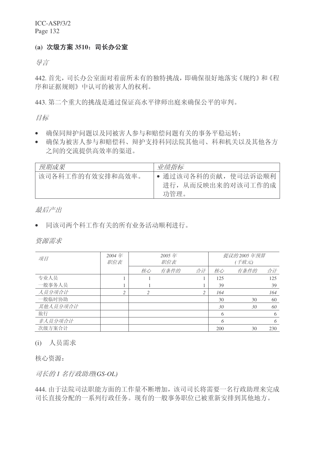## (a) 次级方案 3510: 司长办公室

导言

442. 首先, 司长办公室面对着前所未有的独特挑战, 即确保很好地落实《规约》和《程 序和证据规则》中认可的被害人的权利。

443. 第二个重大的挑战是通过保证高水平律师出庭来确保公平的审判。

目标

- 确保同辩护问题以及同被害人参与和赔偿问题有关的事务平稳运转:
- 确保为被害人参与和赔偿科、辩护支持科同法院其他司、科和机关以及其他各方 之间的交流提供高效率的渠道。

| 预期成果             | 业绩指标                                               |
|------------------|----------------------------------------------------|
| 该司各科工作的有效安排和高效率。 | • 通过该司各科的贡献, 使司法诉讼顺利<br>进行, 从而反映出来的对该司工作的成<br>功管理。 |

最后产出

• 同该司两个科工作有关的所有业务活动顺利进行。

资源需求

| 项目       | 2004年<br>职位表 |    | 2005年<br>职位表 |    |     | 提议的2005年预算<br>(千欧元) |     |
|----------|--------------|----|--------------|----|-----|---------------------|-----|
|          |              | 核心 | 有条件的         | 合计 | 核心  | 有条件的                | 合计  |
| 专业人员     |              |    |              |    | 125 |                     | 125 |
| 一般事务人员   |              |    |              |    | 39  |                     | 39  |
| 人员分项合计   | 2            | 2  |              | 2  | 164 |                     | 164 |
| 一般临时协助   |              |    |              |    | 30  | 30                  | 60  |
| 其他人员分项合计 |              |    |              |    | 30  | 30                  | 60  |
| 旅行       |              |    |              |    | 6   |                     | 6   |
| 非人员分项合计  |              |    |              |    | 6   |                     | 6   |
| 次级方案合计   |              |    |              |    | 200 | 30                  | 230 |

(i) 人员需求

核心资源:

司长的1 名行政助理(GS-OL)

444. 由于法院司法职能方面的工作量不断增加, 该司司长将需要一名行政助理来完成 司长直接分配的一系列行政任务。现有的一般事务职位已被重新安排到其他地方。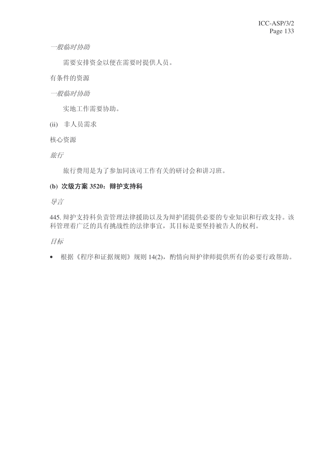一般临时协助

需要安排资金以便在需要时提供人员。

有条件的资源

一般临时协助

实地工作需要协助。

- (ii) 非人员需求
- 核心资源

旅行

旅行费用是为了参加同该司工作有关的研讨会和讲习班。

## (b) 次级方案 3520: 辩护支持科

ᇐ㿔

445. 辩护支持科负责管理法律援助以及为辩护团提供必要的专业知识和行政支持。该 科管理着广泛的具有挑战性的法律事宜, 其目标是要坚持被告人的权利。

目标

• 根据《程序和证据规则》规则14(2), 酌情向辩护律师提供所有的必要行政帮助。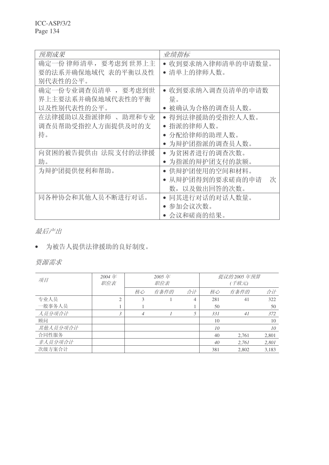| 预期成果                 | 业绩指标                         |
|----------------------|------------------------------|
| 确定一份 律师清单, 要考虑到 世界上主 | 收到要求纳入律师清单的申请数量。             |
| 要的法系并确保地域代 表的平衡以及性   | • 清单上的律师人数。                  |
| 别代表性的公平。             |                              |
| 确定一份专业调查员清单, 要考虑到世   | 收到要求纳入调查员清单的申请数<br>$\bullet$ |
| 界上主要法系并确保地域代表性的平衡    | 量。                           |
| 以及性别代表性的公平。          | 被确认为合格的调查员人数。                |
| 在法律援助以及指派律师 、助理和专业   | 得到法律援助的受指控人人数。<br>$\bullet$  |
| 调查员帮助受指控人方面提供及时的支    | 指派的律师人数。<br>$\bullet$        |
| 持。                   | 分配给律师的助理人数。                  |
|                      | 为辩护团指派的调查员人数。                |
| 向贫困的被告提供由 法院支付的法律援   | 为贫困者进行的调查次数。<br>$\bullet$    |
| 助。                   | 为指派的辩护团支付的款额。<br>$\bullet$   |
| 为辩护团提供便利和帮助。         | 供辩护团使用的空间和材料。<br>$\bullet$   |
|                      | 从辩护团得到的要求磋商的申请<br>次          |
|                      | 数, 以及做出回答的次数。                |
| 同各种协会和其他人员不断进行对话。    | 同其进行对话的对话人数量。                |
|                      | 参加会议次数。                      |
|                      | 会议和磋商的结果。                    |

最后产出

# • 为被告人提供法律援助的良好制度。

资源需求

| 项目       | 2004 $#$<br>职位表 | 2005年<br>职位表   |      |                | 提议的2005年预算<br>(千欧元) |       |       |
|----------|-----------------|----------------|------|----------------|---------------------|-------|-------|
|          |                 | 核心             | 有条件的 | 合计             | 核心                  | 有条件的  | 合计    |
| 专业人员     | 2               | 3              |      | $\overline{4}$ | 281                 | 41    | 322   |
| 一般事务人员   |                 |                |      |                | 50                  |       | 50    |
| 人员分项合计   | 3               | $\overline{4}$ |      |                | 331                 | 41    | 372   |
| 顾问       |                 |                |      |                | 10                  |       | 10    |
| 其他人员分项合计 |                 |                |      |                | 10                  |       | 10    |
| 合同性服务    |                 |                |      |                | 40                  | 2.761 | 2,801 |
| 非人员分项合计  |                 |                |      |                | 40                  | 2,761 | 2,801 |
| 次级方案合计   |                 |                |      |                | 381                 | 2.802 | 3,183 |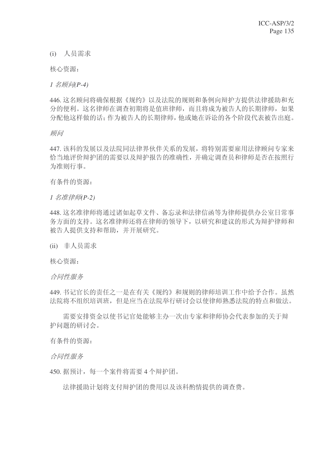(i) 人员需求

核心资源:

*1* ৡ乒䯂*(P-4)*

446. 这名顾问将确保根据《规约》以及法院的规则和条例向辩护方提供法律援助和充 分的便利。这名律师在调查初期将是值班律师,而且将成为被告人的长期律师,如果 分配他这样做的话;作为被告人的长期律师,他或她在诉讼的各个阶段代表被告出庭。

顾问

447. 该科的发展以及法院同法律界伙伴关系的发展, 将特别需要雇用法律顾问专家来 恰当地评价辩护团的需要以及辩护报告的准确性,并确定调查员和律师是否在按照行 为准则行事。

有条件的资源:

*1* ৡޚᕟᏜ*(P-2)*

448. 这名准律师将通过诸如起草文件、备忘录和法律信函等为律师提供办公室日常事 务方面的支持。这名准律师还将在律师的领导下,以研究和建议的形式为辩护律师和 被告人提供支持和帮助,并开展研究。

(ii) 非人员需求

核心资源:

合同性服务

449. 书记官长的责任之一是在有关《规约》和规则的律师培训工作中给予合作。虽然 法院将不组织培训班,但是应当在法院举行研讨会以使律师熟悉法院的特点和做法。

需要安排资金以使书记官处能够主办一次由专家和律师协会代表参加的关于辩 护问题的研讨会。

有条件的资源:

合同性服务

450. 据预计, 每一个案件将需要 4 个辩护团。

法律援助计划将支付辩护团的费用以及该科酌情提供的调查费。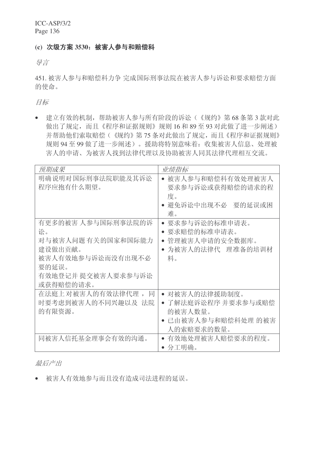## (c) 次级方案 3530: 被害人参与和赔偿科

ᇐ㿔

451. 被害人参与和赔偿科力争完成国际刑事法院在被害人参与诉讼和要求赔偿方面 的使命。

目标

• 建立有效的机制,帮助被害人参与所有阶段的诉讼(《规约》第68条第3款对此 做出了规定,而且《程序和证据规则》规则 16 和 89 至 93 对此做了进一步阐述) 并帮助他们索取赔偿(《规约》第75条对此做出了规定,而且《程序和证据规则》 规则 94 至 99 做了进一步阐述)。援助将特别意味着:收集被害人信息、处理被 害人的申请、为被害人找到法律代理以及协助被害人同其法律代理相互交流。

| 预期成果                                                                                                                       | 业绩指标                                                                                |
|----------------------------------------------------------------------------------------------------------------------------|-------------------------------------------------------------------------------------|
| 明确说明对国际刑事法院职能及其诉讼<br>程序应抱有什么期望。                                                                                            | 被害人参与和赔偿科有效处理被害人<br>要求参与诉讼或获得赔偿的请求的程<br>度。<br>避免诉讼中出现不必 要的延误或困<br>难。                |
| 有更多的被害 人参与国际刑事法院的诉<br>讼。<br>对与被害人问题 有关的国家和国际能力<br>建设做出贡献。<br>被害人有效地参与诉讼而没有出现不必<br>要的延误。<br>有效地登记并 提交被害人要求参与诉讼<br>或获得赔偿的请求。 | 要求参与诉讼的标准申请表。<br>要求赔偿的标准申请表。<br>管理被害人申请的安全数据库。<br>• 为被害人的法律代 理准备的培训材<br>料。          |
| 在法庭上对被害人的有效法律代理,<br>同<br>时要考虑到被害人的不同兴趣以及 法院<br>的有限资源。                                                                      | • 对被害人的法律援助制度。<br>● 了解法庭诉讼程序 并要求参与或赔偿<br>的被害人数量。<br>已由被害人参与和赔偿科处理 的被害<br>人的索赔要求的数量。 |
| 同被害人信托基金理事会有效的沟通。                                                                                                          | ● 有效地处理被害人赔偿要求的程度。<br>● 分工明确。                                                       |

最后产出

• 被害人有效地参与而且没有造成司法进程的延误。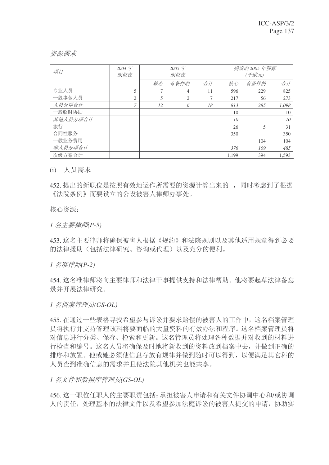#### 资源需求

| 项目       | 2004 $#$<br>职位表 | 2005 $#$<br>职位表 |                | 提议的 2005 年预算<br>(千欧元) |       |      |       |
|----------|-----------------|-----------------|----------------|-----------------------|-------|------|-------|
|          |                 | 核心              | 有条件的           | 合计                    | 核心    | 有条件的 | 合计    |
| 专业人员     | 5               | 7               | $\overline{4}$ | 11                    | 596   | 229  | 825   |
| 一般事务人员   | 2               | 5               | $\overline{2}$ |                       | 217   | 56   | 273   |
| 人员分项合计   | 7               | 12              | 6              | 18                    | 813   | 285  | 1,098 |
| 一般临时协助   |                 |                 |                |                       | 10    |      | 10    |
| 其他人员分项合计 |                 |                 |                |                       | 10    |      | 10    |
| 旅行       |                 |                 |                |                       | 26    | 5    | 31    |
| 合同性服务    |                 |                 |                |                       | 350   |      | 350   |
| 一般业务费用   |                 |                 |                |                       |       | 104  | 104   |
| 非人员分项合计  |                 |                 |                |                       | 376   | 109  | 485   |
| 次级方案合计   |                 |                 |                |                       | 1,199 | 394  | 1,593 |

(i) 人员需求

452. 提出的新职位是按照有效地运作所需要的资源计算出来的,同时考虑到了根据 《法院条例》而要设立的公设被害人律师办事处。

核心资源:

 $1$  名主要律师(P-5)

453. 这名主要律师将确保被害人根据《规约》和法院规则以及其他适用规章得到必要 的法律援助(包括法律研究、咨询或代理)以及充分的便利。

 $1$  名准律师(P-2)

454. 这名准律师将向主要律师和法律干事提供支持和法律帮助。他将要起草法律备忘 录并开展法律研究。

1 名档案管理员(GS-OL)

455. 在通过一些表格寻找希望参与诉讼并要求赔偿的被害人的工作中, 这名档案管理 员将执行并支持管理该科将要面临的大量资料的有效办法和程序。这名档案管理员将 对信息讲行分类、保存、检索和更新。这名管理员将处理各种数据并对收到的材料讲 行检查和编号。这名人员将确保及时地将新收到的资料放到档案中去,并做到正确的 排序和放置。他或她必须使信息存放有规律并做到随时可以得到,以便满足其它科的 人员查到准确信息的需求并且使法院其他机关也能共享。

## 1 名文件和数据库管理员(GS-OL)

456. 这一职位任职人的主要职责包括: 承担被害人申请和有关文件协调中心和/或协调 人的责任, 处理基本的法律文件以及希望参加法庭诉讼的被害人提交的申请, 协助实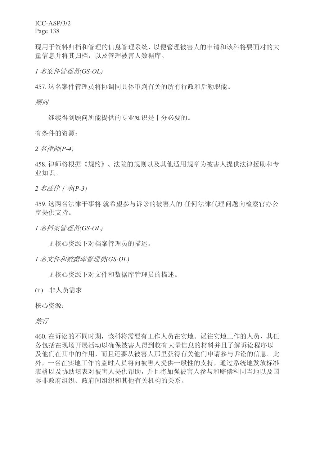现用于资料归档和管理的信息管理系统,以便管理被害人的申请和该科将要面对的大 量信息并将其归档, 以及管理被害人数据库。

1 名案件管理员(GS-OL)

457. 这名案件管理员将协调同具体审判有关的所有行政和后勤职能。

顾问

继续得到顾问所能提供的专业知识是十分必要的。

有条件的资源:

*2* ৡᕟᏜ*(P-4)*

458. 律师将根据《规约》、法院的规则以及其他活用规章为被害人提供法律援助和专 业知识。

2 名法律干事(P-3)

459. 这两名法律干事将 就希望参与诉讼的被害人的 任何法律代理问题向检察官办公 室提供支持。

1 名档案管理员(GS-OL)

见核心资源下对档案管理员的描述。

1 名文件和数据库管理员(GS-OL)

见核心资源下对文件和数据库管理员的描述。

(ii) 非人员需求

核心资源:

旅行

460. 在诉讼的不同时期, 该科将需要有工作人员在实地。派往实地工作的人员, 其任 务包括在现场开展活动以确保被害人得到收有大量信息的材料并且了解诉讼程序以 及他们在其中的作用,而且还要从被害人那里获得有关他们申请参与诉讼的信息。此 外,一名在实地工作的监时人员将向被害人提供一般性的支持,通过系统地发放标准 表格以及协助填表对被害人提供帮助,并且将加强被害人参与和赔偿科同当地以及国 际非政府组织、政府间组织和其他有关机构的关系。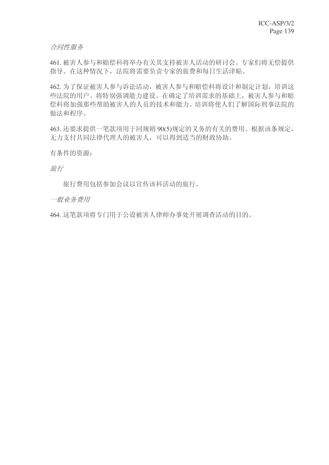合同性服务

461. 被害人参与和赔偿科将举办有关其支持被害人活动的研讨会。专家们将无偿提供 指导。在这种情况下, 法院将需要负责专家的旅费和每日生活津贴。

462. 为了保证被害人参与优讼活动, 被害人参与和赔偿科将设计和制定计划, 培训这 些法院的用户。将特别强调能力建设。在确定了培训需求的基础上,被害人参与和赔 偿科将加强那些帮助被害人的人员的技术和能力。培训将使人们了解国际刑事法院的 做法和程序。

463. 还要求提供一笔款项用于同规则 90(5)规定的义务的有关的费用。根据该条规定, 无力支付共同法律代理人的被害人,可以得到适当的财政协助。

有条件的资源:

旅行

旅行费用包括参加会议以宣传该科活动的旅行。

一般业务费用

464. 这笔款项将专门用于公设被害人律师办事处开展调查活动的目的。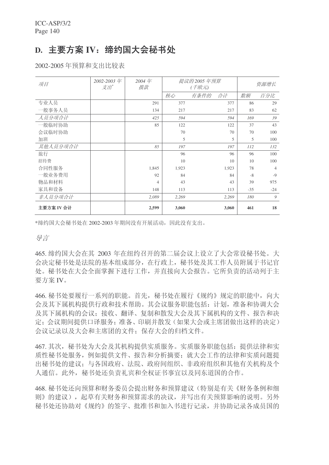# D. 主要方案 IV: 缔约国大会秘书处

2002-2005 年预算和支出比较表

| 项目         | 2002-2003 年<br>支出 | 2004年<br>拨款 |       | 提议的 2005 年预算<br>(千欧元) |       |       | 资源增长           |
|------------|-------------------|-------------|-------|-----------------------|-------|-------|----------------|
|            |                   |             | 核心    | 有条件的                  | 合计    | 数额    | 百分比            |
| 专业人员       |                   | 291         | 377   |                       | 377   | 86    | 29             |
| 一般事务人员     |                   | 134         | 217   |                       | 217   | 83    | 62             |
| 人员分项合计     |                   | 425         | 594   |                       | 594   | 169   | 39             |
| 一般临时协助     |                   | 85          | 122   |                       | 122   | 37    | 43             |
| 会议临时协助     |                   |             | 70    |                       | 70    | 70    | 100            |
| 加班         |                   |             | 5     |                       | 5     | 5     | 100            |
| 其他人员分项合计   |                   | 85          | 197   |                       | 197   | 112   | 132            |
| 旅行         |                   |             | 96    |                       | 96    | 96    | 100            |
| 招待费        |                   |             | 10    |                       | 10    | 10    | 100            |
| 合同性服务      |                   | 1,845       | 1,923 |                       | 1,923 | 78    | $\overline{4}$ |
| 一般业务费用     |                   | 92          | 84    |                       | 84    | $-8$  | $-9$           |
| 物品和材料      |                   | 4           | 43    |                       | 43    | 39    | 975            |
| 家具和设备      |                   | 148         | 113   |                       | 113   | $-35$ | $-24$          |
| 非人员分项合计    |                   | 2,089       | 2,269 |                       | 2,269 | 180   | 9              |
| 主要方案 IV 合计 |                   | 2,599       | 3,060 |                       | 3,060 | 461   | 18             |

\*缔约国大会秘书处在 2002-2003 年期间没有开展活动,因此没有支出。

号言

465. 缔约国大会在其 2003 年在纽约召开的第二届会议上设立了大会常设秘书处。大 会决定秘书处是法院的基本组成部分, 在行政上, 秘书处及其工作人员附属于书记官 处。秘书处在大会全面掌握下进行工作,并直接向大会报告。它所负责的活动列于主 要方案 IV。

466. 秘书处要履行一系列的职能。首先, 秘书处在履行《规约》规定的职能中, 向大 会及其下属机构提供行政和技术帮助。其会议服务职能包括: 计划, 准备和协调大会 及其下属机构的会议:接收、翻译、复制和散发大会及其下属机构的文件、报告和决 定;会议期间提供口译服务;准备、印刷并散发(如果大会或主席团做出这样的决定) 会议记录以及大会和主席团的文件; 保存大会的归档文件。

467. 其次, 秘书处为大会及其机构提供实质服务。实质服务职能包括: 提供法律和实 质性秘书处服务, 例如提供文件、报告和分析摘要: 就大会工作的法律和实质问题提 出秘书处的建议;与各国政府、法院、政府间组织、非政府组织和其他有关机构及个 人通信。此外, 秘书处还负责礼宾和全权证书事官以及同东道国的合作。

468. 秘书处还向预算和财务委员会提出财务和预算建议 (特别是有关 《财务条例和细 则》的建议),起草有关财务和预算需求的决议,并写出有关预算影响的说明。另外 秘书处还协助对《规约》的签字、批准书和加入书进行记录,并协助记录各成员国的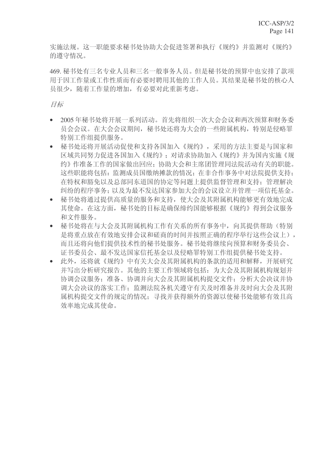实施法规。这一职能要求秘书处协助大会促进签署和执行《规约》并监测对《规约》 的遵守情况。

469. 秘书处有三名专业人员和三名一般事务人员。但是秘书处的预算中也安排了款项 用于因工作量或工作性质而有必要时聘用其他的工作人员。其结果是秘书处的核心人 员很少,随着工作量的增加,有必要对此重新考虑。

目标

- 2005年秘书处将开展一系列活动。首先将组织一次大会会议和两次预算和财务委 员会会议。在大会会议期间, 秘书处还将为大会的一些附属机构, 特别是侵略罪 特别工作组提供服务。
- 秘书处还将开展活动促使和支持各国加入《规约》,采用的方法主要是与国家和 区域共同努力促进各国加入《规约》: 对请求协助加入《规约》并为国内实施《规 约》作准备工作的国家做出回应: 协助大会和主席团管理同法院活动有关的职能。 这些职能将包括: 监测成员国缴纳摊款的情况: 在非合作事务中对法院提供支持: 在特权和豁免以及总部同东道国的协定等问题上提供监督管理和支持: 管理解决 纠纷的程序事务:以及为最不发达国家参加大会的会议设立并管理一项信托基金。
- 秘书处将通过提供高质量的服务和支持, 使大会及其附属机构能够更有效地完成 其使命。在这方面, 秘书处的目标是确保缔约国能够根据《规约》得到会议服务 和文件服务。
- 秘书处将在与大会及其附属机构工作有关系的所有事务中, 向其提供帮助(特别 是将重点放在有效地安排会议和磋商的时间并按照正确的程序举行这些会议上), 而且还将向他们提供技术性的秘书处服务。秘书处将继续向预算和财务委员会、 证书委员会、最不发达国家信托基金以及侵略罪特别工作组提供秘书处支持。
- 此外, 还将就《规约》中有关大会及其附属机构的条款的适用和解释, 开展研究 并写出分析研究报告。其他的主要工作领域将包括: 为大会及其附属机构规划并 协调令议服务: 准备、协调并向大会及其附属机构提交文件: 分析大会决议并协 调大会决议的落实工作: 监测法院各机关遵守有关及时准备并及时向大会及其附 属机构提交文件的规定的情况; 寻找并获得额外的资源以使秘书处能够有效且高 效率地完成其使命。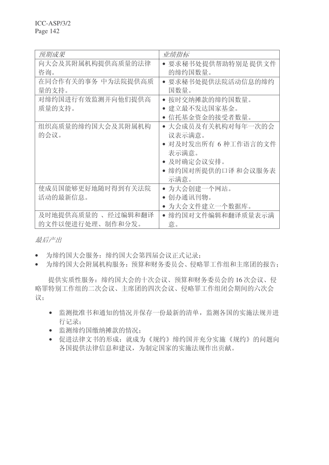| 预期成果               | 业绩指标                          |
|--------------------|-------------------------------|
| 向大会及其附属机构提供高质量的法律  | 要求秘书处提供帮助特别是提供文件              |
| 咨询。                | 的缔约国数量。                       |
| 在同合作有关的事务 中为法院提供高质 | 要求秘书处提供法院活动信息的缔约              |
| 量的支持。              | 国数量。                          |
| 对缔约国进行有效监测并向他们提供高  | 按时交纳摊款的缔约国数量。<br>$\bullet$    |
| 质量的支持。             | 建立最不发达国家基金。<br>$\bullet$      |
|                    | • 信托基金资金的接受者数量。               |
| 组织高质量的缔约国大会及其附属机构  | • 大会成员及有关机构对每年一次的会            |
| 的会议。               | 议表示满意。                        |
|                    | • 对及时发出所有 6 种工作语言的文件          |
|                    | 表示满意。                         |
|                    | • 及时确定会议安排。                   |
|                    | • 缔约国对所提供的口译 和会议服务表           |
|                    | 示满意。                          |
| 使成员国能够更好地随时得到有关法院  | • 为大会创建一个网站。                  |
| 活动的最新信息。           | 创办通讯刊物。<br>$\bullet$          |
|                    | • 为大会文件建立一个数据库。               |
| 及时地提供高质量的 、经过编辑和翻译 | 缔约国对文件编辑和翻译质量表示满<br>$\bullet$ |
| 的文件以便进行处理、制作和分发。   | 意。                            |

## 最后产出

- 为缔约国大会服务: 缔约国大会第四届会议正式记录;
- 为缔约国大会附属机构服务: 预算和财务委员会、侵略罪工作组和主席团的报告;

提供实质性服务: 缔约国大会的十次会议、预算和财务委员会的16次会议、侵 略罪特别工作组的二次会议、主席团的四次会议、侵略罪工作组闭会期间的六次会 议:

- 监测批准书和通知的情况并保存一份最新的清单, 监测各国的实施法规并进 行记录;
- 监测缔约国缴纳摊款的情况;
- 促进法律文书的形成: 就成为《规约》缔约国并充分实施《规约》的问题向 各国提供法律信息和建议,为制定国家的实施法规作出贡献。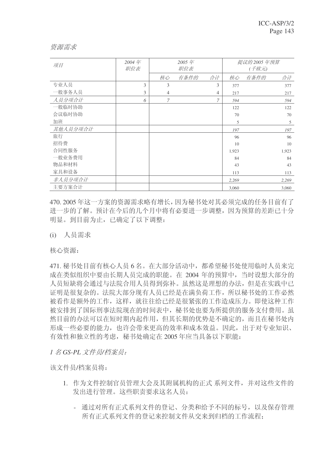| 项目       | 2004年<br>职位表 |                | 2005年<br>职位表 |                |       | 提议的 2005 年预算<br>(千欧元) |       |
|----------|--------------|----------------|--------------|----------------|-------|-----------------------|-------|
|          |              | 核心             | 有条件的         | 合计             | 核心    | 有条件的                  | 合计    |
| 专业人员     | 3            | 3              |              | 3              | 377   |                       | 377   |
| 一般事务人员   | 3            | $\overline{4}$ |              | $\overline{4}$ | 217   |                       | 217   |
| 人员分项合计   | 6            | 7              |              | 7              | 594   |                       | 594   |
| 一般临时协助   |              |                |              |                | 122   |                       | 122   |
| 会议临时协助   |              |                |              |                | 70    |                       | 70    |
| 加班       |              |                |              |                | 5     |                       | 5     |
| 其他人员分项合计 |              |                |              |                | 197   |                       | 197   |
| 旅行       |              |                |              |                | 96    |                       | 96    |
| 招待费      |              |                |              |                | 10    |                       | 10    |
| 合同性服务    |              |                |              |                | 1,923 |                       | 1,923 |
| 一般业务费用   |              |                |              |                | 84    |                       | 84    |
| 物品和材料    |              |                |              |                | 43    |                       | 43    |
| 家具和设备    |              |                |              |                | 113   |                       | 113   |
| 非人员分项合计  |              |                |              |                | 2,269 |                       | 2,269 |
| 主要方案合计   |              |                |              |                | 3,060 |                       | 3,060 |

资源需求

470. 2005年这一方案的资源需求略有增长,因为秘书处对其必须完成的任务目前有了 进一步的了解。预计在今后的几个月中将有必要讲一步调整,因为预算的差距已十分 明显。到目前为止,已确定了以下调整:

(i) 人 员 需 求

核心资源:

471. 秘书处目前有核心人员6名。在大部分活动中, 都希望秘书处使用临时人员来完 成在类似组织中要由长期人员完成的职能。在 2004 年的预算中, 当时设想大部分的 人员短缺将会通过与法院合用人员得到弥补。虽然这是理想的办法,但是在实践中已 证明是很复杂的。法院大部分现有人员已经是在满负荷工作,所以秘书处的工作必然 被看作是额外的工作,这样,就往往给已经是很紧张的工作造成压力。即使这种工作 被安排到了国际刑事法院现在的时间表中, 秘书处也要为所提供的服务支付费用。虽 然目前的办法可以在短时期内起作用, 但其长期的优势是不确定的, 而且在秘书处内 形成一些必要的能力, 也许会带来更高的效率和成本效益。因此, 出于对专业知识、 有效性和独立性的考虑, 秘书处确定在 2005 年应当具备以下职能:

1名GS-PL 文件员/档案员:

该文件员/档案员将:

- 1. 作为文件控制官员管理大会及其附属机构的正式 系列文件, 并对这些文件的 发出讲行管理。这些职责要求这名人员:
	- 通过对所有正式系列文件的登记、分类和给予不同的标号, 以及保存管理 所有正式系列文件的登记来控制文件从交来到归档的工作流程;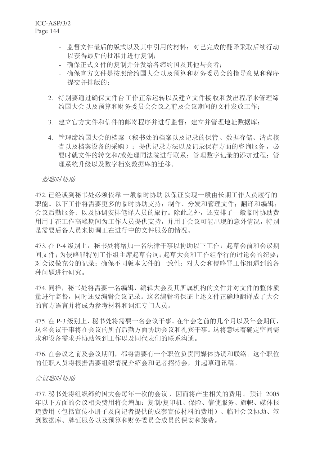- 监督文件最后的版式以及其中引用的材料: 对已完成的翻译采取后续行动 以获得最后的批准并讲行复制:
- 确保正式文件的复制并分发给各缔约国及其他与会者:
- 确保官方文件是按照缔约国大会以及预算和财务委员会的指导意见和程序 提交并排版的:
- 2. 特别要通过确保文件台工作正常运转以及建立文件接收和发出程序来管理缔 约国大会以及预算和财务委员会会议之前及会议期间的文件发放工作:
- 3. 建立官方文件和信件的邮寄程序并讲行监督: 建立并管理地址数据库:
- 4. 管理缔约国大会的档案(秘书处的档案以及记录的保管、数据存储、清点核 杳以及档案设备的采购): 提供记录方法以及记录保存方面的咨询服务, 必 要时就文件的转交和/或处理同法院讲行联系: 管理数字记录的添加过程: 管 理系统升级以及数字档案数据库的迁移。

#### 一般临时协助

472. 已经谈到秘书处必须依靠 一般临时协助 以保证实现一般由长期工作人员履行的 职能。以下工作将需要更多的临时协助支持: 制作、分发和管理文件: 翻译和编辑: 会议后勤服务;以及协调安排笔译人员的旅行。除此之外,还安排了一般临时协助费 用用于在工作高峰期间为工作人员提供支持, 并用于会议可能出现的意外情况, 特别 是需要后备人员来协调正在进行中的文件服务的情况。

473. 在 P-4 级别上, 秘书处将增加一名法律干事以协助以下工作: 起草会前和会议期 间文件;为侵略罪特别工作组主席起草台词;起草大会和工作组举行的讨论会的纪要; 对会议做充分的记录: 确保不同版本文件的一致性: 对大会和侵略罪工作组遇到的各 种问题讲行研究。

474. 同样, 秘书处将需要一名编辑, 编辑大会及其所属机构的文件并对文件的整体质 量进行监督,同时还要编辑会议记录。这名编辑将保证上述文件正确地翻译成了大会 的官方语言并将成为参考材料和词汇专门人员。

475. 在 P-3 级别上, 秘书处将需要一名会议于事。 在年会之前的几个月以及年会期间, 这名会议干事将在会议的所有后勤方面协助会议和礼宾干事。这将意味着确定空间需 求和设备需求并协助签到工作以及同代表们的联系沟通。

476. 在会议之前及会议期间, 都将需要有一个职位负责同媒体协调和联络。这个职位 的任职人员将根据需要组织情况介绍会和记者招待会,并起草通讯稿。

#### 会议临时协助

477. 秘书处将组织缔约国大会每年一次的会议, 因而将产生相关的费用。预计 2005 年以下方面的会议相关费用将会增加: 复制/复印机、保险、信使服务、旗帜、媒体报 道费用(包括宣传小册子及向记者提供的成套宣传材料的费用)、临时会议协助、签 到数据库、牌证服务以及预算和财务委员会成员的保安和旅费。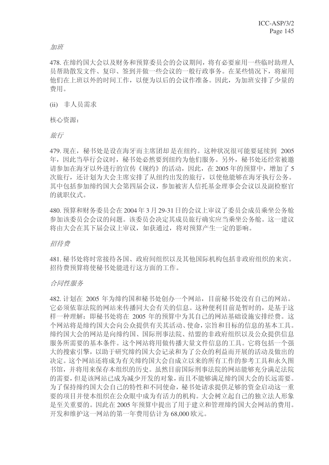加班

478. 在缔约国大会以及财务和预算委员会的会议期间, 将有必要雇用一些临时助理人 员帮助散发文件、复印、签到并做一些会议的一般行政事务。在某些情况下, 将雇用 他们在上班以外的时间工作, 以便为以后的会议作准备。因此, 为加班安排了少量的 费用。

(ii) 非人员需求

核心资源:

旅行

479. 现在, 秘书处是设在海牙而主席团却是在纽约。这种状况很可能要延续到 2005 年,因此当举行会议时, 秘书处必然要到纽约为他们服务。另外, 秘书处还经常被邀 请参加在海牙以外进行的宣传《规约》的活动,因此,在2005年的预算中,增加了5 次旅行, 还计划为大会主席安排了从纽约出发的旅行, 以使他能够在海牙执行公务。 其中包括参加缔约国大会第四届会议,参加被害人信托基金理事会会议以及副检察官 的就职仪式。

480. 预算和财务委员会在2004年3月29-31 日的会议上审议了委员会成员乘坐公务舱 参加该委员会决定其成员旅行确实应当乘坐公务舱。这一建议 将由大会在其下届会议上审议, 如获通过, 将对预算产生一定的影响。

招待费

481. 秘书处将时常接待各国、政府间组织以及其他国际机构包括非政府组织的来宾。 招待费预算将使秘书处能进行这方面的工作。

合同性服务

482. 计划在 2005 年为缔约国和秘书处创办一个网站, 目前秘书处没有自己的网站。 它必须依靠法院的网站来传播同大会有关的信息。这种便利目前是暂时的,是基于这 样一种理解: 即秘书处将在 2005 年的预算中为其自己的网站基础设施安排经费。这 个网站将是缔约国大会向公众提供有关其活动、使命,宗旨和目标的信息的基本工具。 缔约国大会的网站是向缔约国、国际刑事法院、结盟的非政府组织以及公众提供信息 服务所需要的基本条件。这个网站将用做传播大量文件信息的工具。它将包括一个强 大的搜索引擎, 以助于研究缔约国大会记录和为了公众的利益而开展的活动及做出的 决定。这个网站还将成为有关缔约国大会自成立以来的所有工作的参考工具和永久图 书馆,并将用来保存本组织的历史。虽然目前国际刑事法院的网站能够充分满足法院 的需要, 但是该网站已成为减少开发的对象, 而且不能够满足缔约国大会的长远需要。 为了保持缔约国大会自己的特性和不同使命, 秘书处请求提供足够的资金启动这一重 要的项目并使本组织在公众眼中成为有活力的机构。大会树立起自己的独立法人形象 是至关重要的。因此在 2005 年预算中提出了用于建立和管理缔约国大会网站的费用。 开发和维护这一网站的第一年费用估计为68,000 欧元。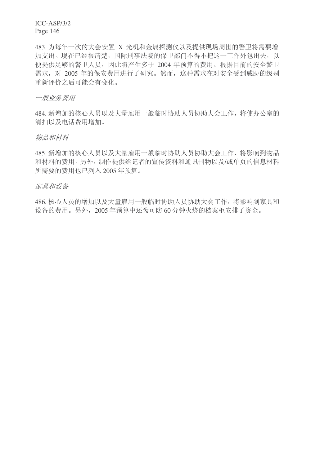## ICC-ASP/3/2 Page 146

483. 为每年一次的大会安置 X 光机和金属探测仪以及提供现场周围的警卫将需要增 加支出。现在已经很清楚,国际刑事法院的保卫部门不得不把这一工作外包出去,以 便提供足够的警卫人员,因此将产生多于 2004 年预算的费用。根据目前的安全警卫 需求, 对 2005 年的保安费用进行了研究。然而, 这种需求在对安全受到威胁的级别 重新评价之后可能会有变化。

### 一般业务费用

484. 新增加的核心人员以及大量雇用一般临时协助人员协助大会工作, 将使办公室的 清扫以及电话费用增加。

## 物品和材料

485. 新增加的核心人员以及大量雇用一般临时协助人员协助大会工作, 将影响到物品 和材料的费用。另外,制作提供给记者的宣传资料和通讯刊物以及/或单页的信息材料 所需要的费用也已列入 2005年预算。

## 家具和设备

486. 核心人员的增加以及大量雇用一般临时协助人员协助大会工作, 将影响到家具和 设备的费用。另外, 2005年预算中还为可防60分钟火烧的档案柜安排了资金。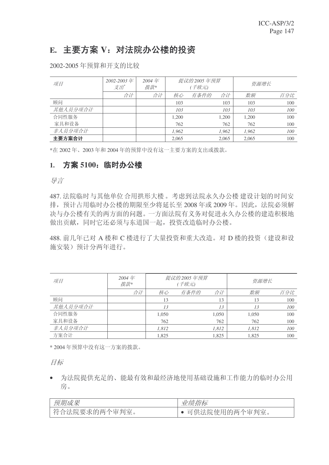# E. 主要方案 V: 对法院办公楼的投资

2002-2005 年预算和开支的比较

| 项目       | 2002-2003 年<br>支出 | 2004 $#$<br>拨款* |       | 提议的 2005 年预算<br>(千欧元) |       | 资源增长  |     |
|----------|-------------------|-----------------|-------|-----------------------|-------|-------|-----|
|          | 合计                | 合计              | 核心    | 有条件的                  | 合计    | 数额    | 百分比 |
| 顾问       |                   |                 | 103   |                       | 103   | 103   | 100 |
| 其他人员分项合计 |                   |                 | 103   |                       | 103   | 103   | 100 |
| 合同性服务    |                   |                 | 1,200 |                       | 1,200 | 1.200 | 100 |
| 家具和设备    |                   |                 | 762   |                       | 762   | 762   | 100 |
| 非人员分项合计  |                   |                 | 1.962 |                       | 1.962 | 1.962 | 100 |
| 主要方案合计   |                   |                 | 2.065 |                       | 2.065 | 2,065 | 100 |

 $*$ 在 2002年、2003年和2004年的预算中没有这一主要方案的支出或拨款。

## 1. 方案 5100: 临时办公楼

ᇐ㿔

487. 法院临时与其他单位合用拱形大楼。考虑到法院永久办公楼 建设计划的时间安 排, 预计占用临时办公楼的期限至少将延长至 2008 年或 2009 年。因此, 法院必须解 决与办公楼有关的两方面的问题。一方面法院有义务对促进永久办公楼的建造积极地 做出贡献,同时它还必须与东道国一起,投资改造临时办公楼。

488. 前几年已对 A 楼和 C 楼进行了大量投资和重大改造。对 D 楼的投资(建设和设 施安装) 预计分两年进行。

| 项目       | 2004年<br>拨款* | 提议的2005年预算<br>(千欧元) |      |       | 资源增长  |     |
|----------|--------------|---------------------|------|-------|-------|-----|
|          | 合计           | 核心                  | 有条件的 | 合计    | 数额    | 百分比 |
| 顾问       |              | 13                  |      | 13    | 13    | 100 |
| 其他人员分项合计 |              | 13                  |      | 13    | 13    | 100 |
| 合同性服务    |              | 1,050               |      | 1,050 | 1,050 | 100 |
| 家具和设备    |              | 762                 |      | 762   | 762   | 100 |
| 非人员分项合计  |              | 1,812               |      | 1,812 | 1,812 | 100 |
| 方案合计     |              | 1,825               |      | 1,825 | 1.825 | 100 |

\* 2004 年预算中没有这一方案的拨款。

目标

• 为法院提供充足的、能最有效和最经济地使用基础设施和工作能力的临时办公用 房。

| 预期成果          | $+F'$<br>'绩指<br><u> VII</u> 2<br>インハ |
|---------------|--------------------------------------|
| 符合法院要求的两个审判室。 | 可供法院使用的两个审判室。                        |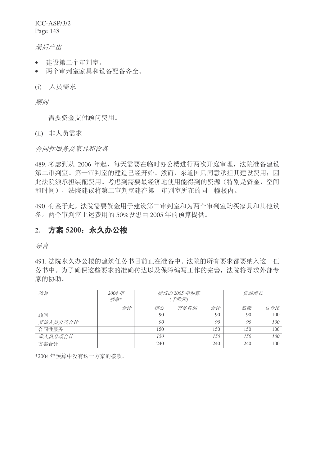ICC-ASP/3/2 Page 148

最后产出

- 建设第二个审判室。
- 两个审判室家具和设备配备齐全。
- (i) 人员需求

顾问

需要资金支付顾问费用。

(ii) 非人员需求

合同性服务及家具和设备

489. 考虑到从 2006 年起, 每天需要在临时办公楼进行两次开庭审理, 法院准备建设 第二审判室的建造已经开始。然而, 东道国只同意承担其建设费用: 因 此法院须承担装配费用。考虑到需要最经济地使用能得到的资源(特别是资金,空间 和时间), 法院建议将第二审判室建在第一审判室所在的同一幢楼内。

490. 有鉴于此, 法院需要资金用于建设第二审判室和为两个审判室购买家具和其他设 备。两个审判室上述费用的 50%设想由 2005 年的预算提供。

## 2. 方案 5200; 永久办公楼

ᇐ㿔

491. 法院永久办公楼的建筑任务书目前正在准备中。法院的所有要求都要纳入这一任 务书中。为了确保这些要求的准确传达以及保障编写工作的完善,法院将寻求外部专 家的协助。

| 项目       | 2004 年<br>拨款* | 提议的 2005 年预算<br>(千欧元) |      |     | 资源增长 |     |  |
|----------|---------------|-----------------------|------|-----|------|-----|--|
|          | 合计            | 核心                    | 有条件的 | 合计  | 数额   | 百分比 |  |
| 顾问       |               | 90                    |      | 90  | 90   | 100 |  |
| 其他人员分项合计 |               | 90                    |      | 90  | 90   | 100 |  |
| 合同性服务    |               | 150                   |      | 150 | 150  | 100 |  |
| 非人员分项合计  |               | 150                   |      | 150 | 150  | 100 |  |
| 方案合计     |               | 240                   |      | 240 | 240  | 100 |  |

\*2004年预算中没有这一方案的拨款。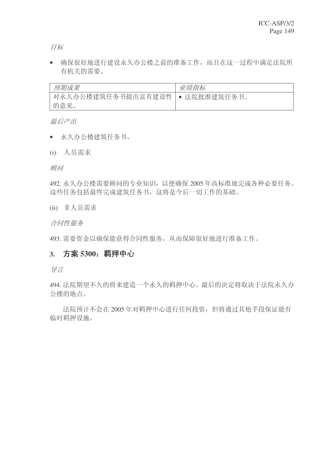目标

• 确保很好地进行建设永久办公楼之前的准备工作,而且在这一过程中满足法院所 有机关的需要。

| 预期成果               | 业绩指标         |
|--------------------|--------------|
| 对永久办公楼建筑任务书提出富有建设性 | • 法院批准建筑任务书。 |
| 的意见。               |              |

最后产出

- 永久办公楼建筑任务书。
- (i) 人员需求

顾问

492. 永久办公楼需要顾问的专业知识, 以便确保 2005 年高标准地完成各种必要任务。 这些任务包括最终完成建筑任务书,这将是今后一切工作的基础。

(ii) 非人员需求

合同性服务

493. 需要资金以确保能获得合同性服务, 从而保障很好地进行准备工作。

## 3. 方案 5300: 羁押中心

ᇐ㿔

494. 法院期望不久的将来建造一个永久的羁押中心。最后的决定将取决于法院永久办 公楼的地点。

法院预计不会在2005年对羁押中心进行任何投资,但将通过其他手段保证能有 临时羁押设施。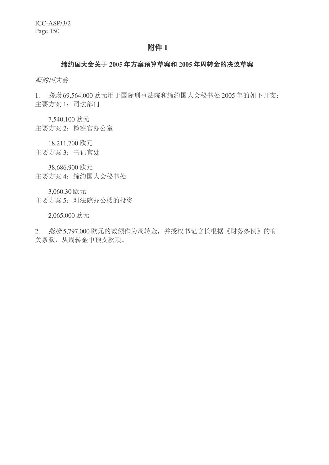## 附件 I

#### 缔约国大会关于 2005 年方案预算草案和 2005 年周转金的决议草案

缔约国大会

1. 拨款 69,564,000 欧元用于国际刑事法院和缔约国大会秘书处 2005 年的如下开支: 主要方案 1: 司法部门

7,540,100 欧元 主要方案 2: 检察官办公室

18,211,700 欧元

主要方案 3: 书记官处

38,686,900 欧元 主要方案 4: 缔约国大会秘书处

3,060,30 欧元 主要方案 5: 对法院办公楼的投资

2,065,000 欧元

2. *批准5,797,000 欧元的数额作为周转金,并授权书记官长根据《财务条例》的有* 关条款, 从周转金中预支款项。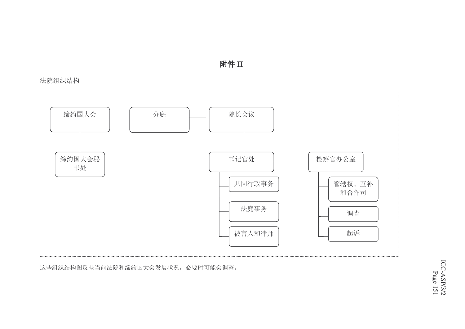

附件 II

## 法院组织结构

这些组织结构图反映当前法院和缔约国大会发展状况, 必要时可能会调整。

ICC-ASP/3/2 Page 1 5 1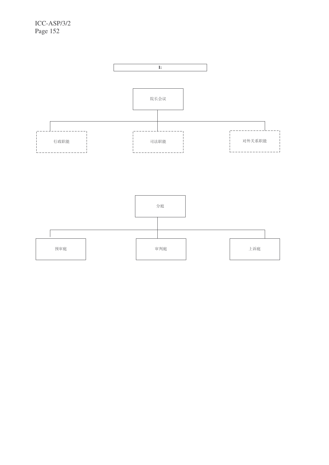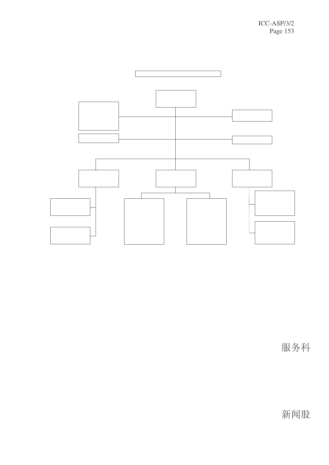

服务科

新闻股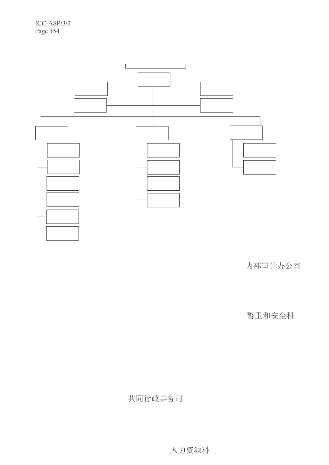

内部审计办公室

警卫和安全科

共同行政事务司

人力资源科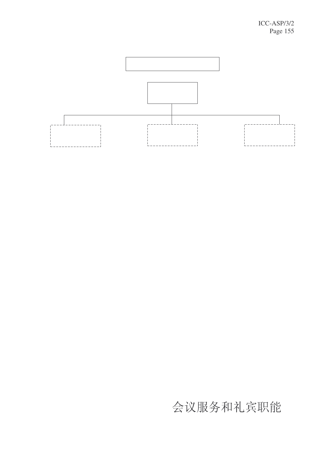

# 会议服务和礼宾职能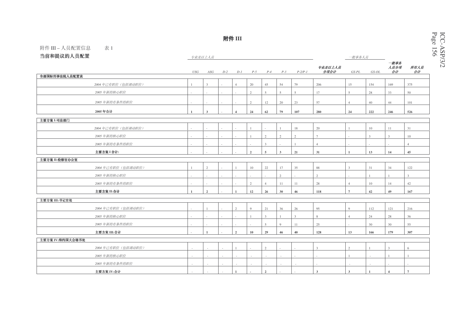#### 附件 III

#### 附件 III – 人员配置信息 表 1

——<br>当論和棋沙的Ⅰ昌嗣墨

| <b>ヨ肌和徙以旳人贝配直</b> |                   | 专业及以上人员      |                |       |                         |                | 一般事务人员         |                |                |                         |                |                |                    |                |
|-------------------|-------------------|--------------|----------------|-------|-------------------------|----------------|----------------|----------------|----------------|-------------------------|----------------|----------------|--------------------|----------------|
|                   |                   | USG          | ASG            | $D-2$ | $D-I$                   | $P-5$          | $P-4$          | $P-3$          | $P - 2/P - I$  | 专业及以上人员<br>分项合计         | $GS$ - $PL$    | GS-OL          | 一般事务<br>人员分项<br>合计 | 所有人员<br>合计     |
| 全部国际刑事法院人员配置表     |                   |              |                |       |                         |                |                |                |                |                         |                |                |                    |                |
|                   | 2004年已有职位(包括调动职位) |              | $\overline{3}$ |       | $\overline{4}$          | 20             | 45             | 54             | 79             | 206                     | 15             | 154            | 169                | 375            |
|                   | 2005年新的核心职位       |              |                |       |                         | $\overline{2}$ | 5              | 5              | 5              | 17                      | $\overline{5}$ | 28             | 33                 | 50             |
|                   | 2005年新的有条件的职位     |              |                |       |                         | 2              | 12             | 20             | 23             | 57                      |                | 40             | 44                 | 101            |
|                   | 2005年合计           | $\mathbf{1}$ | 3              |       | $\overline{\mathbf{4}}$ | 24             | 62             | 79             | 107            | 280                     | 24             | 222            | 246                | 526            |
| 主要方案 I:司法部门       |                   |              |                |       |                         |                |                |                |                |                         |                |                |                    |                |
|                   | 2004年已有职位(包括调动职位) |              |                |       |                         |                |                |                | 18             | 20                      |                | 10             | 11                 | 31             |
|                   | 2005 年新的核心职位      |              |                |       |                         |                | $\overline{2}$ | 2              | $\overline{2}$ | $7\phantom{.0}$         |                | $\overline{3}$ | $\overline{3}$     | 10             |
|                   | 2005年新的有条件的职位     |              |                |       |                         |                | 3              |                |                | $\overline{4}$          |                |                |                    | $\overline{4}$ |
|                   | 主要方案 I 合计:        |              |                |       |                         | $\overline{2}$ | 5              | 3              | 21             | 31                      |                | 13             | 14                 | 45             |
| 主要方案 II:检察官办公室    |                   |              |                |       |                         |                |                |                |                |                         |                |                |                    |                |
|                   | 2004年已有职位(包括调动职位) |              | $\overline{2}$ |       |                         | 10             | 22             | 17             | 35             | 88                      | $\mathcal{L}$  | 31             | 34                 | 122            |
|                   | 2005 年新的核心职位      |              |                |       |                         |                |                | $\overline{2}$ |                | $\overline{2}$          |                |                |                    | $\overline{3}$ |
|                   | 2005年新的有条件的职位     |              |                |       |                         | $\mathcal{D}$  |                | 11             | 11             | 28                      | $\overline{A}$ | 10             | 14                 | 42             |
|                   | 主要方案 II:合计        | -1           | $\overline{2}$ |       |                         | 12             | 26             | 30             | 46             | 118                     | $\overline{7}$ | 42             | 49                 | 167            |
| 主要方案 III:书记官处     |                   |              |                |       |                         |                |                |                |                |                         |                |                |                    |                |
|                   | 2004年已有职位(包括调动职位) |              |                |       | $\overline{2}$          | $\overline{9}$ | 21             | 36             | 26             | 95                      | $\mathbf{Q}$   | 112            | 121                | 216            |
|                   | 2005 年新的核心职位      |              |                |       |                         |                | 3              |                | $\overline{3}$ | 8                       | $\Delta$       | 24             | 28                 | 36             |
|                   | 2005年新的有条件的职位     |              |                |       |                         |                | 5              | 9              | 11             | 25                      |                | 30             | 30                 | 55             |
|                   | 主要方案 III:合计       |              |                |       | $\overline{2}$          | 10             | 29             | 46             | 40             | 128                     | 13             | 166            | 179                | 307            |
| 主要方案 IV:缔约国大会秘书处  |                   |              |                |       |                         |                |                |                |                |                         |                |                |                    |                |
|                   | 2004年已有职位(包括调动职位) |              |                |       |                         |                | $\mathcal{L}$  |                |                | 3                       | $\mathcal{L}$  |                | $\mathcal{L}$      | 6              |
|                   | 2005年新的核心职位       |              |                |       |                         |                |                |                |                |                         |                |                |                    |                |
|                   | 2005年新的有条件的职位     |              |                |       |                         |                |                |                |                |                         |                |                |                    |                |
|                   | 主要方案 IV:合计        |              |                |       |                         |                | $\overline{2}$ |                |                | $\overline{\mathbf{3}}$ | $\overline{3}$ |                | $\overline{4}$     | $\overline{7}$ |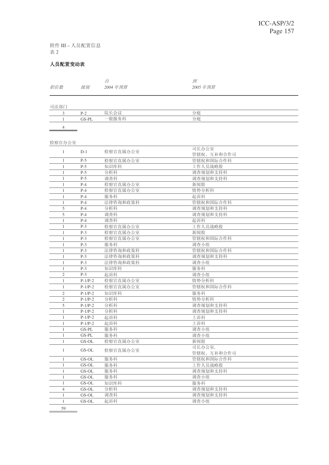附件 III – 人员配置信息 表 2

### 人员配置变动表

|     |                    | 到        |
|-----|--------------------|----------|
| 职位数 | <i>级别</i> 2004 年预算 | 2005 年预算 |

司法部门

 $\overline{a}$ 

| 비서스마 |             |                  |    |
|------|-------------|------------------|----|
|      | $P-2$       | 院长会议<br>ツロ       | 分庭 |
|      | $\alpha$ nt | 5匹胆友 1<br>$\sim$ | 分庭 |
|      |             |                  |    |

#### 检察官办公室

| $\mathbb{R}^n$ and $\mathbb{R}^n$ and $\mathbb{R}^n$ |           |          |                         |
|------------------------------------------------------|-----------|----------|-------------------------|
| $\mathbf{1}$                                         | $D-1$     | 检察官直属办公室 | 司长办公室                   |
| $\mathbf{1}$                                         | $P-5$     | 检察官直属办公室 | 管辖权、互补和合作司<br>管辖权和国际合作科 |
| $\mathbf{1}$                                         | $P-5$     | 知识库科     | 工作人员战略股                 |
| $\mathbf{1}$                                         | $P-5$     | 分析科      | 调查规划和支持科                |
| $\mathbf{1}$                                         | $P-5$     | 调查科      | 调查规划和支持科                |
| $\mathbf{1}$                                         | $P-4$     | 检察官直属办公室 | 新闻股                     |
| $\mathbf{1}$                                         | $P-4$     | 检察官直属办公室 | 情势分析科                   |
| $\mathbf{1}$                                         | $P-4$     | 服务科      | 起诉科                     |
| $\mathbf{1}$                                         | $P-4$     | 法律咨询和政策科 | 管辖权和国际合作科               |
| 5                                                    | $P-4$     | 分析科      | 调查规划和支持科                |
| 5                                                    | $P-4$     | 调查科      | 调查规划和支持科                |
| $\mathbf{1}$                                         | $P-4$     | 调查科      | 起诉科                     |
| $\mathbf{1}$                                         | $P-3$     | 检察官直属办公室 | 工作人员战略股                 |
| $\mathbf{1}$                                         | $P-3$     | 检察官直属办公室 | 新闻股                     |
| $\mathbf{1}$                                         | $P-3$     | 检察官直属办公室 | 管辖权和国际合作科               |
| $\,1\,$                                              | $P-3$     | 服务科      | 调查小组                    |
| $\mathbf{1}$                                         | $P-3$     | 法律咨询和政策科 | 管辖权和国际合作科               |
| $\mathbf{1}$                                         | $P-3$     | 法律咨询和政策科 | 调查规划和支持科                |
| $\mathbf{1}$                                         | $P-3$     | 法律咨询和政策科 | 调查小组                    |
| $\mathbf{1}$                                         | $P-3$     | 知识库科     | 服务科                     |
| $\overline{2}$                                       | $P-3$     | 起诉科      | 调查小组                    |
| $\mathbf{1}$                                         | $P-1/P-2$ | 检察官直属办公室 | 情势分析科                   |
| $\mathbf{1}$                                         | $P-1/P-2$ | 检察官直属办公室 | 管辖权和国际合作科               |
| $\overline{2}$                                       | $P-1/P-2$ | 知识库科     | 服务科                     |
| $\overline{2}$                                       | $P-1/P-2$ | 分析科      | 情势分析科                   |
| 5                                                    | $P-1/P-2$ | 分析科      | 调查规划和支持科                |
| $\mathbf{1}$                                         | $P-1/P-2$ | 分析科      | 调查规划和支持科                |
| $\mathbf{1}$                                         | $P-1/P-2$ | 起诉科      | 上诉科                     |
| $\mathbf{1}$                                         | $P-1/P-2$ | 起诉科      | 上诉科                     |
| $\mathbf{1}$                                         | GS-PL     | 服务科      | 调查小组                    |
| $\mathbf{1}$                                         | GS-PL     | 服务科      | 调查小组                    |
| $\mathbf{1}$                                         | GS-OL     | 检察官直属办公室 | 新闻股                     |
| $\mathbf{1}$                                         | GS-OL     | 检察官直属办公室 | 司长办公室,                  |
|                                                      |           |          | 管辖权、互补和合作司              |
| $\mathbf{1}$                                         | GS-OL     | 服务科      | 管辖权和国际合作科               |
| $\mathbf{1}$                                         | $GS-OL$   | 服务科      | 工作人员战略股                 |
| $\mathbf{1}$                                         | GS-OL     | 服务科      | 调查规划和支持科                |
| $\mathbf{1}$                                         | GS-OL     | 服务科      | 调查小组                    |
| $\mathbf{1}$                                         | GS-OL     | 知识库科     | 服务科                     |
| $\overline{4}$                                       | GS-OL     | 分析科      | 调查规划和支持科                |
| $\mathbf{1}$                                         | GS-OL     | 调查科      | 调查规划和支持科                |
| $\mathbf{1}$                                         | GS-OL     | 起诉科      | 调查小组                    |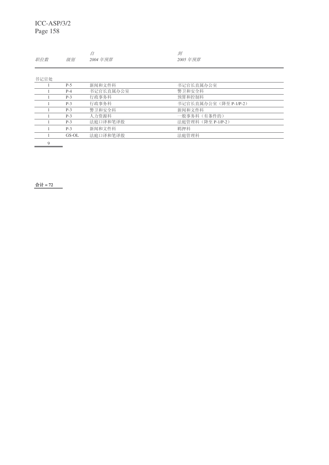ICC-ASP/3/2 Page 158

| 职位数      | 级别    | É<br>2004年预算 | 到<br>2005 年预算          |
|----------|-------|--------------|------------------------|
|          |       |              |                        |
| 书记官处     |       |              |                        |
|          | $P-5$ | 新闻和文件科       | 书记官长直属办公室              |
|          | $P-4$ | 书记官长直属办公室    | 警卫和安全科                 |
|          | $P-3$ | 行政事务科        | 预算和控制科                 |
|          | $P-3$ | 行政事务科        | 书记官长直属办公室 (降至 P-1/P-2) |
|          | $P-3$ | 警卫和安全科       | 新闻和文件科                 |
|          | $P-3$ | 人力资源科        | 一般事务科 (有条件的)           |
|          | $P-3$ | 法庭口译和笔译股     | 法庭管理科 (降至 P-1/P-2)     |
|          | $P-3$ | 新闻和文件科       | 羁押科                    |
|          | GS-OL | 法庭口译和笔译股     | 法庭管理科                  |
| $\Omega$ |       |              |                        |

 $\frac{9}{2}$ 

 $\frac{1}{2}$  <del>i</del>  $\frac{1}{2}$  = 72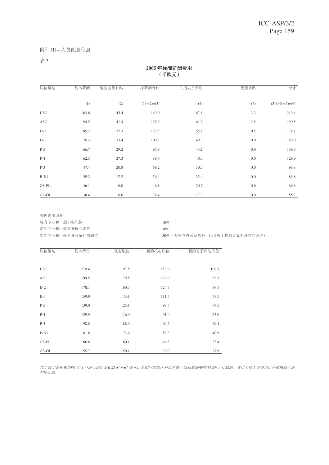附件 III – 人员配置信息

表 3

| 2005年标准薪酬费用 |  |
|-------------|--|
| (千欧元)       |  |

| 职位级别       | 基本薪酬  | 地区差价补贴 | 净薪酬合计         | 共用人员费用 | 代理补贴 | 合计                |
|------------|-------|--------|---------------|--------|------|-------------------|
|            | (1)   | (2)    | $(1)+(2)=(3)$ | (4)    | (5)  | $(3)+(4)+(5)=(6)$ |
| <b>USG</b> | 103.6 | 45.4   | 149.0         | 67.1   | 3.3  | 219.4             |
| ASG        | 94.5  | 41.4   | 135.9         | 61.2   | 2.5  | 199.5             |
| $D-2$      | 85.2  | 37.3   | 122.5         | 55.1   | 0.5  | 178.1             |
| $D-1$      | 76.3  | 33.4   | 109.7         | 49.3   | 0.0  | 159.0             |
| $P-5$      | 66.7  | 29.2   | 95.9          | 43.1   | 0.0  | 139.0             |
| $P-4$      | 62.3  | 27.3   | 89.6          | 40.3   | 0.0  | 129.9             |
| $P-3$      | 47.4  | 20.8   | 68.2          | 30.7   | 0.0  | 98.8              |
| $P-2/1$    | 39.2  | 17.2   | 56.4          | 25.4   | 0.0  | 81.8              |
| GS-PL      | 46.1  | 0.0    | 46.1          | 20.7   | 0.0  | 66.8              |
| GS-OL      | 38.4  | 0.0    | 38.4          | 17.3   | 0.0  | 55.7              |

推迟聘用因素 现有专业和一般事务职位  $10\%$ 新的专业和一般事务核心职位 20%

新的专业和一般事务有条件的职位<br>第的专业和一般事务有条件的职位<br>

| 职位级别       | 基本费用  | 现有职位  | 新的核心职位 | 新的有条件的职位 |
|------------|-------|-------|--------|----------|
| <b>USG</b> | 219.4 | 197.5 | 153.6  | 109.7    |
| ASG        | 199.5 | 179.5 | 139.6  | 99.7     |
| $D-2$      | 178.1 | 160.3 | 124.7  | 89.1     |
| $D-1$      | 159.0 | 143.1 | 111.3  | 79.5     |
| $P-5$      | 139.0 | 125.1 | 97.3   | 69.5     |
| $P-4$      | 129.9 | 116.9 | 91.0   | 65.0     |
| $P-3$      | 98.8  | 88.9  | 69.2   | 49.4     |
| $P-2/1$    | 81.8  | 73.6  | 57.3   | 40.9     |
| GS-PL      | 66.8  | 60.1  | 46.8   | 33.4     |
| GS-OL      | 55.7  | 50.1  | 39.0   | 27.9     |

以上数字是根据2004年4月联合国汇率0.82 欧元=1 美元以及相应的地区差价补贴(纯基本薪酬的43.8%) 计算的。共用工作人员费用以净薪酬总合的 *45%*䅵ㅫDŽ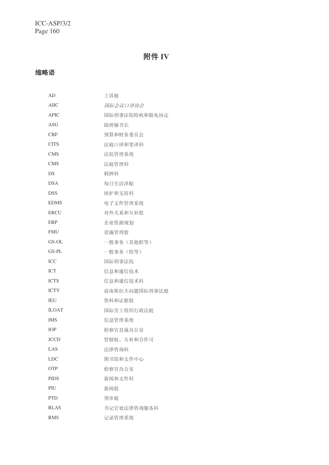# 附件 IV

## 缩略语

| AD           | 上诉庭           |
|--------------|---------------|
| AIIC         | 国际会议口译协会      |
| <b>APIC</b>  | 国际刑事法院特权和豁免协定 |
| ASG          | 助理秘书长         |
| <b>CBF</b>   | 预算和财务委员会      |
| <b>CITS</b>  | 法庭口译和笔译科      |
| <b>CMS</b>   | 法院管理系统        |
| <b>CMS</b>   | 法庭管理科         |
| DS           | 羁押科           |
| <b>DSA</b>   | 每日生活津贴        |
| <b>DSS</b>   | 辩护和支持科        |
| <b>EDMS</b>  | 电子文件管理系统      |
| <b>ERCU</b>  | 对外关系和互补股      |
| ERP          | 企业资源规划        |
| <b>FMU</b>   | 设施管理股         |
| GS-OL        | 一般事务(其他职等)    |
| GS-PL        | 一般事务 (特等)     |
| ICC          | 国际刑事法院        |
| <b>ICT</b>   | 信息和通信技术       |
| <b>ICTS</b>  | 信息和通信技术科      |
| <b>ICTY</b>  | 前南斯拉夫问题国际刑事法庭 |
| IEU          | 资料和证据股        |
| <b>ILOAT</b> | 国际劳工组织行政法庭    |
| <b>IMS</b>   | 信息管理系统        |
| <b>TOP</b>   | 检察官直属办公室      |
| <b>JCCD</b>  | 管辖权、互补和合作司    |
| LAS          | 法律咨询科         |
| LDC          | 图书馆和文件中心      |
| OTP          | 检察官办公室        |
| <b>PIDS</b>  | 新闻和文件科        |
| PIU          | 新闻股           |
| <b>PTD</b>   | 预审庭           |
| <b>RLAS</b>  | 书记官处法律咨询服务科   |
| <b>RMS</b>   | 记录管理系统        |